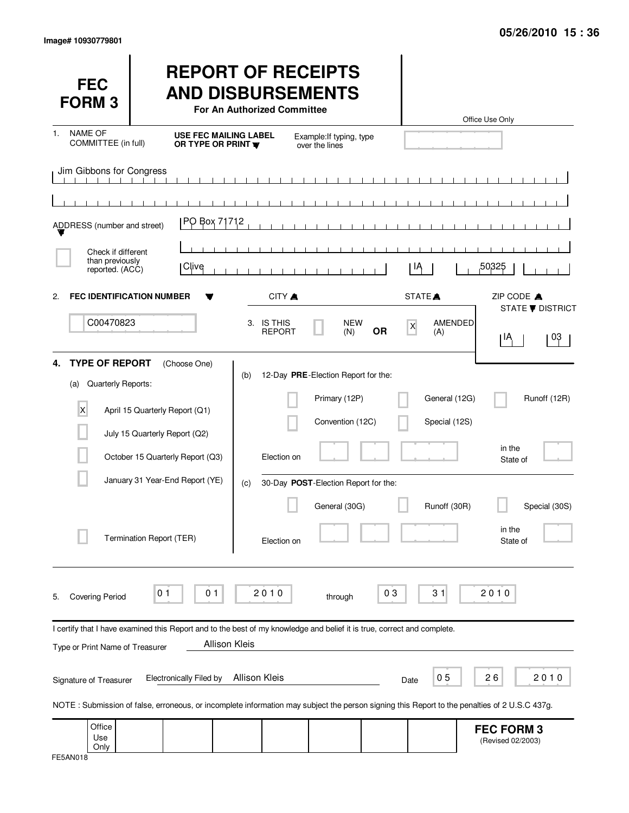| <b>FEC</b><br><b>FORM3</b>                                                          |                                                                                                                                              | <b>REPORT OF RECEIPTS</b><br><b>AND DISBURSEMENTS</b><br>For An Authorized Committee |                                                      |                           |                    | Office Use Only                        |
|-------------------------------------------------------------------------------------|----------------------------------------------------------------------------------------------------------------------------------------------|--------------------------------------------------------------------------------------|------------------------------------------------------|---------------------------|--------------------|----------------------------------------|
| <b>NAME OF</b><br>1.<br>COMMITTEE (in full)                                         | <b>USE FEC MAILING LABEL</b><br>OR TYPE OR PRINT                                                                                             |                                                                                      | Example: If typing, type<br>over the lines           |                           |                    |                                        |
| Jim Gibbons for Congress                                                            |                                                                                                                                              |                                                                                      | $\blacksquare$                                       |                           |                    |                                        |
|                                                                                     |                                                                                                                                              |                                                                                      |                                                      |                           |                    |                                        |
| ADDRESS (number and street)                                                         | PO Box 71712                                                                                                                                 |                                                                                      |                                                      |                           |                    |                                        |
| Check if different                                                                  |                                                                                                                                              |                                                                                      |                                                      |                           |                    |                                        |
| than previously<br>reported. (ACC)                                                  | Clive                                                                                                                                        |                                                                                      |                                                      | ΙĄ                        |                    | 50325                                  |
| $\mathbf{2}$                                                                        | <b>FEC IDENTIFICATION NUMBER</b>                                                                                                             | CITY A                                                                               |                                                      |                           | STATE <sup>A</sup> | ZIP CODE A                             |
| C00470823                                                                           |                                                                                                                                              | 3. IS THIS                                                                           | <b>NEW</b>                                           |                           | AMENDED            | <b>STATE ▼ DISTRICT</b>                |
|                                                                                     |                                                                                                                                              | <b>REPORT</b>                                                                        | (N)                                                  | $\mathsf{x}$<br><b>OR</b> | (A)                | 03<br>ΙĄ                               |
| <b>TYPE OF REPORT</b><br>4.<br>Quarterly Reports:<br>(a)<br>$\overline{\mathsf{x}}$ | (Choose One)<br>April 15 Quarterly Report (Q1)                                                                                               | (b)                                                                                  | 12-Day PRE-Election Report for the:<br>Primary (12P) |                           | General (12G)      | Runoff (12R)                           |
|                                                                                     | July 15 Quarterly Report (Q2)                                                                                                                |                                                                                      | Convention (12C)                                     |                           | Special (12S)      |                                        |
|                                                                                     | October 15 Quarterly Report (Q3)                                                                                                             | Election on                                                                          |                                                      |                           |                    | in the<br>State of                     |
|                                                                                     | January 31 Year-End Report (YE)                                                                                                              | (c)                                                                                  | 30-Day POST-Election Report for the:                 |                           |                    |                                        |
|                                                                                     |                                                                                                                                              |                                                                                      | General (30G)                                        |                           | Runoff (30R)       | Special (30S)<br>in the                |
|                                                                                     | Termination Report (TER)                                                                                                                     | Election on                                                                          |                                                      |                           |                    | State of                               |
| <b>Covering Period</b><br>5.                                                        | 0 <sub>1</sub><br>0 <sub>1</sub>                                                                                                             | 2010                                                                                 | through                                              | 03                        | 31                 | 2010                                   |
|                                                                                     | I certify that I have examined this Report and to the best of my knowledge and belief it is true, correct and complete.                      |                                                                                      |                                                      |                           |                    |                                        |
| Type or Print Name of Treasurer                                                     |                                                                                                                                              | <b>Allison Kleis</b>                                                                 |                                                      |                           |                    |                                        |
| Signature of Treasurer                                                              | <b>Electronically Filed by</b>                                                                                                               | Allison Kleis                                                                        |                                                      | Date                      | 0 <sub>5</sub>     | 26<br>2010                             |
|                                                                                     | NOTE: Submission of false, erroneous, or incomplete information may subject the person signing this Report to the penalties of 2 U.S.C 437g. |                                                                                      |                                                      |                           |                    |                                        |
| Office<br>Use<br>Only                                                               |                                                                                                                                              |                                                                                      |                                                      |                           |                    | <b>FEC FORM 3</b><br>(Revised 02/2003) |

| FE5AN018 |
|----------|
|----------|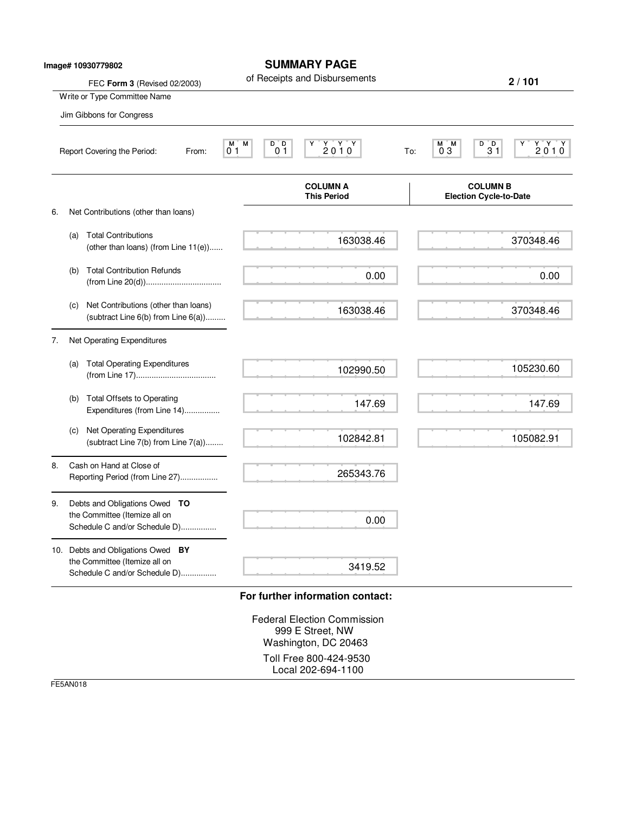| FEC Form 3 (Revised 02/2003)<br>Write or Type Committee Name<br>Jim Gibbons for Congress<br>М<br>0 <sub>1</sub><br>Report Covering the Period:<br>From:<br>Net Contributions (other than loans)<br><b>Total Contributions</b> | of Receipts and Disbursements<br>$\begin{array}{c}\nY & Y & Y \\ 2010\n\end{array}$<br>М<br>D D<br>0 <sub>1</sub><br><b>COLUMN A</b><br><b>This Period</b> | 2/101<br>$Y'Y'Y$<br>2010<br>$\begin{smallmatrix}0&0\&3\1\end{smallmatrix}$<br>M)<br>'M<br>03<br>To:<br><b>COLUMN B</b><br><b>Election Cycle-to-Date</b> |
|-------------------------------------------------------------------------------------------------------------------------------------------------------------------------------------------------------------------------------|------------------------------------------------------------------------------------------------------------------------------------------------------------|---------------------------------------------------------------------------------------------------------------------------------------------------------|
|                                                                                                                                                                                                                               |                                                                                                                                                            |                                                                                                                                                         |
|                                                                                                                                                                                                                               |                                                                                                                                                            |                                                                                                                                                         |
|                                                                                                                                                                                                                               |                                                                                                                                                            |                                                                                                                                                         |
|                                                                                                                                                                                                                               |                                                                                                                                                            |                                                                                                                                                         |
|                                                                                                                                                                                                                               |                                                                                                                                                            |                                                                                                                                                         |
|                                                                                                                                                                                                                               |                                                                                                                                                            |                                                                                                                                                         |
| (other than loans) (from Line 11(e))                                                                                                                                                                                          | 163038.46                                                                                                                                                  | 370348.46                                                                                                                                               |
| <b>Total Contribution Refunds</b>                                                                                                                                                                                             | 0.00                                                                                                                                                       | 0.00                                                                                                                                                    |
| Net Contributions (other than loans)<br>(subtract Line $6(b)$ from Line $6(a)$ )                                                                                                                                              | 163038.46                                                                                                                                                  | 370348.46                                                                                                                                               |
| Net Operating Expenditures                                                                                                                                                                                                    |                                                                                                                                                            |                                                                                                                                                         |
| <b>Total Operating Expenditures</b>                                                                                                                                                                                           | 102990.50                                                                                                                                                  | 105230.60                                                                                                                                               |
| <b>Total Offsets to Operating</b><br>Expenditures (from Line 14)                                                                                                                                                              | 147.69                                                                                                                                                     | 147.69                                                                                                                                                  |
| Net Operating Expenditures<br>(subtract Line 7(b) from Line 7(a))                                                                                                                                                             | 102842.81                                                                                                                                                  | 105082.91                                                                                                                                               |
| Cash on Hand at Close of<br>Reporting Period (from Line 27)                                                                                                                                                                   | 265343.76                                                                                                                                                  |                                                                                                                                                         |
| Debts and Obligations Owed TO<br>the Committee (Itemize all on<br>Schedule C and/or Schedule D)                                                                                                                               | 0.00                                                                                                                                                       |                                                                                                                                                         |
| 10. Debts and Obligations Owed BY<br>the Committee (Itemize all on<br>Schedule C and/or Schedule D)                                                                                                                           | 3419.52                                                                                                                                                    |                                                                                                                                                         |
|                                                                                                                                                                                                                               |                                                                                                                                                            | For further information contact:                                                                                                                        |

999 E Street, NW Washington, DC 20463

Toll Free 800-424-9530 Local 202-694-1100

FE5AN018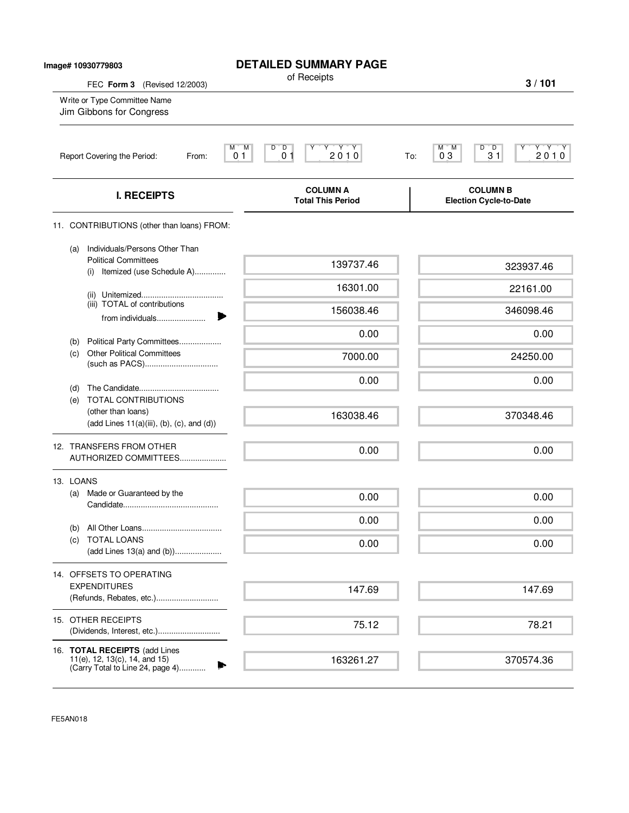| Image# 10930779803                                       |            |                                                                                                    | <b>DETAILED SUMMARY PAGE</b><br>of Receipts                                                                                                                                                                                                                                                                                                                                                                            |                                                           |
|----------------------------------------------------------|------------|----------------------------------------------------------------------------------------------------|------------------------------------------------------------------------------------------------------------------------------------------------------------------------------------------------------------------------------------------------------------------------------------------------------------------------------------------------------------------------------------------------------------------------|-----------------------------------------------------------|
| Write or Type Committee Name<br>Jim Gibbons for Congress |            | FEC Form 3 (Revised 12/2003)                                                                       |                                                                                                                                                                                                                                                                                                                                                                                                                        | 3/101                                                     |
|                                                          |            | Report Covering the Period:<br>From:                                                               | $\begin{picture}(180,10) \put(0,0){\line(1,0){15}} \put(10,0){\line(1,0){15}} \put(10,0){\line(1,0){15}} \put(10,0){\line(1,0){15}} \put(10,0){\line(1,0){15}} \put(10,0){\line(1,0){15}} \put(10,0){\line(1,0){15}} \put(10,0){\line(1,0){15}} \put(10,0){\line(1,0){15}} \put(10,0){\line(1,0){15}} \put(10,0){\line(1,0){15}} \put(10,0){\line($<br>M.<br>M<br>D D<br>Υ<br>2010<br>0 <sub>1</sub><br>0 <sub>1</sub> | Y'Y'Y<br>$D^{\bullet}D$<br>M M<br>2010<br>03<br>31<br>To: |
|                                                          |            | <b>I. RECEIPTS</b>                                                                                 | <b>COLUMN A</b><br><b>Total This Period</b>                                                                                                                                                                                                                                                                                                                                                                            | <b>COLUMN B</b><br><b>Election Cycle-to-Date</b>          |
|                                                          |            | 11. CONTRIBUTIONS (other than loans) FROM:                                                         |                                                                                                                                                                                                                                                                                                                                                                                                                        |                                                           |
|                                                          | (a)        | Individuals/Persons Other Than<br><b>Political Committees</b><br>Itemized (use Schedule A)<br>(i)  | 139737.46                                                                                                                                                                                                                                                                                                                                                                                                              | 323937.46                                                 |
|                                                          |            |                                                                                                    | 16301.00                                                                                                                                                                                                                                                                                                                                                                                                               | 22161.00                                                  |
|                                                          |            | (iii) TOTAL of contributions<br>from individuals                                                   | 156038.46                                                                                                                                                                                                                                                                                                                                                                                                              | 346098.46                                                 |
|                                                          |            |                                                                                                    | 0.00                                                                                                                                                                                                                                                                                                                                                                                                                   | 0.00                                                      |
|                                                          | (b)<br>(c) | Political Party Committees<br><b>Other Political Committees</b>                                    | 7000.00                                                                                                                                                                                                                                                                                                                                                                                                                | 24250.00                                                  |
|                                                          | (d)        |                                                                                                    | 0.00                                                                                                                                                                                                                                                                                                                                                                                                                   | 0.00                                                      |
|                                                          | (e)        | TOTAL CONTRIBUTIONS<br>(other than loans)<br>$(add Lines 11(a)(iii), (b), (c), and (d))$           | 163038.46                                                                                                                                                                                                                                                                                                                                                                                                              | 370348.46                                                 |
|                                                          |            | 12. TRANSFERS FROM OTHER<br>AUTHORIZED COMMITTEES                                                  | 0.00                                                                                                                                                                                                                                                                                                                                                                                                                   | 0.00                                                      |
|                                                          | 13. LOANS  |                                                                                                    |                                                                                                                                                                                                                                                                                                                                                                                                                        |                                                           |
|                                                          | (a)        | Made or Guaranteed by the                                                                          | 0.00                                                                                                                                                                                                                                                                                                                                                                                                                   | 0.00                                                      |
|                                                          |            |                                                                                                    | 0.00                                                                                                                                                                                                                                                                                                                                                                                                                   | 0.00                                                      |
|                                                          | (b)<br>(c) | <b>TOTAL LOANS</b>                                                                                 | 0.00                                                                                                                                                                                                                                                                                                                                                                                                                   | 0.00                                                      |
|                                                          |            | 14. OFFSETS TO OPERATING                                                                           |                                                                                                                                                                                                                                                                                                                                                                                                                        |                                                           |
|                                                          |            | <b>EXPENDITURES</b><br>(Refunds, Rebates, etc.)                                                    | 147.69                                                                                                                                                                                                                                                                                                                                                                                                                 | 147.69                                                    |
|                                                          |            | 15. OTHER RECEIPTS<br>(Dividends, Interest, etc.)                                                  | 75.12                                                                                                                                                                                                                                                                                                                                                                                                                  | 78.21                                                     |
|                                                          |            | 16. TOTAL RECEIPTS (add Lines<br>11(e), 12, 13(c), 14, and 15)<br>(Carry Total to Line 24, page 4) | 163261.27                                                                                                                                                                                                                                                                                                                                                                                                              | 370574.36                                                 |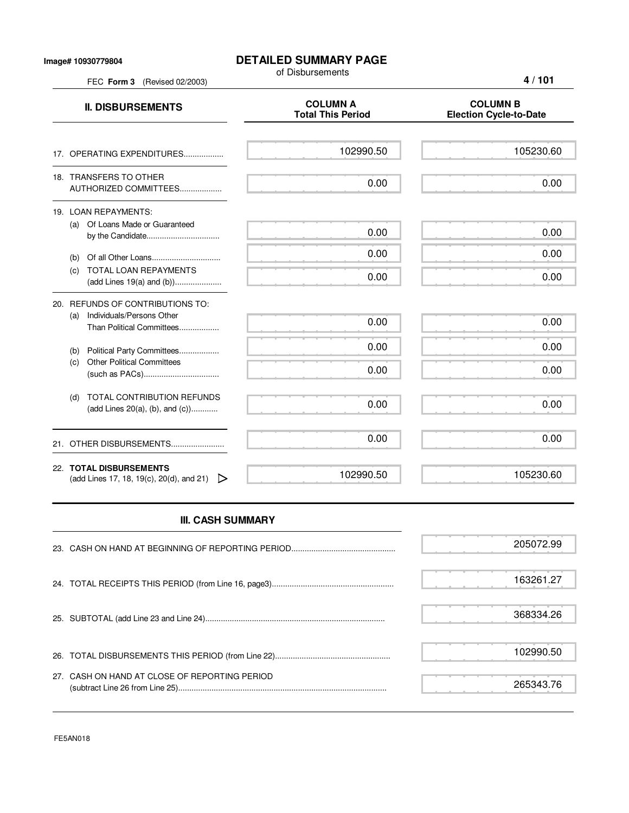FEC **Form 3** (Revised 02/2003)

## **DETAILED SUMMARY PAGE**

of Disbursements

**4 / 101**

| <b>II. DISBURSEMENTS</b>                                                                          | <b>COLUMN A</b><br><b>Total This Period</b> | <b>COLUMN B</b><br><b>Election Cycle-to-Date</b> |
|---------------------------------------------------------------------------------------------------|---------------------------------------------|--------------------------------------------------|
| 17. OPERATING EXPENDITURES                                                                        | 102990.50                                   | 105230.60                                        |
| 18. TRANSFERS TO OTHER<br>AUTHORIZED COMMITTEES                                                   | 0.00                                        | 0.00                                             |
| 19. LOAN REPAYMENTS:<br>(a) Of Loans Made or Guaranteed<br>by the Candidate                       | 0.00                                        | 0.00                                             |
| (b)<br><b>TOTAL LOAN REPAYMENTS</b><br>(c)                                                        | 0.00<br>0.00                                | 0.00<br>0.00                                     |
| 20. REFUNDS OF CONTRIBUTIONS TO:<br>Individuals/Persons Other<br>(a)<br>Than Political Committees | 0.00                                        | 0.00                                             |
| Political Party Committees<br>(b)<br><b>Other Political Committees</b><br>(c)                     | 0.00<br>0.00                                | 0.00<br>0.00                                     |
| TOTAL CONTRIBUTION REFUNDS<br>(d)<br>(add Lines $20(a)$ , (b), and (c))                           | 0.00                                        | 0.00                                             |
| 21. OTHER DISBURSEMENTS                                                                           | 0.00                                        | 0.00                                             |
| 22. TOTAL DISBURSEMENTS<br>(add Lines 17, 18, 19(c), 20(d), and 21)<br>▷                          | 102990.50                                   | 105230.60                                        |

## **III. CASH SUMMARY**

|                                               | 205072.99 |
|-----------------------------------------------|-----------|
|                                               | 163261.27 |
|                                               | 368334.26 |
|                                               | 102990.50 |
| 27. CASH ON HAND AT CLOSE OF REPORTING PERIOD | 265343.76 |

FE5AN018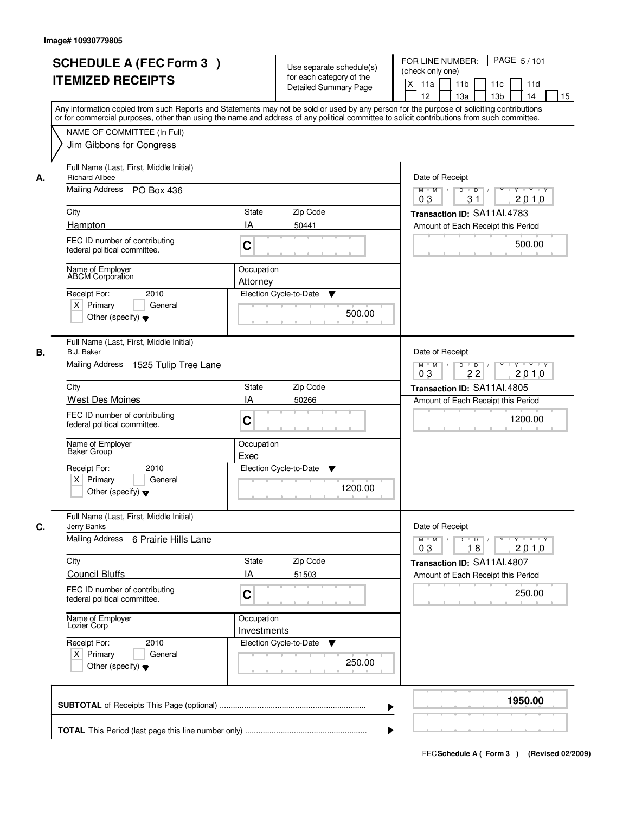|                               | <b>SCHEDULE A (FEC Form 3)</b><br><b>ITEMIZED RECEIPTS</b>                         |                           | Use separate schedule(s)<br>for each category of the<br><b>Detailed Summary Page</b> | PAGE 5/101<br>FOR LINE NUMBER:<br>(check only one)<br>X<br>11 <sub>b</sub><br>11a<br>11c<br>11d<br>12<br>13 <sub>b</sub><br>14<br>13a<br>Any information copied from such Reports and Statements may not be sold or used by any person for the purpose of soliciting contributions | 15 |
|-------------------------------|------------------------------------------------------------------------------------|---------------------------|--------------------------------------------------------------------------------------|------------------------------------------------------------------------------------------------------------------------------------------------------------------------------------------------------------------------------------------------------------------------------------|----|
|                               | NAME OF COMMITTEE (In Full)<br>Jim Gibbons for Congress                            |                           |                                                                                      | or for commercial purposes, other than using the name and address of any political committee to solicit contributions from such committee.                                                                                                                                         |    |
| <b>Richard Allbee</b><br>А.   | Full Name (Last, First, Middle Initial)<br>Mailing Address PO Box 436              |                           |                                                                                      | Date of Receipt<br>$D$ $D$<br>Y Y Y Y<br>$M$ $M$ /<br>Y                                                                                                                                                                                                                            |    |
|                               |                                                                                    |                           |                                                                                      | 03<br>31<br>2010                                                                                                                                                                                                                                                                   |    |
| City<br>Hampton               |                                                                                    | <b>State</b><br>IA        | Zip Code<br>50441                                                                    | Transaction ID: SA11Al.4783<br>Amount of Each Receipt this Period                                                                                                                                                                                                                  |    |
|                               | FEC ID number of contributing<br>federal political committee.                      | C                         |                                                                                      | 500.00                                                                                                                                                                                                                                                                             |    |
|                               | Name of Employer<br><b>ABCM</b> Corporation                                        | Occupation<br>Attorney    |                                                                                      |                                                                                                                                                                                                                                                                                    |    |
| Receipt For:<br>$X$ Primary   | 2010<br>General<br>Other (specify) $\blacktriangledown$                            |                           | Election Cycle-to-Date<br>▼<br>500.00                                                |                                                                                                                                                                                                                                                                                    |    |
| <b>B.J. Baker</b><br>В.       | Full Name (Last, First, Middle Initial)<br>Mailing Address<br>1525 Tulip Tree Lane |                           |                                                                                      | Date of Receipt<br>$M$ $M$ /<br>D<br>$\Box$<br>$Y \vdash Y \vdash Y$                                                                                                                                                                                                               |    |
|                               |                                                                                    |                           |                                                                                      | 22<br>2010<br>03                                                                                                                                                                                                                                                                   |    |
| City                          |                                                                                    | <b>State</b>              | Zip Code                                                                             | Transaction ID: SA11Al.4805                                                                                                                                                                                                                                                        |    |
|                               | West Des Moines<br>FEC ID number of contributing<br>federal political committee.   | IA<br>C                   | 50266                                                                                | Amount of Each Receipt this Period<br>1200.00                                                                                                                                                                                                                                      |    |
| Baker Group                   | Name of Employer                                                                   | Occupation<br>Exec        |                                                                                      |                                                                                                                                                                                                                                                                                    |    |
| Receipt For:<br>$X$ Primary   | 2010<br>General<br>Other (specify) $\blacktriangledown$                            |                           | Election Cycle-to-Date<br>▼<br>1200.00                                               |                                                                                                                                                                                                                                                                                    |    |
| C.<br>Jerry Banks             | Full Name (Last, First, Middle Initial)                                            |                           |                                                                                      | Date of Receipt                                                                                                                                                                                                                                                                    |    |
| Mailing Address               | 6 Prairie Hills Lane                                                               |                           |                                                                                      | $M = M$<br>$D$ $D$ $I$<br>y y y y y y<br>03<br>18<br>2010                                                                                                                                                                                                                          |    |
| City<br><b>Council Bluffs</b> |                                                                                    | <b>State</b><br>IA        | Zip Code<br>51503                                                                    | Transaction ID: SA11AI.4807<br>Amount of Each Receipt this Period                                                                                                                                                                                                                  |    |
|                               | FEC ID number of contributing<br>federal political committee.                      | C                         |                                                                                      | 250.00                                                                                                                                                                                                                                                                             |    |
| Lozier Corp                   | Name of Employer                                                                   | Occupation<br>Investments |                                                                                      |                                                                                                                                                                                                                                                                                    |    |
| Receipt For:<br>$X$ Primary   | 2010<br>General<br>Other (specify) $\blacktriangledown$                            |                           | Election Cycle-to-Date<br>▼<br>250.00                                                |                                                                                                                                                                                                                                                                                    |    |
|                               |                                                                                    |                           |                                                                                      | 1950.00                                                                                                                                                                                                                                                                            |    |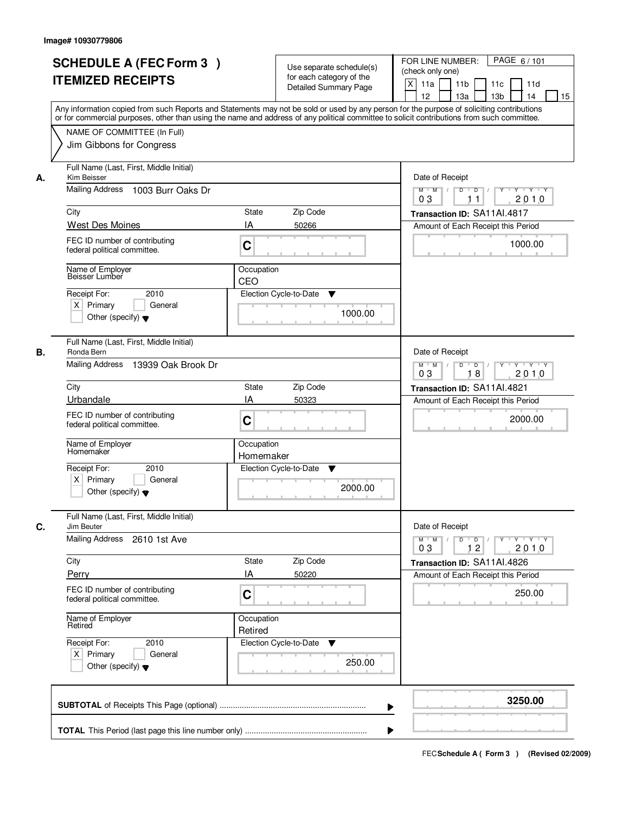| <b>SCHEDULE A (FEC Form 3)</b><br><b>ITEMIZED RECEIPTS</b>                                                                                                                                                                                                                                                       | Use separate schedule(s)<br>for each category of the<br><b>Detailed Summary Page</b><br>Any information copied from such Reports and Statements may not be sold or used by any person for the purpose of soliciting contributions | PAGE 6/101<br>FOR LINE NUMBER:<br>(check only one)<br>$\boldsymbol{\mathsf{X}}$<br>11a<br>11 <sub>b</sub><br>11c<br>11d<br>12<br>13a<br>13 <sub>b</sub><br>14<br>15                                                                                                                                                                                                                                                                                                                                                                                               |
|------------------------------------------------------------------------------------------------------------------------------------------------------------------------------------------------------------------------------------------------------------------------------------------------------------------|-----------------------------------------------------------------------------------------------------------------------------------------------------------------------------------------------------------------------------------|-------------------------------------------------------------------------------------------------------------------------------------------------------------------------------------------------------------------------------------------------------------------------------------------------------------------------------------------------------------------------------------------------------------------------------------------------------------------------------------------------------------------------------------------------------------------|
| NAME OF COMMITTEE (In Full)<br>Jim Gibbons for Congress                                                                                                                                                                                                                                                          | or for commercial purposes, other than using the name and address of any political committee to solicit contributions from such committee.                                                                                        |                                                                                                                                                                                                                                                                                                                                                                                                                                                                                                                                                                   |
| Full Name (Last, First, Middle Initial)<br>Kim Beisser<br>А.<br>Mailing Address<br>1003 Burr Oaks Dr<br>City<br>West Des Moines<br>FEC ID number of contributing<br>federal political committee.<br>Name of Employer<br>Beisser Lumber<br>2010<br>Receipt For:                                                   | State<br>Zip Code<br>IA<br>50266<br>C<br>Occupation<br>CEO<br>Election Cycle-to-Date<br>▼                                                                                                                                         | Date of Receipt<br>$\begin{array}{c c c c c c c c} \hline \textbf{C} & \textbf{C} & \textbf{C} & \textbf{C} & \textbf{C} & \textbf{C} & \textbf{C} & \textbf{C} & \textbf{C} & \textbf{C} & \textbf{C} & \textbf{C} & \textbf{C} & \textbf{C} & \textbf{C} & \textbf{C} & \textbf{C} & \textbf{C} & \textbf{C} & \textbf{C} & \textbf{C} & \textbf{C} & \textbf{C} & \textbf{C} & \textbf{C} & \textbf{C} & \textbf{C} & \textbf{C} &$<br>$M$ $M$<br>0 <sub>3</sub><br>2010<br>11<br>Transaction ID: SA11Al.4817<br>Amount of Each Receipt this Period<br>1000.00 |
| $X$ Primary<br>General<br>Other (specify) $\blacktriangledown$<br>Full Name (Last, First, Middle Initial)                                                                                                                                                                                                        | 1000.00                                                                                                                                                                                                                           |                                                                                                                                                                                                                                                                                                                                                                                                                                                                                                                                                                   |
| Ronda Bern<br>В.<br>Mailing Address 13939 Oak Brook Dr<br>City<br>Urbandale<br>FEC ID number of contributing<br>federal political committee.<br>Name of Employer<br>Homemaker<br>Receipt For:<br>2010<br>$X$ Primary<br>General<br>Other (specify) $\blacktriangledown$                                          | <b>State</b><br>Zip Code<br>IA<br>50323<br>C<br>Occupation<br>Homemaker<br>Election Cycle-to-Date<br>v<br>2000.00                                                                                                                 | Date of Receipt<br>Y<br>$Y \vdash Y \vdash Y$<br>$M$ $M$ /<br>D<br>$\overline{D}$<br>2010<br>03<br>18<br>Transaction ID: SA11AI.4821<br>Amount of Each Receipt this Period<br>2000.00                                                                                                                                                                                                                                                                                                                                                                             |
| Full Name (Last, First, Middle Initial)<br>C.<br>Jim Beuter<br><b>Mailing Address</b><br>2610 1st Ave<br>City<br>Perry<br>FEC ID number of contributing<br>federal political committee.<br>Name of Employer<br>Retired<br>Receipt For:<br>2010<br>$X$ Primary<br>General<br>Other (specify) $\blacktriangledown$ | Zip Code<br>State<br>ΙA<br>50220<br>C<br>Occupation<br>Retired<br>Election Cycle-to-Date<br>v<br>250.00                                                                                                                           | Date of Receipt<br>$D$ $D$ $l$<br>$M$ $M$ /<br>Y 'Y 'Y 'Y<br>03<br>12<br>2010<br>Transaction ID: SA11Al.4826<br>Amount of Each Receipt this Period<br>250.00                                                                                                                                                                                                                                                                                                                                                                                                      |
|                                                                                                                                                                                                                                                                                                                  | ▶                                                                                                                                                                                                                                 | 3250.00                                                                                                                                                                                                                                                                                                                                                                                                                                                                                                                                                           |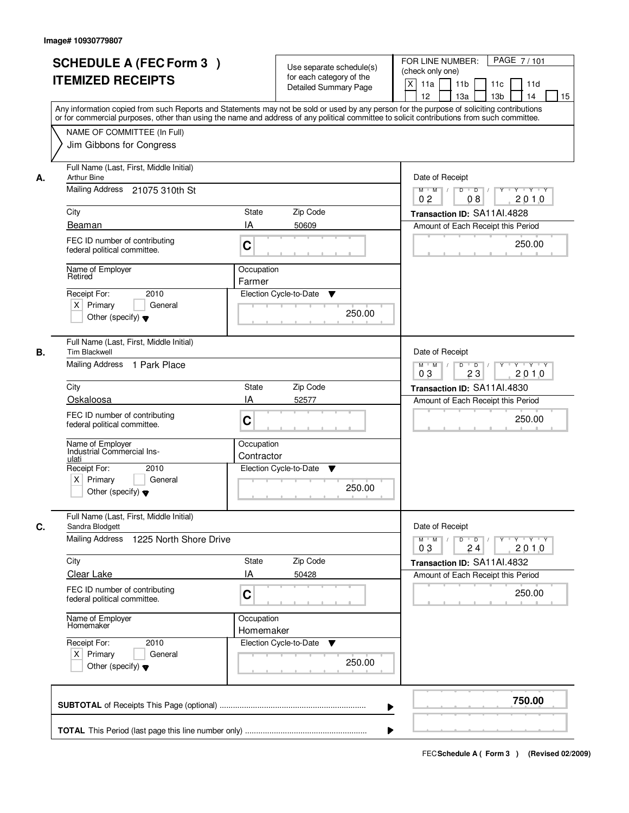| <b>SCHEDULE A (FEC Form 3)</b><br><b>ITEMIZED RECEIPTS</b>                                                                                                                                                                                                                                                                                       | Use separate schedule(s)<br>for each category of the<br><b>Detailed Summary Page</b><br>Any information copied from such Reports and Statements may not be sold or used by any person for the purpose of soliciting contributions | PAGE 7/101<br>FOR LINE NUMBER:<br>(check only one)<br>X<br>11 <sub>b</sub><br>11a<br>11c<br>11d<br>12<br>13a<br>13 <sub>b</sub><br>15<br>14                                                                                      |
|--------------------------------------------------------------------------------------------------------------------------------------------------------------------------------------------------------------------------------------------------------------------------------------------------------------------------------------------------|-----------------------------------------------------------------------------------------------------------------------------------------------------------------------------------------------------------------------------------|----------------------------------------------------------------------------------------------------------------------------------------------------------------------------------------------------------------------------------|
| NAME OF COMMITTEE (In Full)<br>Jim Gibbons for Congress                                                                                                                                                                                                                                                                                          | or for commercial purposes, other than using the name and address of any political committee to solicit contributions from such committee.                                                                                        |                                                                                                                                                                                                                                  |
| Full Name (Last, First, Middle Initial)<br><b>Arthur Bine</b><br>А.<br>Mailing Address 21075 310th St<br>City<br>Beaman<br>FEC ID number of contributing<br>federal political committee.<br>Name of Employer<br>Retired<br>Receipt For:<br>2010<br>$X$ Primary<br>General<br>Other (specify) $\blacktriangledown$                                | Zip Code<br>State<br>IA<br>50609<br>C<br>Occupation<br>Farmer<br>Election Cycle-to-Date<br>▼<br>250.00                                                                                                                            | Date of Receipt<br>$\mathsf{Y} \dashv \mathsf{Y} \dashv \mathsf{Y}$<br>$D$ $D$ $/$<br>$\overline{Y}$<br>$M$ $M$ /<br>0 <sub>2</sub><br>2010<br>08<br>Transaction ID: SA11AI.4828<br>Amount of Each Receipt this Period<br>250.00 |
| Full Name (Last, First, Middle Initial)<br>В.<br><b>Tim Blackwell</b><br>Mailing Address 1 Park Place<br>City<br>Oskaloosa<br>FEC ID number of contributing<br>federal political committee.<br>Name of Employer<br>Industrial Commercial Ins-<br>ulati<br>Receipt For:<br>2010<br>$X$ Primary<br>General<br>Other (specify) $\blacktriangledown$ | Zip Code<br><b>State</b><br>IA<br>52577<br>C<br>Occupation<br>Contractor<br>Election Cycle-to-Date<br>v<br>250.00                                                                                                                 | Date of Receipt<br>$M$ $M$ /<br>D<br>$\overline{D}$ /<br>Y<br>Y 'Y 'Y<br>03<br>23<br>2010<br>Transaction ID: SA11AI.4830<br>Amount of Each Receipt this Period<br>250.00                                                         |
| Full Name (Last, First, Middle Initial)<br>C.<br>Sandra Blodgett<br><b>Mailing Address</b><br>1225 North Shore Drive<br>City<br>Clear Lake<br>FEC ID number of contributing<br>federal political committee.<br>Name of Employer<br>Homemaker<br>Receipt For:<br>2010<br>$X$ Primary<br>General<br>Other (specify) $\blacktriangledown$           | Zip Code<br>State<br>IA<br>50428<br>C<br>Occupation<br>Homemaker<br>Election Cycle-to-Date<br>v<br>250.00                                                                                                                         | Date of Receipt<br>D<br>$M$ $M$ /<br>$\overline{D}$ /<br>$Y + Y + Y$<br>Y<br>03<br>2010<br>24<br>Transaction ID: SA11Al.4832<br>Amount of Each Receipt this Period<br>250.00                                                     |
|                                                                                                                                                                                                                                                                                                                                                  |                                                                                                                                                                                                                                   | 750.00                                                                                                                                                                                                                           |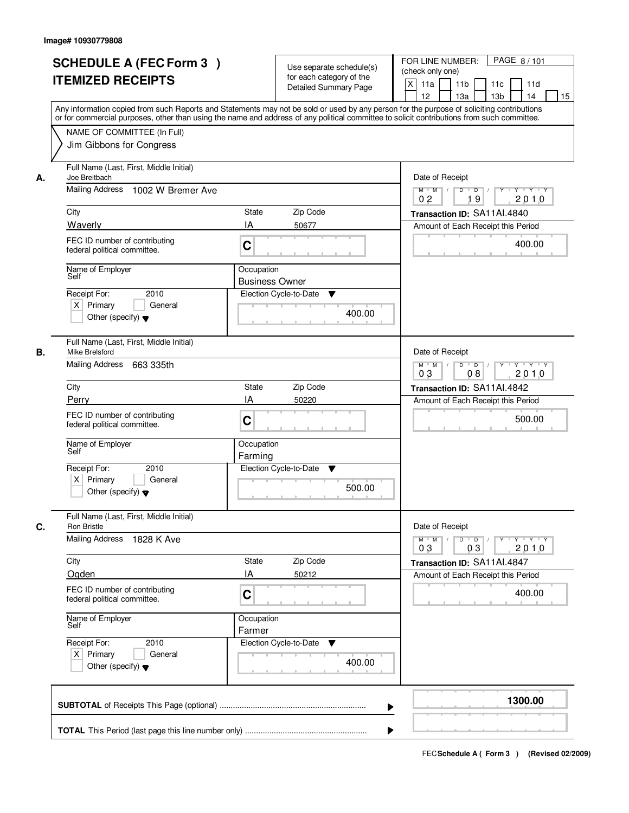| <b>SCHEDULE A (FEC Form 3)</b><br><b>ITEMIZED RECEIPTS</b>                                          |                                     | Use separate schedule(s)<br>for each category of the<br><b>Detailed Summary Page</b> | PAGE 8/101<br>FOR LINE NUMBER:<br>(check only one)<br>$\boldsymbol{\mathsf{X}}$<br>11a<br>11 <sub>b</sub><br>11c<br>11d<br>12<br>13 <sub>b</sub><br>14<br>13a<br>15<br>Any information copied from such Reports and Statements may not be sold or used by any person for the purpose of soliciting contributions<br>or for commercial purposes, other than using the name and address of any political committee to solicit contributions from such committee. |
|-----------------------------------------------------------------------------------------------------|-------------------------------------|--------------------------------------------------------------------------------------|----------------------------------------------------------------------------------------------------------------------------------------------------------------------------------------------------------------------------------------------------------------------------------------------------------------------------------------------------------------------------------------------------------------------------------------------------------------|
| NAME OF COMMITTEE (In Full)<br>Jim Gibbons for Congress                                             |                                     |                                                                                      |                                                                                                                                                                                                                                                                                                                                                                                                                                                                |
| Full Name (Last, First, Middle Initial)<br>Joe Breitbach<br>А.<br>Mailing Address 1002 W Bremer Ave |                                     |                                                                                      | Date of Receipt<br>$D$ $D$ $1$<br>Y<br>$Y - Y - Y - Y$<br>$M$ $M$ /                                                                                                                                                                                                                                                                                                                                                                                            |
|                                                                                                     |                                     |                                                                                      | 0 <sub>2</sub><br>19<br>2010                                                                                                                                                                                                                                                                                                                                                                                                                                   |
| City<br>Waverly                                                                                     | <b>State</b><br>IA                  | Zip Code<br>50677                                                                    | Transaction ID: SA11AI.4840<br>Amount of Each Receipt this Period                                                                                                                                                                                                                                                                                                                                                                                              |
| FEC ID number of contributing<br>federal political committee.                                       | C                                   |                                                                                      | 400.00                                                                                                                                                                                                                                                                                                                                                                                                                                                         |
| Name of Employer<br>Self                                                                            | Occupation<br><b>Business Owner</b> |                                                                                      |                                                                                                                                                                                                                                                                                                                                                                                                                                                                |
| 2010<br>Receipt For:<br>$X$ Primary<br>Other (specify) $\blacktriangledown$                         | General                             | Election Cycle-to-Date<br>▼<br>400.00                                                |                                                                                                                                                                                                                                                                                                                                                                                                                                                                |
| Full Name (Last, First, Middle Initial)<br>Mike Brelsford<br>В.<br>Mailing Address<br>663 335th     |                                     |                                                                                      | Date of Receipt<br>$Y - Y - Y$<br>$M$ $M$ /<br>D<br>$\overline{D}$ /<br>$Y$ <sup>U</sup>                                                                                                                                                                                                                                                                                                                                                                       |
| City                                                                                                | State                               | Zip Code                                                                             | 2010<br>03<br>08                                                                                                                                                                                                                                                                                                                                                                                                                                               |
| Perry                                                                                               | IA                                  | 50220                                                                                | Transaction ID: SA11AI.4842<br>Amount of Each Receipt this Period                                                                                                                                                                                                                                                                                                                                                                                              |
| FEC ID number of contributing<br>federal political committee.                                       | C                                   |                                                                                      | 500.00                                                                                                                                                                                                                                                                                                                                                                                                                                                         |
| Name of Employer<br>Self                                                                            | Occupation<br>Farming               |                                                                                      |                                                                                                                                                                                                                                                                                                                                                                                                                                                                |
| Receipt For:<br>2010<br>$X$ Primary<br>Other (specify) $\blacktriangledown$                         | General                             | Election Cycle-to-Date<br>▼<br>500.00                                                |                                                                                                                                                                                                                                                                                                                                                                                                                                                                |
| Full Name (Last, First, Middle Initial)<br>C.<br><b>Ron Bristle</b>                                 |                                     |                                                                                      | Date of Receipt                                                                                                                                                                                                                                                                                                                                                                                                                                                |
| <b>Mailing Address</b><br>1828 K Ave                                                                |                                     |                                                                                      | $M$ $M$<br>$D$ $D$ $/$<br><u>y cymru y cy</u><br>2010<br>03<br>03                                                                                                                                                                                                                                                                                                                                                                                              |
| City                                                                                                | State<br>IA                         | Zip Code                                                                             | Transaction ID: SA11Al.4847                                                                                                                                                                                                                                                                                                                                                                                                                                    |
| Ogden<br>FEC ID number of contributing<br>federal political committee.                              | C                                   | 50212                                                                                | Amount of Each Receipt this Period<br>400.00                                                                                                                                                                                                                                                                                                                                                                                                                   |
| Name of Employer<br>Self                                                                            | Occupation<br>Farmer                |                                                                                      |                                                                                                                                                                                                                                                                                                                                                                                                                                                                |
| Receipt For:<br>2010<br>$X$ Primary<br>Other (specify) $\blacktriangledown$                         | General                             | Election Cycle-to-Date ▼<br>400.00                                                   |                                                                                                                                                                                                                                                                                                                                                                                                                                                                |
|                                                                                                     |                                     |                                                                                      | 1300.00<br>▶                                                                                                                                                                                                                                                                                                                                                                                                                                                   |
|                                                                                                     |                                     |                                                                                      |                                                                                                                                                                                                                                                                                                                                                                                                                                                                |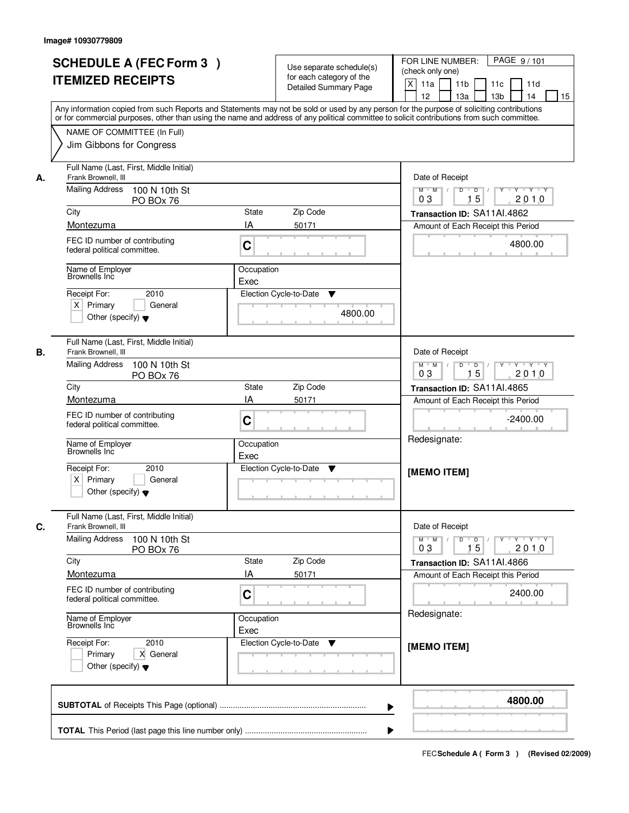| <b>SCHEDULE A (FEC Form 3)</b><br><b>ITEMIZED RECEIPTS</b>                                                                                                                                                                                                                                                                                        | Use separate schedule(s)<br>for each category of the<br><b>Detailed Summary Page</b>                                                                                                                                                                                                    | PAGE 9/101<br>FOR LINE NUMBER:<br>(check only one)<br>$\boldsymbol{\mathsf{X}}$<br>11 <sub>b</sub><br>11a<br>11c<br>11d<br>12<br>13 <sub>b</sub><br>14<br>13a<br>15                                             |
|---------------------------------------------------------------------------------------------------------------------------------------------------------------------------------------------------------------------------------------------------------------------------------------------------------------------------------------------------|-----------------------------------------------------------------------------------------------------------------------------------------------------------------------------------------------------------------------------------------------------------------------------------------|-----------------------------------------------------------------------------------------------------------------------------------------------------------------------------------------------------------------|
| NAME OF COMMITTEE (In Full)<br>Jim Gibbons for Congress                                                                                                                                                                                                                                                                                           | Any information copied from such Reports and Statements may not be sold or used by any person for the purpose of soliciting contributions<br>or for commercial purposes, other than using the name and address of any political committee to solicit contributions from such committee. |                                                                                                                                                                                                                 |
| Full Name (Last, First, Middle Initial)<br>Frank Brownell, III<br>А.<br><b>Mailing Address</b><br>100 N 10th St<br>PO BOx 76<br>City<br>Montezuma<br>FEC ID number of contributing<br>federal political committee.<br>Name of Employer<br>Brownells Inc<br>2010<br>Receipt For:<br>$X$ Primary<br>General<br>Other (specify) $\blacktriangledown$ | <b>State</b><br>Zip Code<br>IA<br>50171<br>C<br>Occupation<br>Exec<br>Election Cycle-to-Date<br>▼<br>4800.00                                                                                                                                                                            | Date of Receipt<br>$D$ $D$ $1$<br>Y<br>Y TYTEY<br>$M$ $M$ /<br>15<br>0 <sub>3</sub><br>2010<br>Transaction ID: SA11AI.4862<br>Amount of Each Receipt this Period<br>4800.00                                     |
| Full Name (Last, First, Middle Initial)<br>Frank Brownell, III<br>В.<br><b>Mailing Address</b><br>100 N 10th St<br>PO BOx 76<br>City<br>Montezuma<br>FEC ID number of contributing<br>federal political committee.<br>Name of Employer<br>Brownells Inc<br>Receipt For:<br>2010<br>$X$ Primary<br>General<br>Other (specify) $\blacktriangledown$ | Zip Code<br>State<br>IA<br>50171<br>C<br>Occupation<br>Exec<br>Election Cycle-to-Date<br>▼                                                                                                                                                                                              | Date of Receipt<br>$Y \vdash Y \vdash Y$<br>$M$ $M$ /<br>D<br>$\Box$<br>Y<br>15<br>2010<br>03<br>Transaction ID: SA11AI.4865<br>Amount of Each Receipt this Period<br>$-2400.00$<br>Redesignate:<br>[MEMO ITEM] |
| Full Name (Last, First, Middle Initial)<br>C.<br>Frank Brownell, III<br><b>Mailing Address</b><br>100 N 10th St<br>PO BOx 76<br>City<br>Montezuma<br>FEC ID number of contributing<br>federal political committee.<br>Name of Employer<br>Brownells Inc<br>Receipt For:<br>2010<br>Primary<br>X General<br>Other (specify) $\blacktriangledown$   | Zip Code<br><b>State</b><br>IA<br>50171<br>C<br>Occupation<br>Exec<br>Election Cycle-to-Date<br>v                                                                                                                                                                                       | Date of Receipt<br>$M$ $M$<br>$D$ $D$ $I$<br>2010<br>03<br>15<br>Transaction ID: SA11AI.4866<br>Amount of Each Receipt this Period<br>2400.00<br>Redesignate:<br>[MEMO ITEM]                                    |
|                                                                                                                                                                                                                                                                                                                                                   | ▶                                                                                                                                                                                                                                                                                       | 4800.00                                                                                                                                                                                                         |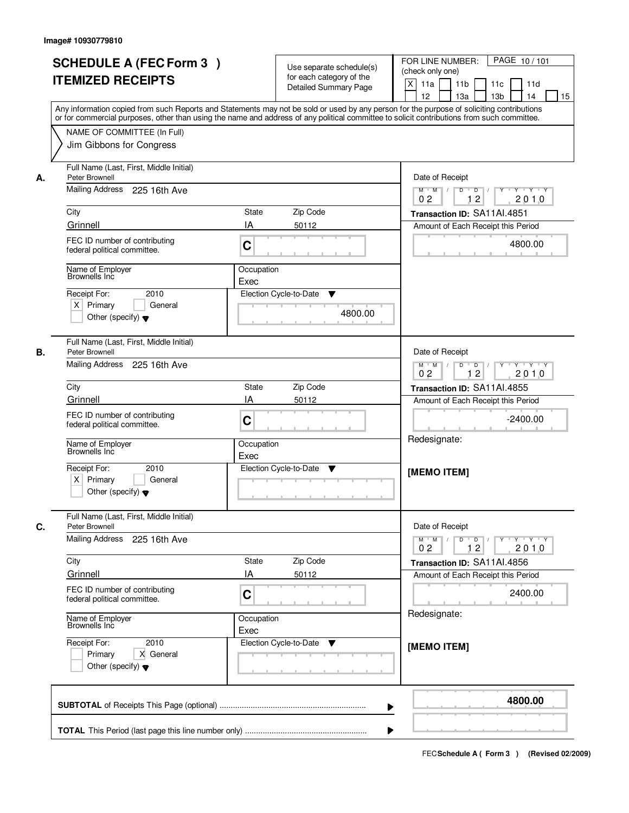| <b>SCHEDULE A (FEC Form 3)</b><br><b>ITEMIZED RECEIPTS</b>                             | Use separate schedule(s)<br>for each category of the<br><b>Detailed Summary Page</b>                                                                                                                                                                                                    | PAGE 10/101<br>FOR LINE NUMBER:<br>(check only one)<br>$\mathsf{X}$<br>11 <sub>b</sub><br>11a<br>11c<br>11d                                                                                                                                                                                                                                                                                                                                                      |
|----------------------------------------------------------------------------------------|-----------------------------------------------------------------------------------------------------------------------------------------------------------------------------------------------------------------------------------------------------------------------------------------|------------------------------------------------------------------------------------------------------------------------------------------------------------------------------------------------------------------------------------------------------------------------------------------------------------------------------------------------------------------------------------------------------------------------------------------------------------------|
|                                                                                        | Any information copied from such Reports and Statements may not be sold or used by any person for the purpose of soliciting contributions<br>or for commercial purposes, other than using the name and address of any political committee to solicit contributions from such committee. | 13 <sub>b</sub><br>12<br>13a<br>14<br>15                                                                                                                                                                                                                                                                                                                                                                                                                         |
| NAME OF COMMITTEE (In Full)<br>Jim Gibbons for Congress                                |                                                                                                                                                                                                                                                                                         |                                                                                                                                                                                                                                                                                                                                                                                                                                                                  |
| Full Name (Last, First, Middle Initial)<br>Peter Brownell<br>А.                        |                                                                                                                                                                                                                                                                                         | Date of Receipt                                                                                                                                                                                                                                                                                                                                                                                                                                                  |
| Mailing Address 225 16th Ave                                                           |                                                                                                                                                                                                                                                                                         | $\begin{array}{c c c c c c c c} \hline \textbf{0} & \textbf{0} & \textbf{0} & \textbf{0} & \textbf{0} & \textbf{0} & \textbf{0} & \textbf{0} & \textbf{0} & \textbf{0} & \textbf{0} & \textbf{0} & \textbf{0} & \textbf{0} & \textbf{0} & \textbf{0} & \textbf{0} & \textbf{0} & \textbf{0} & \textbf{0} & \textbf{0} & \textbf{0} & \textbf{0} & \textbf{0} & \textbf{0} & \textbf{0} & \textbf{0} & \textbf{0} &$<br>$M$ $M$ /<br>0 <sub>2</sub><br>12<br>2010 |
| City                                                                                   | State<br>Zip Code                                                                                                                                                                                                                                                                       | Transaction ID: SA11AI.4851                                                                                                                                                                                                                                                                                                                                                                                                                                      |
| Grinnell                                                                               | IA<br>50112                                                                                                                                                                                                                                                                             | Amount of Each Receipt this Period                                                                                                                                                                                                                                                                                                                                                                                                                               |
| FEC ID number of contributing<br>federal political committee.                          | C                                                                                                                                                                                                                                                                                       | 4800.00                                                                                                                                                                                                                                                                                                                                                                                                                                                          |
| Name of Employer<br>Brownells Inc                                                      | Occupation<br>Exec                                                                                                                                                                                                                                                                      |                                                                                                                                                                                                                                                                                                                                                                                                                                                                  |
| 2010<br>Receipt For:                                                                   | Election Cycle-to-Date<br>▼                                                                                                                                                                                                                                                             |                                                                                                                                                                                                                                                                                                                                                                                                                                                                  |
| $X$ Primary<br>General<br>Other (specify) $\blacktriangledown$                         | 4800.00                                                                                                                                                                                                                                                                                 |                                                                                                                                                                                                                                                                                                                                                                                                                                                                  |
| Full Name (Last, First, Middle Initial)<br>В.<br>Peter Brownell                        |                                                                                                                                                                                                                                                                                         | Date of Receipt                                                                                                                                                                                                                                                                                                                                                                                                                                                  |
| Mailing Address 225 16th Ave                                                           |                                                                                                                                                                                                                                                                                         | $Y - Y - Y - Y$<br>$M$ $M$ /<br>D<br>$\Box$ D $\Box$ /<br>12<br>2010<br>0 <sub>2</sub>                                                                                                                                                                                                                                                                                                                                                                           |
| City                                                                                   | Zip Code<br><b>State</b>                                                                                                                                                                                                                                                                | Transaction ID: SA11AI.4855                                                                                                                                                                                                                                                                                                                                                                                                                                      |
| Grinnell                                                                               | IA<br>50112                                                                                                                                                                                                                                                                             | Amount of Each Receipt this Period                                                                                                                                                                                                                                                                                                                                                                                                                               |
| FEC ID number of contributing<br>federal political committee.                          | C                                                                                                                                                                                                                                                                                       | $-2400.00$                                                                                                                                                                                                                                                                                                                                                                                                                                                       |
| Name of Employer<br>Brownells Inc                                                      | Occupation<br>Exec                                                                                                                                                                                                                                                                      | Redesignate:                                                                                                                                                                                                                                                                                                                                                                                                                                                     |
| Receipt For:<br>2010<br>$X$ Primary<br>General<br>Other (specify) $\blacktriangledown$ | Election Cycle-to-Date<br>V                                                                                                                                                                                                                                                             | [MEMO ITEM]                                                                                                                                                                                                                                                                                                                                                                                                                                                      |
| Full Name (Last, First, Middle Initial)<br>C.<br>Peter Brownell                        |                                                                                                                                                                                                                                                                                         | Date of Receipt                                                                                                                                                                                                                                                                                                                                                                                                                                                  |
| <b>Mailing Address</b><br>225 16th Ave                                                 |                                                                                                                                                                                                                                                                                         | $M = M$<br>$D$ $D$ $/$<br>$\begin{array}{ccccccccccccc} &\mathsf{Y} &\mathsf{Y} &\mathsf{Y} &\mathsf{Y} &\mathsf{Y} &\mathsf{Y} &\mathsf{Y} \end{array}$<br>02<br>12<br>2010                                                                                                                                                                                                                                                                                     |
| City                                                                                   | Zip Code<br>State                                                                                                                                                                                                                                                                       | Transaction ID: SA11AI.4856                                                                                                                                                                                                                                                                                                                                                                                                                                      |
| Grinnell                                                                               | ΙA<br>50112                                                                                                                                                                                                                                                                             | Amount of Each Receipt this Period                                                                                                                                                                                                                                                                                                                                                                                                                               |
| FEC ID number of contributing<br>federal political committee.                          | C                                                                                                                                                                                                                                                                                       | 2400.00                                                                                                                                                                                                                                                                                                                                                                                                                                                          |
| Name of Employer<br>Brownells Inc                                                      | Occupation<br>Exec                                                                                                                                                                                                                                                                      | Redesignate:                                                                                                                                                                                                                                                                                                                                                                                                                                                     |
| Receipt For:<br>2010<br>Primary<br>X General<br>Other (specify) $\blacktriangledown$   | Election Cycle-to-Date<br>v                                                                                                                                                                                                                                                             | [MEMO ITEM]                                                                                                                                                                                                                                                                                                                                                                                                                                                      |
|                                                                                        | ▶                                                                                                                                                                                                                                                                                       | 4800.00                                                                                                                                                                                                                                                                                                                                                                                                                                                          |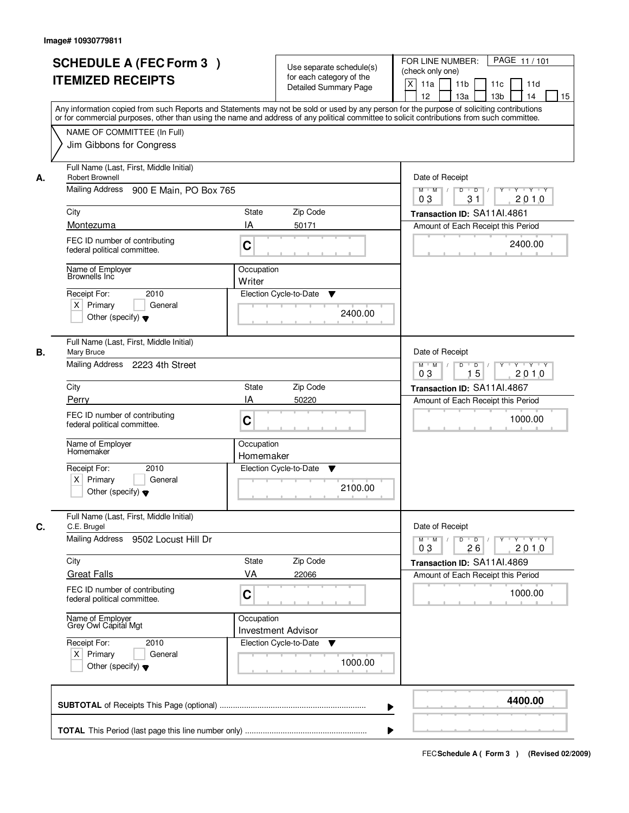|    | <b>SCHEDULE A (FEC Form 3)</b><br><b>ITEMIZED RECEIPTS</b><br>Any information copied from such Reports and Statements may not be sold or used by any person for the purpose of soliciting contributions |                         | Use separate schedule(s)<br>for each category of the<br><b>Detailed Summary Page</b> | PAGE 11/101<br>FOR LINE NUMBER:<br>(check only one)<br>$\boldsymbol{\mathsf{X}}$<br>11 <sub>b</sub><br>11a<br>11c<br>11d<br>12<br>13 <sub>b</sub><br>14<br>13a<br>15 |
|----|---------------------------------------------------------------------------------------------------------------------------------------------------------------------------------------------------------|-------------------------|--------------------------------------------------------------------------------------|----------------------------------------------------------------------------------------------------------------------------------------------------------------------|
|    | or for commercial purposes, other than using the name and address of any political committee to solicit contributions from such committee.<br>NAME OF COMMITTEE (In Full)<br>Jim Gibbons for Congress   |                         |                                                                                      |                                                                                                                                                                      |
| А. | Full Name (Last, First, Middle Initial)<br>Robert Brownell<br>Mailing Address<br>900 E Main, PO Box 765                                                                                                 |                         |                                                                                      | Date of Receipt<br>$D$ $D$<br>Y<br>$Y - Y - Y - Y$<br>$M$ $M$ /<br>0 <sub>3</sub><br>31<br>2010                                                                      |
|    | City<br>Montezuma                                                                                                                                                                                       | <b>State</b><br>IA      | Zip Code<br>50171                                                                    | Transaction ID: SA11AI.4861<br>Amount of Each Receipt this Period                                                                                                    |
|    | FEC ID number of contributing<br>federal political committee.                                                                                                                                           | C                       |                                                                                      | 2400.00                                                                                                                                                              |
|    | Name of Employer<br>Brownells Inc<br>2010<br>Receipt For:<br>$X$ Primary<br>General<br>Other (specify) $\blacktriangledown$                                                                             | Occupation<br>Writer    | Election Cycle-to-Date<br>▼<br>2400.00                                               |                                                                                                                                                                      |
| В. | Full Name (Last, First, Middle Initial)<br>Mary Bruce<br>Mailing Address 2223 4th Street                                                                                                                |                         |                                                                                      | Date of Receipt<br>$M$ $M$ /<br>D<br>$\Box$<br>Y<br>$Y + Y + Y$<br>15<br>2010<br>03                                                                                  |
|    | City<br>Perry                                                                                                                                                                                           | State<br>IA             | Zip Code<br>50220                                                                    | Transaction ID: SA11AI.4867                                                                                                                                          |
|    | FEC ID number of contributing<br>federal political committee.                                                                                                                                           | C                       |                                                                                      | Amount of Each Receipt this Period<br>1000.00                                                                                                                        |
|    | Name of Employer<br>Homemaker<br>Receipt For:<br>2010<br>$X$ Primary<br>General<br>Other (specify) $\blacktriangledown$                                                                                 | Occupation<br>Homemaker | Election Cycle-to-Date<br>▼<br>2100.00                                               |                                                                                                                                                                      |
| C. | Full Name (Last, First, Middle Initial)<br>C.E. Brugel                                                                                                                                                  |                         |                                                                                      | Date of Receipt                                                                                                                                                      |
|    | Mailing Address<br>9502 Locust Hill Dr                                                                                                                                                                  |                         |                                                                                      | $M$ $M$ $M$<br>$D$ $D$ $/$<br>Y 'Y 'Y<br>$Y$ <sup>U</sup><br>2010<br>03<br>26                                                                                        |
|    | City<br><b>Great Falls</b>                                                                                                                                                                              | State<br>VA             | Zip Code<br>22066                                                                    | Transaction ID: SA11AI.4869<br>Amount of Each Receipt this Period                                                                                                    |
|    | FEC ID number of contributing<br>federal political committee.                                                                                                                                           | C                       |                                                                                      | 1000.00                                                                                                                                                              |
|    | Name of Employer<br>Grey Owl Capital Mgt                                                                                                                                                                | Occupation              | <b>Investment Advisor</b>                                                            |                                                                                                                                                                      |
|    | Receipt For:<br>2010<br>$X$ Primary<br>General<br>Other (specify) $\blacktriangledown$                                                                                                                  |                         | Election Cycle-to-Date<br>v<br>1000.00                                               |                                                                                                                                                                      |
|    |                                                                                                                                                                                                         |                         |                                                                                      | 4400.00                                                                                                                                                              |
|    |                                                                                                                                                                                                         |                         |                                                                                      |                                                                                                                                                                      |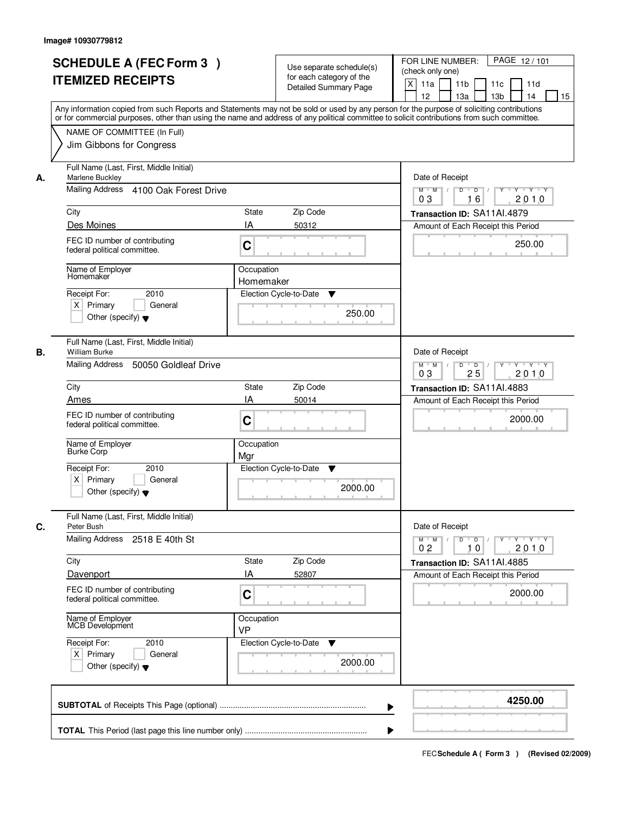|    | <b>SCHEDULE A (FEC Form 3)</b><br><b>ITEMIZED RECEIPTS</b><br>Any information copied from such Reports and Statements may not be sold or used by any person for the purpose of soliciting contributions<br>or for commercial purposes, other than using the name and address of any political committee to solicit contributions from such committee. |                                                   | Use separate schedule(s)<br>for each category of the<br><b>Detailed Summary Page</b> | PAGE 12/101<br>FOR LINE NUMBER:<br>(check only one)<br>$\boldsymbol{\mathsf{X}}$<br>11 <sub>b</sub><br>11a<br>11c<br>11d<br>12<br>13a<br>13 <sub>b</sub><br>15<br>14 |
|----|-------------------------------------------------------------------------------------------------------------------------------------------------------------------------------------------------------------------------------------------------------------------------------------------------------------------------------------------------------|---------------------------------------------------|--------------------------------------------------------------------------------------|----------------------------------------------------------------------------------------------------------------------------------------------------------------------|
|    | NAME OF COMMITTEE (In Full)<br>Jim Gibbons for Congress                                                                                                                                                                                                                                                                                               |                                                   |                                                                                      |                                                                                                                                                                      |
| А. | Full Name (Last, First, Middle Initial)<br>Marlene Buckley<br>Mailing Address 4100 Oak Forest Drive<br>City                                                                                                                                                                                                                                           | State                                             | Zip Code                                                                             | Date of Receipt<br>$\mathsf{Y} \dashv \mathsf{Y} \dashv \mathsf{Y}$<br>$D$ $D$ $/$<br>$\overline{Y}$<br>$M$ $M$ /<br>03<br>2010<br>16<br>Transaction ID: SA11AI.4879 |
|    | Des Moines<br>FEC ID number of contributing<br>federal political committee.                                                                                                                                                                                                                                                                           | IA<br>C                                           | 50312                                                                                | Amount of Each Receipt this Period<br>250.00                                                                                                                         |
|    | Name of Employer<br>Homemaker<br>2010<br>Receipt For:<br>$X$ Primary<br>General<br>Other (specify) $\blacktriangledown$                                                                                                                                                                                                                               | Occupation<br>Homemaker<br>Election Cycle-to-Date | ▼<br>250.00                                                                          |                                                                                                                                                                      |
| В. | Full Name (Last, First, Middle Initial)<br><b>William Burke</b><br>Mailing Address<br>50050 Goldleaf Drive                                                                                                                                                                                                                                            |                                                   |                                                                                      | Date of Receipt<br>$M$ $M$ /<br>D<br>$\overline{D}$ /<br>Y<br>Y 'Y 'Y<br>25<br>03<br>2010                                                                            |
|    | City                                                                                                                                                                                                                                                                                                                                                  | <b>State</b>                                      | Zip Code                                                                             | Transaction ID: SA11AI.4883                                                                                                                                          |
|    | Ames<br>FEC ID number of contributing<br>federal political committee.                                                                                                                                                                                                                                                                                 | IA<br>C                                           | 50014                                                                                | Amount of Each Receipt this Period<br>2000.00                                                                                                                        |
|    | Name of Employer<br><b>Burke Corp</b>                                                                                                                                                                                                                                                                                                                 | Occupation<br>Mar                                 |                                                                                      |                                                                                                                                                                      |
|    | Receipt For:<br>2010<br>$X$ Primary<br>General<br>Other (specify) $\blacktriangledown$                                                                                                                                                                                                                                                                | Election Cycle-to-Date                            | $\blacktriangledown$<br>2000.00                                                      |                                                                                                                                                                      |
| C. | Full Name (Last, First, Middle Initial)<br>Peter Bush                                                                                                                                                                                                                                                                                                 |                                                   |                                                                                      | Date of Receipt                                                                                                                                                      |
|    | Mailing Address<br>2518 E 40th St                                                                                                                                                                                                                                                                                                                     |                                                   |                                                                                      | D<br>$\overline{D}$ /<br>$M$ $M$ /<br>$Y + Y + Y$<br>Y<br>02<br>10<br>2010                                                                                           |
|    | City                                                                                                                                                                                                                                                                                                                                                  | State                                             | Zip Code                                                                             | Transaction ID: SA11Al.4885                                                                                                                                          |
|    | Davenport<br>FEC ID number of contributing<br>federal political committee.                                                                                                                                                                                                                                                                            | ΙA<br>C                                           | 52807                                                                                | Amount of Each Receipt this Period<br>2000.00                                                                                                                        |
|    | Name of Employer<br>MCB Development                                                                                                                                                                                                                                                                                                                   | Occupation<br><b>VP</b>                           |                                                                                      |                                                                                                                                                                      |
|    | Receipt For:<br>2010<br>$X$ Primary<br>General<br>Other (specify) $\blacktriangledown$                                                                                                                                                                                                                                                                | Election Cycle-to-Date                            | v<br>2000.00                                                                         |                                                                                                                                                                      |
|    |                                                                                                                                                                                                                                                                                                                                                       |                                                   |                                                                                      | 4250.00                                                                                                                                                              |
|    |                                                                                                                                                                                                                                                                                                                                                       |                                                   |                                                                                      |                                                                                                                                                                      |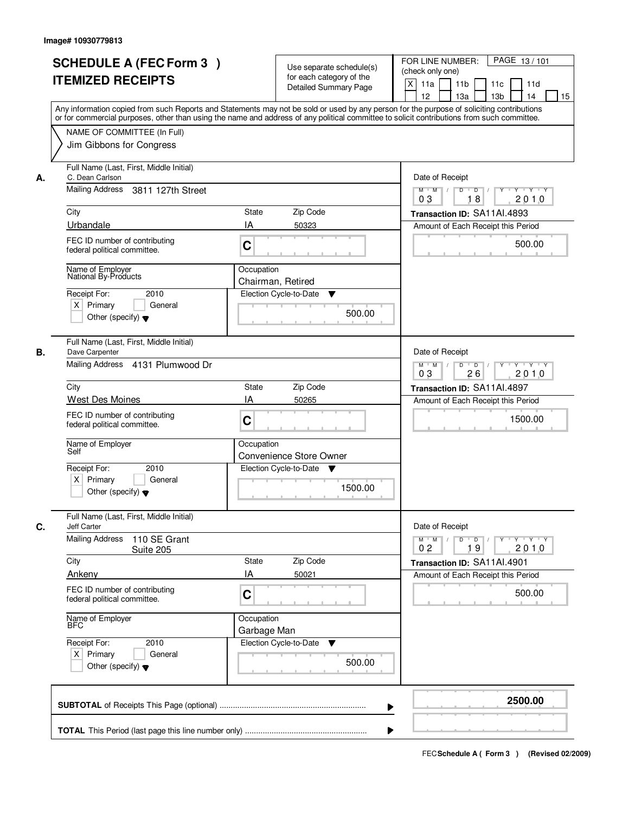|    | <b>SCHEDULE A (FEC Form 3)</b><br><b>ITEMIZED RECEIPTS</b>                                         | Use separate schedule(s)<br>for each category of the<br><b>Detailed Summary Page</b><br>Any information copied from such Reports and Statements may not be sold or used by any person for the purpose of soliciting contributions | PAGE 13/101<br>FOR LINE NUMBER:<br>(check only one)<br>X<br>11 <sub>b</sub><br>11a<br>11 <sub>c</sub><br>11d<br>12<br>13 <sub>b</sub><br>14<br>13a<br>15 |
|----|----------------------------------------------------------------------------------------------------|-----------------------------------------------------------------------------------------------------------------------------------------------------------------------------------------------------------------------------------|----------------------------------------------------------------------------------------------------------------------------------------------------------|
|    | NAME OF COMMITTEE (In Full)<br>Jim Gibbons for Congress                                            | or for commercial purposes, other than using the name and address of any political committee to solicit contributions from such committee.                                                                                        |                                                                                                                                                          |
| А. | Full Name (Last, First, Middle Initial)<br>C. Dean Carlson<br>Mailing Address<br>3811 127th Street |                                                                                                                                                                                                                                   | Date of Receipt<br>$M$ $M$ /<br>$D$ $D$ $I$<br>$Y$ <sup>U</sup><br>Y Y Y Y                                                                               |
|    |                                                                                                    |                                                                                                                                                                                                                                   | 18<br>2010<br>03                                                                                                                                         |
|    | City<br>Urbandale                                                                                  | <b>State</b><br>Zip Code<br>IA<br>50323                                                                                                                                                                                           | Transaction ID: SA11Al.4893<br>Amount of Each Receipt this Period                                                                                        |
|    | FEC ID number of contributing<br>federal political committee.                                      | C                                                                                                                                                                                                                                 | 500.00                                                                                                                                                   |
|    | Name of Employer<br>National By-Products                                                           | Occupation<br>Chairman, Retired                                                                                                                                                                                                   |                                                                                                                                                          |
|    | Receipt For:<br>2010<br>$X$ Primary<br>General<br>Other (specify) $\blacktriangledown$             | Election Cycle-to-Date<br>▼<br>500.00                                                                                                                                                                                             |                                                                                                                                                          |
| В. | Full Name (Last, First, Middle Initial)<br>Dave Carpenter                                          |                                                                                                                                                                                                                                   | Date of Receipt                                                                                                                                          |
|    | Mailing Address 4131 Plumwood Dr                                                                   |                                                                                                                                                                                                                                   | $M$ $M$ /<br>D<br>$\overline{D}$ /<br>$Y \vdash Y \vdash Y$<br>0 <sub>3</sub><br>26<br>2010                                                              |
|    | City                                                                                               | Zip Code<br><b>State</b>                                                                                                                                                                                                          | Transaction ID: SA11AI.4897                                                                                                                              |
|    | West Des Moines                                                                                    | IA<br>50265                                                                                                                                                                                                                       | Amount of Each Receipt this Period                                                                                                                       |
|    | FEC ID number of contributing<br>federal political committee.                                      | C                                                                                                                                                                                                                                 | 1500.00                                                                                                                                                  |
|    | Name of Employer<br>Self                                                                           | Occupation<br>Convenience Store Owner                                                                                                                                                                                             |                                                                                                                                                          |
|    | Receipt For:<br>2010<br>$X$ Primary<br>General<br>Other (specify) $\blacktriangledown$             | Election Cycle-to-Date<br>Y<br>1500.00                                                                                                                                                                                            |                                                                                                                                                          |
| C. | Full Name (Last, First, Middle Initial)<br><b>Jeff Carter</b>                                      |                                                                                                                                                                                                                                   | Date of Receipt                                                                                                                                          |
|    | <b>Mailing Address</b><br>110 SE Grant<br>Suite 205                                                |                                                                                                                                                                                                                                   | $M = M$<br>$D$ $D$ $I$<br>y y y y y y<br>2010<br>0 <sub>2</sub><br>19                                                                                    |
|    | City                                                                                               | Zip Code<br><b>State</b>                                                                                                                                                                                                          | Transaction ID: SA11AI.4901                                                                                                                              |
|    | Ankeny<br>FEC ID number of contributing<br>federal political committee.                            | IA<br>50021<br>C                                                                                                                                                                                                                  | Amount of Each Receipt this Period<br>500.00                                                                                                             |
|    | Name of Employer<br>BFC                                                                            | Occupation<br>Garbage Man                                                                                                                                                                                                         |                                                                                                                                                          |
|    | Receipt For:<br>2010<br>$X$ Primary<br>General<br>Other (specify) $\blacktriangledown$             | Election Cycle-to-Date<br>$\blacktriangledown$<br>500.00                                                                                                                                                                          |                                                                                                                                                          |
|    |                                                                                                    |                                                                                                                                                                                                                                   | 2500.00                                                                                                                                                  |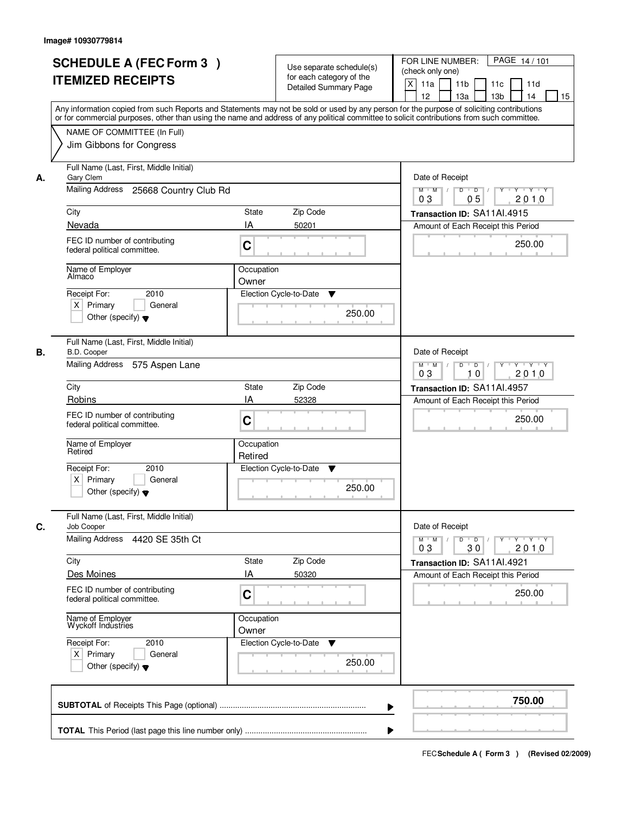| <b>SCHEDULE A (FEC Form 3)</b><br><b>ITEMIZED RECEIPTS</b>                                                           | Use separate schedule(s)<br>for each category of the<br><b>Detailed Summary Page</b><br>Any information copied from such Reports and Statements may not be sold or used by any person for the purpose of soliciting contributions | PAGE 14/101<br>FOR LINE NUMBER:<br>(check only one)<br>$\boldsymbol{\mathsf{X}}$<br>11 <sub>b</sub><br>11a<br>11 <sub>c</sub><br>11d<br>12<br>13 <sub>b</sub><br>14<br>13a<br>15 |
|----------------------------------------------------------------------------------------------------------------------|-----------------------------------------------------------------------------------------------------------------------------------------------------------------------------------------------------------------------------------|----------------------------------------------------------------------------------------------------------------------------------------------------------------------------------|
| NAME OF COMMITTEE (In Full)<br>Jim Gibbons for Congress                                                              | or for commercial purposes, other than using the name and address of any political committee to solicit contributions from such committee.                                                                                        |                                                                                                                                                                                  |
| Full Name (Last, First, Middle Initial)<br>Gary Clem<br>А.<br>Mailing Address<br>25668 Country Club Rd               |                                                                                                                                                                                                                                   | Date of Receipt<br>$D$ $D$ $1$<br>Y<br>$Y - Y - Y - Y$<br>$M$ $M$ /                                                                                                              |
| City<br>Nevada                                                                                                       | <b>State</b><br>Zip Code<br>IA<br>50201                                                                                                                                                                                           | 0 <sub>3</sub><br>05<br>2010<br>Transaction ID: SA11Al.4915<br>Amount of Each Receipt this Period                                                                                |
| FEC ID number of contributing<br>federal political committee.                                                        | C                                                                                                                                                                                                                                 | 250.00                                                                                                                                                                           |
| Name of Employer<br>Almaco<br>2010<br>Receipt For:<br>$X$ Primary<br>General<br>Other (specify) $\blacktriangledown$ | Occupation<br>Owner<br>Election Cycle-to-Date<br>▼<br>250.00                                                                                                                                                                      |                                                                                                                                                                                  |
| Full Name (Last, First, Middle Initial)<br>B.D. Cooper<br>В.<br>Mailing Address<br>575 Aspen Lane                    |                                                                                                                                                                                                                                   | Date of Receipt<br>$Y - Y - Y$<br>$M$ $M$ /<br>D<br>$\overline{D}$<br>Y<br>2010<br>03<br>10                                                                                      |
| City<br>Robins                                                                                                       | Zip Code<br>State<br>IA<br>52328                                                                                                                                                                                                  | Transaction ID: SA11AI.4957                                                                                                                                                      |
| FEC ID number of contributing<br>federal political committee.                                                        | C                                                                                                                                                                                                                                 | Amount of Each Receipt this Period<br>250.00                                                                                                                                     |
| Name of Employer<br>Retired                                                                                          | Occupation<br>Retired                                                                                                                                                                                                             |                                                                                                                                                                                  |
| Receipt For:<br>2010<br>$X$ Primary<br>General<br>Other (specify) $\blacktriangledown$                               | Election Cycle-to-Date<br>v<br>250.00                                                                                                                                                                                             |                                                                                                                                                                                  |
| Full Name (Last, First, Middle Initial)<br>C.<br>Job Cooper                                                          |                                                                                                                                                                                                                                   | Date of Receipt                                                                                                                                                                  |
| <b>Mailing Address</b><br>4420 SE 35th Ct                                                                            |                                                                                                                                                                                                                                   | $M$ $M$<br>$D$ $D$ $/$<br>y y y y y<br>2010<br>03<br>30                                                                                                                          |
| City<br>Des Moines                                                                                                   | Zip Code<br>State<br>IA<br>50320                                                                                                                                                                                                  | Transaction ID: SA11AI.4921<br>Amount of Each Receipt this Period                                                                                                                |
| FEC ID number of contributing<br>federal political committee.                                                        | C                                                                                                                                                                                                                                 | 250.00                                                                                                                                                                           |
| Name of Employer<br>Wyckoff Industries                                                                               | Occupation<br>Owner                                                                                                                                                                                                               |                                                                                                                                                                                  |
| Receipt For:<br>2010<br>$X$ Primary<br>General<br>Other (specify) $\blacktriangledown$                               | Election Cycle-to-Date<br>▼<br>250.00                                                                                                                                                                                             |                                                                                                                                                                                  |
|                                                                                                                      |                                                                                                                                                                                                                                   | 750.00                                                                                                                                                                           |
|                                                                                                                      |                                                                                                                                                                                                                                   |                                                                                                                                                                                  |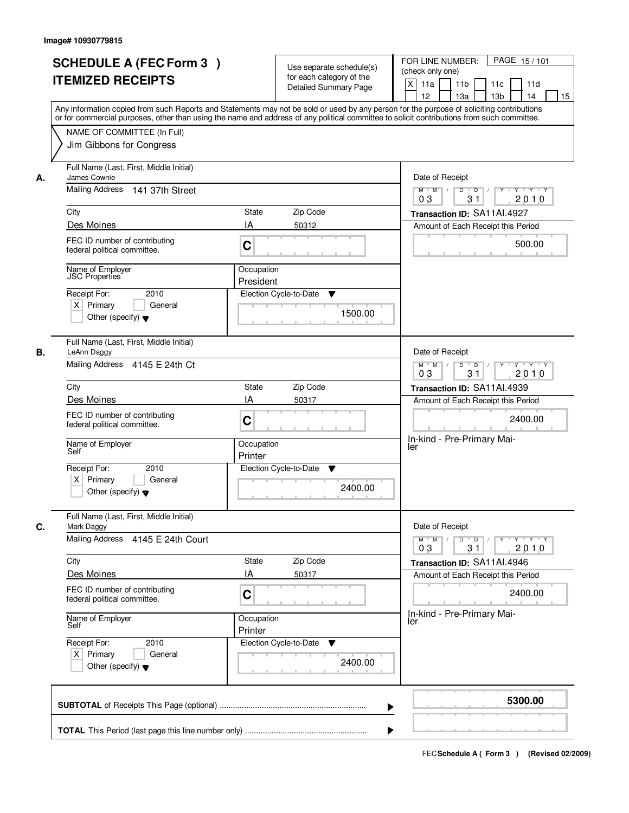|    | <b>SCHEDULE A (FEC Form 3)</b><br><b>ITEMIZED RECEIPTS</b><br>Any information copied from such Reports and Statements may not be sold or used by any person for the purpose of soliciting contributions<br>or for commercial purposes, other than using the name and address of any political committee to solicit contributions from such committee. |                         | Use separate schedule(s)<br>for each category of the<br><b>Detailed Summary Page</b> | PAGE 15/101<br>FOR LINE NUMBER:<br>(check only one)<br>X<br>11a<br>11 <sub>b</sub><br>11c<br>11d<br>12<br>13a<br>13 <sub>b</sub><br>14<br>15 |
|----|-------------------------------------------------------------------------------------------------------------------------------------------------------------------------------------------------------------------------------------------------------------------------------------------------------------------------------------------------------|-------------------------|--------------------------------------------------------------------------------------|----------------------------------------------------------------------------------------------------------------------------------------------|
|    | NAME OF COMMITTEE (In Full)<br>Jim Gibbons for Congress                                                                                                                                                                                                                                                                                               |                         |                                                                                      |                                                                                                                                              |
| А. | Full Name (Last, First, Middle Initial)<br>James Cownie<br>Mailing Address 141 37th Street                                                                                                                                                                                                                                                            |                         |                                                                                      | Date of Receipt<br>$Y$ $Y$ $Y$<br>$M$ $M$<br>$D$ $D$ $/$<br>$\overline{Y}$<br>03<br>31<br>2010                                               |
|    | City                                                                                                                                                                                                                                                                                                                                                  | State                   | Zip Code                                                                             | Transaction ID: SA11AI.4927                                                                                                                  |
|    | Des Moines                                                                                                                                                                                                                                                                                                                                            | IA                      | 50312                                                                                | Amount of Each Receipt this Period                                                                                                           |
|    | FEC ID number of contributing<br>federal political committee.                                                                                                                                                                                                                                                                                         | C                       |                                                                                      | 500.00                                                                                                                                       |
|    | Name of Employer<br><b>JSC</b> Properties                                                                                                                                                                                                                                                                                                             | Occupation<br>President |                                                                                      |                                                                                                                                              |
|    | 2010<br>Receipt For:<br>$X$ Primary<br>General<br>Other (specify) $\blacktriangledown$                                                                                                                                                                                                                                                                |                         | Election Cycle-to-Date<br>▼<br>1500.00                                               |                                                                                                                                              |
| В. | Full Name (Last, First, Middle Initial)<br>LeAnn Daggy<br>Mailing Address 4145 E 24th Ct                                                                                                                                                                                                                                                              |                         |                                                                                      | Date of Receipt<br>$Y \vdash Y \vdash Y$<br>$M$ $M$ /<br>D<br>$\overline{D}$<br>Y<br>31<br>2010<br>03                                        |
|    | City                                                                                                                                                                                                                                                                                                                                                  | State                   | Zip Code                                                                             | Transaction ID: SA11AI.4939                                                                                                                  |
|    | Des Moines                                                                                                                                                                                                                                                                                                                                            | IA                      | 50317                                                                                | Amount of Each Receipt this Period                                                                                                           |
|    | FEC ID number of contributing<br>federal political committee.                                                                                                                                                                                                                                                                                         | C                       |                                                                                      | 2400.00                                                                                                                                      |
|    | Name of Employer<br>Self                                                                                                                                                                                                                                                                                                                              | Occupation<br>Printer   |                                                                                      | In-kind - Pre-Primary Mai-<br>ler                                                                                                            |
|    | Receipt For:<br>2010<br>$X$ Primary<br>General<br>Other (specify) $\blacktriangledown$                                                                                                                                                                                                                                                                |                         | Election Cycle-to-Date<br>v<br>2400.00                                               |                                                                                                                                              |
| C. | Full Name (Last, First, Middle Initial)<br>Mark Daggy                                                                                                                                                                                                                                                                                                 |                         |                                                                                      | Date of Receipt                                                                                                                              |
|    | Mailing Address 4145 E 24th Court                                                                                                                                                                                                                                                                                                                     |                         |                                                                                      | $D$ $D$ $/$<br>$M$ $M$ /<br>$Y^+$<br>$Y + Y + Y$<br>03<br>31<br>2010                                                                         |
|    | City                                                                                                                                                                                                                                                                                                                                                  | State                   | Zip Code                                                                             | Transaction ID: SA11Al.4946                                                                                                                  |
|    | Des Moines<br>FEC ID number of contributing<br>federal political committee.                                                                                                                                                                                                                                                                           | ΙA<br>C                 | 50317                                                                                | Amount of Each Receipt this Period<br>2400.00                                                                                                |
|    | Name of Employer<br>Self                                                                                                                                                                                                                                                                                                                              | Occupation<br>Printer   |                                                                                      | In-kind - Pre-Primary Mai-<br>ler                                                                                                            |
|    | Receipt For:<br>2010<br>$X$ Primary<br>General<br>Other (specify) $\blacktriangledown$                                                                                                                                                                                                                                                                |                         | Election Cycle-to-Date<br>v<br>2400.00                                               |                                                                                                                                              |
|    |                                                                                                                                                                                                                                                                                                                                                       |                         | ▶                                                                                    | 5300.00                                                                                                                                      |
|    |                                                                                                                                                                                                                                                                                                                                                       |                         |                                                                                      |                                                                                                                                              |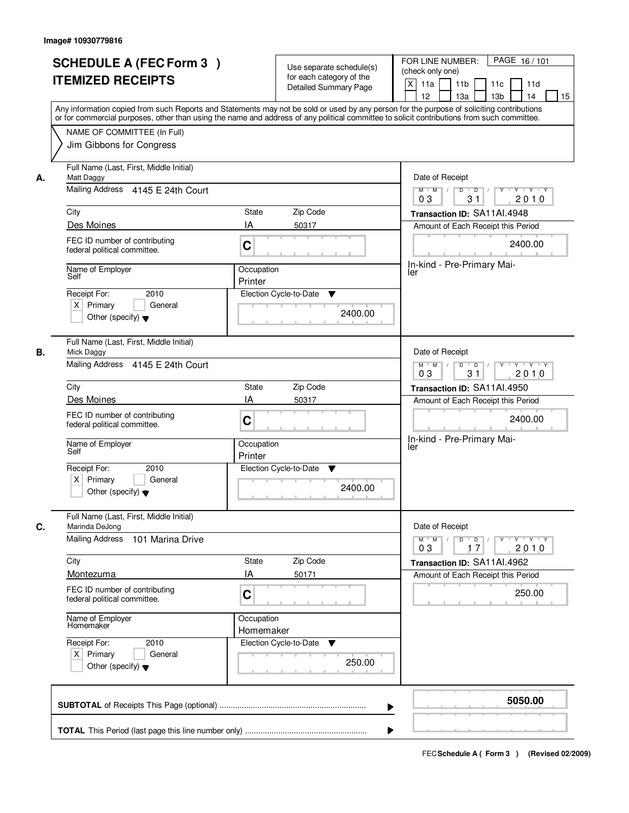|    | <b>SCHEDULE A (FEC Form 3)</b><br><b>ITEMIZED RECEIPTS</b><br>Any information copied from such Reports and Statements may not be sold or used by any person for the purpose of soliciting contributions<br>or for commercial purposes, other than using the name and address of any political committee to solicit contributions from such committee. |                         | Use separate schedule(s)<br>for each category of the<br><b>Detailed Summary Page</b> | PAGE 16/101<br>FOR LINE NUMBER:<br>(check only one)<br>X<br>11a<br>11 <sub>b</sub><br>11d<br>11c<br>12<br>13a<br>13 <sub>b</sub><br>14<br>15 |
|----|-------------------------------------------------------------------------------------------------------------------------------------------------------------------------------------------------------------------------------------------------------------------------------------------------------------------------------------------------------|-------------------------|--------------------------------------------------------------------------------------|----------------------------------------------------------------------------------------------------------------------------------------------|
|    | NAME OF COMMITTEE (In Full)<br>Jim Gibbons for Congress                                                                                                                                                                                                                                                                                               |                         |                                                                                      |                                                                                                                                              |
| А. | Full Name (Last, First, Middle Initial)<br>Matt Daggy<br>Mailing Address 4145 E 24th Court                                                                                                                                                                                                                                                            |                         |                                                                                      | Date of Receipt<br>$M$ $M$<br>$D$ $D$ $/$<br>0 <sub>3</sub><br>31<br>2010                                                                    |
|    | City                                                                                                                                                                                                                                                                                                                                                  | State                   | Zip Code                                                                             | Transaction ID: SA11AI.4948                                                                                                                  |
|    | Des Moines                                                                                                                                                                                                                                                                                                                                            | IA                      | 50317                                                                                | Amount of Each Receipt this Period                                                                                                           |
|    | FEC ID number of contributing<br>federal political committee.                                                                                                                                                                                                                                                                                         | C                       |                                                                                      | 2400.00                                                                                                                                      |
|    | Name of Employer<br>Self                                                                                                                                                                                                                                                                                                                              | Occupation<br>Printer   |                                                                                      | In-kind - Pre-Primary Mai-<br>ler                                                                                                            |
|    | 2010<br>Receipt For:<br>$X$ Primary<br>General<br>Other (specify) $\blacktriangledown$                                                                                                                                                                                                                                                                |                         | Election Cycle-to-Date<br>▼<br>2400.00                                               |                                                                                                                                              |
| В. | Full Name (Last, First, Middle Initial)<br>Mick Daggy<br>Mailing Address 4145 E 24th Court                                                                                                                                                                                                                                                            |                         |                                                                                      | Date of Receipt<br>$Y - Y - Y$<br>$M$ $M$ /<br>D<br>$\overline{D}$<br>Y<br>31<br>2010<br>03                                                  |
|    | City                                                                                                                                                                                                                                                                                                                                                  | State                   | Zip Code                                                                             | Transaction ID: SA11AI.4950                                                                                                                  |
|    | Des Moines                                                                                                                                                                                                                                                                                                                                            | IA                      | 50317                                                                                | Amount of Each Receipt this Period                                                                                                           |
|    | FEC ID number of contributing<br>federal political committee.                                                                                                                                                                                                                                                                                         | C                       |                                                                                      | 2400.00                                                                                                                                      |
|    | Name of Employer<br>Self                                                                                                                                                                                                                                                                                                                              | Occupation<br>Printer   |                                                                                      | In-kind - Pre-Primary Mai-<br>ler                                                                                                            |
|    | Receipt For:<br>2010<br>$X$ Primary<br>General<br>Other (specify) $\blacktriangledown$                                                                                                                                                                                                                                                                |                         | Election Cycle-to-Date<br>v<br>2400.00                                               |                                                                                                                                              |
| C. | Full Name (Last, First, Middle Initial)<br>Marinda DeJong                                                                                                                                                                                                                                                                                             |                         |                                                                                      | Date of Receipt                                                                                                                              |
|    | <b>Mailing Address</b><br>101 Marina Drive                                                                                                                                                                                                                                                                                                            |                         |                                                                                      | $D$ $D$ $I$<br>$M$ $M$ /<br>$Y^+$<br>$Y + Y + Y$<br>03<br>17<br>2010                                                                         |
|    | City                                                                                                                                                                                                                                                                                                                                                  | State                   | Zip Code                                                                             | Transaction ID: SA11Al.4962                                                                                                                  |
|    | Montezuma<br>FEC ID number of contributing<br>federal political committee.                                                                                                                                                                                                                                                                            | ΙA<br>C                 | 50171                                                                                | Amount of Each Receipt this Period<br>250.00                                                                                                 |
|    | Name of Employer<br>Homemaker                                                                                                                                                                                                                                                                                                                         | Occupation<br>Homemaker |                                                                                      |                                                                                                                                              |
|    | Receipt For:<br>2010<br>$X$ Primary<br>General<br>Other (specify) $\blacktriangledown$                                                                                                                                                                                                                                                                |                         | Election Cycle-to-Date<br>v<br>250.00                                                |                                                                                                                                              |
|    |                                                                                                                                                                                                                                                                                                                                                       |                         | ▶                                                                                    | 5050.00                                                                                                                                      |
|    |                                                                                                                                                                                                                                                                                                                                                       |                         |                                                                                      |                                                                                                                                              |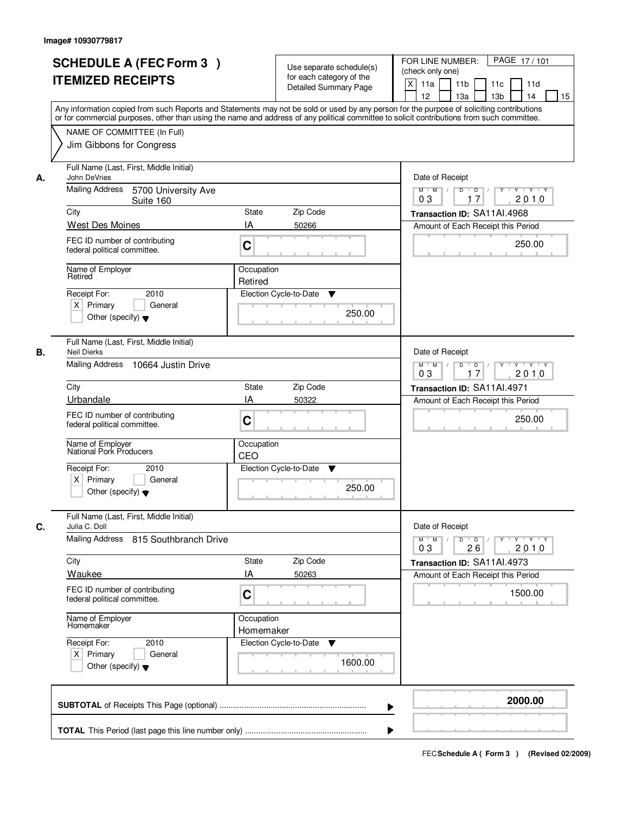|    | <b>SCHEDULE A (FEC Form 3)</b><br><b>ITEMIZED RECEIPTS</b><br>Any information copied from such Reports and Statements may not be sold or used by any person for the purpose of soliciting contributions | Use separate schedule(s)<br>for each category of the<br><b>Detailed Summary Page</b> | PAGE 17/101<br>FOR LINE NUMBER:<br>(check only one)<br>$\boldsymbol{\mathsf{X}}$<br>11 <sub>b</sub><br>11a<br>11 <sub>c</sub><br>11d<br>12<br>13 <sub>b</sub><br>14<br>13a<br>15 |
|----|---------------------------------------------------------------------------------------------------------------------------------------------------------------------------------------------------------|--------------------------------------------------------------------------------------|----------------------------------------------------------------------------------------------------------------------------------------------------------------------------------|
|    | or for commercial purposes, other than using the name and address of any political committee to solicit contributions from such committee.<br>NAME OF COMMITTEE (In Full)<br>Jim Gibbons for Congress   |                                                                                      |                                                                                                                                                                                  |
| А. | Full Name (Last, First, Middle Initial)<br>John DeVries<br>Mailing Address<br>5700 University Ave<br>Suite 160                                                                                          |                                                                                      | Date of Receipt<br>$D$ $D$<br>Y<br>$Y - Y - Y - Y$<br>$M$ $M$ /<br>0 <sub>3</sub><br>17<br>2010                                                                                  |
|    | City                                                                                                                                                                                                    | <b>State</b><br>Zip Code                                                             | Transaction ID: SA11AI.4968                                                                                                                                                      |
|    | West Des Moines                                                                                                                                                                                         | IA<br>50266                                                                          | Amount of Each Receipt this Period                                                                                                                                               |
|    | FEC ID number of contributing<br>federal political committee.                                                                                                                                           | C                                                                                    | 250.00                                                                                                                                                                           |
|    | Name of Employer<br>Retired                                                                                                                                                                             | Occupation<br>Retired                                                                |                                                                                                                                                                                  |
|    | 2010<br>Receipt For:<br>$X$ Primary<br>General<br>Other (specify) $\blacktriangledown$                                                                                                                  | Election Cycle-to-Date<br>▼<br>250.00                                                |                                                                                                                                                                                  |
| В. | Full Name (Last, First, Middle Initial)<br><b>Neil Dierks</b><br>Mailing Address<br>10664 Justin Drive                                                                                                  |                                                                                      | Date of Receipt<br>$M$ $M$ /<br>D<br>$\Box$ D $\Box$<br>Y<br>$Y + Y + Y$                                                                                                         |
|    |                                                                                                                                                                                                         |                                                                                      | 2010<br>03<br>17                                                                                                                                                                 |
|    | City                                                                                                                                                                                                    | Zip Code<br>State                                                                    | Transaction ID: SA11AI.4971                                                                                                                                                      |
|    | Urbandale<br>FEC ID number of contributing<br>federal political committee.                                                                                                                              | IA<br>50322<br>C                                                                     | Amount of Each Receipt this Period<br>250.00                                                                                                                                     |
|    | Name of Employer<br>National Pork Producers<br>Receipt For:<br>2010<br>$X$ Primary<br>General<br>Other (specify) $\blacktriangledown$                                                                   | Occupation<br>CEO<br>Election Cycle-to-Date<br>v<br>250.00                           |                                                                                                                                                                                  |
| C. | Full Name (Last, First, Middle Initial)<br>Julia C. Doll                                                                                                                                                |                                                                                      | Date of Receipt                                                                                                                                                                  |
|    | Mailing Address 815 Southbranch Drive                                                                                                                                                                   |                                                                                      | $M$ $M$<br>$D$ $D$ $/$<br>Y 'Y 'Y<br><b>Y</b><br>2010<br>03<br>26                                                                                                                |
|    | City                                                                                                                                                                                                    | Zip Code<br>State                                                                    | Transaction ID: SA11Al.4973                                                                                                                                                      |
|    | Waukee                                                                                                                                                                                                  | IA<br>50263                                                                          | Amount of Each Receipt this Period                                                                                                                                               |
|    | FEC ID number of contributing<br>federal political committee.                                                                                                                                           | C                                                                                    | 1500.00                                                                                                                                                                          |
|    | Name of Employer<br>Homemaker                                                                                                                                                                           | Occupation<br>Homemaker                                                              |                                                                                                                                                                                  |
|    | Receipt For:<br>2010<br>$X$ Primary<br>General<br>Other (specify) $\blacktriangledown$                                                                                                                  | Election Cycle-to-Date<br>v<br>1600.00                                               |                                                                                                                                                                                  |
|    |                                                                                                                                                                                                         |                                                                                      | 2000.00                                                                                                                                                                          |
|    |                                                                                                                                                                                                         |                                                                                      |                                                                                                                                                                                  |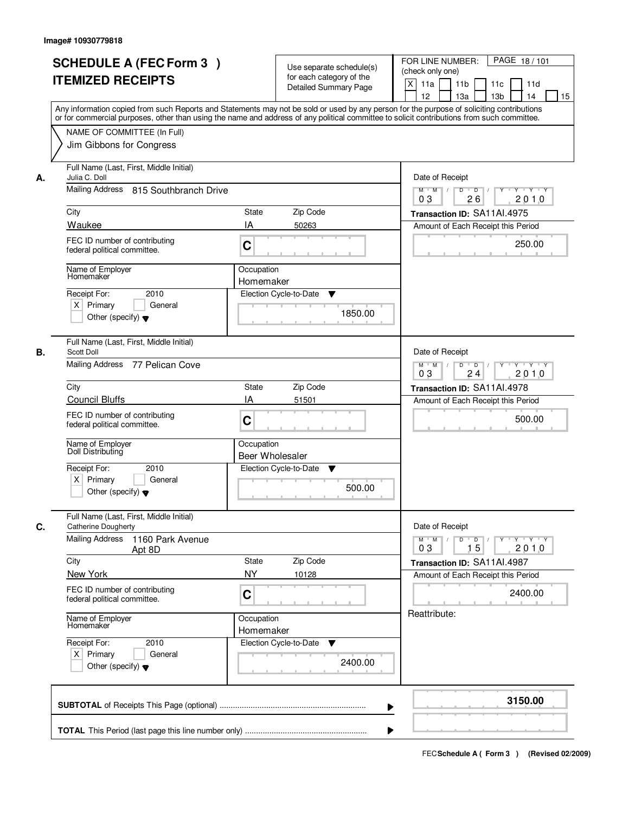|    | <b>SCHEDULE A (FEC Form 3)</b><br><b>ITEMIZED RECEIPTS</b>                                                              | Use separate schedule(s)<br>for each category of the<br><b>Detailed Summary Page</b><br>Any information copied from such Reports and Statements may not be sold or used by any person for the purpose of soliciting contributions | PAGE 18/101<br>FOR LINE NUMBER:<br>(check only one)<br>$\boldsymbol{\mathsf{X}}$<br>11 <sub>b</sub><br>11a<br>11c<br>11d<br>12<br>13 <sub>b</sub><br>14<br>13a<br>15                                                                                                                                                                                                                                                                                                             |
|----|-------------------------------------------------------------------------------------------------------------------------|-----------------------------------------------------------------------------------------------------------------------------------------------------------------------------------------------------------------------------------|----------------------------------------------------------------------------------------------------------------------------------------------------------------------------------------------------------------------------------------------------------------------------------------------------------------------------------------------------------------------------------------------------------------------------------------------------------------------------------|
|    | NAME OF COMMITTEE (In Full)<br>Jim Gibbons for Congress                                                                 | or for commercial purposes, other than using the name and address of any political committee to solicit contributions from such committee.                                                                                        |                                                                                                                                                                                                                                                                                                                                                                                                                                                                                  |
| А. | Full Name (Last, First, Middle Initial)<br>Julia C. Doll<br>Mailing Address 815 Southbranch Drive                       |                                                                                                                                                                                                                                   | Date of Receipt<br>$D$ $D$ $1$<br>Y<br>$Y - Y - Y - Y$<br>$M$ $M$ /                                                                                                                                                                                                                                                                                                                                                                                                              |
|    | City<br>Waukee                                                                                                          | <b>State</b><br>Zip Code<br>IA                                                                                                                                                                                                    | 0 <sub>3</sub><br>26<br>2010<br>Transaction ID: SA11Al.4975                                                                                                                                                                                                                                                                                                                                                                                                                      |
|    | FEC ID number of contributing<br>federal political committee.                                                           | 50263<br>C                                                                                                                                                                                                                        | Amount of Each Receipt this Period<br>250.00                                                                                                                                                                                                                                                                                                                                                                                                                                     |
|    | Name of Employer<br>Homemaker<br>2010<br>Receipt For:<br>$X$ Primary<br>General<br>Other (specify) $\blacktriangledown$ | Occupation<br>Homemaker<br>Election Cycle-to-Date<br>▼<br>1850.00                                                                                                                                                                 |                                                                                                                                                                                                                                                                                                                                                                                                                                                                                  |
| В. | Full Name (Last, First, Middle Initial)<br>Scott Doll<br>Mailing Address 77 Pelican Cove                                |                                                                                                                                                                                                                                   | Date of Receipt<br>$M$ $M$ /<br>D<br>$\overline{D}$ /<br>Y<br>$Y + Y + Y$<br>2010<br>03<br>24                                                                                                                                                                                                                                                                                                                                                                                    |
|    | City                                                                                                                    | Zip Code<br>State                                                                                                                                                                                                                 | Transaction ID: SA11AI.4978                                                                                                                                                                                                                                                                                                                                                                                                                                                      |
|    | <b>Council Bluffs</b><br>FEC ID number of contributing<br>federal political committee.                                  | IA<br>51501<br>C                                                                                                                                                                                                                  | Amount of Each Receipt this Period<br>500.00                                                                                                                                                                                                                                                                                                                                                                                                                                     |
|    | Name of Employer<br>Doll Distributing                                                                                   | Occupation<br>Beer Wholesaler                                                                                                                                                                                                     |                                                                                                                                                                                                                                                                                                                                                                                                                                                                                  |
|    | Receipt For:<br>2010<br>$X$ Primary<br>General<br>Other (specify) $\blacktriangledown$                                  | Election Cycle-to-Date<br>v<br>500.00                                                                                                                                                                                             |                                                                                                                                                                                                                                                                                                                                                                                                                                                                                  |
| C. | Full Name (Last, First, Middle Initial)<br><b>Catherine Dougherty</b><br><b>Mailing Address</b><br>1160 Park Avenue     |                                                                                                                                                                                                                                   | Date of Receipt<br>$M$ $M$ $/$<br>$D$ $D$ $l$<br>$\begin{array}{c} \begin{array}{c} \mathsf{p} \mathsf{p} \mathsf{p} \mathsf{p} \mathsf{p} \mathsf{p} \mathsf{p} \mathsf{p} \mathsf{p} \mathsf{p} \mathsf{p} \mathsf{p} \mathsf{p} \mathsf{p} \mathsf{p} \mathsf{p} \mathsf{p} \mathsf{p} \mathsf{p} \mathsf{p} \mathsf{p} \mathsf{p} \mathsf{p} \mathsf{p} \mathsf{p} \mathsf{p} \mathsf{p} \mathsf{p} \mathsf{p} \mathsf{p} \mathsf{p} \mathsf{p} \mathsf{p} \mathsf{p} \math$ |
|    | Apt 8D<br>City                                                                                                          | Zip Code<br>State                                                                                                                                                                                                                 | 2010<br>03<br>15<br>Transaction ID: SA11AI.4987                                                                                                                                                                                                                                                                                                                                                                                                                                  |
|    | New York<br>FEC ID number of contributing<br>federal political committee.                                               | <b>NY</b><br>10128<br>C                                                                                                                                                                                                           | Amount of Each Receipt this Period<br>2400.00                                                                                                                                                                                                                                                                                                                                                                                                                                    |
|    | Name of Employer<br>Homemaker                                                                                           | Occupation<br>Homemaker                                                                                                                                                                                                           | Reattribute:                                                                                                                                                                                                                                                                                                                                                                                                                                                                     |
|    | Receipt For:<br>2010<br>$X$ Primary<br>General<br>Other (specify) $\blacktriangledown$                                  | Election Cycle-to-Date<br>v<br>2400.00                                                                                                                                                                                            |                                                                                                                                                                                                                                                                                                                                                                                                                                                                                  |
|    |                                                                                                                         |                                                                                                                                                                                                                                   | 3150.00                                                                                                                                                                                                                                                                                                                                                                                                                                                                          |
|    |                                                                                                                         |                                                                                                                                                                                                                                   |                                                                                                                                                                                                                                                                                                                                                                                                                                                                                  |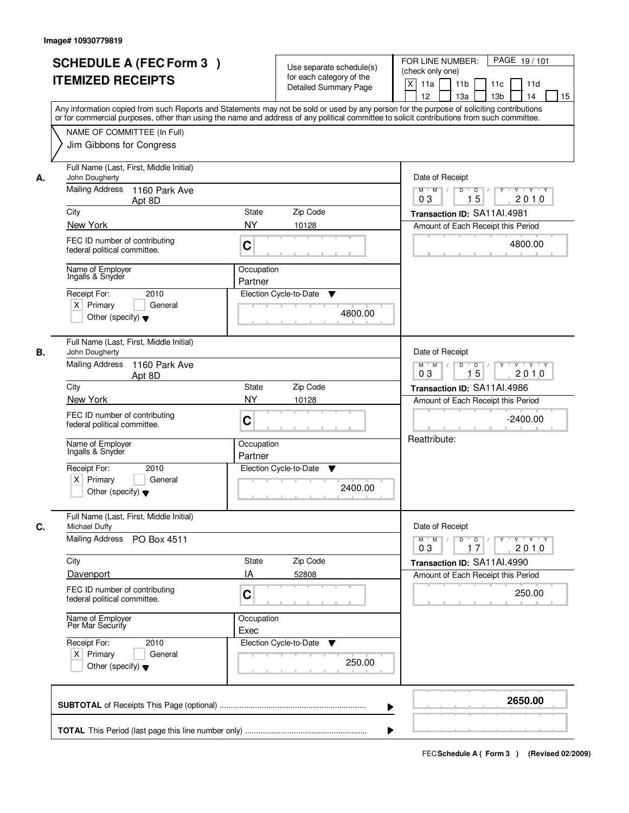| <b>SCHEDULE A (FEC Form 3)</b><br><b>ITEMIZED RECEIPTS</b>                                                 | Use separate schedule(s)<br>for each category of the<br><b>Detailed Summary Page</b><br>Any information copied from such Reports and Statements may not be sold or used by any person for the purpose of soliciting contributions | PAGE 19/101<br>FOR LINE NUMBER:<br>(check only one)<br>X<br>11 <sub>b</sub><br>11a<br>11 <sub>c</sub><br>11d<br>12<br>13 <sub>b</sub><br>14<br>13a<br>15 |
|------------------------------------------------------------------------------------------------------------|-----------------------------------------------------------------------------------------------------------------------------------------------------------------------------------------------------------------------------------|----------------------------------------------------------------------------------------------------------------------------------------------------------|
| NAME OF COMMITTEE (In Full)<br>Jim Gibbons for Congress                                                    | or for commercial purposes, other than using the name and address of any political committee to solicit contributions from such committee.                                                                                        |                                                                                                                                                          |
| Full Name (Last, First, Middle Initial)<br>John Dougherty<br>А.<br><b>Mailing Address</b><br>1160 Park Ave |                                                                                                                                                                                                                                   | Date of Receipt<br>$D$ $D$ $1$<br>Y<br>$Y - Y - Y - Y$<br>$M$ $M$ /<br>15<br>0 <sub>3</sub><br>2010                                                      |
| Apt 8D<br>City                                                                                             | <b>State</b><br>Zip Code                                                                                                                                                                                                          | Transaction ID: SA11AI.4981                                                                                                                              |
| New York                                                                                                   | <b>NY</b><br>10128                                                                                                                                                                                                                | Amount of Each Receipt this Period                                                                                                                       |
| FEC ID number of contributing<br>federal political committee.                                              | C                                                                                                                                                                                                                                 | 4800.00                                                                                                                                                  |
| Name of Emplover<br>Ingalls & Snyder                                                                       | Occupation<br>Partner                                                                                                                                                                                                             |                                                                                                                                                          |
| 2010<br>Receipt For:<br>$X$ Primary<br>General<br>Other (specify) $\blacktriangledown$                     | Election Cycle-to-Date<br>▼<br>4800.00                                                                                                                                                                                            |                                                                                                                                                          |
| Full Name (Last, First, Middle Initial)<br>В.<br>John Dougherty                                            |                                                                                                                                                                                                                                   | Date of Receipt                                                                                                                                          |
| <b>Mailing Address</b><br>1160 Park Ave<br>Apt 8D                                                          |                                                                                                                                                                                                                                   | $M$ $M$ /<br>D<br>$\Box$ D $\Box$<br>Y<br>$Y + Y + Y$<br>15<br>2010<br>03                                                                                |
| City<br>New York                                                                                           | Zip Code<br>State<br><b>NY</b><br>10128                                                                                                                                                                                           | Transaction ID: SA11AI.4986<br>Amount of Each Receipt this Period                                                                                        |
| FEC ID number of contributing<br>federal political committee.                                              | C                                                                                                                                                                                                                                 | $-2400.00$                                                                                                                                               |
| Name of Employer<br>Ingalis & Snyder                                                                       | Occupation<br>Partner                                                                                                                                                                                                             | Reattribute:                                                                                                                                             |
| Receipt For:<br>2010<br>$X$ Primary<br>General<br>Other (specify) $\blacktriangledown$                     | Election Cycle-to-Date<br>▼<br>2400.00                                                                                                                                                                                            |                                                                                                                                                          |
| Full Name (Last, First, Middle Initial)<br>C.<br>Michael Duffy                                             |                                                                                                                                                                                                                                   | Date of Receipt                                                                                                                                          |
| Mailing Address<br>PO Box 4511                                                                             |                                                                                                                                                                                                                                   | $M$ $M$ $/$<br>$D$ $D$ $l$<br>2010<br>03<br>17                                                                                                           |
| City<br>Davenport                                                                                          | State<br>Zip Code<br>IA<br>52808                                                                                                                                                                                                  | Transaction ID: SA11AI.4990<br>Amount of Each Receipt this Period                                                                                        |
| FEC ID number of contributing<br>federal political committee.                                              | C                                                                                                                                                                                                                                 | 250.00                                                                                                                                                   |
| Name of Employer<br>Per Mar Security                                                                       | Occupation<br>Exec                                                                                                                                                                                                                |                                                                                                                                                          |
| Receipt For:<br>2010<br>$X$ Primary<br>General<br>Other (specify) $\blacktriangledown$                     | Election Cycle-to-Date<br>▼<br>250.00                                                                                                                                                                                             |                                                                                                                                                          |
|                                                                                                            |                                                                                                                                                                                                                                   | 2650.00                                                                                                                                                  |
|                                                                                                            |                                                                                                                                                                                                                                   |                                                                                                                                                          |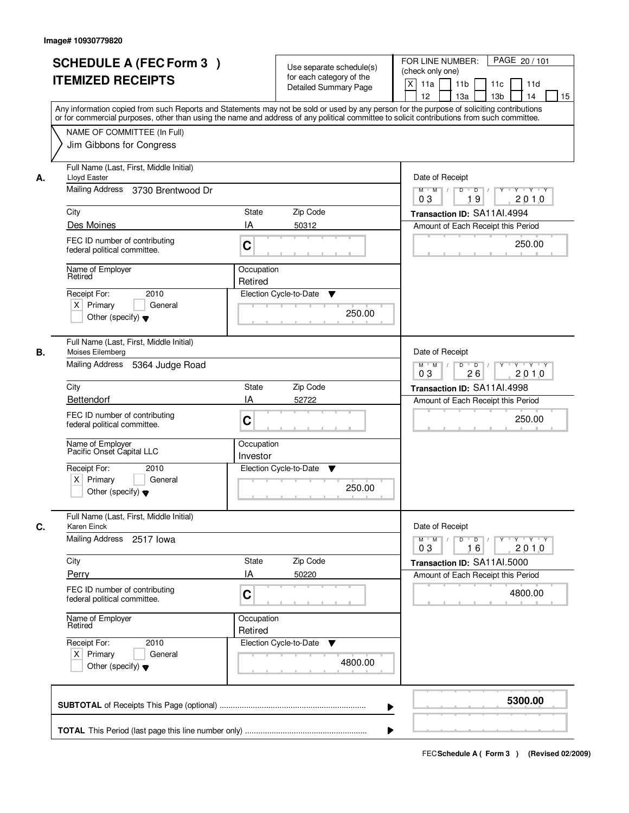|    | <b>SCHEDULE A (FEC Form 3)</b><br><b>ITEMIZED RECEIPTS</b><br>Any information copied from such Reports and Statements may not be sold or used by any person for the purpose of soliciting contributions<br>or for commercial purposes, other than using the name and address of any political committee to solicit contributions from such committee. |                        | Use separate schedule(s)<br>for each category of the<br><b>Detailed Summary Page</b> | PAGE 20 / 101<br>FOR LINE NUMBER:<br>(check only one)<br>X<br>11a<br>11 <sub>b</sub><br>11c<br>11d<br>12<br>13 <sub>b</sub><br>13a<br>14<br>15 |
|----|-------------------------------------------------------------------------------------------------------------------------------------------------------------------------------------------------------------------------------------------------------------------------------------------------------------------------------------------------------|------------------------|--------------------------------------------------------------------------------------|------------------------------------------------------------------------------------------------------------------------------------------------|
|    | NAME OF COMMITTEE (In Full)<br>Jim Gibbons for Congress                                                                                                                                                                                                                                                                                               |                        |                                                                                      |                                                                                                                                                |
| А. | Full Name (Last, First, Middle Initial)<br>Lloyd Easter<br>Mailing Address 3730 Brentwood Dr                                                                                                                                                                                                                                                          |                        |                                                                                      | Date of Receipt<br>$Y$ $Y$ $Y$<br>$M$ $M$ $/$<br>$D$ $D$ $/$<br>$\overline{Y}$<br>0 <sub>3</sub><br>19<br>2010                                 |
|    | City                                                                                                                                                                                                                                                                                                                                                  | State                  | Zip Code                                                                             | Transaction ID: SA11AI.4994                                                                                                                    |
|    | Des Moines                                                                                                                                                                                                                                                                                                                                            | IA                     | 50312                                                                                | Amount of Each Receipt this Period                                                                                                             |
|    | FEC ID number of contributing<br>federal political committee.                                                                                                                                                                                                                                                                                         | C                      |                                                                                      | 250.00                                                                                                                                         |
|    | Name of Employer<br>Retired                                                                                                                                                                                                                                                                                                                           | Occupation<br>Retired  |                                                                                      |                                                                                                                                                |
|    | 2010<br>Receipt For:<br>$X$ Primary<br>General<br>Other (specify) $\blacktriangledown$                                                                                                                                                                                                                                                                |                        | Election Cycle-to-Date<br>▼<br>250.00                                                |                                                                                                                                                |
| В. | Full Name (Last, First, Middle Initial)<br>Moises Eilemberg<br>Mailing Address<br>5364 Judge Road                                                                                                                                                                                                                                                     |                        |                                                                                      | Date of Receipt<br>$Y \vdash Y \vdash Y$<br>$M$ M<br>D<br>$\overline{D}$<br>Y                                                                  |
|    |                                                                                                                                                                                                                                                                                                                                                       |                        |                                                                                      | 2010<br>03<br>26                                                                                                                               |
|    | City<br>Bettendorf                                                                                                                                                                                                                                                                                                                                    | State<br>IA            | Zip Code<br>52722                                                                    | Transaction ID: SA11AI.4998                                                                                                                    |
|    | FEC ID number of contributing<br>federal political committee.                                                                                                                                                                                                                                                                                         | C                      |                                                                                      | Amount of Each Receipt this Period<br>250.00                                                                                                   |
|    | Name of Employer<br>Pacific Onset Capital LLC                                                                                                                                                                                                                                                                                                         | Occupation<br>Investor |                                                                                      |                                                                                                                                                |
|    | Receipt For:<br>2010<br>$X$ Primary<br>General<br>Other (specify) $\blacktriangledown$                                                                                                                                                                                                                                                                |                        | Election Cycle-to-Date<br>v<br>250.00                                                |                                                                                                                                                |
| C. | Full Name (Last, First, Middle Initial)<br>Karen Einck                                                                                                                                                                                                                                                                                                |                        |                                                                                      | Date of Receipt                                                                                                                                |
|    | Mailing Address 2517 lowa                                                                                                                                                                                                                                                                                                                             |                        |                                                                                      | $D$ $D$ $I$<br>$M$ $M$ /<br>$\gamma$ $\gamma$ $\gamma$ $\gamma$ $\gamma$ $\gamma$<br>03<br>2010<br>16                                          |
|    | City                                                                                                                                                                                                                                                                                                                                                  | State                  | Zip Code                                                                             | Transaction ID: SA11AI.5000                                                                                                                    |
|    | Perry                                                                                                                                                                                                                                                                                                                                                 | ΙA                     | 50220                                                                                | Amount of Each Receipt this Period                                                                                                             |
|    | FEC ID number of contributing<br>federal political committee.                                                                                                                                                                                                                                                                                         | C                      |                                                                                      | 4800.00                                                                                                                                        |
|    | Name of Employer<br>Retired                                                                                                                                                                                                                                                                                                                           | Occupation<br>Retired  |                                                                                      |                                                                                                                                                |
|    | Receipt For:<br>2010<br>$X$ Primary<br>General<br>Other (specify) $\blacktriangledown$                                                                                                                                                                                                                                                                |                        | Election Cycle-to-Date<br>v<br>4800.00                                               |                                                                                                                                                |
|    |                                                                                                                                                                                                                                                                                                                                                       |                        | ▶                                                                                    | 5300.00                                                                                                                                        |
|    |                                                                                                                                                                                                                                                                                                                                                       |                        |                                                                                      |                                                                                                                                                |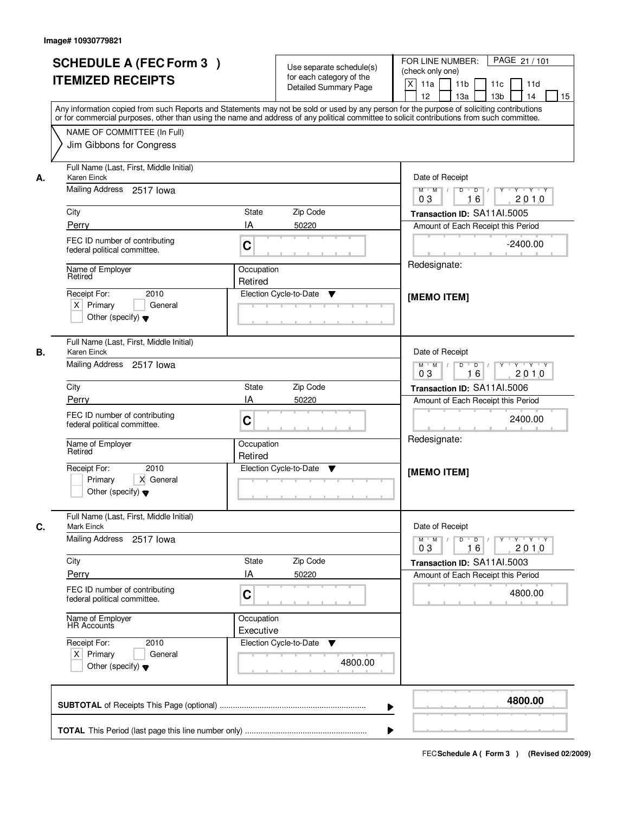|    | <b>SCHEDULE A (FEC Form 3)</b><br><b>ITEMIZED RECEIPTS</b><br>Any information copied from such Reports and Statements may not be sold or used by any person for the purpose of soliciting contributions<br>or for commercial purposes, other than using the name and address of any political committee to solicit contributions from such committee. |                          | Use separate schedule(s)<br>for each category of the<br><b>Detailed Summary Page</b> | PAGE 21 / 101<br>FOR LINE NUMBER:<br>(check only one)<br>$\mathsf{X}$<br>11 <sub>b</sub><br>11a<br>11c<br>11d<br>12<br>13 <sub>b</sub><br>14<br>13a<br>15                                                                                                                                                                                                                                                                                          |
|----|-------------------------------------------------------------------------------------------------------------------------------------------------------------------------------------------------------------------------------------------------------------------------------------------------------------------------------------------------------|--------------------------|--------------------------------------------------------------------------------------|----------------------------------------------------------------------------------------------------------------------------------------------------------------------------------------------------------------------------------------------------------------------------------------------------------------------------------------------------------------------------------------------------------------------------------------------------|
|    | NAME OF COMMITTEE (In Full)<br>Jim Gibbons for Congress                                                                                                                                                                                                                                                                                               |                          |                                                                                      |                                                                                                                                                                                                                                                                                                                                                                                                                                                    |
| А. | Full Name (Last, First, Middle Initial)<br>Karen Einck<br>Mailing Address 2517 lowa<br>City                                                                                                                                                                                                                                                           | State<br>Zip Code        |                                                                                      | Date of Receipt<br>$\overline{\mathbf{Y}}$<br>$Y$ $Y$ $Y$<br>$M$ $M$ /<br>$D$ $D$ $/$<br>0 <sub>3</sub><br>16<br>2010<br>Transaction ID: SA11AI.5005                                                                                                                                                                                                                                                                                               |
|    | Perry                                                                                                                                                                                                                                                                                                                                                 | IA<br>50220              |                                                                                      |                                                                                                                                                                                                                                                                                                                                                                                                                                                    |
|    | FEC ID number of contributing<br>federal political committee.                                                                                                                                                                                                                                                                                         | C                        |                                                                                      | Amount of Each Receipt this Period<br>$-2400.00$                                                                                                                                                                                                                                                                                                                                                                                                   |
|    | Name of Employer<br>Retired                                                                                                                                                                                                                                                                                                                           | Occupation<br>Retired    |                                                                                      | Redesignate:                                                                                                                                                                                                                                                                                                                                                                                                                                       |
|    | 2010<br>Receipt For:<br>$X$ Primary<br>General<br>Other (specify) $\blacktriangledown$                                                                                                                                                                                                                                                                | Election Cycle-to-Date   | ▼                                                                                    | [MEMO ITEM]                                                                                                                                                                                                                                                                                                                                                                                                                                        |
| В. | Full Name (Last, First, Middle Initial)<br>Karen Einck                                                                                                                                                                                                                                                                                                |                          |                                                                                      | Date of Receipt                                                                                                                                                                                                                                                                                                                                                                                                                                    |
|    | Mailing Address 2517 lowa                                                                                                                                                                                                                                                                                                                             |                          |                                                                                      | $Y \vdash Y \vdash Y$<br>$M$ $M$ /<br>D<br>$\overline{D}$ /<br>$Y$ <sup>U</sup><br>16<br>03<br>2010                                                                                                                                                                                                                                                                                                                                                |
|    | City                                                                                                                                                                                                                                                                                                                                                  | Zip Code<br><b>State</b> |                                                                                      | Transaction ID: SA11AI.5006                                                                                                                                                                                                                                                                                                                                                                                                                        |
|    | Perry                                                                                                                                                                                                                                                                                                                                                 | IA<br>50220              |                                                                                      | Amount of Each Receipt this Period                                                                                                                                                                                                                                                                                                                                                                                                                 |
|    | FEC ID number of contributing<br>federal political committee.                                                                                                                                                                                                                                                                                         | C                        |                                                                                      | 2400.00<br>Redesignate:                                                                                                                                                                                                                                                                                                                                                                                                                            |
|    | Name of Employer<br>Retired                                                                                                                                                                                                                                                                                                                           | Occupation<br>Retired    |                                                                                      |                                                                                                                                                                                                                                                                                                                                                                                                                                                    |
|    | Receipt For:<br>2010<br>Primary<br>X General<br>Other (specify) $\blacktriangledown$                                                                                                                                                                                                                                                                  | Election Cycle-to-Date   | ▼                                                                                    | [MEMO ITEM]                                                                                                                                                                                                                                                                                                                                                                                                                                        |
| C. | Full Name (Last, First, Middle Initial)<br>Mark Einck                                                                                                                                                                                                                                                                                                 |                          |                                                                                      | Date of Receipt                                                                                                                                                                                                                                                                                                                                                                                                                                    |
|    | Mailing Address 2517 lowa                                                                                                                                                                                                                                                                                                                             |                          |                                                                                      | $\begin{array}{c c c c c c c c} \hline \textbf{0} & \textbf{0} & \textbf{0} & \textbf{0} & \textbf{0} & \textbf{0} & \textbf{0} & \textbf{0} & \textbf{0} & \textbf{0} & \textbf{0} & \textbf{0} & \textbf{0} & \textbf{0} & \textbf{0} & \textbf{0} & \textbf{0} & \textbf{0} & \textbf{0} & \textbf{0} & \textbf{0} & \textbf{0} & \textbf{0} & \textbf{0} & \textbf{0} & \textbf{0} & \textbf{0} & \textbf{0} &$<br>$M = M$<br>2010<br>03<br>16 |
|    | City                                                                                                                                                                                                                                                                                                                                                  | <b>State</b><br>Zip Code |                                                                                      | Transaction ID: SA11Al.5003                                                                                                                                                                                                                                                                                                                                                                                                                        |
|    | Perry<br>FEC ID number of contributing<br>federal political committee.                                                                                                                                                                                                                                                                                | IA<br>50220<br>C         |                                                                                      | Amount of Each Receipt this Period<br>4800.00                                                                                                                                                                                                                                                                                                                                                                                                      |
|    | Name of Employer<br>HR Accounts                                                                                                                                                                                                                                                                                                                       | Occupation<br>Executive  |                                                                                      |                                                                                                                                                                                                                                                                                                                                                                                                                                                    |
|    | Receipt For:<br>2010<br>$X$ Primary<br>General<br>Other (specify) $\blacktriangledown$                                                                                                                                                                                                                                                                | Election Cycle-to-Date   | v<br>4800.00                                                                         |                                                                                                                                                                                                                                                                                                                                                                                                                                                    |
|    |                                                                                                                                                                                                                                                                                                                                                       |                          | ▶                                                                                    | 4800.00                                                                                                                                                                                                                                                                                                                                                                                                                                            |
|    |                                                                                                                                                                                                                                                                                                                                                       |                          |                                                                                      |                                                                                                                                                                                                                                                                                                                                                                                                                                                    |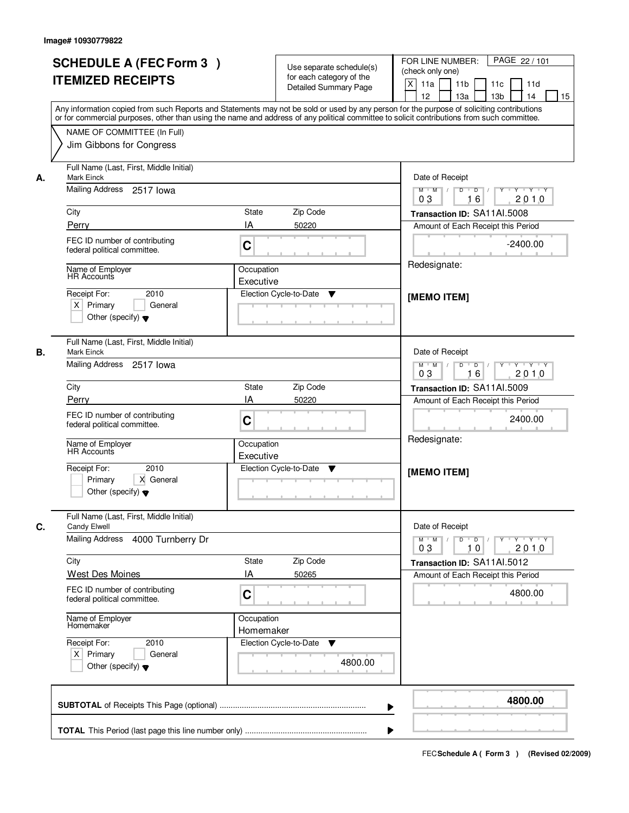|    | <b>SCHEDULE A (FEC Form 3)</b><br><b>ITEMIZED RECEIPTS</b><br>Any information copied from such Reports and Statements may not be sold or used by any person for the purpose of soliciting contributions<br>or for commercial purposes, other than using the name and address of any political committee to solicit contributions from such committee. |                         | Use separate schedule(s)<br>for each category of the<br><b>Detailed Summary Page</b> | PAGE 22 / 101<br>FOR LINE NUMBER:<br>(check only one)<br>$\mathsf{X}$<br>11 <sub>b</sub><br>11a<br>11c<br>11d<br>13 <sub>b</sub><br>12<br>13a<br>14<br>15                                                                                                                                                                                                                                                                                                               |
|----|-------------------------------------------------------------------------------------------------------------------------------------------------------------------------------------------------------------------------------------------------------------------------------------------------------------------------------------------------------|-------------------------|--------------------------------------------------------------------------------------|-------------------------------------------------------------------------------------------------------------------------------------------------------------------------------------------------------------------------------------------------------------------------------------------------------------------------------------------------------------------------------------------------------------------------------------------------------------------------|
|    | NAME OF COMMITTEE (In Full)<br>Jim Gibbons for Congress                                                                                                                                                                                                                                                                                               |                         |                                                                                      |                                                                                                                                                                                                                                                                                                                                                                                                                                                                         |
| А. | Full Name (Last, First, Middle Initial)<br><b>Mark Einck</b><br>Mailing Address 2517 lowa                                                                                                                                                                                                                                                             |                         |                                                                                      | Date of Receipt<br>$\begin{array}{c c c c c c c c} \hline \textbf{0} & \textbf{0} & \textbf{0} & \textbf{0} & \textbf{0} & \textbf{0} & \textbf{0} & \textbf{0} & \textbf{0} & \textbf{0} & \textbf{0} & \textbf{0} & \textbf{0} & \textbf{0} & \textbf{0} & \textbf{0} & \textbf{0} & \textbf{0} & \textbf{0} & \textbf{0} & \textbf{0} & \textbf{0} & \textbf{0} & \textbf{0} & \textbf{0} & \textbf{0} & \textbf{0} & \textbf{0} &$<br>$M$ $M$ /<br>03<br>2010<br>16 |
|    | City                                                                                                                                                                                                                                                                                                                                                  | State                   | Zip Code                                                                             | Transaction ID: SA11AI.5008                                                                                                                                                                                                                                                                                                                                                                                                                                             |
|    | Perry                                                                                                                                                                                                                                                                                                                                                 | IA                      | 50220                                                                                | Amount of Each Receipt this Period                                                                                                                                                                                                                                                                                                                                                                                                                                      |
|    | FEC ID number of contributing<br>federal political committee.                                                                                                                                                                                                                                                                                         | C                       |                                                                                      | $-2400.00$                                                                                                                                                                                                                                                                                                                                                                                                                                                              |
|    | Name of Employer<br><b>HR Accounts</b>                                                                                                                                                                                                                                                                                                                | Occupation              |                                                                                      | Redesignate:                                                                                                                                                                                                                                                                                                                                                                                                                                                            |
|    | 2010<br>Receipt For:<br>$X$ Primary<br>General<br>Other (specify) $\blacktriangledown$                                                                                                                                                                                                                                                                | Executive               | Election Cycle-to-Date<br>▼                                                          | [MEMO ITEM]                                                                                                                                                                                                                                                                                                                                                                                                                                                             |
| В. | Full Name (Last, First, Middle Initial)<br>Mark Einck                                                                                                                                                                                                                                                                                                 |                         |                                                                                      | Date of Receipt                                                                                                                                                                                                                                                                                                                                                                                                                                                         |
|    | Mailing Address 2517 lowa                                                                                                                                                                                                                                                                                                                             |                         |                                                                                      | $Y - Y - Y - Y$<br>$M$ $M$ /<br>D<br>$\Box$ D $\Box$ /<br>16<br>2010<br>03                                                                                                                                                                                                                                                                                                                                                                                              |
|    | City                                                                                                                                                                                                                                                                                                                                                  | <b>State</b>            | Zip Code                                                                             | Transaction ID: SA11AI.5009                                                                                                                                                                                                                                                                                                                                                                                                                                             |
|    | Perry                                                                                                                                                                                                                                                                                                                                                 | IA                      | 50220                                                                                | Amount of Each Receipt this Period                                                                                                                                                                                                                                                                                                                                                                                                                                      |
|    | FEC ID number of contributing<br>federal political committee.                                                                                                                                                                                                                                                                                         | C                       |                                                                                      | 2400.00                                                                                                                                                                                                                                                                                                                                                                                                                                                                 |
|    | Name of Employer<br><b>HR</b> Accounts                                                                                                                                                                                                                                                                                                                | Occupation<br>Executive |                                                                                      | Redesignate:                                                                                                                                                                                                                                                                                                                                                                                                                                                            |
|    | Receipt For:<br>2010<br>X General<br>Primary<br>Other (specify) $\blacktriangledown$                                                                                                                                                                                                                                                                  |                         | Election Cycle-to-Date<br>V                                                          | [MEMO ITEM]                                                                                                                                                                                                                                                                                                                                                                                                                                                             |
| C. | Full Name (Last, First, Middle Initial)<br>Candy Elwell                                                                                                                                                                                                                                                                                               |                         |                                                                                      | Date of Receipt                                                                                                                                                                                                                                                                                                                                                                                                                                                         |
|    | <b>Mailing Address</b><br>4000 Turnberry Dr                                                                                                                                                                                                                                                                                                           |                         |                                                                                      | $M = M$<br>$\mathsf D$<br>$\blacksquare$ $\blacksquare$ $\blacksquare$ $\blacksquare$ $\blacksquare$<br>$\begin{array}{c c c c c c} \hline & \mathsf{Y} & \mathsf{I} & \mathsf{Y} & \mathsf{I} & \mathsf{Y} \end{array} \begin{array}{c c c c} \hline \mathsf{Y} & \mathsf{I} & \mathsf{Y} & \mathsf{I} & \mathsf{Y} \end{array}$<br>03<br>10<br>2010                                                                                                                   |
|    | City                                                                                                                                                                                                                                                                                                                                                  | <b>State</b>            | Zip Code                                                                             | Transaction ID: SA11AI.5012                                                                                                                                                                                                                                                                                                                                                                                                                                             |
|    | <b>West Des Moines</b>                                                                                                                                                                                                                                                                                                                                | ΙA                      | 50265                                                                                | Amount of Each Receipt this Period                                                                                                                                                                                                                                                                                                                                                                                                                                      |
|    | FEC ID number of contributing<br>federal political committee.                                                                                                                                                                                                                                                                                         | C                       |                                                                                      | 4800.00                                                                                                                                                                                                                                                                                                                                                                                                                                                                 |
|    | Name of Employer<br>Homemaker                                                                                                                                                                                                                                                                                                                         | Occupation<br>Homemaker |                                                                                      |                                                                                                                                                                                                                                                                                                                                                                                                                                                                         |
|    | Receipt For:<br>2010<br>$X$ Primary<br>General<br>Other (specify) $\blacktriangledown$                                                                                                                                                                                                                                                                |                         | Election Cycle-to-Date<br>v<br>4800.00                                               |                                                                                                                                                                                                                                                                                                                                                                                                                                                                         |
|    |                                                                                                                                                                                                                                                                                                                                                       |                         | ▶                                                                                    | 4800.00                                                                                                                                                                                                                                                                                                                                                                                                                                                                 |
|    |                                                                                                                                                                                                                                                                                                                                                       |                         |                                                                                      |                                                                                                                                                                                                                                                                                                                                                                                                                                                                         |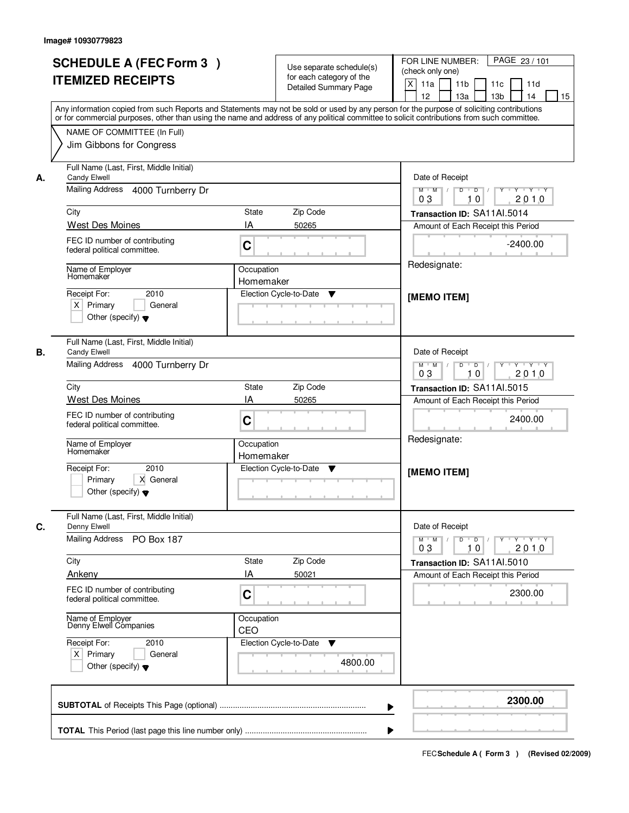|    | <b>SCHEDULE A (FEC Form 3)</b><br><b>ITEMIZED RECEIPTS</b><br>Any information copied from such Reports and Statements may not be sold or used by any person for the purpose of soliciting contributions<br>or for commercial purposes, other than using the name and address of any political committee to solicit contributions from such committee. |                                             | Use separate schedule(s)<br>for each category of the<br><b>Detailed Summary Page</b> | PAGE 23 / 101<br>FOR LINE NUMBER:<br>(check only one)<br>$\mathsf{X}$<br>11 <sub>b</sub><br>11a<br>11c<br>11d<br>13 <sub>b</sub><br>12<br>13a<br>14<br>15                                                                                                                                                                                                                                                                                                                                                                                                                  |
|----|-------------------------------------------------------------------------------------------------------------------------------------------------------------------------------------------------------------------------------------------------------------------------------------------------------------------------------------------------------|---------------------------------------------|--------------------------------------------------------------------------------------|----------------------------------------------------------------------------------------------------------------------------------------------------------------------------------------------------------------------------------------------------------------------------------------------------------------------------------------------------------------------------------------------------------------------------------------------------------------------------------------------------------------------------------------------------------------------------|
|    | NAME OF COMMITTEE (In Full)<br>Jim Gibbons for Congress                                                                                                                                                                                                                                                                                               |                                             |                                                                                      |                                                                                                                                                                                                                                                                                                                                                                                                                                                                                                                                                                            |
| А. | Full Name (Last, First, Middle Initial)<br><b>Candy Elwell</b><br>Mailing Address 4000 Turnberry Dr<br>City<br>West Des Moines<br>FEC ID number of contributing<br>federal political committee.<br>Name of Employer<br>Homemaker                                                                                                                      | State<br>IA<br>C<br>Occupation<br>Homemaker | Zip Code<br>50265                                                                    | Date of Receipt<br>$\begin{array}{c c c c c c c c} \hline \textbf{0} & \textbf{0} & \textbf{0} & \textbf{0} & \textbf{0} & \textbf{0} & \textbf{0} & \textbf{0} & \textbf{0} & \textbf{0} & \textbf{0} & \textbf{0} & \textbf{0} & \textbf{0} & \textbf{0} & \textbf{0} & \textbf{0} & \textbf{0} & \textbf{0} & \textbf{0} & \textbf{0} & \textbf{0} & \textbf{0} & \textbf{0} & \textbf{0} & \textbf{0} & \textbf{0} & \textbf{0} &$<br>$M$ $M$ /<br>03<br>2010<br>10<br>Transaction ID: SA11AI.5014<br>Amount of Each Receipt this Period<br>$-2400.00$<br>Redesignate: |
|    | 2010<br>Receipt For:<br>$X$ Primary<br>General<br>Other (specify) $\blacktriangledown$                                                                                                                                                                                                                                                                |                                             | Election Cycle-to-Date<br>▼                                                          | [MEMO ITEM]                                                                                                                                                                                                                                                                                                                                                                                                                                                                                                                                                                |
| В. | Full Name (Last, First, Middle Initial)<br>Candy Elwell<br>Mailing Address 4000 Turnberry Dr<br>City                                                                                                                                                                                                                                                  | <b>State</b>                                | Zip Code                                                                             | Date of Receipt<br>$Y - Y - Y - Y$<br>$M$ $M$ /<br>D<br>$\overline{\phantom{0}}$<br>2010<br>03<br>10<br>Transaction ID: SA11AI.5015                                                                                                                                                                                                                                                                                                                                                                                                                                        |
|    | West Des Moines<br>FEC ID number of contributing<br>federal political committee.<br>Name of Employer<br>Homemaker                                                                                                                                                                                                                                     | IA<br>C<br>Occupation                       | 50265                                                                                | Amount of Each Receipt this Period<br>2400.00<br>Redesignate:                                                                                                                                                                                                                                                                                                                                                                                                                                                                                                              |
|    | Receipt For:<br>2010<br>X General<br>Primary<br>Other (specify) $\blacktriangledown$                                                                                                                                                                                                                                                                  | Homemaker                                   | Election Cycle-to-Date<br>▼                                                          | [MEMO ITEM]                                                                                                                                                                                                                                                                                                                                                                                                                                                                                                                                                                |
| C. | Full Name (Last, First, Middle Initial)<br>Denny Elwell<br>Mailing Address<br>PO Box 187                                                                                                                                                                                                                                                              |                                             |                                                                                      | Date of Receipt<br>$D$ $D$ $I$<br>$\begin{array}{c c c c c c} \hline & \mathsf{Y} & \mathsf{I} & \mathsf{Y} & \mathsf{I} & \mathsf{Y} \end{array} \begin{array}{c c c c} \hline \mathsf{Y} & \mathsf{I} & \mathsf{Y} & \mathsf{I} & \mathsf{Y} \end{array}$<br>$M$ $M$ /<br>03<br>10<br>2010                                                                                                                                                                                                                                                                               |
|    | City<br>Ankeny<br>FEC ID number of contributing<br>federal political committee.                                                                                                                                                                                                                                                                       | <b>State</b><br>ΙA<br>C                     | Zip Code<br>50021                                                                    | Transaction ID: SA11AI.5010<br>Amount of Each Receipt this Period<br>2300.00                                                                                                                                                                                                                                                                                                                                                                                                                                                                                               |
|    | Name of Employer<br>Denny Elwell Companies                                                                                                                                                                                                                                                                                                            | Occupation<br>CEO                           |                                                                                      |                                                                                                                                                                                                                                                                                                                                                                                                                                                                                                                                                                            |
|    | Receipt For:<br>2010<br>$X$ Primary<br>General<br>Other (specify) $\blacktriangledown$                                                                                                                                                                                                                                                                |                                             | Election Cycle-to-Date<br>v<br>4800.00                                               |                                                                                                                                                                                                                                                                                                                                                                                                                                                                                                                                                                            |
|    |                                                                                                                                                                                                                                                                                                                                                       |                                             | ▶                                                                                    | 2300.00                                                                                                                                                                                                                                                                                                                                                                                                                                                                                                                                                                    |
|    |                                                                                                                                                                                                                                                                                                                                                       |                                             |                                                                                      |                                                                                                                                                                                                                                                                                                                                                                                                                                                                                                                                                                            |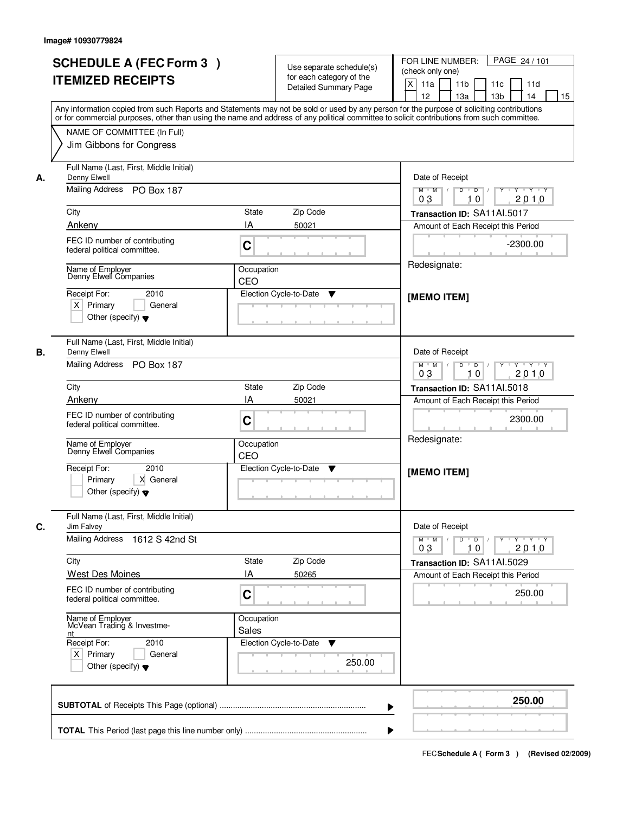| <b>SCHEDULE A (FEC Form 3)</b><br><b>ITEMIZED RECEIPTS</b>                                                                                                                                                                                                                                                                                                   | Use separate schedule(s)<br>for each category of the<br><b>Detailed Summary Page</b>                                                                                                                                                                                                    | PAGE 24 / 101<br>FOR LINE NUMBER:<br>(check only one)<br>$\mathsf{X}$<br>11 <sub>b</sub><br>11a<br>11c<br>11d<br>13 <sub>b</sub><br>12<br>13a<br>14<br>15                                                                                                                                                                                                                                                                                                                                                                                                                                 |
|--------------------------------------------------------------------------------------------------------------------------------------------------------------------------------------------------------------------------------------------------------------------------------------------------------------------------------------------------------------|-----------------------------------------------------------------------------------------------------------------------------------------------------------------------------------------------------------------------------------------------------------------------------------------|-------------------------------------------------------------------------------------------------------------------------------------------------------------------------------------------------------------------------------------------------------------------------------------------------------------------------------------------------------------------------------------------------------------------------------------------------------------------------------------------------------------------------------------------------------------------------------------------|
| NAME OF COMMITTEE (In Full)<br>Jim Gibbons for Congress                                                                                                                                                                                                                                                                                                      | Any information copied from such Reports and Statements may not be sold or used by any person for the purpose of soliciting contributions<br>or for commercial purposes, other than using the name and address of any political committee to solicit contributions from such committee. |                                                                                                                                                                                                                                                                                                                                                                                                                                                                                                                                                                                           |
| Full Name (Last, First, Middle Initial)<br>Denny Elwell<br>А.<br>Mailing Address PO Box 187<br>City<br>Ankeny<br>FEC ID number of contributing<br>federal political committee.<br>Name of Employer<br>Denny Elwell Companies<br>Receipt For:<br>2010<br>$X$ Primary<br>General<br>Other (specify) $\blacktriangledown$                                       | State<br>Zip Code<br>IA<br>50021<br>C<br>Occupation<br>CEO<br>Election Cycle-to-Date<br>▼                                                                                                                                                                                               | Date of Receipt<br>$\begin{array}{c c c c c c c c} \hline \textbf{0} & \textbf{0} & \textbf{0} & \textbf{0} & \textbf{0} & \textbf{0} & \textbf{0} & \textbf{0} & \textbf{0} & \textbf{0} & \textbf{0} & \textbf{0} & \textbf{0} & \textbf{0} & \textbf{0} & \textbf{0} & \textbf{0} & \textbf{0} & \textbf{0} & \textbf{0} & \textbf{0} & \textbf{0} & \textbf{0} & \textbf{0} & \textbf{0} & \textbf{0} & \textbf{0} & \textbf{0} &$<br>$M$ $M$ /<br>03<br>2010<br>10<br>Transaction ID: SA11AI.5017<br>Amount of Each Receipt this Period<br>$-2300.00$<br>Redesignate:<br>[MEMO ITEM] |
| Full Name (Last, First, Middle Initial)<br>Denny Elwell<br>В.<br>Mailing Address PO Box 187<br>City<br>Ankeny<br>FEC ID number of contributing<br>federal political committee.<br>Name of Employer<br>Denny Elwell Companies<br>Receipt For:<br>2010<br>X General<br>Primary<br>Other (specify) $\blacktriangledown$                                         | Zip Code<br><b>State</b><br>IA<br>50021<br>C<br>Occupation<br>CEO<br>Election Cycle-to-Date<br>V                                                                                                                                                                                        | Date of Receipt<br>$Y - Y - Y - Y$<br>$M$ $M$ /<br>D<br>$\overline{\phantom{0}}$<br>2010<br>03<br>10<br>Transaction ID: SA11AI.5018<br>Amount of Each Receipt this Period<br>2300.00<br>Redesignate:<br>[MEMO ITEM]                                                                                                                                                                                                                                                                                                                                                                       |
| Full Name (Last, First, Middle Initial)<br>C.<br>Jim Falvey<br><b>Mailing Address</b><br>1612 S 42nd St<br>City<br><b>West Des Moines</b><br>FEC ID number of contributing<br>federal political committee.<br>Name of Employer<br>McVean Trading & Investme-<br>nt<br>Receipt For:<br>2010<br>$X$ Primary<br>General<br>Other (specify) $\blacktriangledown$ | Zip Code<br><b>State</b><br>ΙA<br>50265<br>C<br>Occupation<br>Sales<br>Election Cycle-to-Date<br>v<br>250.00                                                                                                                                                                            | Date of Receipt<br>$D$ $D$ $I$<br>$\mathbf{Y}$ $\mathbf{Y}$ $\mathbf{Y}$ $\mathbf{Y}$ $\mathbf{Y}$ $\mathbf{Y}$<br>$M$ $M$ /<br>03<br>10<br>2010<br>Transaction ID: SA11AI.5029<br>Amount of Each Receipt this Period<br>250.00                                                                                                                                                                                                                                                                                                                                                           |
|                                                                                                                                                                                                                                                                                                                                                              | ▶                                                                                                                                                                                                                                                                                       | 250.00                                                                                                                                                                                                                                                                                                                                                                                                                                                                                                                                                                                    |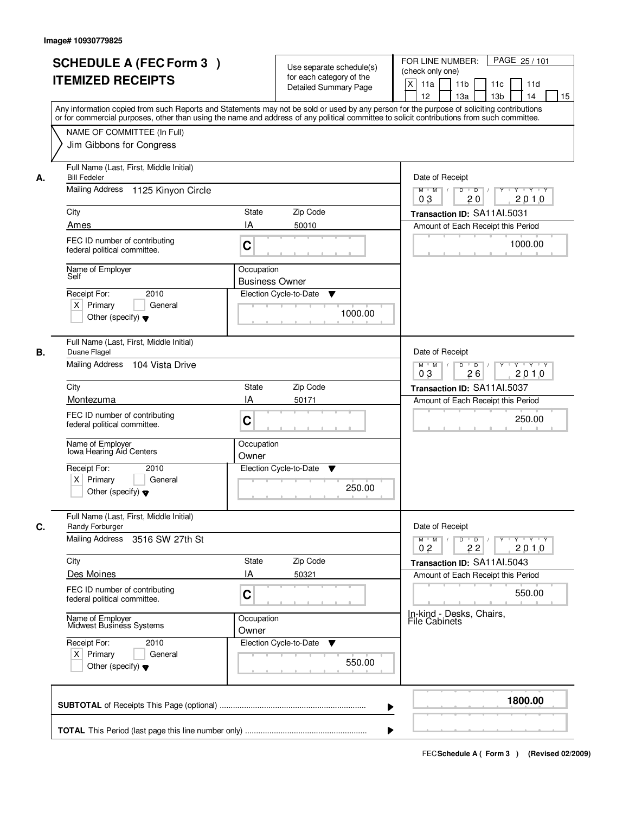|    | <b>SCHEDULE A (FEC Form 3)</b><br><b>ITEMIZED RECEIPTS</b>                                           | Use separate schedule(s)<br>for each category of the<br><b>Detailed Summary Page</b><br>Any information copied from such Reports and Statements may not be sold or used by any person for the purpose of soliciting contributions<br>or for commercial purposes, other than using the name and address of any political committee to solicit contributions from such committee. | PAGE 25/101<br>FOR LINE NUMBER:<br>(check only one)<br>X<br>11 <sub>b</sub><br>11a<br>11 <sub>c</sub><br>11d<br>12<br>13 <sub>b</sub><br>14<br>13a<br>15 |
|----|------------------------------------------------------------------------------------------------------|---------------------------------------------------------------------------------------------------------------------------------------------------------------------------------------------------------------------------------------------------------------------------------------------------------------------------------------------------------------------------------|----------------------------------------------------------------------------------------------------------------------------------------------------------|
|    | NAME OF COMMITTEE (In Full)<br>Jim Gibbons for Congress                                              |                                                                                                                                                                                                                                                                                                                                                                                 |                                                                                                                                                          |
| А. | Full Name (Last, First, Middle Initial)<br><b>Bill Fedeler</b><br>Mailing Address 1125 Kinyon Circle |                                                                                                                                                                                                                                                                                                                                                                                 | Date of Receipt<br>$D$ $D$ $I$<br>$Y$ <sup>U</sup><br>$Y - Y - Y - Y$<br>$M$ $M$ /                                                                       |
|    |                                                                                                      | 0 <sub>3</sub><br>20<br>2010                                                                                                                                                                                                                                                                                                                                                    |                                                                                                                                                          |
|    | City                                                                                                 | <b>State</b><br>Zip Code                                                                                                                                                                                                                                                                                                                                                        | Transaction ID: SA11AI.5031                                                                                                                              |
|    | Ames                                                                                                 | IA<br>50010                                                                                                                                                                                                                                                                                                                                                                     | Amount of Each Receipt this Period                                                                                                                       |
|    | FEC ID number of contributing<br>federal political committee.                                        | C                                                                                                                                                                                                                                                                                                                                                                               | 1000.00                                                                                                                                                  |
|    | Name of Employer<br>Self                                                                             | Occupation<br><b>Business Owner</b>                                                                                                                                                                                                                                                                                                                                             |                                                                                                                                                          |
|    | 2010<br>Receipt For:<br>$X$ Primary<br>General<br>Other (specify) $\blacktriangledown$               | Election Cycle-to-Date<br>▼<br>1000.00                                                                                                                                                                                                                                                                                                                                          |                                                                                                                                                          |
| В. | Full Name (Last, First, Middle Initial)<br>Duane Flagel                                              |                                                                                                                                                                                                                                                                                                                                                                                 | Date of Receipt                                                                                                                                          |
|    | Mailing Address<br>104 Vista Drive                                                                   |                                                                                                                                                                                                                                                                                                                                                                                 | $M$ $M$ /<br>D<br>$\overline{D}$ /<br>Y<br>$Y + Y + Y$<br>2010<br>03<br>26                                                                               |
|    | City                                                                                                 | Zip Code<br>State                                                                                                                                                                                                                                                                                                                                                               | Transaction ID: SA11AI.5037                                                                                                                              |
|    | Montezuma                                                                                            | IA<br>50171                                                                                                                                                                                                                                                                                                                                                                     | Amount of Each Receipt this Period                                                                                                                       |
|    | FEC ID number of contributing<br>federal political committee.                                        | C                                                                                                                                                                                                                                                                                                                                                                               | 250.00                                                                                                                                                   |
|    | Name of Employer<br>Iowa Hearing Aid Centers                                                         | Occupation<br>Owner                                                                                                                                                                                                                                                                                                                                                             |                                                                                                                                                          |
|    | Receipt For:<br>2010                                                                                 | Election Cycle-to-Date<br>v                                                                                                                                                                                                                                                                                                                                                     |                                                                                                                                                          |
|    | $X$ Primary<br>General<br>Other (specify) $\blacktriangledown$                                       | 250.00                                                                                                                                                                                                                                                                                                                                                                          |                                                                                                                                                          |
| C. | Full Name (Last, First, Middle Initial)<br>Randy Forburger                                           |                                                                                                                                                                                                                                                                                                                                                                                 | Date of Receipt                                                                                                                                          |
|    | Mailing Address 3516 SW 27th St                                                                      |                                                                                                                                                                                                                                                                                                                                                                                 | $M$ $M$<br>$D$ $D$ $/$<br>y y y y y y<br>2010<br>0 <sub>2</sub><br>22                                                                                    |
|    | City                                                                                                 | Zip Code<br>State                                                                                                                                                                                                                                                                                                                                                               | Transaction ID: SA11AI.5043                                                                                                                              |
|    | Des Moines                                                                                           | IA<br>50321                                                                                                                                                                                                                                                                                                                                                                     | Amount of Each Receipt this Period                                                                                                                       |
|    | FEC ID number of contributing<br>federal political committee.                                        | C                                                                                                                                                                                                                                                                                                                                                                               | 550.00                                                                                                                                                   |
|    | Name of Employer<br>Midwest Business Systems                                                         | Occupation<br>Owner                                                                                                                                                                                                                                                                                                                                                             | In-kind - Desks, Chairs,<br><b>File Cabinets</b>                                                                                                         |
|    | Receipt For:<br>2010                                                                                 | Election Cycle-to-Date ▼                                                                                                                                                                                                                                                                                                                                                        |                                                                                                                                                          |
|    | $X$ Primary<br>General<br>Other (specify) $\blacktriangledown$                                       | 550.00                                                                                                                                                                                                                                                                                                                                                                          |                                                                                                                                                          |
|    |                                                                                                      |                                                                                                                                                                                                                                                                                                                                                                                 | 1800.00                                                                                                                                                  |
|    |                                                                                                      |                                                                                                                                                                                                                                                                                                                                                                                 |                                                                                                                                                          |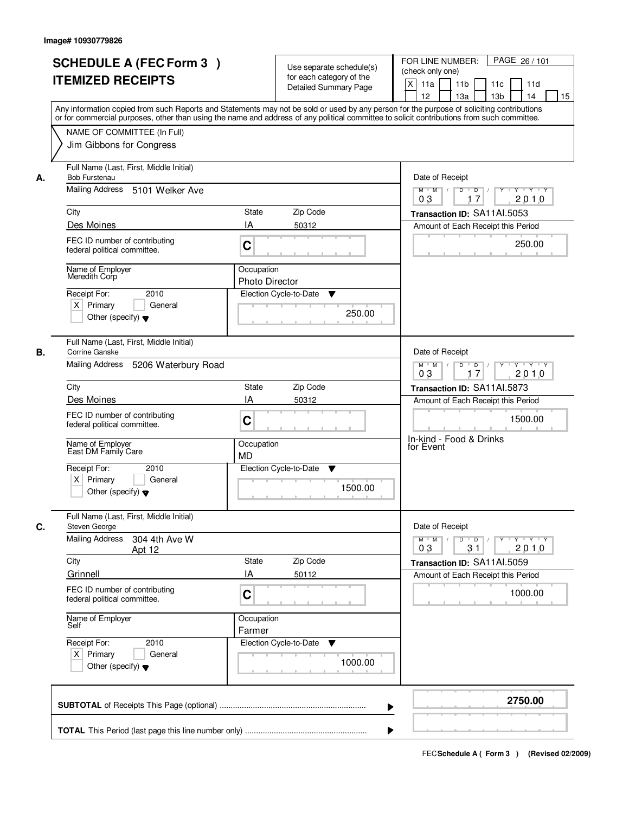|    | <b>SCHEDULE A (FEC Form 3)</b><br><b>ITEMIZED RECEIPTS</b><br>Any information copied from such Reports and Statements may not be sold or used by any person for the purpose of soliciting contributions |                                     | Use separate schedule(s)<br>for each category of the<br><b>Detailed Summary Page</b> | PAGE 26 / 101<br>FOR LINE NUMBER:<br>(check only one)<br>$\times$<br>11 <sub>b</sub><br>11a<br>11 <sub>c</sub><br>11d<br>13 <sub>b</sub><br>12<br>13a<br>14<br>15 |
|----|---------------------------------------------------------------------------------------------------------------------------------------------------------------------------------------------------------|-------------------------------------|--------------------------------------------------------------------------------------|-------------------------------------------------------------------------------------------------------------------------------------------------------------------|
|    | or for commercial purposes, other than using the name and address of any political committee to solicit contributions from such committee.<br>NAME OF COMMITTEE (In Full)<br>Jim Gibbons for Congress   |                                     |                                                                                      |                                                                                                                                                                   |
| А. | Full Name (Last, First, Middle Initial)<br><b>Bob Furstenau</b><br>Mailing Address 5101 Welker Ave                                                                                                      |                                     |                                                                                      | Date of Receipt<br>$\boxed{ \mathsf{Y}^+ \mathsf{Y}^- \mathsf{Y}^- \mathsf{Y}^- \mathsf{Y}^- \mathsf{Y} }$<br>$M$ $M$ /<br>$D$ $D$ $l$<br>17<br>2010<br>03        |
|    | City                                                                                                                                                                                                    | <b>State</b>                        | Zip Code                                                                             | Transaction ID: SA11Al.5053                                                                                                                                       |
|    | Des Moines                                                                                                                                                                                              | IA                                  | 50312                                                                                | Amount of Each Receipt this Period                                                                                                                                |
|    | FEC ID number of contributing<br>federal political committee.                                                                                                                                           | C                                   |                                                                                      | 250.00                                                                                                                                                            |
|    | Name of Employer<br>Meredith Corp                                                                                                                                                                       | Occupation<br><b>Photo Director</b> |                                                                                      |                                                                                                                                                                   |
|    | Receipt For:<br>2010<br>$X$ Primary<br>General<br>Other (specify) $\blacktriangledown$                                                                                                                  |                                     | Election Cycle-to-Date<br>▼<br>250.00                                                |                                                                                                                                                                   |
| В. | Full Name (Last, First, Middle Initial)<br>Corrine Ganske<br>Mailing Address<br>5206 Waterbury Road                                                                                                     |                                     |                                                                                      | Date of Receipt<br>$Y - Y - Y$<br>$M$ $M$ /<br>D<br>$\Box$<br>17<br>2010<br>03                                                                                    |
|    | City                                                                                                                                                                                                    | State                               | Zip Code                                                                             | Transaction ID: SA11AI.5873                                                                                                                                       |
|    | Des Moines                                                                                                                                                                                              | IA                                  | 50312                                                                                | Amount of Each Receipt this Period                                                                                                                                |
|    | FEC ID number of contributing<br>federal political committee.                                                                                                                                           | C                                   |                                                                                      | 1500.00                                                                                                                                                           |
|    | Name of Employer<br>East DM Family Care                                                                                                                                                                 | Occupation<br><b>MD</b>             |                                                                                      | In-kind - Food & Drinks<br>for Event                                                                                                                              |
|    | Receipt For:<br>2010<br>$X$ Primary<br>General<br>Other (specify) $\blacktriangledown$                                                                                                                  |                                     | Election Cycle-to-Date<br>▼<br>1500.00                                               |                                                                                                                                                                   |
| C. | Full Name (Last, First, Middle Initial)<br>Steven George                                                                                                                                                |                                     |                                                                                      | Date of Receipt                                                                                                                                                   |
|    | Mailing Address<br>304 4th Ave W<br>Apt 12                                                                                                                                                              |                                     |                                                                                      | $M = M$<br>$D$ $D$ $I$<br>$Y + Y + Y$<br>Y<br>03<br>31<br>2010                                                                                                    |
|    | City<br>Grinnell                                                                                                                                                                                        | <b>State</b><br>١A                  | Zip Code<br>50112                                                                    | Transaction ID: SA11AI.5059                                                                                                                                       |
|    | FEC ID number of contributing<br>federal political committee.                                                                                                                                           | $\mathbf C$                         |                                                                                      | Amount of Each Receipt this Period<br>1000.00                                                                                                                     |
|    | Name of Employer<br>Self                                                                                                                                                                                | Occupation<br>Farmer                |                                                                                      |                                                                                                                                                                   |
|    | Receipt For:<br>2010<br>$X$ Primary<br>General<br>Other (specify) $\blacktriangledown$                                                                                                                  |                                     | Election Cycle-to-Date<br>v<br>1000.00                                               |                                                                                                                                                                   |
|    |                                                                                                                                                                                                         |                                     |                                                                                      | 2750.00                                                                                                                                                           |
|    |                                                                                                                                                                                                         |                                     |                                                                                      |                                                                                                                                                                   |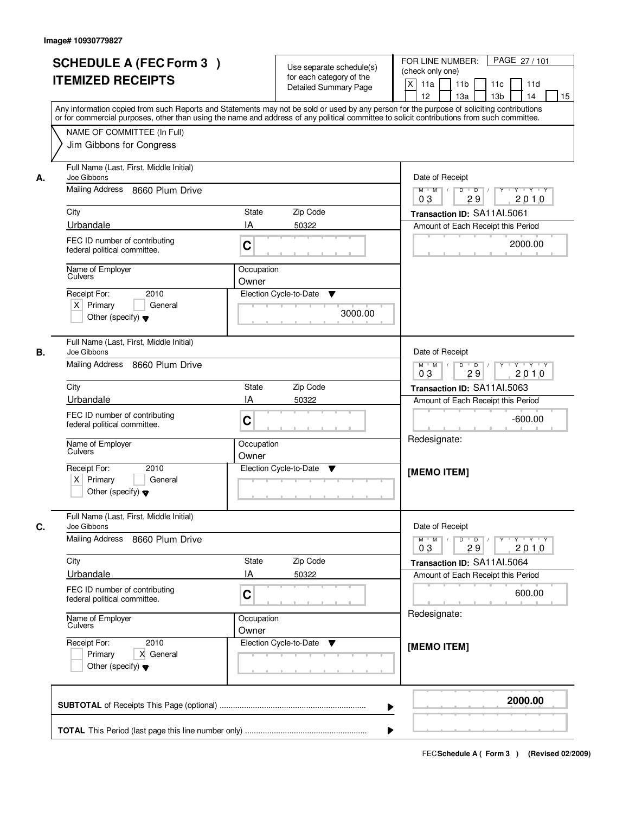|                             | <b>SCHEDULE A (FEC Form 3)</b><br><b>ITEMIZED RECEIPTS</b>           |                                                                                           | Use separate schedule(s)<br>for each category of the<br><b>Detailed Summary Page</b> | PAGE 27 / 101<br>FOR LINE NUMBER:<br>(check only one)<br>X<br>11a<br>11 <sub>b</sub><br>11c<br>11d                                                                                                                                                                                                                                  |
|-----------------------------|----------------------------------------------------------------------|-------------------------------------------------------------------------------------------|--------------------------------------------------------------------------------------|-------------------------------------------------------------------------------------------------------------------------------------------------------------------------------------------------------------------------------------------------------------------------------------------------------------------------------------|
|                             |                                                                      |                                                                                           |                                                                                      | 12<br>13a<br>13 <sub>b</sub><br>14<br>15<br>Any information copied from such Reports and Statements may not be sold or used by any person for the purpose of soliciting contributions<br>or for commercial purposes, other than using the name and address of any political committee to solicit contributions from such committee. |
|                             | NAME OF COMMITTEE (In Full)<br>Jim Gibbons for Congress              |                                                                                           |                                                                                      |                                                                                                                                                                                                                                                                                                                                     |
| Joe Gibbons<br>А.           | Full Name (Last, First, Middle Initial)                              |                                                                                           |                                                                                      | Date of Receipt                                                                                                                                                                                                                                                                                                                     |
|                             | Mailing Address 8660 Plum Drive                                      | $Y$ $Y$ $Y$<br>$D$ $D$ $/$<br>$\overline{Y}$<br>$M$ $M$ /<br>0 <sub>3</sub><br>29<br>2010 |                                                                                      |                                                                                                                                                                                                                                                                                                                                     |
| City                        |                                                                      | State                                                                                     | Zip Code                                                                             | Transaction ID: SA11AI.5061                                                                                                                                                                                                                                                                                                         |
| Urbandale                   |                                                                      | IA                                                                                        | 50322                                                                                | Amount of Each Receipt this Period                                                                                                                                                                                                                                                                                                  |
|                             | FEC ID number of contributing<br>federal political committee.        | C                                                                                         |                                                                                      | 2000.00                                                                                                                                                                                                                                                                                                                             |
| Culvers                     | Name of Employer                                                     | Occupation<br>Owner                                                                       |                                                                                      |                                                                                                                                                                                                                                                                                                                                     |
| Receipt For:                | 2010                                                                 |                                                                                           | Election Cycle-to-Date<br>▼                                                          |                                                                                                                                                                                                                                                                                                                                     |
| $X$ Primary                 | General<br>Other (specify) $\blacktriangledown$                      |                                                                                           | 3000.00                                                                              |                                                                                                                                                                                                                                                                                                                                     |
| Joe Gibbons<br>В.           | Full Name (Last, First, Middle Initial)                              |                                                                                           |                                                                                      | Date of Receipt                                                                                                                                                                                                                                                                                                                     |
|                             | Mailing Address 8660 Plum Drive                                      |                                                                                           |                                                                                      | $Y - Y - Y$<br>$M$ M<br>D<br>$\overline{\phantom{0}}$ D<br>Y<br>2010<br>03<br>29                                                                                                                                                                                                                                                    |
| City                        |                                                                      | State                                                                                     | Zip Code                                                                             | Transaction ID: SA11AI.5063                                                                                                                                                                                                                                                                                                         |
| Urbandale                   |                                                                      | IA                                                                                        | 50322                                                                                | Amount of Each Receipt this Period                                                                                                                                                                                                                                                                                                  |
|                             | FEC ID number of contributing<br>federal political committee.        | C                                                                                         |                                                                                      | $-600.00$                                                                                                                                                                                                                                                                                                                           |
| Culvers                     | Name of Employer                                                     | Occupation<br>Owner                                                                       |                                                                                      | Redesignate:                                                                                                                                                                                                                                                                                                                        |
| Receipt For:<br>$X$ Primary | 2010<br>General<br>Other (specify) $\blacktriangledown$              |                                                                                           | Election Cycle-to-Date<br>▼                                                          | [MEMO ITEM]                                                                                                                                                                                                                                                                                                                         |
| C.<br>Joe Gibbons           | Full Name (Last, First, Middle Initial)                              |                                                                                           |                                                                                      | Date of Receipt                                                                                                                                                                                                                                                                                                                     |
|                             | Mailing Address 8660 Plum Drive                                      |                                                                                           |                                                                                      | $D$ $D$ $/$<br>$M$ $M$ /<br>$Y + Y + Y$<br>Y "<br>2010<br>03<br>29                                                                                                                                                                                                                                                                  |
| City                        |                                                                      | State                                                                                     | Zip Code                                                                             | Transaction ID: SA11AI.5064                                                                                                                                                                                                                                                                                                         |
| Urbandale                   |                                                                      | ΙA                                                                                        | 50322                                                                                | Amount of Each Receipt this Period                                                                                                                                                                                                                                                                                                  |
|                             | FEC ID number of contributing<br>federal political committee.        | C                                                                                         |                                                                                      | 600.00<br><b>Contract Contract</b>                                                                                                                                                                                                                                                                                                  |
|                             | Name of Employer<br>Culvers                                          | Occupation<br>Owner                                                                       |                                                                                      | Redesignate:                                                                                                                                                                                                                                                                                                                        |
| Receipt For:                | 2010<br>Primary<br>X General<br>Other (specify) $\blacktriangledown$ |                                                                                           | Election Cycle-to-Date<br>v                                                          | [MEMO ITEM]                                                                                                                                                                                                                                                                                                                         |
|                             |                                                                      |                                                                                           |                                                                                      | 2000.00<br>▶                                                                                                                                                                                                                                                                                                                        |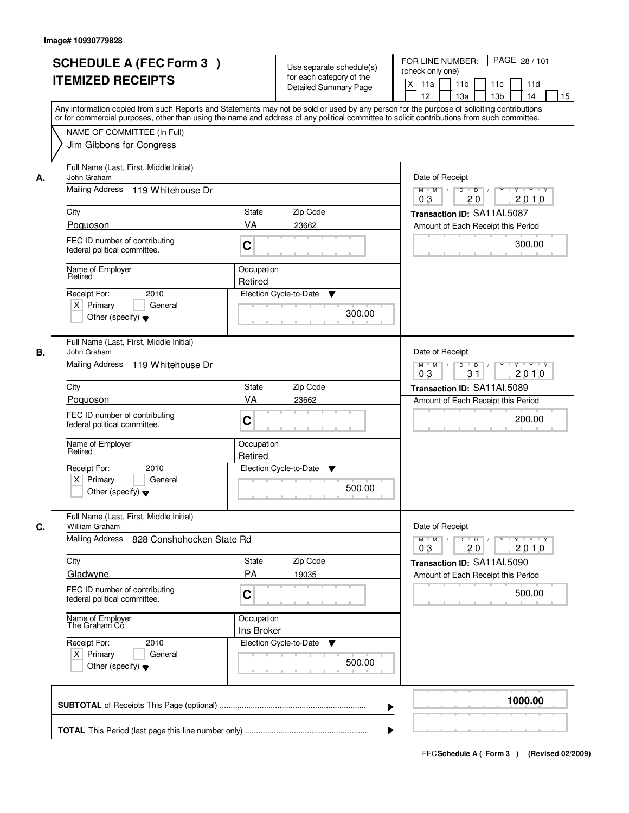|    | <b>SCHEDULE A (FEC Form 3)</b><br><b>ITEMIZED RECEIPTS</b><br>Any information copied from such Reports and Statements may not be sold or used by any person for the purpose of soliciting contributions<br>or for commercial purposes, other than using the name and address of any political committee to solicit contributions from such committee. |                          | Use separate schedule(s)<br>for each category of the<br><b>Detailed Summary Page</b> | PAGE 28 / 101<br>FOR LINE NUMBER:<br>(check only one)<br>$\boldsymbol{\mathsf{X}}$<br>11a<br>11 <sub>b</sub><br>11c<br>11d<br>12<br>13a<br>13 <sub>b</sub><br>14<br>15 |
|----|-------------------------------------------------------------------------------------------------------------------------------------------------------------------------------------------------------------------------------------------------------------------------------------------------------------------------------------------------------|--------------------------|--------------------------------------------------------------------------------------|------------------------------------------------------------------------------------------------------------------------------------------------------------------------|
|    | NAME OF COMMITTEE (In Full)<br>Jim Gibbons for Congress                                                                                                                                                                                                                                                                                               |                          |                                                                                      |                                                                                                                                                                        |
| А. | Full Name (Last, First, Middle Initial)<br>John Graham<br>Mailing Address 119 Whitehouse Dr                                                                                                                                                                                                                                                           |                          |                                                                                      | Date of Receipt<br>$\mathsf{Y} \dashv \mathsf{Y} \dashv \mathsf{Y}$<br>$D$ $D$ $/$<br>$\overline{Y}$<br>$M$ $M$ /                                                      |
|    | City                                                                                                                                                                                                                                                                                                                                                  | State                    | Zip Code                                                                             | 0 <sub>3</sub><br>20<br>2010<br>Transaction ID: SA11AI.5087                                                                                                            |
|    | Poguoson                                                                                                                                                                                                                                                                                                                                              | VA                       | 23662                                                                                | Amount of Each Receipt this Period                                                                                                                                     |
|    | FEC ID number of contributing<br>federal political committee.                                                                                                                                                                                                                                                                                         | C                        |                                                                                      | 300.00                                                                                                                                                                 |
|    | Name of Employer<br>Retired                                                                                                                                                                                                                                                                                                                           | Occupation<br>Retired    |                                                                                      |                                                                                                                                                                        |
|    | 2010<br>Receipt For:<br>$X$ Primary<br>General<br>Other (specify) $\blacktriangledown$                                                                                                                                                                                                                                                                |                          | Election Cycle-to-Date<br>▼<br>300.00                                                |                                                                                                                                                                        |
| В. | Full Name (Last, First, Middle Initial)<br>John Graham<br>Mailing Address 119 Whitehouse Dr                                                                                                                                                                                                                                                           |                          |                                                                                      | Date of Receipt<br>$Y - Y - Y$<br>$M$ $M$ /<br>D<br>$\overline{D}$<br>Y<br>31<br>2010<br>03                                                                            |
|    | City                                                                                                                                                                                                                                                                                                                                                  | State                    | Zip Code                                                                             | Transaction ID: SA11AI.5089                                                                                                                                            |
|    | Poquoson                                                                                                                                                                                                                                                                                                                                              | VA                       | 23662                                                                                | Amount of Each Receipt this Period                                                                                                                                     |
|    | FEC ID number of contributing<br>federal political committee.                                                                                                                                                                                                                                                                                         | C                        |                                                                                      | 200.00                                                                                                                                                                 |
|    | Name of Employer<br>Retired                                                                                                                                                                                                                                                                                                                           | Occupation<br>Retired    |                                                                                      |                                                                                                                                                                        |
|    | Receipt For:<br>2010<br>$X$ Primary<br>General<br>Other (specify) $\blacktriangledown$                                                                                                                                                                                                                                                                |                          | Election Cycle-to-Date<br>v<br>500.00                                                |                                                                                                                                                                        |
| C. | Full Name (Last, First, Middle Initial)<br>William Graham                                                                                                                                                                                                                                                                                             |                          |                                                                                      | Date of Receipt                                                                                                                                                        |
|    | Mailing Address<br>828 Conshohocken State Rd                                                                                                                                                                                                                                                                                                          |                          |                                                                                      | $D$ $D$ $/$<br>$M$ $M$ /<br>$Y + Y + Y$<br>Y "<br>03<br>2010<br>20                                                                                                     |
|    | City<br>Gladwyne                                                                                                                                                                                                                                                                                                                                      | State<br>PA              | Zip Code<br>19035                                                                    | Transaction ID: SA11Al.5090<br>Amount of Each Receipt this Period                                                                                                      |
|    | FEC ID number of contributing<br>federal political committee.                                                                                                                                                                                                                                                                                         | C                        |                                                                                      | 500.00                                                                                                                                                                 |
|    | Name of Employer<br>The Graham Co                                                                                                                                                                                                                                                                                                                     | Occupation<br>Ins Broker |                                                                                      |                                                                                                                                                                        |
|    | Receipt For:<br>2010<br>$X$ Primary<br>General<br>Other (specify) $\blacktriangledown$                                                                                                                                                                                                                                                                |                          | Election Cycle-to-Date<br>v<br>500.00                                                |                                                                                                                                                                        |
|    |                                                                                                                                                                                                                                                                                                                                                       |                          | ▶                                                                                    | 1000.00                                                                                                                                                                |
|    |                                                                                                                                                                                                                                                                                                                                                       |                          |                                                                                      |                                                                                                                                                                        |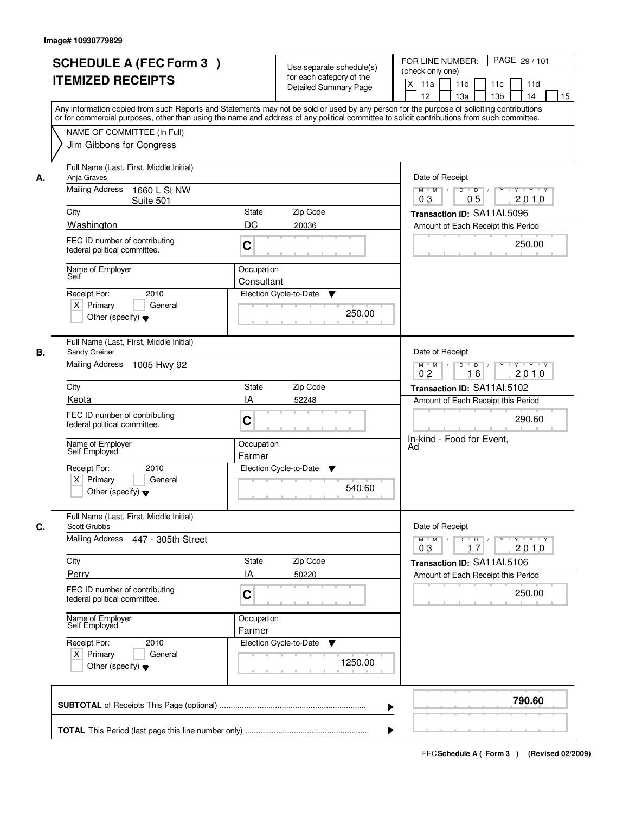|    | <b>SCHEDULE A (FEC Form 3)</b><br><b>ITEMIZED RECEIPTS</b><br>Any information copied from such Reports and Statements may not be sold or used by any person for the purpose of soliciting contributions |                          | Use separate schedule(s)<br>for each category of the<br><b>Detailed Summary Page</b> | PAGE 29 / 101<br>FOR LINE NUMBER:<br>(check only one)<br>X<br>11a<br>11 <sub>b</sub><br>11c<br>11d<br>12<br>13a<br>13 <sub>b</sub><br>14<br>15 |
|----|---------------------------------------------------------------------------------------------------------------------------------------------------------------------------------------------------------|--------------------------|--------------------------------------------------------------------------------------|------------------------------------------------------------------------------------------------------------------------------------------------|
|    | or for commercial purposes, other than using the name and address of any political committee to solicit contributions from such committee.<br>NAME OF COMMITTEE (In Full)<br>Jim Gibbons for Congress   |                          |                                                                                      |                                                                                                                                                |
| А. | Full Name (Last, First, Middle Initial)<br>Anja Graves<br><b>Mailing Address</b><br>1660 L St NW                                                                                                        |                          |                                                                                      | Date of Receipt<br>$Y$ $Y$ $Y$<br>$M$ $M$<br>$D$ $D$ $1$<br>$\overline{Y}$                                                                     |
|    | Suite 501                                                                                                                                                                                               |                          |                                                                                      | 0 <sub>3</sub><br>05<br>2010                                                                                                                   |
|    | City<br>Washington                                                                                                                                                                                      | State<br>DC              | Zip Code<br>20036                                                                    | Transaction ID: SA11AI.5096                                                                                                                    |
|    | FEC ID number of contributing<br>federal political committee.                                                                                                                                           | C                        |                                                                                      | Amount of Each Receipt this Period<br>250.00                                                                                                   |
|    | Name of Employer<br>Self                                                                                                                                                                                | Occupation<br>Consultant |                                                                                      |                                                                                                                                                |
|    | 2010<br>Receipt For:<br>$X$ Primary<br>General<br>Other (specify) $\blacktriangledown$                                                                                                                  |                          | Election Cycle-to-Date<br>▼<br>250.00                                                |                                                                                                                                                |
| В. | Full Name (Last, First, Middle Initial)<br>Sandy Greiner                                                                                                                                                |                          |                                                                                      | Date of Receipt                                                                                                                                |
|    | Mailing Address 1005 Hwy 92                                                                                                                                                                             |                          |                                                                                      | Y<br>$Y - Y - Y$<br>$M$ $M$<br>D<br>$\overline{D}$ /<br>2010<br>0 <sub>2</sub><br>16                                                           |
|    | City                                                                                                                                                                                                    | State                    | Zip Code                                                                             | Transaction ID: SA11Al.5102                                                                                                                    |
|    | Keota                                                                                                                                                                                                   | IA                       | 52248                                                                                | Amount of Each Receipt this Period                                                                                                             |
|    | FEC ID number of contributing<br>federal political committee.                                                                                                                                           | C                        |                                                                                      | 290.60<br>In-kind - Food for Event,                                                                                                            |
|    | Name of Employer<br>Self Employed                                                                                                                                                                       | Occupation<br>Farmer     |                                                                                      | Ad                                                                                                                                             |
|    | Receipt For:<br>2010                                                                                                                                                                                    |                          | Election Cycle-to-Date<br>v                                                          |                                                                                                                                                |
|    | $X$ Primary<br>General<br>Other (specify) $\blacktriangledown$                                                                                                                                          |                          | 540.60                                                                               |                                                                                                                                                |
| C. | Full Name (Last, First, Middle Initial)<br><b>Scott Grubbs</b>                                                                                                                                          |                          |                                                                                      | Date of Receipt                                                                                                                                |
|    | Mailing Address 447 - 305th Street                                                                                                                                                                      |                          |                                                                                      | $D$ $D$ $l$<br>$M$ $M$ /<br>Y 'Y 'Y 'Y<br>03<br>17<br>2010                                                                                     |
|    | City                                                                                                                                                                                                    | State                    | Zip Code                                                                             | Transaction ID: SA11Al.5106                                                                                                                    |
|    | Perry                                                                                                                                                                                                   | ΙA                       | 50220                                                                                | Amount of Each Receipt this Period                                                                                                             |
|    | FEC ID number of contributing<br>federal political committee.                                                                                                                                           | C                        |                                                                                      | 250.00                                                                                                                                         |
|    | Name of Employer<br>Self Employed                                                                                                                                                                       | Occupation<br>Farmer     |                                                                                      |                                                                                                                                                |
|    | Receipt For:<br>2010<br>$X$ Primary<br>General<br>Other (specify) $\blacktriangledown$                                                                                                                  |                          | Election Cycle-to-Date<br>v<br>1250.00                                               |                                                                                                                                                |
|    |                                                                                                                                                                                                         |                          | ▶                                                                                    | 790.60                                                                                                                                         |
|    |                                                                                                                                                                                                         |                          |                                                                                      |                                                                                                                                                |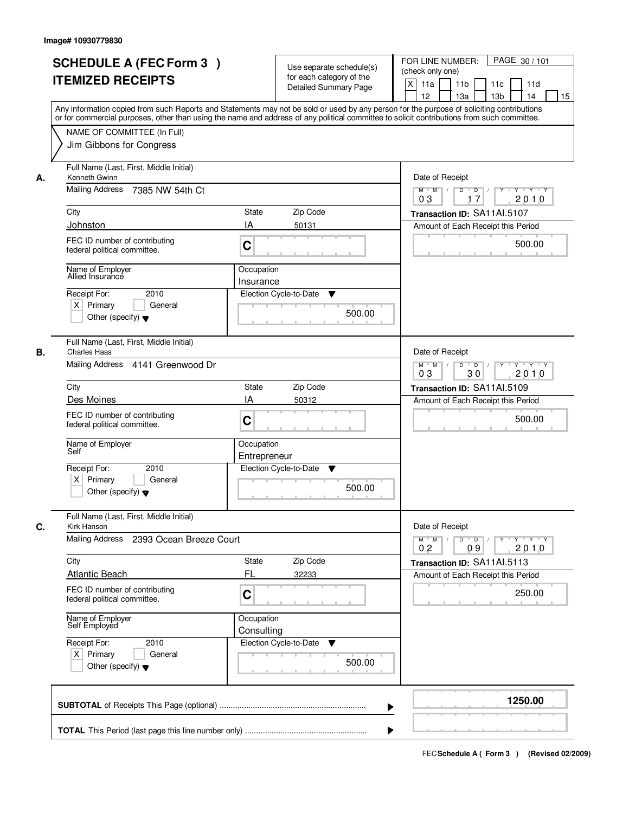|    | <b>SCHEDULE A (FEC Form 3)</b><br><b>ITEMIZED RECEIPTS</b><br>Any information copied from such Reports and Statements may not be sold or used by any person for the purpose of soliciting contributions<br>or for commercial purposes, other than using the name and address of any political committee to solicit contributions from such committee. | Use separate schedule(s)<br>for each category of the<br><b>Detailed Summary Page</b>            | PAGE 30 / 101<br>FOR LINE NUMBER:<br>(check only one)<br>$\boldsymbol{\mathsf{X}}$<br>11 <sub>b</sub><br>11a<br>11c<br>11d<br>12<br>13a<br>13 <sub>b</sub><br>15<br>14                                               |
|----|-------------------------------------------------------------------------------------------------------------------------------------------------------------------------------------------------------------------------------------------------------------------------------------------------------------------------------------------------------|-------------------------------------------------------------------------------------------------|----------------------------------------------------------------------------------------------------------------------------------------------------------------------------------------------------------------------|
|    | NAME OF COMMITTEE (In Full)<br>Jim Gibbons for Congress                                                                                                                                                                                                                                                                                               |                                                                                                 |                                                                                                                                                                                                                      |
| А. | Full Name (Last, First, Middle Initial)<br>Kenneth Gwinn<br><b>Mailing Address</b><br>7385 NW 54th Ct<br>City<br>Johnston<br>FEC ID number of contributing<br>federal political committee.<br>Name of Employer<br>Allied Insurance<br>Receipt For:<br>2010                                                                                            | State<br>Zip Code<br>IA<br>50131<br>C<br>Occupation<br>Insurance<br>Election Cycle-to-Date<br>▼ | Date of Receipt<br>$\mathsf{Y} \dashv \mathsf{Y} \dashv \mathsf{Y}$<br>$D$ $D$ $/$<br>$\overline{Y}$<br>$M$ $M$ /<br>03<br>2010<br>17<br>Transaction ID: SA11Al.5107<br>Amount of Each Receipt this Period<br>500.00 |
|    | $X$ Primary<br>General<br>Other (specify) $\blacktriangledown$                                                                                                                                                                                                                                                                                        | 500.00                                                                                          |                                                                                                                                                                                                                      |
| В. | Full Name (Last, First, Middle Initial)<br><b>Charles Haas</b><br>Mailing Address 4141 Greenwood Dr<br>City<br>Des Moines                                                                                                                                                                                                                             | Zip Code<br><b>State</b><br>IA<br>50312                                                         | Date of Receipt<br>$M$ $M$ /<br>D<br>$\overline{D}$ $\overline{I}$<br>$Y$ <sup>U</sup><br>Y 'Y 'Y<br>03<br>30<br>2010<br>Transaction ID: SA11Al.5109                                                                 |
|    | FEC ID number of contributing<br>federal political committee.                                                                                                                                                                                                                                                                                         | C                                                                                               | Amount of Each Receipt this Period<br>500.00                                                                                                                                                                         |
|    | Name of Employer<br>Self<br>Receipt For:<br>2010<br>$X$ Primary<br>General<br>Other (specify) $\blacktriangledown$                                                                                                                                                                                                                                    | Occupation<br>Entrepreneur<br>Election Cycle-to-Date<br>v<br>500.00                             |                                                                                                                                                                                                                      |
| С. | Full Name (Last, First, Middle Initial)<br>Kirk Hanson<br>Mailing Address<br>2393 Ocean Breeze Court                                                                                                                                                                                                                                                  |                                                                                                 | Date of Receipt<br>D<br>$M$ $M$ /<br>$\Box$ D $\Box$<br>$Y + Y + Y$<br>Y                                                                                                                                             |
|    | City<br><b>Atlantic Beach</b>                                                                                                                                                                                                                                                                                                                         | Zip Code<br>State<br>FL<br>32233                                                                | 0 <sub>2</sub><br>2010<br>09<br>Transaction ID: SA11Al.5113<br>Amount of Each Receipt this Period                                                                                                                    |
|    | FEC ID number of contributing<br>federal political committee.                                                                                                                                                                                                                                                                                         | C<br>Occupation                                                                                 | 250.00                                                                                                                                                                                                               |
|    | Name of Employer<br>Self Employed<br>Receipt For:<br>2010<br>$X$ Primary<br>General<br>Other (specify) $\blacktriangledown$                                                                                                                                                                                                                           | Consulting<br>Election Cycle-to-Date<br>v<br>500.00                                             |                                                                                                                                                                                                                      |
|    |                                                                                                                                                                                                                                                                                                                                                       |                                                                                                 | 1250.00                                                                                                                                                                                                              |
|    |                                                                                                                                                                                                                                                                                                                                                       |                                                                                                 |                                                                                                                                                                                                                      |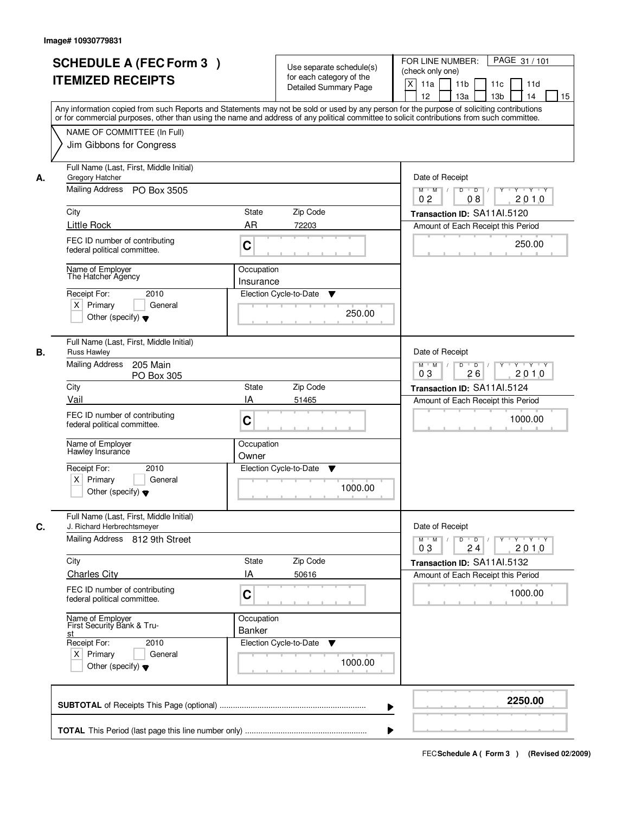| <b>SCHEDULE A (FEC Form 3)</b><br><b>ITEMIZED RECEIPTS</b>                                                                                                                                                                                                                                                                                                             | Use separate schedule(s)<br>for each category of the<br><b>Detailed Summary Page</b>                                                                                                                                                                                                    | PAGE 31 / 101<br>FOR LINE NUMBER:<br>(check only one)<br>$\boldsymbol{\mathsf{X}}$<br>11 <sub>b</sub><br>11a<br>11c<br>11d<br>12<br>13 <sub>b</sub><br>14<br>13a<br>15             |
|------------------------------------------------------------------------------------------------------------------------------------------------------------------------------------------------------------------------------------------------------------------------------------------------------------------------------------------------------------------------|-----------------------------------------------------------------------------------------------------------------------------------------------------------------------------------------------------------------------------------------------------------------------------------------|------------------------------------------------------------------------------------------------------------------------------------------------------------------------------------|
| NAME OF COMMITTEE (In Full)<br>Jim Gibbons for Congress                                                                                                                                                                                                                                                                                                                | Any information copied from such Reports and Statements may not be sold or used by any person for the purpose of soliciting contributions<br>or for commercial purposes, other than using the name and address of any political committee to solicit contributions from such committee. |                                                                                                                                                                                    |
| Full Name (Last, First, Middle Initial)<br>Gregory Hatcher<br>А.<br>Mailing Address PO Box 3505<br>City<br><b>Little Rock</b><br>FEC ID number of contributing<br>federal political committee.<br>Name of Employer<br>The Hatcher Agency<br>Receipt For:<br>2010<br>$X$ Primary<br>General<br>Other (specify) $\blacktriangledown$                                     | <b>State</b><br>Zip Code<br>AR<br>72203<br>C<br>Occupation<br>Insurance<br>Election Cycle-to-Date<br>▼<br>250.00                                                                                                                                                                        | Date of Receipt<br>$D$ $D$ $I$<br>Y<br>$Y - Y - Y - Y$<br>$M$ $M$ /<br>0 <sub>2</sub><br>08<br>2010<br>Transaction ID: SA11Al.5120<br>Amount of Each Receipt this Period<br>250.00 |
| Full Name (Last, First, Middle Initial)<br><b>Russ Hawley</b><br>В.<br><b>Mailing Address</b><br>205 Main<br>PO Box 305<br>City<br>Vail<br>FEC ID number of contributing<br>federal political committee.<br>Name of Employer<br>Hawley Insurance<br>Receipt For:<br>2010<br>$X$ Primary<br>General<br>Other (specify) $\blacktriangledown$                             | Zip Code<br>State<br>IA<br>51465<br>C<br>Occupation<br>Owner<br>Election Cycle-to-Date<br>▼<br>1000.00                                                                                                                                                                                  | Date of Receipt<br>$M$ $M$ /<br>D<br>$\overline{D}$ /<br>Y<br>$Y + Y + Y$<br>2010<br>03<br>26<br>Transaction ID: SA11AI.5124<br>Amount of Each Receipt this Period<br>1000.00      |
| Full Name (Last, First, Middle Initial)<br>C.<br>J. Richard Herbrechtsmeyer<br>Mailing Address 812 9th Street<br>City<br><b>Charles City</b><br>FEC ID number of contributing<br>federal political committee.<br>Name of Employer<br>First Security Bank & Tru-<br><u>st</u><br>Receipt For:<br>2010<br>$X$ Primary<br>General<br>Other (specify) $\blacktriangledown$ | Zip Code<br>State<br>IA<br>50616<br>C<br>Occupation<br>Banker<br>Election Cycle-to-Date<br>▼<br>1000.00                                                                                                                                                                                 | Date of Receipt<br>$M$ $M$<br>$D$ $D$ $I$<br><u> Y EY EY EY</u><br>2010<br>03<br>24<br>Transaction ID: SA11Al.5132<br>Amount of Each Receipt this Period<br>1000.00                |
|                                                                                                                                                                                                                                                                                                                                                                        |                                                                                                                                                                                                                                                                                         | 2250.00                                                                                                                                                                            |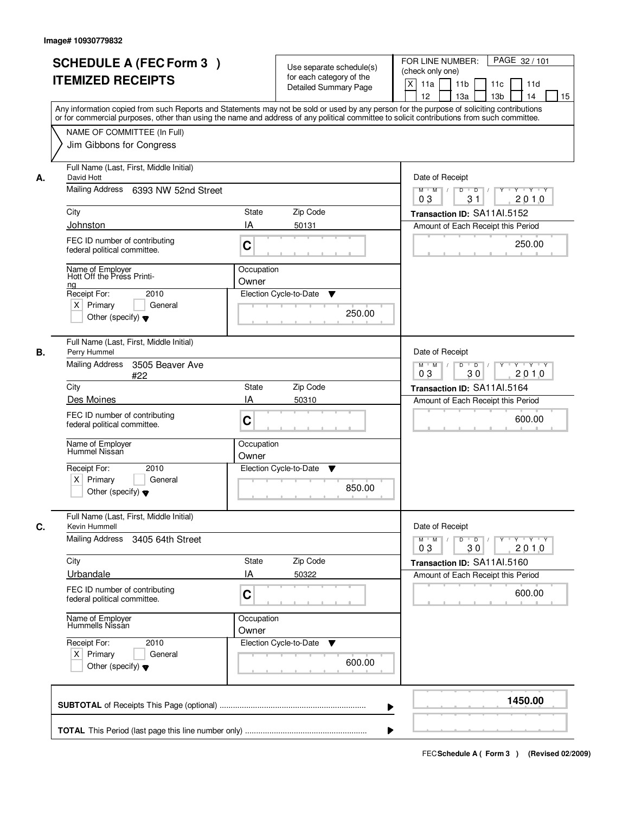| <b>SCHEDULE A (FEC Form 3)</b><br><b>ITEMIZED RECEIPTS</b>                                            | Use separate schedule(s)<br>for each category of the<br><b>Detailed Summary Page</b><br>Any information copied from such Reports and Statements may not be sold or used by any person for the purpose of soliciting contributions | PAGE 32/101<br>FOR LINE NUMBER:<br>(check only one)<br>$\boldsymbol{\mathsf{X}}$<br>11 <sub>b</sub><br>11a<br>11c<br>11d<br>12<br>13 <sub>b</sub><br>14<br>13a<br>15 |
|-------------------------------------------------------------------------------------------------------|-----------------------------------------------------------------------------------------------------------------------------------------------------------------------------------------------------------------------------------|----------------------------------------------------------------------------------------------------------------------------------------------------------------------|
| NAME OF COMMITTEE (In Full)<br>Jim Gibbons for Congress                                               | or for commercial purposes, other than using the name and address of any political committee to solicit contributions from such committee.                                                                                        |                                                                                                                                                                      |
| Full Name (Last, First, Middle Initial)<br>David Hott<br>А.<br>Mailing Address<br>6393 NW 52nd Street |                                                                                                                                                                                                                                   | Date of Receipt<br>$D$ $D$<br>$Y$ <sup>U</sup><br>$Y - Y - Y - Y$<br>$M$ $M$ /<br>$\sqrt{ }$<br>0 <sub>3</sub><br>31<br>2010                                         |
| City                                                                                                  | <b>State</b><br>Zip Code                                                                                                                                                                                                          | Transaction ID: SA11Al.5152                                                                                                                                          |
| Johnston                                                                                              | IA<br>50131                                                                                                                                                                                                                       | Amount of Each Receipt this Period                                                                                                                                   |
| FEC ID number of contributing<br>federal political committee.                                         | C                                                                                                                                                                                                                                 | 250.00                                                                                                                                                               |
| Name of Employer<br>Hott Off the Press Printi-<br>ng                                                  | Occupation<br>Owner                                                                                                                                                                                                               |                                                                                                                                                                      |
| Receipt For:<br>2010<br>$X$ Primary<br>General<br>Other (specify) $\blacktriangledown$                | Election Cycle-to-Date<br>▼<br>250.00                                                                                                                                                                                             |                                                                                                                                                                      |
| Full Name (Last, First, Middle Initial)<br>Perry Hummel<br>В.                                         |                                                                                                                                                                                                                                   | Date of Receipt                                                                                                                                                      |
| <b>Mailing Address</b><br>3505 Beaver Ave<br>#22                                                      |                                                                                                                                                                                                                                   | $M$ $M$ /<br>D<br>$\overline{D}$<br>Y<br>$Y + Y + Y$<br>30<br>03<br>2010                                                                                             |
| City                                                                                                  | Zip Code<br>State                                                                                                                                                                                                                 | Transaction ID: SA11AI.5164                                                                                                                                          |
| Des Moines                                                                                            | IA<br>50310                                                                                                                                                                                                                       | Amount of Each Receipt this Period                                                                                                                                   |
| FEC ID number of contributing<br>federal political committee.                                         | C                                                                                                                                                                                                                                 | 600.00                                                                                                                                                               |
| Name of Employer<br>Hummel Nissan                                                                     | Occupation<br>Owner                                                                                                                                                                                                               |                                                                                                                                                                      |
| Receipt For:<br>2010                                                                                  | Election Cycle-to-Date<br>v                                                                                                                                                                                                       |                                                                                                                                                                      |
| $X$ Primary<br>General<br>Other (specify) $\blacktriangledown$                                        | 850.00                                                                                                                                                                                                                            |                                                                                                                                                                      |
| Full Name (Last, First, Middle Initial)<br>C.<br>Kevin Hummell                                        |                                                                                                                                                                                                                                   | Date of Receipt                                                                                                                                                      |
| Mailing Address<br>3405 64th Street                                                                   |                                                                                                                                                                                                                                   | $M$ $M$<br>$D$ $D$ $/$<br>y y y y y<br>2010<br>03<br>30                                                                                                              |
| City<br>Urbandale                                                                                     | Zip Code<br>State<br>IA<br>50322                                                                                                                                                                                                  | Transaction ID: SA11Al.5160                                                                                                                                          |
| FEC ID number of contributing<br>federal political committee.                                         | C                                                                                                                                                                                                                                 | Amount of Each Receipt this Period<br>600.00                                                                                                                         |
| Name of Employer<br>Hummells Nissan                                                                   | Occupation<br>Owner                                                                                                                                                                                                               |                                                                                                                                                                      |
| Receipt For:<br>2010<br>$X$ Primary<br>General<br>Other (specify) $\blacktriangledown$                | Election Cycle-to-Date<br>▼<br>600.00                                                                                                                                                                                             |                                                                                                                                                                      |
|                                                                                                       |                                                                                                                                                                                                                                   | 1450.00                                                                                                                                                              |
|                                                                                                       |                                                                                                                                                                                                                                   |                                                                                                                                                                      |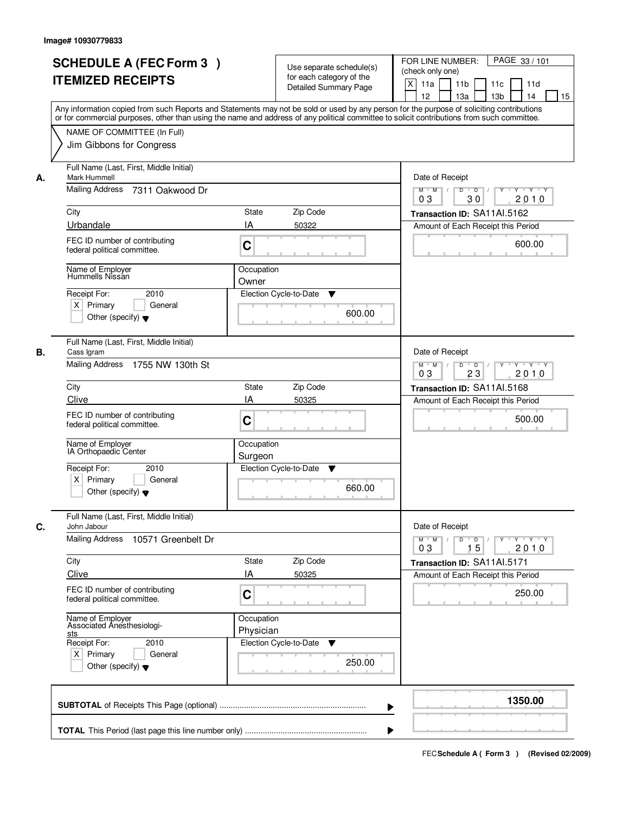|    | <b>SCHEDULE A (FEC Form 3)</b><br><b>ITEMIZED RECEIPTS</b><br>Any information copied from such Reports and Statements may not be sold or used by any person for the purpose of soliciting contributions |                         | Use separate schedule(s)<br>for each category of the<br><b>Detailed Summary Page</b> | PAGE 33 / 101<br>FOR LINE NUMBER:<br>(check only one)<br>X<br>11a<br>11 <sub>b</sub><br>11c<br>11d<br>12<br>13 <sub>b</sub><br>13a<br>14<br>15 |
|----|---------------------------------------------------------------------------------------------------------------------------------------------------------------------------------------------------------|-------------------------|--------------------------------------------------------------------------------------|------------------------------------------------------------------------------------------------------------------------------------------------|
|    | or for commercial purposes, other than using the name and address of any political committee to solicit contributions from such committee.<br>NAME OF COMMITTEE (In Full)<br>Jim Gibbons for Congress   |                         |                                                                                      |                                                                                                                                                |
| А. | Full Name (Last, First, Middle Initial)<br>Mark Hummell<br>Mailing Address<br>7311 Oakwood Dr                                                                                                           |                         |                                                                                      | Date of Receipt<br>$Y$ $Y$ $Y$<br>$D$ $D$ $/$<br>$\overline{Y}$<br>$M$ $M$ /<br>0 <sub>3</sub><br>30<br>2010                                   |
|    | City                                                                                                                                                                                                    | State                   | Zip Code                                                                             | Transaction ID: SA11Al.5162                                                                                                                    |
|    | Urbandale                                                                                                                                                                                               | IA                      | 50322                                                                                | Amount of Each Receipt this Period                                                                                                             |
|    | FEC ID number of contributing<br>federal political committee.                                                                                                                                           | C                       |                                                                                      | 600.00                                                                                                                                         |
|    | Name of Employer<br>Hummells Nissán                                                                                                                                                                     | Occupation<br>Owner     |                                                                                      |                                                                                                                                                |
|    | 2010<br>Receipt For:<br>$X$ Primary<br>General<br>Other (specify) $\blacktriangledown$                                                                                                                  |                         | Election Cycle-to-Date<br>▼<br>600.00                                                |                                                                                                                                                |
| В. | Full Name (Last, First, Middle Initial)<br>Cass Igram<br>Mailing Address 1755 NW 130th St                                                                                                               |                         |                                                                                      | Date of Receipt<br>$Y - Y - Y$<br>$M$ M<br>D<br>$\overline{D}$<br>Y                                                                            |
|    | City                                                                                                                                                                                                    | <b>State</b>            | Zip Code                                                                             | 2010<br>03<br>23                                                                                                                               |
|    | Clive                                                                                                                                                                                                   | IA                      | 50325                                                                                | Transaction ID: SA11Al.5168<br>Amount of Each Receipt this Period                                                                              |
|    | FEC ID number of contributing<br>federal political committee.                                                                                                                                           | C                       |                                                                                      | 500.00                                                                                                                                         |
|    | Name of Employer<br>IA Orthopaedic Center                                                                                                                                                               | Occupation<br>Surgeon   |                                                                                      |                                                                                                                                                |
|    | Receipt For:<br>2010<br>$X$ Primary<br>General<br>Other (specify) $\blacktriangledown$                                                                                                                  |                         | Election Cycle-to-Date<br>v<br>660.00                                                |                                                                                                                                                |
| C. | Full Name (Last, First, Middle Initial)<br>John Jabour                                                                                                                                                  |                         |                                                                                      | Date of Receipt                                                                                                                                |
|    | Mailing Address<br>10571 Greenbelt Dr                                                                                                                                                                   |                         |                                                                                      | $D$ $D$ $I$<br>$M$ $M$ /<br>$Y^+$<br>$Y + Y + Y$<br>03<br>15<br>2010                                                                           |
|    | City<br>Clive                                                                                                                                                                                           | State<br>ΙA             | Zip Code                                                                             | Transaction ID: SA11AI.5171                                                                                                                    |
|    | FEC ID number of contributing<br>federal political committee.                                                                                                                                           | C                       | 50325                                                                                | Amount of Each Receipt this Period<br>250.00                                                                                                   |
|    | Name of Employer<br>Associated Anesthesiologi-<br><u>sts</u><br>Receipt For:<br>2010<br>$X$ Primary<br>General<br>Other (specify) $\blacktriangledown$                                                  | Occupation<br>Physician | Election Cycle-to-Date<br>v<br>250.00                                                |                                                                                                                                                |
|    |                                                                                                                                                                                                         |                         | ▶                                                                                    | 1350.00                                                                                                                                        |
|    |                                                                                                                                                                                                         |                         |                                                                                      |                                                                                                                                                |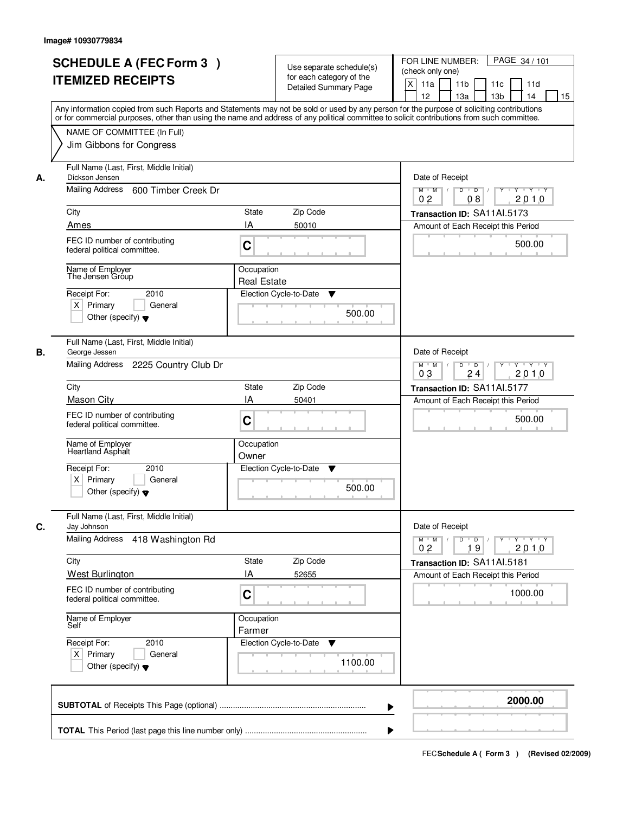|    | <b>SCHEDULE A (FEC Form 3)</b><br><b>ITEMIZED RECEIPTS</b><br>Any information copied from such Reports and Statements may not be sold or used by any person for the purpose of soliciting contributions<br>or for commercial purposes, other than using the name and address of any political committee to solicit contributions from such committee. |                                  | Use separate schedule(s)<br>for each category of the<br><b>Detailed Summary Page</b> | PAGE 34 / 101<br>FOR LINE NUMBER:<br>(check only one)<br>X<br>11a<br>11 <sub>b</sub><br>11c<br>11d<br>12<br>13 <sub>b</sub><br>13a<br>14<br>15 |
|----|-------------------------------------------------------------------------------------------------------------------------------------------------------------------------------------------------------------------------------------------------------------------------------------------------------------------------------------------------------|----------------------------------|--------------------------------------------------------------------------------------|------------------------------------------------------------------------------------------------------------------------------------------------|
|    | NAME OF COMMITTEE (In Full)<br>Jim Gibbons for Congress                                                                                                                                                                                                                                                                                               |                                  |                                                                                      |                                                                                                                                                |
| А. | Full Name (Last, First, Middle Initial)<br>Dickson Jensen<br>Mailing Address<br>600 Timber Creek Dr<br>City                                                                                                                                                                                                                                           | State                            | Zip Code                                                                             | Date of Receipt<br>$Y$ $Y$ $Y$<br>$D$ $D$ $/$<br>$\overline{Y}$<br>$M$ $M$ /<br>0 <sub>2</sub><br>2010<br>08                                   |
|    |                                                                                                                                                                                                                                                                                                                                                       | IA                               |                                                                                      | Transaction ID: SA11Al.5173                                                                                                                    |
|    | Ames<br>FEC ID number of contributing<br>federal political committee.                                                                                                                                                                                                                                                                                 | C                                | 50010                                                                                | Amount of Each Receipt this Period<br>500.00                                                                                                   |
|    | Name of Employer<br>The Jensen Gróup<br>2010<br>Receipt For:<br>$X$ Primary<br>General<br>Other (specify) $\blacktriangledown$                                                                                                                                                                                                                        | Occupation<br><b>Real Estate</b> | Election Cycle-to-Date<br>▼<br>500.00                                                |                                                                                                                                                |
| В. | Full Name (Last, First, Middle Initial)<br>George Jessen<br>Mailing Address 2225 Country Club Dr                                                                                                                                                                                                                                                      |                                  |                                                                                      | Date of Receipt<br>$Y - Y - Y$<br>$M$ M<br>D<br>$\overline{D}$<br>Y<br>2010<br>03<br>24                                                        |
|    | City                                                                                                                                                                                                                                                                                                                                                  | State                            | Zip Code                                                                             | Transaction ID: SA11Al.5177                                                                                                                    |
|    | <b>Mason City</b>                                                                                                                                                                                                                                                                                                                                     | IA                               | 50401                                                                                | Amount of Each Receipt this Period                                                                                                             |
|    | FEC ID number of contributing<br>federal political committee.                                                                                                                                                                                                                                                                                         | C                                |                                                                                      | 500.00                                                                                                                                         |
|    | Name of Employer<br>Heartland Asphalt                                                                                                                                                                                                                                                                                                                 | Occupation<br>Owner              |                                                                                      |                                                                                                                                                |
|    | Receipt For:<br>2010<br>$X$ Primary<br>General<br>Other (specify) $\blacktriangledown$                                                                                                                                                                                                                                                                |                                  | Election Cycle-to-Date<br>v<br>500.00                                                |                                                                                                                                                |
| C. | Full Name (Last, First, Middle Initial)<br>Jay Johnson                                                                                                                                                                                                                                                                                                |                                  |                                                                                      | Date of Receipt                                                                                                                                |
|    | <b>Mailing Address</b><br>418 Washington Rd                                                                                                                                                                                                                                                                                                           |                                  |                                                                                      | D<br>$\overline{D}$ /<br>$M$ $M$ /<br>$Y$ <sup>U</sup><br>$Y + Y + Y$<br>0 <sub>2</sub><br>19<br>2010                                          |
|    | City                                                                                                                                                                                                                                                                                                                                                  | State                            | Zip Code                                                                             | Transaction ID: SA11AI.5181                                                                                                                    |
|    | West Burlington<br>FEC ID number of contributing<br>federal political committee.                                                                                                                                                                                                                                                                      | ΙA<br>C                          | 52655                                                                                | Amount of Each Receipt this Period<br>1000.00                                                                                                  |
|    | Name of Employer<br>Self                                                                                                                                                                                                                                                                                                                              | Occupation<br>Farmer             |                                                                                      |                                                                                                                                                |
|    | Receipt For:<br>2010<br>$X$ Primary<br>General<br>Other (specify) $\blacktriangledown$                                                                                                                                                                                                                                                                |                                  | Election Cycle-to-Date<br>v<br>1100.00                                               |                                                                                                                                                |
|    |                                                                                                                                                                                                                                                                                                                                                       |                                  | ▶                                                                                    | 2000.00                                                                                                                                        |
|    |                                                                                                                                                                                                                                                                                                                                                       |                                  |                                                                                      |                                                                                                                                                |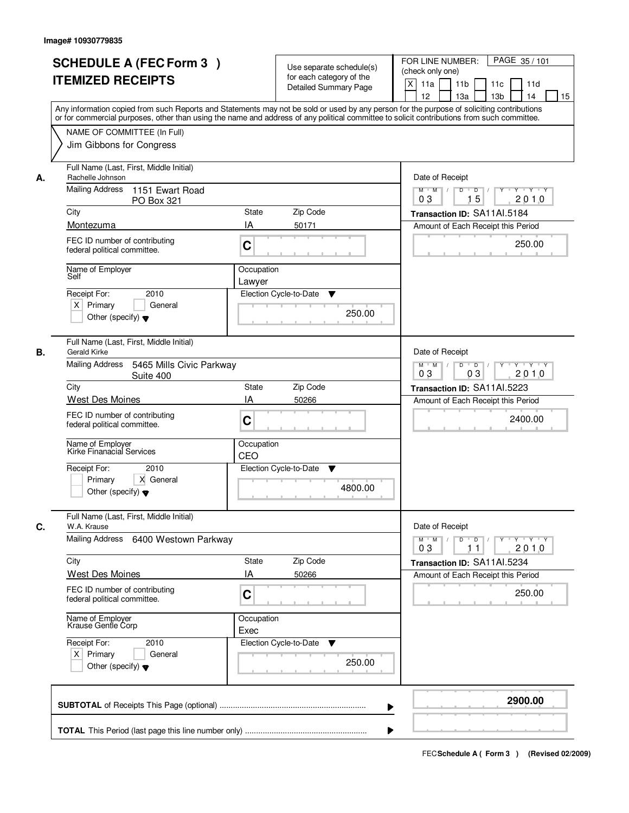|                                           | <b>SCHEDULE A (FEC Form 3)</b><br><b>ITEMIZED RECEIPTS</b><br>Any information copied from such Reports and Statements may not be sold or used by any person for the purpose of soliciting contributions |                   | Use separate schedule(s)<br>for each category of the<br><b>Detailed Summary Page</b> | FOR LINE NUMBER:<br>(check only one)<br>$\boldsymbol{\mathsf{X}}$<br>11 <sub>b</sub><br>11a<br>12<br>13a | PAGE 35/101<br>11c<br>11d<br>13 <sub>b</sub><br>14<br>15                                                                                                                                                                                         |  |
|-------------------------------------------|---------------------------------------------------------------------------------------------------------------------------------------------------------------------------------------------------------|-------------------|--------------------------------------------------------------------------------------|----------------------------------------------------------------------------------------------------------|--------------------------------------------------------------------------------------------------------------------------------------------------------------------------------------------------------------------------------------------------|--|
|                                           | or for commercial purposes, other than using the name and address of any political committee to solicit contributions from such committee.<br>NAME OF COMMITTEE (In Full)<br>Jim Gibbons for Congress   |                   |                                                                                      |                                                                                                          |                                                                                                                                                                                                                                                  |  |
| Rachelle Johnson<br>А.<br>Mailing Address | Full Name (Last, First, Middle Initial)<br>1151 Ewart Road                                                                                                                                              |                   |                                                                                      | $M$ $M$ /                                                                                                | Date of Receipt<br>$D$ $D$ $1$<br>Y<br>$Y - Y - Y - Y$                                                                                                                                                                                           |  |
|                                           | <b>PO Box 321</b>                                                                                                                                                                                       | 0 <sub>3</sub>    | 15<br>2010                                                                           |                                                                                                          |                                                                                                                                                                                                                                                  |  |
|                                           | City<br><b>State</b><br>Zip Code<br>IA<br>Montezuma<br>50171                                                                                                                                            |                   |                                                                                      |                                                                                                          | Transaction ID: SA11Al.5184<br>Amount of Each Receipt this Period                                                                                                                                                                                |  |
|                                           | FEC ID number of contributing<br>C<br>federal political committee.                                                                                                                                      |                   |                                                                                      |                                                                                                          | 250.00                                                                                                                                                                                                                                           |  |
| Self                                      | Name of Employer<br>Occupation<br>Lawyer                                                                                                                                                                |                   |                                                                                      |                                                                                                          |                                                                                                                                                                                                                                                  |  |
| Receipt For:<br>$X$ Primary               | 2010<br>Election Cycle-to-Date<br>▼<br>General<br>250.00<br>Other (specify) $\blacktriangledown$                                                                                                        |                   |                                                                                      |                                                                                                          |                                                                                                                                                                                                                                                  |  |
| В.                                        | Full Name (Last, First, Middle Initial)<br>Gerald Kirke                                                                                                                                                 |                   |                                                                                      |                                                                                                          | Date of Receipt                                                                                                                                                                                                                                  |  |
|                                           | Mailing Address<br>5465 Mills Civic Parkway<br>Suite 400<br>State                                                                                                                                       |                   |                                                                                      |                                                                                                          | D<br>$\overline{D}$<br>Y<br>$Y + Y + Y$<br>2010<br>03                                                                                                                                                                                            |  |
| City                                      | West Des Moines                                                                                                                                                                                         | Zip Code<br>50266 |                                                                                      | Transaction ID: SA11Al.5223                                                                              |                                                                                                                                                                                                                                                  |  |
|                                           | FEC ID number of contributing<br>federal political committee.                                                                                                                                           | IA<br>C           |                                                                                      |                                                                                                          | Amount of Each Receipt this Period<br>2400.00                                                                                                                                                                                                    |  |
|                                           | Name of Employer<br>Kirke Finanacial Services                                                                                                                                                           |                   | Occupation<br>CEO                                                                    |                                                                                                          |                                                                                                                                                                                                                                                  |  |
| Receipt For:<br>Primary                   | 2010<br>X General<br>Other (specify) $\blacktriangledown$                                                                                                                                               |                   | Election Cycle-to-Date<br>▼<br>4800.00                                               |                                                                                                          |                                                                                                                                                                                                                                                  |  |
| C.<br>W.A. Krause                         | Full Name (Last, First, Middle Initial)                                                                                                                                                                 | Date of Receipt   |                                                                                      |                                                                                                          |                                                                                                                                                                                                                                                  |  |
|                                           | Mailing Address<br>6400 Westown Parkway                                                                                                                                                                 |                   |                                                                                      |                                                                                                          | $D$ $D$ $l$<br>$\begin{array}{c c c c c c} \hline \multicolumn{3}{c }{\mathsf{Y}} & \multicolumn{3}{c}{\mathsf{Y}} & \multicolumn{3}{c}{\mathsf{Y}} & \multicolumn{3}{c}{\mathsf{Y}} & \multicolumn{3}{c}{\mathsf{Y}} \end{array}$<br>2010<br>11 |  |
| City                                      | West Des Moines                                                                                                                                                                                         | State<br>IA       | Zip Code<br>50266                                                                    |                                                                                                          | Transaction ID: SA11AI.5234<br>Amount of Each Receipt this Period                                                                                                                                                                                |  |
|                                           | FEC ID number of contributing<br>federal political committee.                                                                                                                                           | C                 |                                                                                      |                                                                                                          | 250.00                                                                                                                                                                                                                                           |  |
|                                           | Name of Employer<br>Krause Gentle Corp<br>Occupation<br>Exec                                                                                                                                            |                   |                                                                                      |                                                                                                          |                                                                                                                                                                                                                                                  |  |
| Receipt For:<br>$X$ Primary               | 2010<br>General<br>Other (specify) $\blacktriangledown$                                                                                                                                                 |                   | Election Cycle-to-Date<br>▼<br>250.00                                                |                                                                                                          |                                                                                                                                                                                                                                                  |  |
|                                           |                                                                                                                                                                                                         |                   |                                                                                      |                                                                                                          | 2900.00                                                                                                                                                                                                                                          |  |
|                                           |                                                                                                                                                                                                         |                   |                                                                                      |                                                                                                          |                                                                                                                                                                                                                                                  |  |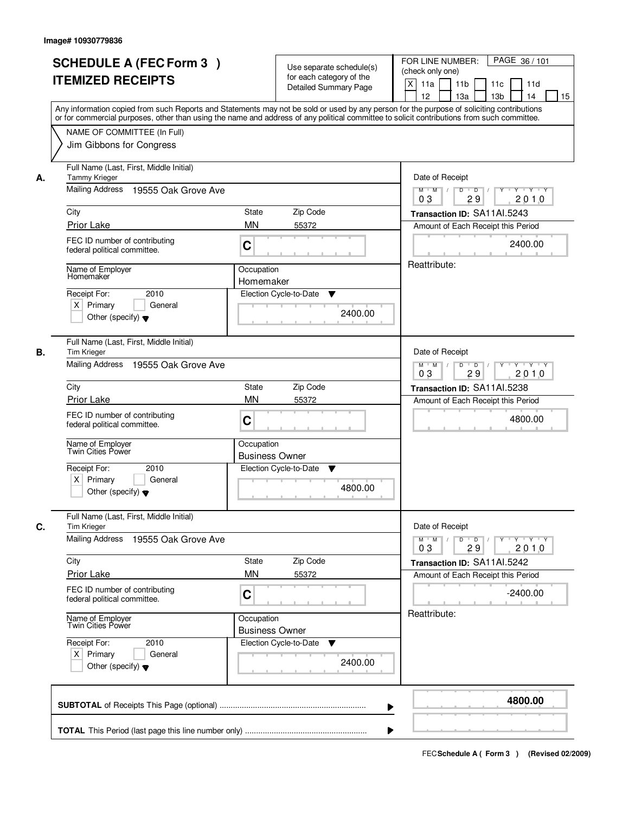|    | <b>SCHEDULE A (FEC Form 3)</b><br><b>ITEMIZED RECEIPTS</b><br>Any information copied from such Reports and Statements may not be sold or used by any person for the purpose of soliciting contributions<br>or for commercial purposes, other than using the name and address of any political committee to solicit contributions from such committee. |                                                                      | Use separate schedule(s)<br>for each category of the<br><b>Detailed Summary Page</b>           | PAGE 36/101<br>FOR LINE NUMBER:<br>(check only one)<br>X<br>11a<br>11 <sub>b</sub><br>11c<br>11d<br>12<br>13 <sub>b</sub><br>13a<br>14<br>15 |  |  |
|----|-------------------------------------------------------------------------------------------------------------------------------------------------------------------------------------------------------------------------------------------------------------------------------------------------------------------------------------------------------|----------------------------------------------------------------------|------------------------------------------------------------------------------------------------|----------------------------------------------------------------------------------------------------------------------------------------------|--|--|
|    | NAME OF COMMITTEE (In Full)<br>Jim Gibbons for Congress                                                                                                                                                                                                                                                                                               |                                                                      |                                                                                                |                                                                                                                                              |  |  |
| А. | Full Name (Last, First, Middle Initial)<br><b>Tammy Krieger</b><br>Mailing Address<br>19555 Oak Grove Ave                                                                                                                                                                                                                                             |                                                                      | Date of Receipt<br>$D$ $D$ $/$<br>$\overline{Y}$<br>Y Y Y Y<br>$M$ $M$ /<br>03<br>29<br>2010   |                                                                                                                                              |  |  |
|    | City                                                                                                                                                                                                                                                                                                                                                  | Transaction ID: SA11Al.5243                                          |                                                                                                |                                                                                                                                              |  |  |
|    | Prior Lake                                                                                                                                                                                                                                                                                                                                            | <b>MN</b>                                                            | 55372                                                                                          | Amount of Each Receipt this Period                                                                                                           |  |  |
|    | FEC ID number of contributing<br>federal political committee.                                                                                                                                                                                                                                                                                         | C                                                                    |                                                                                                | 2400.00                                                                                                                                      |  |  |
|    | Name of Employer<br>Homemaker                                                                                                                                                                                                                                                                                                                         | Occupation<br>Homemaker                                              |                                                                                                | Reattribute:                                                                                                                                 |  |  |
|    | 2010<br>Receipt For:<br>$X$ Primary<br>General<br>Other (specify) $\blacktriangledown$                                                                                                                                                                                                                                                                |                                                                      | Election Cycle-to-Date<br>▼<br>2400.00                                                         |                                                                                                                                              |  |  |
| В. | Full Name (Last, First, Middle Initial)<br>Tim Krieger                                                                                                                                                                                                                                                                                                |                                                                      |                                                                                                | Date of Receipt                                                                                                                              |  |  |
|    | Mailing Address 19555 Oak Grove Ave                                                                                                                                                                                                                                                                                                                   |                                                                      | $Y \vdash Y \vdash Y$<br>$M$ $M$ /<br>D<br>$\overline{\phantom{0}}$ D<br>Y<br>2010<br>03<br>29 |                                                                                                                                              |  |  |
|    | City                                                                                                                                                                                                                                                                                                                                                  | <b>State</b>                                                         | Zip Code                                                                                       | Transaction ID: SA11AI.5238                                                                                                                  |  |  |
|    | Prior Lake                                                                                                                                                                                                                                                                                                                                            | <b>MN</b>                                                            | 55372                                                                                          | Amount of Each Receipt this Period                                                                                                           |  |  |
|    | FEC ID number of contributing<br>federal political committee.                                                                                                                                                                                                                                                                                         | C                                                                    |                                                                                                | 4800.00                                                                                                                                      |  |  |
|    | Name of Employer<br>Twin Cities Power                                                                                                                                                                                                                                                                                                                 | Occupation<br><b>Business Owner</b>                                  |                                                                                                |                                                                                                                                              |  |  |
|    | Receipt For:<br>2010<br>$X$ Primary<br>General<br>Other (specify) $\blacktriangledown$                                                                                                                                                                                                                                                                |                                                                      | Election Cycle-to-Date<br>v<br>4800.00                                                         |                                                                                                                                              |  |  |
| C. | Full Name (Last, First, Middle Initial)<br><b>Tim Krieger</b>                                                                                                                                                                                                                                                                                         |                                                                      |                                                                                                |                                                                                                                                              |  |  |
|    | <b>Mailing Address</b><br>19555 Oak Grove Ave                                                                                                                                                                                                                                                                                                         | $D$ $D$ $/$<br>$M$ $M$ /<br>$Y + Y + Y$<br>$Y^+$<br>03<br>29<br>2010 |                                                                                                |                                                                                                                                              |  |  |
|    | City                                                                                                                                                                                                                                                                                                                                                  | Zip Code<br>State                                                    |                                                                                                | Transaction ID: SA11AI.5242                                                                                                                  |  |  |
|    | <b>Prior Lake</b>                                                                                                                                                                                                                                                                                                                                     | <b>MN</b>                                                            | 55372                                                                                          | Amount of Each Receipt this Period                                                                                                           |  |  |
|    | FEC ID number of contributing<br>federal political committee.                                                                                                                                                                                                                                                                                         | C                                                                    |                                                                                                | $-2400.00$                                                                                                                                   |  |  |
|    | Name of Employer<br>Twin Cities Power<br>Occupation<br><b>Business Owner</b>                                                                                                                                                                                                                                                                          |                                                                      |                                                                                                | Reattribute:                                                                                                                                 |  |  |
|    | Receipt For:<br>2010<br>$X$ Primary<br>General<br>Other (specify) $\blacktriangledown$                                                                                                                                                                                                                                                                |                                                                      | Election Cycle-to-Date<br>v<br>2400.00                                                         |                                                                                                                                              |  |  |
|    |                                                                                                                                                                                                                                                                                                                                                       |                                                                      | ▶                                                                                              | 4800.00                                                                                                                                      |  |  |
|    |                                                                                                                                                                                                                                                                                                                                                       |                                                                      |                                                                                                |                                                                                                                                              |  |  |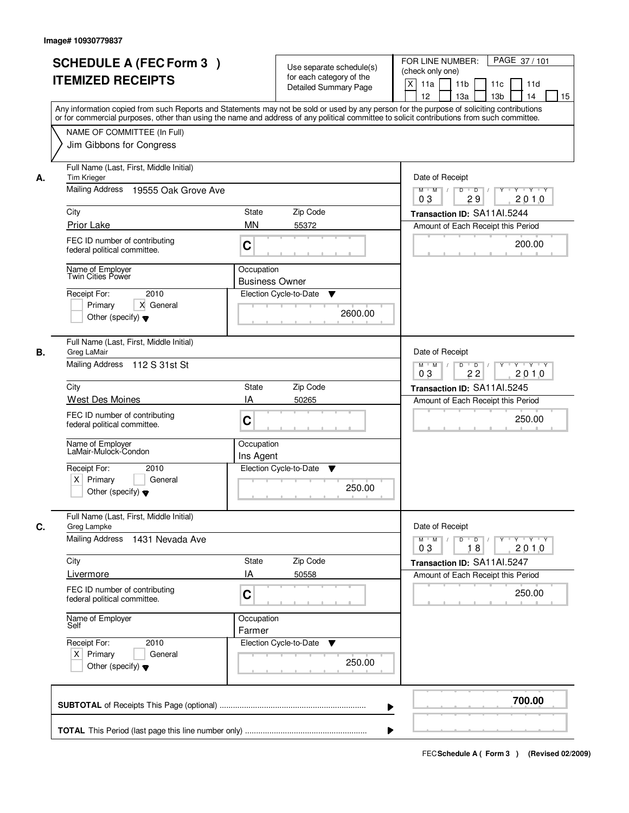|    | <b>SCHEDULE A (FEC Form 3)</b><br><b>ITEMIZED RECEIPTS</b><br>Any information copied from such Reports and Statements may not be sold or used by any person for the purpose of soliciting contributions<br>or for commercial purposes, other than using the name and address of any political committee to solicit contributions from such committee. |                                     | Use separate schedule(s)<br>for each category of the<br><b>Detailed Summary Page</b> | PAGE 37/101<br>FOR LINE NUMBER:<br>(check only one)<br>X<br>11a<br>11 <sub>b</sub><br>11c<br>11d<br>12<br>13 <sub>b</sub><br>13a<br>14<br>15 |
|----|-------------------------------------------------------------------------------------------------------------------------------------------------------------------------------------------------------------------------------------------------------------------------------------------------------------------------------------------------------|-------------------------------------|--------------------------------------------------------------------------------------|----------------------------------------------------------------------------------------------------------------------------------------------|
|    | NAME OF COMMITTEE (In Full)<br>Jim Gibbons for Congress                                                                                                                                                                                                                                                                                               |                                     |                                                                                      |                                                                                                                                              |
| А. | Full Name (Last, First, Middle Initial)<br>Tim Krieger<br><b>Mailing Address</b><br>19555 Oak Grove Ave                                                                                                                                                                                                                                               |                                     |                                                                                      | Date of Receipt<br>$D$ $D$ $1$<br>$\overline{Y}$<br>Y 'Y 'Y<br>$M$ $M$ /<br>0 <sub>3</sub><br>29<br>2010                                     |
|    | City                                                                                                                                                                                                                                                                                                                                                  | State                               | Zip Code                                                                             | Transaction ID: SA11Al.5244                                                                                                                  |
|    | Prior Lake                                                                                                                                                                                                                                                                                                                                            | <b>MN</b>                           | 55372                                                                                | Amount of Each Receipt this Period                                                                                                           |
|    | FEC ID number of contributing<br>federal political committee.                                                                                                                                                                                                                                                                                         | C                                   |                                                                                      | 200.00                                                                                                                                       |
|    | Name of Employer<br>Twin Cities Power                                                                                                                                                                                                                                                                                                                 | Occupation<br><b>Business Owner</b> |                                                                                      |                                                                                                                                              |
|    | 2010<br>Receipt For:<br>X General<br>Primary<br>Other (specify) $\blacktriangledown$                                                                                                                                                                                                                                                                  |                                     | Election Cycle-to-Date<br>▼<br>2600.00                                               |                                                                                                                                              |
| В. | Full Name (Last, First, Middle Initial)<br>Greg LaMair<br>Mailing Address 112 S 31st St                                                                                                                                                                                                                                                               |                                     |                                                                                      | Date of Receipt<br>$Y \vdash Y \vdash Y$<br>$M$ M<br>D<br>$\overline{D}$<br>Y                                                                |
|    |                                                                                                                                                                                                                                                                                                                                                       |                                     |                                                                                      | 2010<br>03<br>22                                                                                                                             |
|    | City                                                                                                                                                                                                                                                                                                                                                  | State                               | Zip Code                                                                             | Transaction ID: SA11Al.5245                                                                                                                  |
|    | West Des Moines<br>FEC ID number of contributing<br>federal political committee.                                                                                                                                                                                                                                                                      | IA<br>C                             | 50265                                                                                | Amount of Each Receipt this Period<br>250.00                                                                                                 |
|    | Name of Employer<br>LaMair-Mulock-Condon                                                                                                                                                                                                                                                                                                              | Occupation<br>Ins Agent             |                                                                                      |                                                                                                                                              |
|    | Receipt For:<br>2010<br>$X$ Primary<br>General<br>Other (specify) $\blacktriangledown$                                                                                                                                                                                                                                                                |                                     | Election Cycle-to-Date<br>v<br>250.00                                                |                                                                                                                                              |
| C. | Full Name (Last, First, Middle Initial)<br>Greg Lampke                                                                                                                                                                                                                                                                                                |                                     |                                                                                      | Date of Receipt                                                                                                                              |
|    | <b>Mailing Address</b><br>1431 Nevada Ave                                                                                                                                                                                                                                                                                                             |                                     |                                                                                      | $D$ $D$ $I$<br>$M$ $M$ /<br>$Y^+$<br>Y Y Y Y<br>03<br>18<br>2010                                                                             |
|    | City                                                                                                                                                                                                                                                                                                                                                  | State                               | Zip Code                                                                             | Transaction ID: SA11Al.5247                                                                                                                  |
|    | Livermore                                                                                                                                                                                                                                                                                                                                             | ΙA                                  | 50558                                                                                | Amount of Each Receipt this Period                                                                                                           |
|    | FEC ID number of contributing<br>federal political committee.                                                                                                                                                                                                                                                                                         | C                                   |                                                                                      | 250.00                                                                                                                                       |
|    | Name of Employer<br>Self                                                                                                                                                                                                                                                                                                                              | Occupation<br>Farmer                |                                                                                      |                                                                                                                                              |
|    | Receipt For:<br>2010<br>$X$ Primary<br>General<br>Other (specify) $\blacktriangledown$                                                                                                                                                                                                                                                                |                                     | Election Cycle-to-Date<br>v<br>250.00                                                |                                                                                                                                              |
|    |                                                                                                                                                                                                                                                                                                                                                       |                                     | ▶                                                                                    | 700.00                                                                                                                                       |
|    |                                                                                                                                                                                                                                                                                                                                                       |                                     |                                                                                      |                                                                                                                                              |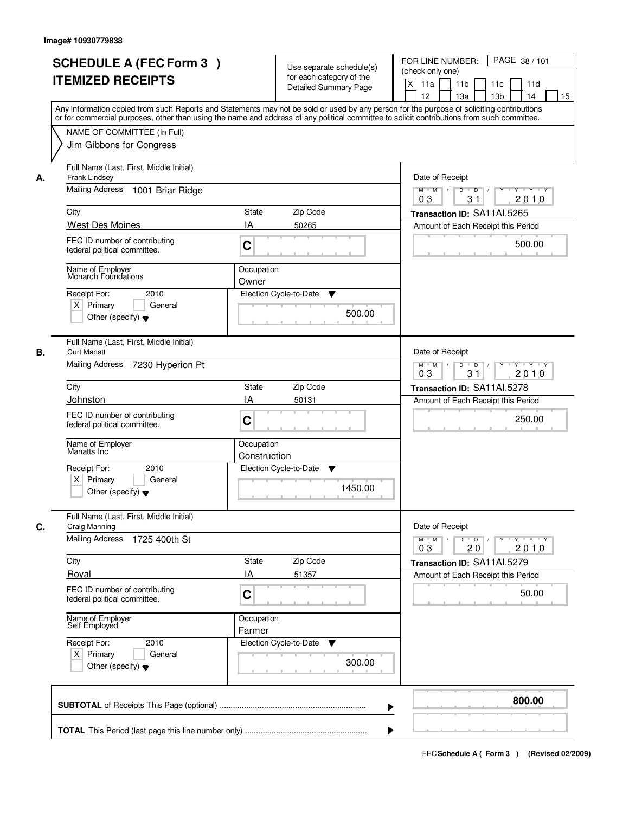| <b>SCHEDULE A (FEC Form 3)</b><br><b>ITEMIZED RECEIPTS</b>                             | Use separate schedule(s)<br>for each category of the<br><b>Detailed Summary Page</b>                                                                                                                                                                                                    | PAGE 38 / 101<br>FOR LINE NUMBER:<br>(check only one)<br>$\boldsymbol{\mathsf{X}}$<br>11a<br>11 <sub>b</sub><br>11c<br>11d |
|----------------------------------------------------------------------------------------|-----------------------------------------------------------------------------------------------------------------------------------------------------------------------------------------------------------------------------------------------------------------------------------------|----------------------------------------------------------------------------------------------------------------------------|
|                                                                                        | Any information copied from such Reports and Statements may not be sold or used by any person for the purpose of soliciting contributions<br>or for commercial purposes, other than using the name and address of any political committee to solicit contributions from such committee. | 12<br>13 <sub>b</sub><br>13a<br>14<br>15                                                                                   |
| NAME OF COMMITTEE (In Full)<br>Jim Gibbons for Congress                                |                                                                                                                                                                                                                                                                                         |                                                                                                                            |
| Full Name (Last, First, Middle Initial)<br>Frank Lindsey<br>А.<br>Mailing Address      |                                                                                                                                                                                                                                                                                         | Date of Receipt<br>$Y$ $Y$ $Y$<br>$D$ $D$ $/$                                                                              |
| 1001 Briar Ridge                                                                       |                                                                                                                                                                                                                                                                                         | $\overline{Y}$<br>$M$ $M$ /<br>0 <sub>3</sub><br>31<br>2010                                                                |
| City<br>West Des Moines                                                                | State<br>Zip Code<br>IA<br>50265                                                                                                                                                                                                                                                        | Transaction ID: SA11Al.5265<br>Amount of Each Receipt this Period                                                          |
| FEC ID number of contributing<br>federal political committee.                          | C                                                                                                                                                                                                                                                                                       | 500.00                                                                                                                     |
| Name of Employer<br>Monarch Foundations                                                | Occupation<br>Owner                                                                                                                                                                                                                                                                     |                                                                                                                            |
| Receipt For:<br>2010<br>$X$ Primary<br>General<br>Other (specify) $\blacktriangledown$ | Election Cycle-to-Date<br>▼<br>500.00                                                                                                                                                                                                                                                   |                                                                                                                            |
| Full Name (Last, First, Middle Initial)<br>В.<br><b>Curt Manatt</b>                    |                                                                                                                                                                                                                                                                                         | Date of Receipt                                                                                                            |
| Mailing Address<br>7230 Hyperion Pt                                                    |                                                                                                                                                                                                                                                                                         | $Y - Y - Y$<br>$M$ M<br>D<br>$\overline{D}$<br>31<br>2010<br>03                                                            |
| City                                                                                   | Zip Code<br>State                                                                                                                                                                                                                                                                       | Transaction ID: SA11AI.5278                                                                                                |
| Johnston<br>FEC ID number of contributing<br>federal political committee.              | IA<br>50131<br>C                                                                                                                                                                                                                                                                        | Amount of Each Receipt this Period<br>250.00                                                                               |
| Name of Employer<br>Manatts Inc                                                        | Occupation<br>Construction                                                                                                                                                                                                                                                              |                                                                                                                            |
| Receipt For:<br>2010<br>$X$ Primary<br>General                                         | Election Cycle-to-Date<br>v                                                                                                                                                                                                                                                             |                                                                                                                            |
| Other (specify) $\blacktriangledown$                                                   | 1450.00                                                                                                                                                                                                                                                                                 |                                                                                                                            |
| Full Name (Last, First, Middle Initial)<br>C.<br>Craig Manning                         |                                                                                                                                                                                                                                                                                         | Date of Receipt                                                                                                            |
| <b>Mailing Address</b><br>1725 400th St                                                |                                                                                                                                                                                                                                                                                         | $D$ $D$ $/$<br>$M$ $M$ /<br>$Y + Y + Y$<br>Y "<br>03<br>2010<br>20                                                         |
| City                                                                                   | Zip Code<br>State                                                                                                                                                                                                                                                                       | Transaction ID: SA11Al.5279                                                                                                |
| Royal<br>FEC ID number of contributing<br>federal political committee.                 | ΙA<br>51357<br>C                                                                                                                                                                                                                                                                        | Amount of Each Receipt this Period<br>50.00                                                                                |
| Name of Employer<br>Self Employed                                                      | Occupation<br>Farmer                                                                                                                                                                                                                                                                    |                                                                                                                            |
| Receipt For:<br>2010<br>$X$ Primary<br>General<br>Other (specify) $\blacktriangledown$ | Election Cycle-to-Date<br>v<br>300.00                                                                                                                                                                                                                                                   |                                                                                                                            |
|                                                                                        | ▶                                                                                                                                                                                                                                                                                       | 800.00                                                                                                                     |
|                                                                                        |                                                                                                                                                                                                                                                                                         |                                                                                                                            |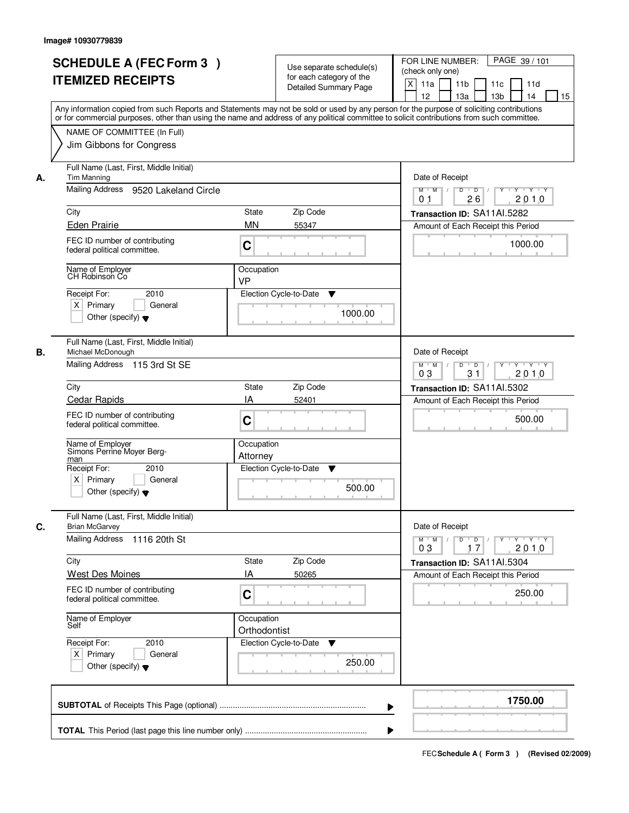|    | <b>SCHEDULE A (FEC Form 3)</b><br><b>ITEMIZED RECEIPTS</b><br>Any information copied from such Reports and Statements may not be sold or used by any person for the purpose of soliciting contributions<br>or for commercial purposes, other than using the name and address of any political committee to solicit contributions from such committee. |                            | Use separate schedule(s)<br>for each category of the<br><b>Detailed Summary Page</b> | PAGE 39 / 101<br>FOR LINE NUMBER:<br>(check only one)<br>X<br>11a<br>11 <sub>b</sub><br>11c<br>11d<br>12<br>13 <sub>b</sub><br>13a<br>14<br>15 |
|----|-------------------------------------------------------------------------------------------------------------------------------------------------------------------------------------------------------------------------------------------------------------------------------------------------------------------------------------------------------|----------------------------|--------------------------------------------------------------------------------------|------------------------------------------------------------------------------------------------------------------------------------------------|
|    | NAME OF COMMITTEE (In Full)<br>Jim Gibbons for Congress                                                                                                                                                                                                                                                                                               |                            |                                                                                      |                                                                                                                                                |
| А. | Full Name (Last, First, Middle Initial)<br>Tim Manning<br>Mailing Address 9520 Lakeland Circle                                                                                                                                                                                                                                                        |                            |                                                                                      | Date of Receipt<br>$Y$ $Y$ $Y$<br>$M$ $M$ /<br>$D$ $D$ $/$<br>$\overline{Y}$<br>26<br>2010<br>0 <sub>1</sub>                                   |
|    | City                                                                                                                                                                                                                                                                                                                                                  | State                      | Zip Code                                                                             | Transaction ID: SA11AI.5282                                                                                                                    |
|    | <b>Eden Prairie</b>                                                                                                                                                                                                                                                                                                                                   | <b>MN</b>                  | 55347                                                                                | Amount of Each Receipt this Period                                                                                                             |
|    | FEC ID number of contributing<br>federal political committee.                                                                                                                                                                                                                                                                                         | C                          |                                                                                      | 1000.00                                                                                                                                        |
|    | Name of Employer<br>CH Robinson Co                                                                                                                                                                                                                                                                                                                    | Occupation<br><b>VP</b>    |                                                                                      |                                                                                                                                                |
|    | 2010<br>Receipt For:<br>$X$ Primary<br>General<br>Other (specify) $\blacktriangledown$                                                                                                                                                                                                                                                                |                            | Election Cycle-to-Date<br>▼<br>1000.00                                               |                                                                                                                                                |
| В. | Full Name (Last, First, Middle Initial)<br>Michael McDonough<br>Mailing Address 115 3rd St SE                                                                                                                                                                                                                                                         |                            |                                                                                      | Date of Receipt<br>$Y \vdash Y \vdash Y$<br>$M$ $M$ /<br>D<br>$\overline{D}$<br>Y                                                              |
|    |                                                                                                                                                                                                                                                                                                                                                       |                            |                                                                                      | 31<br>2010<br>03                                                                                                                               |
|    | City<br>Cedar Rapids                                                                                                                                                                                                                                                                                                                                  | State<br>IA                | Zip Code<br>52401                                                                    | Transaction ID: SA11AI.5302<br>Amount of Each Receipt this Period                                                                              |
|    | FEC ID number of contributing<br>federal political committee.                                                                                                                                                                                                                                                                                         | C                          |                                                                                      | 500.00                                                                                                                                         |
|    | Name of Employer<br>Simons Perrine Moyer Berg-<br>man                                                                                                                                                                                                                                                                                                 | Occupation<br>Attorney     |                                                                                      |                                                                                                                                                |
|    | Receipt For:<br>2010<br>$X$ Primary<br>General<br>Other (specify) $\blacktriangledown$                                                                                                                                                                                                                                                                |                            | Election Cycle-to-Date<br>v<br>500.00                                                |                                                                                                                                                |
| C. | Full Name (Last, First, Middle Initial)<br><b>Brian McGarvey</b>                                                                                                                                                                                                                                                                                      |                            |                                                                                      | Date of Receipt                                                                                                                                |
|    | <b>Mailing Address</b><br>1116 20th St                                                                                                                                                                                                                                                                                                                |                            |                                                                                      | $D$ $D$ $I$<br>$M$ $M$ /<br>$Y^+$<br>$Y + Y + Y$<br>03<br>17<br>2010                                                                           |
|    | City                                                                                                                                                                                                                                                                                                                                                  | State                      | Zip Code                                                                             | Transaction ID: SA11AI.5304                                                                                                                    |
|    | <b>West Des Moines</b><br>FEC ID number of contributing<br>federal political committee.                                                                                                                                                                                                                                                               | ΙA<br>C                    | 50265                                                                                | Amount of Each Receipt this Period<br>250.00                                                                                                   |
|    | Name of Employer<br>Self                                                                                                                                                                                                                                                                                                                              | Occupation<br>Orthodontist |                                                                                      |                                                                                                                                                |
|    | Receipt For:<br>2010<br>$X$ Primary<br>General<br>Other (specify) $\blacktriangledown$                                                                                                                                                                                                                                                                |                            | Election Cycle-to-Date<br>v<br>250.00                                                |                                                                                                                                                |
|    |                                                                                                                                                                                                                                                                                                                                                       |                            | ▶                                                                                    | 1750.00                                                                                                                                        |
|    |                                                                                                                                                                                                                                                                                                                                                       |                            |                                                                                      |                                                                                                                                                |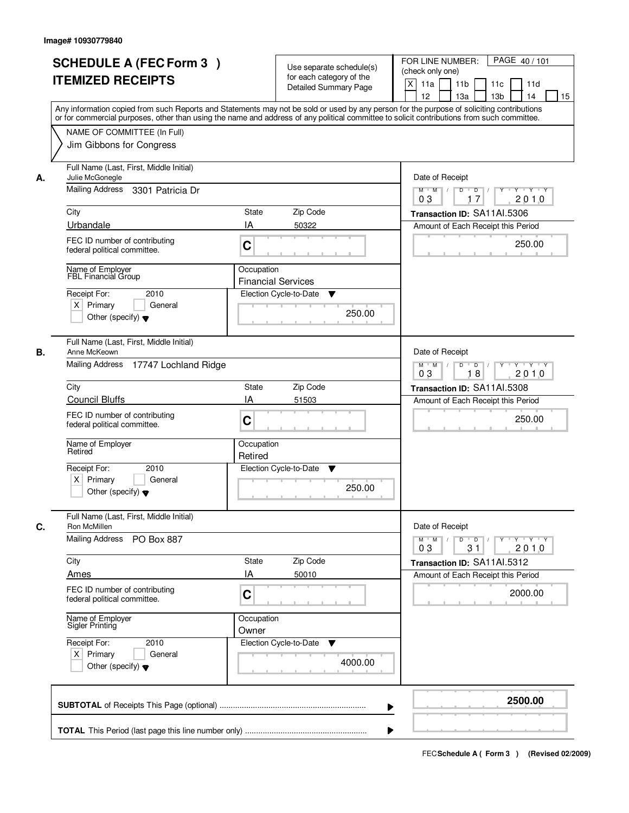|    | <b>SCHEDULE A (FEC Form 3)</b><br><b>ITEMIZED RECEIPTS</b><br>Any information copied from such Reports and Statements may not be sold or used by any person for the purpose of soliciting contributions<br>or for commercial purposes, other than using the name and address of any political committee to solicit contributions from such committee. |                                         | Use separate schedule(s)<br>for each category of the<br><b>Detailed Summary Page</b> | PAGE 40/101<br>FOR LINE NUMBER:<br>(check only one)<br>X<br>11a<br>11 <sub>b</sub><br>11c<br>11d<br>12<br>13 <sub>b</sub><br>13a<br>14<br>15 |
|----|-------------------------------------------------------------------------------------------------------------------------------------------------------------------------------------------------------------------------------------------------------------------------------------------------------------------------------------------------------|-----------------------------------------|--------------------------------------------------------------------------------------|----------------------------------------------------------------------------------------------------------------------------------------------|
|    | NAME OF COMMITTEE (In Full)<br>Jim Gibbons for Congress                                                                                                                                                                                                                                                                                               |                                         |                                                                                      |                                                                                                                                              |
| А. | Full Name (Last, First, Middle Initial)<br>Julie McGonegle<br>Mailing Address<br>3301 Patricia Dr<br>City                                                                                                                                                                                                                                             | State                                   | Zip Code                                                                             | Date of Receipt<br>$M$ $M$<br>$D$ $D$ $/$<br>03<br>17<br>2010<br>Transaction ID: SA11Al.5306                                                 |
|    | Urbandale<br>FEC ID number of contributing<br>federal political committee.                                                                                                                                                                                                                                                                            | IA<br>C                                 | 50322                                                                                | Amount of Each Receipt this Period<br>250.00                                                                                                 |
|    | Name of Employer<br>FBL Financial Group<br>Receipt For:<br>2010<br>$X$ Primary<br>General<br>Other (specify) $\blacktriangledown$                                                                                                                                                                                                                     | Occupation<br><b>Financial Services</b> | Election Cycle-to-Date<br>▼<br>250.00                                                |                                                                                                                                              |
| В. | Full Name (Last, First, Middle Initial)<br>Anne McKeown<br>Mailing Address 17747 Lochland Ridge                                                                                                                                                                                                                                                       |                                         |                                                                                      | Date of Receipt<br>Y<br>$Y \vdash Y \vdash Y$<br>$M$ $M$ /<br>D<br>$\overline{D}$<br>2010<br>03<br>18                                        |
|    | City                                                                                                                                                                                                                                                                                                                                                  | State                                   | Zip Code                                                                             | Transaction ID: SA11AI.5308                                                                                                                  |
|    | <b>Council Bluffs</b><br>FEC ID number of contributing<br>federal political committee.                                                                                                                                                                                                                                                                | IA<br>C                                 | 51503                                                                                | Amount of Each Receipt this Period<br>250.00                                                                                                 |
|    | Name of Employer<br>Retired                                                                                                                                                                                                                                                                                                                           | Occupation<br>Retired                   |                                                                                      |                                                                                                                                              |
|    | Receipt For:<br>2010<br>$X$ Primary<br>General<br>Other (specify) $\blacktriangledown$                                                                                                                                                                                                                                                                |                                         | Election Cycle-to-Date<br>v<br>250.00                                                |                                                                                                                                              |
| C. | Full Name (Last, First, Middle Initial)<br>Ron McMillen<br>Mailing Address<br>PO Box 887                                                                                                                                                                                                                                                              |                                         |                                                                                      | Date of Receipt<br>$\mathsf D$<br>$M$ $M$ /<br>$\overline{D}$<br>$Y + Y + Y$<br>Y "                                                          |
|    |                                                                                                                                                                                                                                                                                                                                                       |                                         |                                                                                      | 03<br>31<br>2010                                                                                                                             |
|    | City<br>Ames                                                                                                                                                                                                                                                                                                                                          | State<br>ΙA                             | Zip Code<br>50010                                                                    | Transaction ID: SA11Al.5312<br>Amount of Each Receipt this Period                                                                            |
|    | FEC ID number of contributing<br>federal political committee.                                                                                                                                                                                                                                                                                         | C                                       |                                                                                      | 2000.00                                                                                                                                      |
|    | Name of Employer<br>Sigler Printing                                                                                                                                                                                                                                                                                                                   | Occupation<br>Owner                     |                                                                                      |                                                                                                                                              |
|    | Receipt For:<br>2010<br>$X$ Primary<br>General<br>Other (specify) $\blacktriangledown$                                                                                                                                                                                                                                                                |                                         | Election Cycle-to-Date<br>v<br>4000.00                                               |                                                                                                                                              |
|    |                                                                                                                                                                                                                                                                                                                                                       |                                         | ▶                                                                                    | 2500.00                                                                                                                                      |
|    |                                                                                                                                                                                                                                                                                                                                                       |                                         |                                                                                      |                                                                                                                                              |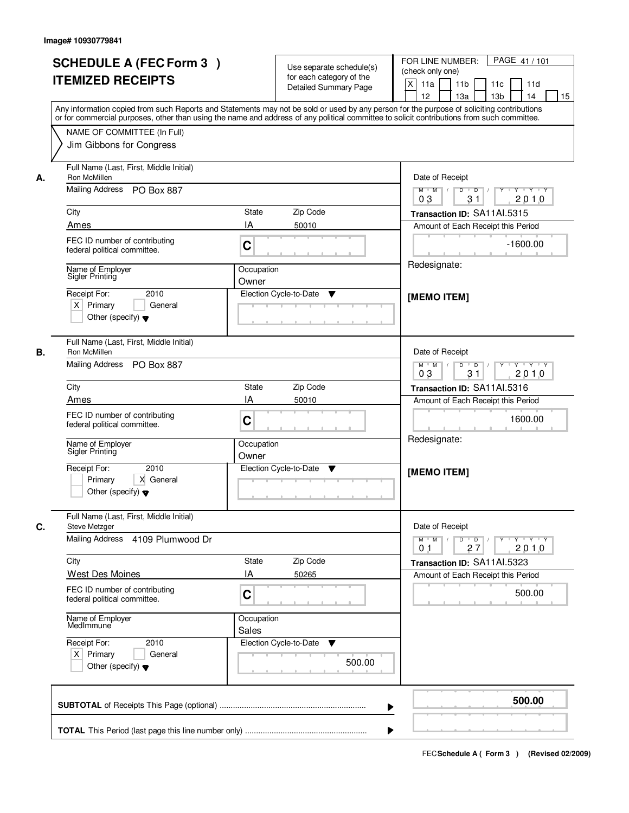| <b>SCHEDULE A (FEC Form 3)</b><br><b>ITEMIZED RECEIPTS</b>                                                 |                                          | Use separate schedule(s)<br>for each category of the<br>Detailed Summary Page | PAGE 41 / 101<br>FOR LINE NUMBER:<br>(check only one)<br>$\mathsf{X}$<br>11 <sub>b</sub><br>11a<br>11c<br>11d<br>13 <sub>b</sub><br>12<br>13a<br>14<br>15<br>Any information copied from such Reports and Statements may not be sold or used by any person for the purpose of soliciting contributions<br>or for commercial purposes, other than using the name and address of any political committee to solicit contributions from such committee.                                                   |
|------------------------------------------------------------------------------------------------------------|------------------------------------------|-------------------------------------------------------------------------------|--------------------------------------------------------------------------------------------------------------------------------------------------------------------------------------------------------------------------------------------------------------------------------------------------------------------------------------------------------------------------------------------------------------------------------------------------------------------------------------------------------|
| NAME OF COMMITTEE (In Full)<br>Jim Gibbons for Congress                                                    |                                          |                                                                               |                                                                                                                                                                                                                                                                                                                                                                                                                                                                                                        |
| Full Name (Last, First, Middle Initial)<br>Ron McMillen<br>А.<br>Mailing Address PO Box 887<br>City        | State                                    | Zip Code                                                                      | Date of Receipt<br>$\begin{array}{c c c c c c c c} \hline \textbf{0} & \textbf{0} & \textbf{0} & \textbf{0} & \textbf{0} & \textbf{0} & \textbf{0} & \textbf{0} & \textbf{0} & \textbf{0} & \textbf{0} & \textbf{0} & \textbf{0} & \textbf{0} & \textbf{0} & \textbf{0} & \textbf{0} & \textbf{0} & \textbf{0} & \textbf{0} & \textbf{0} & \textbf{0} & \textbf{0} & \textbf{0} & \textbf{0} & \textbf{0} & \textbf{0} & \textbf{0} &$<br>$M$ $M$ /<br>03<br>31<br>2010<br>Transaction ID: SA11Al.5315 |
| Ames<br>FEC ID number of contributing<br>federal political committee.                                      | IA<br>C                                  | 50010                                                                         | Amount of Each Receipt this Period<br>$-1600.00$                                                                                                                                                                                                                                                                                                                                                                                                                                                       |
| Name of Employer<br>Sigler Printing<br>Receipt For:<br>$X$ Primary<br>Other (specify) $\blacktriangledown$ | Occupation<br>Owner<br>2010<br>General   | Election Cycle-to-Date<br>▼                                                   | Redesignate:<br>[MEMO ITEM]                                                                                                                                                                                                                                                                                                                                                                                                                                                                            |
| Full Name (Last, First, Middle Initial)<br>Ron McMillen<br>В.<br>Mailing Address PO Box 887                |                                          |                                                                               | Date of Receipt<br>$Y - Y - Y - Y$<br>$M$ $M$ /<br>D<br>$\overline{D}$<br>31<br>2010<br>03                                                                                                                                                                                                                                                                                                                                                                                                             |
| City<br>Ames<br>FEC ID number of contributing<br>federal political committee.                              | <b>State</b><br>IA<br>C                  | Zip Code<br>50010                                                             | Transaction ID: SA11Al.5316<br>Amount of Each Receipt this Period<br>1600.00<br>Redesignate:                                                                                                                                                                                                                                                                                                                                                                                                           |
| Name of Employer<br>Sigler Printing<br>Receipt For:<br>Primary<br>Other (specify) $\blacktriangledown$     | Occupation<br>Owner<br>2010<br>X General | Election Cycle-to-Date<br>▼                                                   | [MEMO ITEM]                                                                                                                                                                                                                                                                                                                                                                                                                                                                                            |
| Full Name (Last, First, Middle Initial)<br>C.<br>Steve Metzger<br><b>Mailing Address</b>                   | 4109 Plumwood Dr                         |                                                                               | Date of Receipt<br>$M$ $M$<br>$\mathsf D$<br>$Y = Y = Y + Y$<br>$\overline{D}$<br>$Y$ <sup><math>\top</math></sup>                                                                                                                                                                                                                                                                                                                                                                                     |
| City<br><b>West Des Moines</b>                                                                             | <b>State</b><br>ΙA                       | Zip Code<br>50265                                                             | 2010<br>01<br>27<br>Transaction ID: SA11AI.5323<br>Amount of Each Receipt this Period                                                                                                                                                                                                                                                                                                                                                                                                                  |
| FEC ID number of contributing<br>federal political committee.                                              | C                                        |                                                                               | 500.00                                                                                                                                                                                                                                                                                                                                                                                                                                                                                                 |
| Name of Employer<br>MedImmune<br>Receipt For:<br>$X$ Primary<br>Other (specify) $\blacktriangledown$       | Occupation<br>Sales<br>2010<br>General   | Election Cycle-to-Date<br>v<br>500.00                                         |                                                                                                                                                                                                                                                                                                                                                                                                                                                                                                        |
|                                                                                                            |                                          | ▶                                                                             | 500.00                                                                                                                                                                                                                                                                                                                                                                                                                                                                                                 |
|                                                                                                            |                                          |                                                                               |                                                                                                                                                                                                                                                                                                                                                                                                                                                                                                        |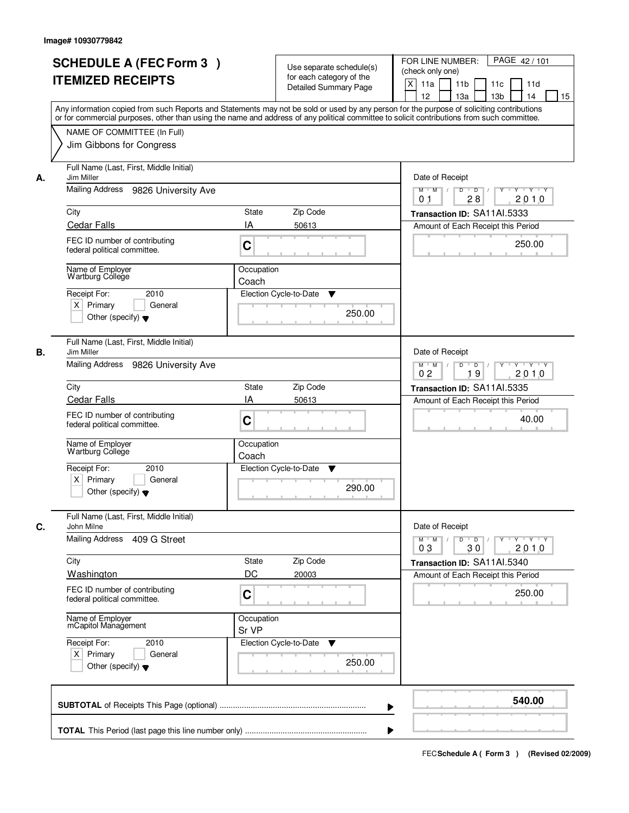|      | <b>SCHEDULE A (FEC Form 3)</b><br><b>ITEMIZED RECEIPTS</b>                                                                                 |                                                                                              | Use separate schedule(s)<br>for each category of the<br><b>Detailed Summary Page</b> | PAGE 42/101<br>FOR LINE NUMBER:<br>(check only one)<br>X<br>11a<br>11 <sub>b</sub><br>11c<br>11d                                                                                      |
|------|--------------------------------------------------------------------------------------------------------------------------------------------|----------------------------------------------------------------------------------------------|--------------------------------------------------------------------------------------|---------------------------------------------------------------------------------------------------------------------------------------------------------------------------------------|
|      | or for commercial purposes, other than using the name and address of any political committee to solicit contributions from such committee. |                                                                                              |                                                                                      | 12<br>13 <sub>b</sub><br>13a<br>14<br>15<br>Any information copied from such Reports and Statements may not be sold or used by any person for the purpose of soliciting contributions |
|      | NAME OF COMMITTEE (In Full)<br>Jim Gibbons for Congress                                                                                    |                                                                                              |                                                                                      |                                                                                                                                                                                       |
| А.   | Full Name (Last, First, Middle Initial)<br>Jim Miller                                                                                      |                                                                                              |                                                                                      | Date of Receipt                                                                                                                                                                       |
|      | Mailing Address 9826 University Ave                                                                                                        |                                                                                              |                                                                                      | $M$ $M$<br>$D$ $D$ $/$<br>$\overline{Y}$<br>Y Y Y Y<br>28<br>2010<br>0 <sub>1</sub>                                                                                                   |
| City | <b>Cedar Falls</b>                                                                                                                         | State<br>IA                                                                                  | Zip Code<br>50613                                                                    | Transaction ID: SA11Al.5333<br>Amount of Each Receipt this Period                                                                                                                     |
|      | FEC ID number of contributing<br>federal political committee.                                                                              | C                                                                                            |                                                                                      | 250.00                                                                                                                                                                                |
|      | Name of Employer<br>Wartburg College                                                                                                       | Occupation<br>Coach                                                                          |                                                                                      |                                                                                                                                                                                       |
|      | 2010<br>Receipt For:<br>$X$ Primary<br>General<br>Other (specify) $\blacktriangledown$                                                     |                                                                                              | Election Cycle-to-Date<br>▼<br>250.00                                                |                                                                                                                                                                                       |
| В.   | Full Name (Last, First, Middle Initial)<br>Jim Miller                                                                                      |                                                                                              |                                                                                      | Date of Receipt                                                                                                                                                                       |
|      | Mailing Address<br>9826 University Ave                                                                                                     | $Y \vdash Y \vdash Y$<br>$M$ M<br>D<br>$\overline{D}$ /<br>Y<br>2010<br>0 <sub>2</sub><br>19 |                                                                                      |                                                                                                                                                                                       |
| City |                                                                                                                                            | State                                                                                        | Zip Code                                                                             | Transaction ID: SA11Al.5335                                                                                                                                                           |
|      | <b>Cedar Falls</b><br>FEC ID number of contributing<br>federal political committee.                                                        | IA<br>C                                                                                      | 50613                                                                                | Amount of Each Receipt this Period<br>40.00                                                                                                                                           |
|      | Name of Employer<br>Wartburg College                                                                                                       | Occupation<br>Coach                                                                          |                                                                                      |                                                                                                                                                                                       |
|      | Receipt For:<br>2010<br>$X$ Primary<br>General<br>Other (specify) $\blacktriangledown$                                                     |                                                                                              | Election Cycle-to-Date<br>v<br>290.00                                                |                                                                                                                                                                                       |
| C.   | Full Name (Last, First, Middle Initial)<br>John Milne                                                                                      |                                                                                              |                                                                                      | Date of Receipt                                                                                                                                                                       |
|      | <b>Mailing Address</b><br>409 G Street                                                                                                     |                                                                                              |                                                                                      | $\mathsf D$<br>$M$ $M$ /<br>$\overline{D}$<br>$Y$ <sup>-1</sup><br>$Y + Y + Y$<br>03<br>30<br>2010                                                                                    |
| City |                                                                                                                                            | State                                                                                        | Zip Code                                                                             | Transaction ID: SA11Al.5340                                                                                                                                                           |
|      | <b>Washington</b><br>FEC ID number of contributing<br>federal political committee.                                                         | DC<br>C                                                                                      | 20003                                                                                | Amount of Each Receipt this Period<br>250.00                                                                                                                                          |
|      | Name of Employer<br>mCapitol Management                                                                                                    | Occupation<br>Sr VP                                                                          |                                                                                      |                                                                                                                                                                                       |
|      | Receipt For:<br>2010<br>$X$ Primary<br>General<br>Other (specify) $\blacktriangledown$                                                     |                                                                                              | Election Cycle-to-Date<br>v<br>250.00                                                |                                                                                                                                                                                       |
|      |                                                                                                                                            |                                                                                              | ▶                                                                                    | 540.00                                                                                                                                                                                |
|      |                                                                                                                                            |                                                                                              |                                                                                      |                                                                                                                                                                                       |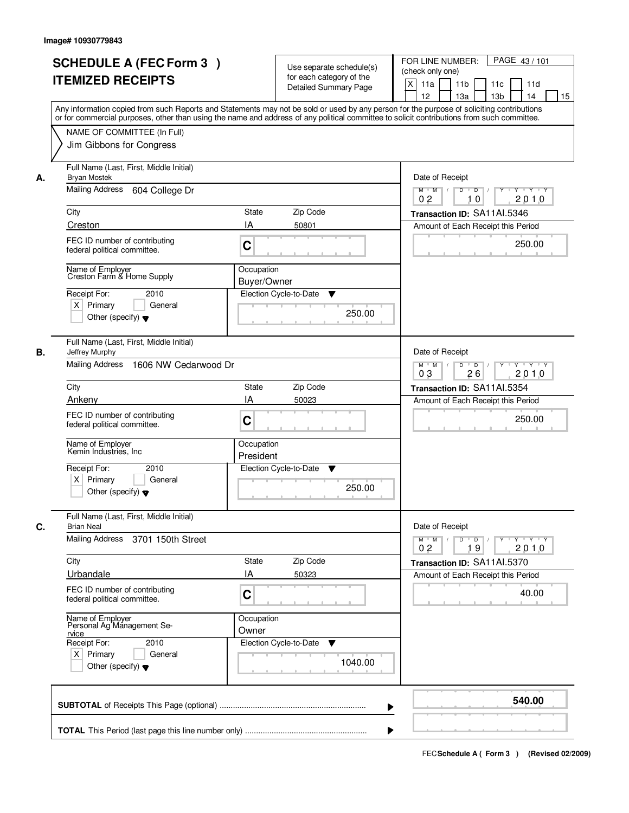|    | <b>SCHEDULE A (FEC Form 3)</b><br><b>ITEMIZED RECEIPTS</b><br>Any information copied from such Reports and Statements may not be sold or used by any person for the purpose of soliciting contributions | Use separate schedule(s)<br>for each category of the<br><b>Detailed Summary Page</b> | PAGE 43/101<br>FOR LINE NUMBER:<br>(check only one)<br>X<br>11 <sub>b</sub><br>11a<br>11 <sub>c</sub><br>11d<br>12<br>13 <sub>b</sub><br>13a<br>14<br>15 |
|----|---------------------------------------------------------------------------------------------------------------------------------------------------------------------------------------------------------|--------------------------------------------------------------------------------------|----------------------------------------------------------------------------------------------------------------------------------------------------------|
|    | or for commercial purposes, other than using the name and address of any political committee to solicit contributions from such committee.<br>NAME OF COMMITTEE (In Full)<br>Jim Gibbons for Congress   |                                                                                      |                                                                                                                                                          |
| А. | Full Name (Last, First, Middle Initial)<br><b>Bryan Mostek</b><br>Mailing Address<br>604 College Dr                                                                                                     |                                                                                      | Date of Receipt<br>$Y + Y + Y$<br>$D$ $D$ $I$<br>$Y^+$<br>$M$ $M$ $/$<br>0 <sub>2</sub><br>2010<br>10                                                    |
|    | City                                                                                                                                                                                                    | <b>State</b><br>Zip Code                                                             | Transaction ID: SA11Al.5346                                                                                                                              |
|    | Creston                                                                                                                                                                                                 | IA<br>50801                                                                          | Amount of Each Receipt this Period                                                                                                                       |
|    | FEC ID number of contributing<br>federal political committee.                                                                                                                                           | C                                                                                    | 250.00                                                                                                                                                   |
|    | Name of Employer<br>Creston Farm & Home Supply                                                                                                                                                          | Occupation<br>Buyer/Owner                                                            |                                                                                                                                                          |
|    | Receipt For:<br>2010<br>$X$ Primary<br>General<br>Other (specify) $\blacktriangledown$                                                                                                                  | Election Cycle-to-Date<br>▼<br>250.00                                                |                                                                                                                                                          |
| В. | Full Name (Last, First, Middle Initial)<br>Jeffrey Murphy<br>Mailing Address<br>1606 NW Cedarwood Dr                                                                                                    |                                                                                      | Date of Receipt<br>$Y - Y - Y$<br>$M$ $M$ /<br>D<br>$\overline{D}$                                                                                       |
|    | City                                                                                                                                                                                                    | Zip Code<br><b>State</b>                                                             | 03<br>26<br>2010                                                                                                                                         |
|    | Ankeny                                                                                                                                                                                                  | IA<br>50023                                                                          | Transaction ID: SA11Al.5354<br>Amount of Each Receipt this Period                                                                                        |
|    | FEC ID number of contributing<br>federal political committee.                                                                                                                                           | C                                                                                    | 250.00                                                                                                                                                   |
|    | Name of Employer<br>Kemin Industries, Inc.                                                                                                                                                              | Occupation<br>President                                                              |                                                                                                                                                          |
|    | Receipt For:<br>2010<br>$X$ Primary<br>General<br>Other (specify) $\blacktriangledown$                                                                                                                  | Election Cycle-to-Date<br>v<br>250.00                                                |                                                                                                                                                          |
| C. | Full Name (Last, First, Middle Initial)<br><b>Brian Neal</b>                                                                                                                                            |                                                                                      | Date of Receipt                                                                                                                                          |
|    | Mailing Address<br>3701 150th Street                                                                                                                                                                    |                                                                                      | $D$ $D$ $/$<br>$M$ $M$ $/$<br>$Y + Y + Y + Y$<br>0 <sub>2</sub><br>19<br>2010                                                                            |
|    | City                                                                                                                                                                                                    | Zip Code<br><b>State</b>                                                             | Transaction ID: SA11Al.5370                                                                                                                              |
|    | Urbandale                                                                                                                                                                                               | ΙA<br>50323                                                                          | Amount of Each Receipt this Period                                                                                                                       |
|    | FEC ID number of contributing<br>federal political committee.                                                                                                                                           | C                                                                                    | 40.00                                                                                                                                                    |
|    | Name of Employer<br>Personal Ag Management Se-<br>rvice<br>Receipt For:<br>2010<br>$X$ Primary<br>General<br>Other (specify) $\blacktriangledown$                                                       | Occupation<br>Owner<br>Election Cycle-to-Date<br>v<br>1040.00                        |                                                                                                                                                          |
|    |                                                                                                                                                                                                         |                                                                                      | 540.00                                                                                                                                                   |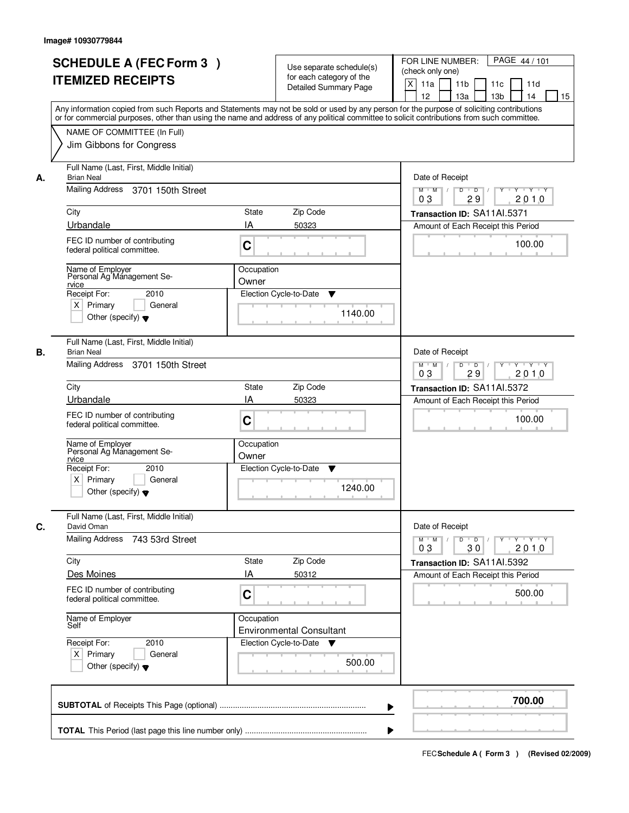| <b>SCHEDULE A (FEC Form 3)</b><br><b>ITEMIZED RECEIPTS</b>                                              | Use separate schedule(s)<br>for each category of the<br><b>Detailed Summary Page</b><br>Any information copied from such Reports and Statements may not be sold or used by any person for the purpose of soliciting contributions | PAGE 44 / 101<br>FOR LINE NUMBER:<br>(check only one)<br>$\boldsymbol{\mathsf{X}}$<br>11 <sub>b</sub><br>11a<br>11 <sub>c</sub><br>11d<br>12<br>13 <sub>b</sub><br>14<br>13a<br>15 |
|---------------------------------------------------------------------------------------------------------|-----------------------------------------------------------------------------------------------------------------------------------------------------------------------------------------------------------------------------------|------------------------------------------------------------------------------------------------------------------------------------------------------------------------------------|
| NAME OF COMMITTEE (In Full)<br>Jim Gibbons for Congress                                                 | or for commercial purposes, other than using the name and address of any political committee to solicit contributions from such committee.                                                                                        |                                                                                                                                                                                    |
| Full Name (Last, First, Middle Initial)<br><b>Brian Neal</b><br>А.<br>Mailing Address 3701 150th Street |                                                                                                                                                                                                                                   | Date of Receipt<br>$D$ $D$<br>Y<br>$Y - Y - Y - Y$<br>$M$ $M$ /<br>0 <sub>3</sub><br>29<br>2010                                                                                    |
| City                                                                                                    | <b>State</b><br>Zip Code                                                                                                                                                                                                          | Transaction ID: SA11AI.5371                                                                                                                                                        |
| Urbandale                                                                                               | IA<br>50323                                                                                                                                                                                                                       | Amount of Each Receipt this Period                                                                                                                                                 |
| FEC ID number of contributing<br>federal political committee.                                           | C                                                                                                                                                                                                                                 | 100.00                                                                                                                                                                             |
| Name of Employer<br>Personal Ag Management Se-<br>rvice<br>Receipt For:<br>2010                         | Occupation<br>Owner<br>Election Cycle-to-Date<br>▼                                                                                                                                                                                |                                                                                                                                                                                    |
| $X$ Primary<br>General<br>Other (specify) $\blacktriangledown$                                          | 1140.00                                                                                                                                                                                                                           |                                                                                                                                                                                    |
| Full Name (Last, First, Middle Initial)<br>В.<br><b>Brian Neal</b>                                      |                                                                                                                                                                                                                                   | Date of Receipt                                                                                                                                                                    |
| Mailing Address 3701 150th Street                                                                       |                                                                                                                                                                                                                                   | $M$ $M$ /<br>D<br>$\overline{D}$ /<br>Y<br>$Y + Y + Y$<br>2010<br>03<br>29                                                                                                         |
| City                                                                                                    | Zip Code<br>State                                                                                                                                                                                                                 | Transaction ID: SA11AI.5372                                                                                                                                                        |
| Urbandale                                                                                               | IA<br>50323                                                                                                                                                                                                                       | Amount of Each Receipt this Period                                                                                                                                                 |
| FEC ID number of contributing<br>federal political committee.                                           | C                                                                                                                                                                                                                                 | 100.00                                                                                                                                                                             |
| Name of Employer<br>Personal Ag Management Se-                                                          | Occupation<br>Owner                                                                                                                                                                                                               |                                                                                                                                                                                    |
| rvice<br>Receipt For:<br>2010                                                                           | Election Cycle-to-Date<br>v                                                                                                                                                                                                       |                                                                                                                                                                                    |
| $X$ Primary<br>General<br>Other (specify) $\blacktriangledown$                                          | 1240.00                                                                                                                                                                                                                           |                                                                                                                                                                                    |
| Full Name (Last, First, Middle Initial)<br>C.<br>David Oman                                             |                                                                                                                                                                                                                                   | Date of Receipt                                                                                                                                                                    |
| <b>Mailing Address</b><br>743 53rd Street                                                               |                                                                                                                                                                                                                                   | $M$ $M$<br>$D$ $D$ $/$<br>$\mathsf{Y} \dashv \neg \mathsf{Y} \dashv \neg \mathsf{Y}$<br>$Y^+$<br>2010<br>03<br>30                                                                  |
| City                                                                                                    | Zip Code<br>State                                                                                                                                                                                                                 | Transaction ID: SA11Al.5392                                                                                                                                                        |
| Des Moines                                                                                              | IA<br>50312                                                                                                                                                                                                                       | Amount of Each Receipt this Period                                                                                                                                                 |
| FEC ID number of contributing<br>federal political committee.                                           | C                                                                                                                                                                                                                                 | 500.00                                                                                                                                                                             |
| Name of Employer<br>Self                                                                                | Occupation<br><b>Environmental Consultant</b>                                                                                                                                                                                     |                                                                                                                                                                                    |
| Receipt For:<br>2010<br>$X$ Primary<br>General                                                          | Election Cycle-to-Date ▼                                                                                                                                                                                                          |                                                                                                                                                                                    |
| Other (specify) $\blacktriangledown$                                                                    | 500.00                                                                                                                                                                                                                            |                                                                                                                                                                                    |
|                                                                                                         |                                                                                                                                                                                                                                   | 700.00                                                                                                                                                                             |
|                                                                                                         |                                                                                                                                                                                                                                   |                                                                                                                                                                                    |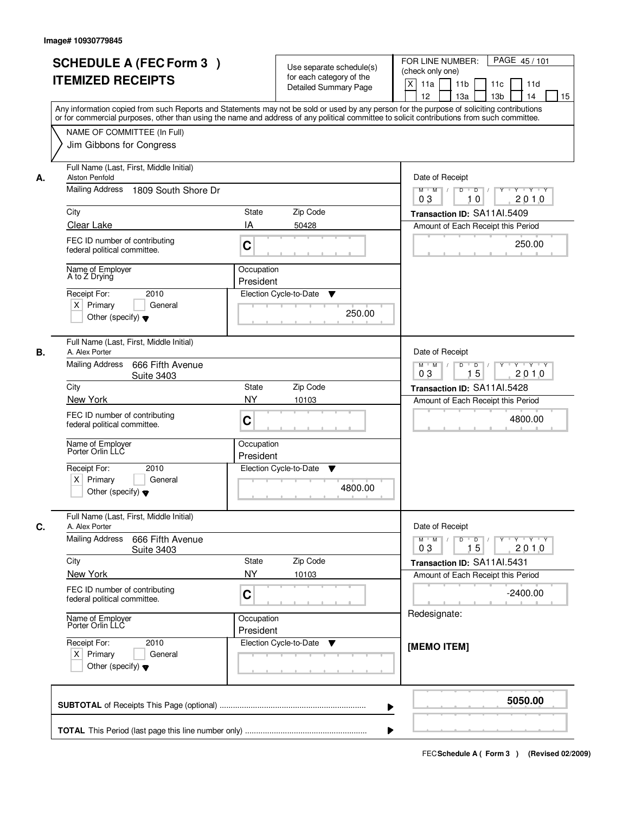|    | <b>SCHEDULE A (FEC Form 3)</b>                                                                                                                                                                                                                                                          |                                                 | Use separate schedule(s)     | FOR LINE NUMBER:<br>PAGE 45/101                                                                                            |
|----|-----------------------------------------------------------------------------------------------------------------------------------------------------------------------------------------------------------------------------------------------------------------------------------------|-------------------------------------------------|------------------------------|----------------------------------------------------------------------------------------------------------------------------|
|    | <b>ITEMIZED RECEIPTS</b>                                                                                                                                                                                                                                                                |                                                 | for each category of the     | (check only one)                                                                                                           |
|    |                                                                                                                                                                                                                                                                                         |                                                 | <b>Detailed Summary Page</b> | $\boldsymbol{\mathsf{X}}$<br>11a<br>11 <sub>b</sub><br>11c<br>11d                                                          |
|    |                                                                                                                                                                                                                                                                                         |                                                 |                              | 12<br>13a<br>13 <sub>b</sub><br>14<br>15                                                                                   |
|    | Any information copied from such Reports and Statements may not be sold or used by any person for the purpose of soliciting contributions<br>or for commercial purposes, other than using the name and address of any political committee to solicit contributions from such committee. |                                                 |                              |                                                                                                                            |
|    |                                                                                                                                                                                                                                                                                         |                                                 |                              |                                                                                                                            |
|    | NAME OF COMMITTEE (In Full)                                                                                                                                                                                                                                                             |                                                 |                              |                                                                                                                            |
|    | Jim Gibbons for Congress                                                                                                                                                                                                                                                                |                                                 |                              |                                                                                                                            |
|    | Full Name (Last, First, Middle Initial)                                                                                                                                                                                                                                                 |                                                 |                              |                                                                                                                            |
| А. | <b>Alston Penfold</b>                                                                                                                                                                                                                                                                   | Date of Receipt                                 |                              |                                                                                                                            |
|    | Mailing Address<br>1809 South Shore Dr                                                                                                                                                                                                                                                  | $\overline{D}$<br>$Y - Y - Y$<br>$M$ $M$ /<br>D |                              |                                                                                                                            |
|    |                                                                                                                                                                                                                                                                                         | 2010<br>0 <sub>3</sub><br>10                    |                              |                                                                                                                            |
|    | City                                                                                                                                                                                                                                                                                    | State                                           | Zip Code                     | Transaction ID: SA11Al.5409                                                                                                |
|    | Clear Lake                                                                                                                                                                                                                                                                              | IA                                              | 50428                        | Amount of Each Receipt this Period                                                                                         |
|    | FEC ID number of contributing                                                                                                                                                                                                                                                           |                                                 |                              |                                                                                                                            |
|    | federal political committee.                                                                                                                                                                                                                                                            | C                                               |                              | 250.00                                                                                                                     |
|    |                                                                                                                                                                                                                                                                                         |                                                 |                              |                                                                                                                            |
|    | Name of Employer<br>A to Z Drying                                                                                                                                                                                                                                                       | Occupation                                      |                              |                                                                                                                            |
|    |                                                                                                                                                                                                                                                                                         | President                                       |                              |                                                                                                                            |
|    | 2010<br>Receipt For:                                                                                                                                                                                                                                                                    |                                                 | Election Cycle-to-Date<br>▼  |                                                                                                                            |
|    | $X$ Primary<br>General                                                                                                                                                                                                                                                                  |                                                 | 250.00                       |                                                                                                                            |
|    | Other (specify) $\blacktriangledown$                                                                                                                                                                                                                                                    |                                                 |                              |                                                                                                                            |
|    |                                                                                                                                                                                                                                                                                         |                                                 |                              |                                                                                                                            |
|    | Full Name (Last, First, Middle Initial)                                                                                                                                                                                                                                                 |                                                 |                              |                                                                                                                            |
| В. | A. Alex Porter                                                                                                                                                                                                                                                                          |                                                 |                              | Date of Receipt                                                                                                            |
|    | <b>Mailing Address</b><br>666 Fifth Avenue<br><b>Suite 3403</b>                                                                                                                                                                                                                         |                                                 |                              | D<br>$\blacksquare$ D $\blacksquare$ /<br>$Y - Y - Y$<br>$M$ $M$ /<br>$Y$ <sup><math>\top</math></sup><br>15<br>03<br>2010 |
|    | City                                                                                                                                                                                                                                                                                    | <b>State</b>                                    | Zip Code                     | Transaction ID: SA11Al.5428                                                                                                |
|    | New York                                                                                                                                                                                                                                                                                | <b>NY</b>                                       | 10103                        |                                                                                                                            |
|    |                                                                                                                                                                                                                                                                                         |                                                 |                              | Amount of Each Receipt this Period                                                                                         |
|    | FEC ID number of contributing<br>federal political committee.                                                                                                                                                                                                                           | C                                               |                              | 4800.00                                                                                                                    |
|    |                                                                                                                                                                                                                                                                                         |                                                 |                              |                                                                                                                            |
|    | Name of Employer<br>Porter Orlin LLC                                                                                                                                                                                                                                                    | Occupation                                      |                              |                                                                                                                            |
|    |                                                                                                                                                                                                                                                                                         | President                                       |                              |                                                                                                                            |
|    | Receipt For:<br>2010                                                                                                                                                                                                                                                                    |                                                 | Election Cycle-to-Date<br>v  |                                                                                                                            |
|    | $X$ Primary<br>General                                                                                                                                                                                                                                                                  |                                                 |                              |                                                                                                                            |
|    | Other (specify) $\blacktriangledown$                                                                                                                                                                                                                                                    |                                                 | 4800.00                      |                                                                                                                            |
|    |                                                                                                                                                                                                                                                                                         |                                                 |                              |                                                                                                                            |
|    | Full Name (Last, First, Middle Initial)                                                                                                                                                                                                                                                 |                                                 |                              |                                                                                                                            |
| C. | A. Alex Porter                                                                                                                                                                                                                                                                          |                                                 |                              | Date of Receipt                                                                                                            |
|    | <b>Mailing Address</b><br>666 Fifth Avenue<br><b>Suite 3403</b>                                                                                                                                                                                                                         |                                                 |                              | $M$ $M$<br>$D$ $D$ $/$<br>$Y^+$<br>$\mathsf{Y} \dashv \neg \mathsf{Y} \dashv \neg \mathsf{Y}$<br>03<br>2010<br>15          |
|    | City                                                                                                                                                                                                                                                                                    | State                                           | Zip Code                     | Transaction ID: SA11AI.5431                                                                                                |
|    | New York                                                                                                                                                                                                                                                                                | <b>NY</b>                                       | 10103                        | Amount of Each Receipt this Period                                                                                         |
|    |                                                                                                                                                                                                                                                                                         |                                                 |                              |                                                                                                                            |
|    | FEC ID number of contributing<br>federal political committee.                                                                                                                                                                                                                           | C                                               |                              | $-2400.00$                                                                                                                 |
|    |                                                                                                                                                                                                                                                                                         |                                                 |                              |                                                                                                                            |
|    | Name of Employer<br>Porter Orlin LLC                                                                                                                                                                                                                                                    | Occupation                                      |                              | Redesignate:                                                                                                               |
|    |                                                                                                                                                                                                                                                                                         | President                                       |                              |                                                                                                                            |
|    | Receipt For:<br>2010                                                                                                                                                                                                                                                                    |                                                 | Election Cycle-to-Date<br>v  | [MEMO ITEM]                                                                                                                |
|    | $X$ Primary<br>General                                                                                                                                                                                                                                                                  |                                                 |                              |                                                                                                                            |
|    | Other (specify) $\blacktriangledown$                                                                                                                                                                                                                                                    |                                                 |                              |                                                                                                                            |
|    |                                                                                                                                                                                                                                                                                         |                                                 |                              |                                                                                                                            |
|    |                                                                                                                                                                                                                                                                                         |                                                 |                              |                                                                                                                            |
|    |                                                                                                                                                                                                                                                                                         |                                                 | ▶                            | 5050.00                                                                                                                    |
|    |                                                                                                                                                                                                                                                                                         |                                                 |                              |                                                                                                                            |
|    |                                                                                                                                                                                                                                                                                         |                                                 |                              |                                                                                                                            |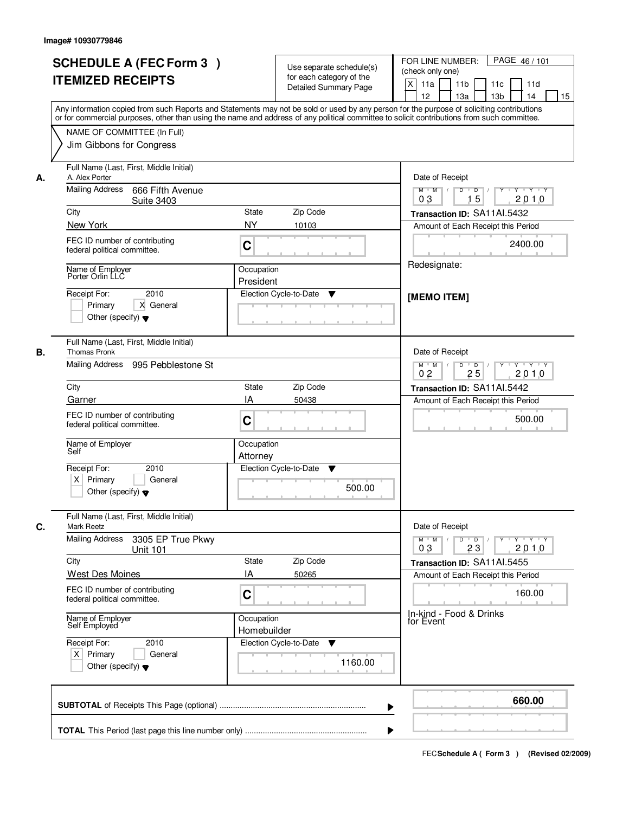|    | <b>SCHEDULE A (FEC Form 3)</b><br><b>ITEMIZED RECEIPTS</b>                                                                    | Use separate schedule(s)<br>for each category of the<br><b>Detailed Summary Page</b><br>Any information copied from such Reports and Statements may not be sold or used by any person for the purpose of soliciting contributions | PAGE 46/101<br>FOR LINE NUMBER:<br>(check only one)<br>X<br>11 <sub>b</sub><br>11a<br>11c<br>11d<br>12<br>13 <sub>b</sub><br>14<br>13a<br>15 |
|----|-------------------------------------------------------------------------------------------------------------------------------|-----------------------------------------------------------------------------------------------------------------------------------------------------------------------------------------------------------------------------------|----------------------------------------------------------------------------------------------------------------------------------------------|
|    | NAME OF COMMITTEE (In Full)<br>Jim Gibbons for Congress                                                                       | or for commercial purposes, other than using the name and address of any political committee to solicit contributions from such committee.                                                                                        |                                                                                                                                              |
| А. | Full Name (Last, First, Middle Initial)<br>A. Alex Porter<br>Mailing Address<br>666 Fifth Avenue<br><b>Suite 3403</b><br>City | <b>State</b><br>Zip Code                                                                                                                                                                                                          | Date of Receipt<br>$D$ $D$ $1$<br>Y<br>$Y - Y - Y - Y$<br>$M$ $M$ /<br>15<br>0 <sub>3</sub><br>2010<br>Transaction ID: SA11Al.5432           |
|    | New York                                                                                                                      | <b>NY</b><br>10103                                                                                                                                                                                                                | Amount of Each Receipt this Period                                                                                                           |
|    | FEC ID number of contributing<br>federal political committee.                                                                 | C                                                                                                                                                                                                                                 | 2400.00                                                                                                                                      |
|    | Name of Employer<br>Porter Orlin LLC                                                                                          | Occupation                                                                                                                                                                                                                        | Redesignate:                                                                                                                                 |
|    | 2010<br>Receipt For:<br>X General<br>Primary<br>Other (specify) $\blacktriangledown$                                          | President<br>Election Cycle-to-Date<br>▼                                                                                                                                                                                          | [MEMO ITEM]                                                                                                                                  |
| В. | Full Name (Last, First, Middle Initial)<br><b>Thomas Pronk</b><br>Mailing Address<br>995 Pebblestone St                       |                                                                                                                                                                                                                                   | Date of Receipt<br>$M$ $M$ /<br>D<br>$\Box$<br>Y<br>$Y + Y + Y$                                                                              |
|    | City                                                                                                                          | Zip Code<br>State                                                                                                                                                                                                                 | 0 <sub>2</sub><br>25<br>2010<br>Transaction ID: SA11Al.5442                                                                                  |
|    | Garner                                                                                                                        | IA<br>50438                                                                                                                                                                                                                       | Amount of Each Receipt this Period                                                                                                           |
|    | FEC ID number of contributing<br>federal political committee.                                                                 | C                                                                                                                                                                                                                                 | 500.00                                                                                                                                       |
|    | Name of Employer<br>Self                                                                                                      | Occupation<br>Attorney                                                                                                                                                                                                            |                                                                                                                                              |
|    | Receipt For:<br>2010<br>$X$ Primary<br>General<br>Other (specify) $\blacktriangledown$                                        | Election Cycle-to-Date<br>▼<br>500.00                                                                                                                                                                                             |                                                                                                                                              |
| C. | Full Name (Last, First, Middle Initial)<br>Mark Reetz                                                                         |                                                                                                                                                                                                                                   | Date of Receipt                                                                                                                              |
|    | <b>Mailing Address</b><br>3305 EP True Pkwy<br><b>Unit 101</b>                                                                |                                                                                                                                                                                                                                   | $M$ $M$<br>$D$ $D$ $/$<br>$\mathsf{Y} \dashv \neg \mathsf{Y} \dashv \neg \mathsf{Y}$<br>Y<br>2010<br>03<br>23                                |
|    | City<br><b>West Des Moines</b>                                                                                                | Zip Code<br><b>State</b><br>IA<br>50265                                                                                                                                                                                           | Transaction ID: SA11Al.5455                                                                                                                  |
|    | FEC ID number of contributing<br>federal political committee.                                                                 | C                                                                                                                                                                                                                                 | Amount of Each Receipt this Period<br>160.00                                                                                                 |
|    | Name of Employer<br>Self Employed                                                                                             | Occupation<br>Homebuilder                                                                                                                                                                                                         | In-kind - Food & Drinks<br>for Event                                                                                                         |
|    | Receipt For:<br>2010<br>$X$ Primary<br>General<br>Other (specify) $\blacktriangledown$                                        | Election Cycle-to-Date<br>v<br>1160.00                                                                                                                                                                                            |                                                                                                                                              |
|    |                                                                                                                               |                                                                                                                                                                                                                                   | 660.00                                                                                                                                       |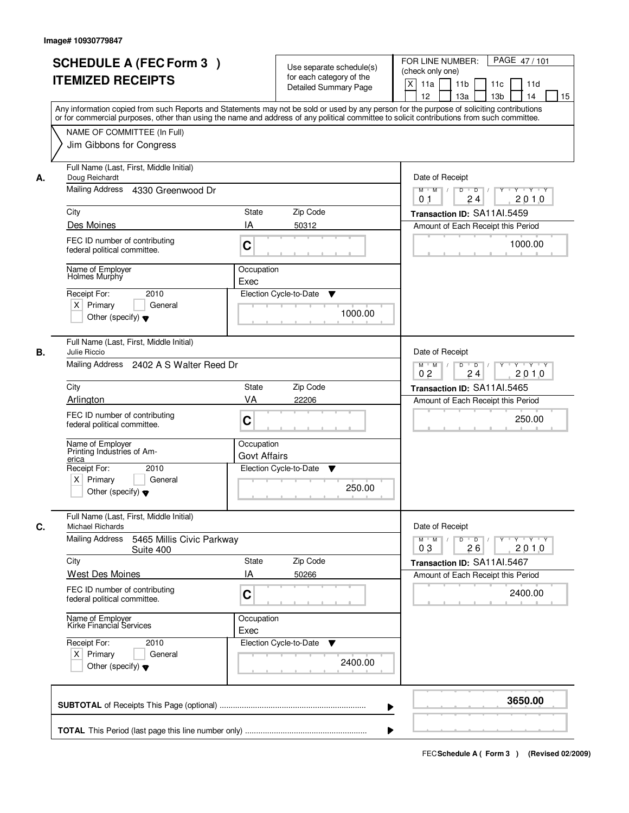| <b>SCHEDULE A (FEC Form 3)</b><br><b>ITEMIZED RECEIPTS</b>                                              | Use separate schedule(s)<br>for each category of the<br><b>Detailed Summary Page</b><br>Any information copied from such Reports and Statements may not be sold or used by any person for the purpose of soliciting contributions | PAGE 47/101<br>FOR LINE NUMBER:<br>(check only one)<br>X<br>11 <sub>b</sub><br>11a<br>11c<br>11d<br>12<br>13 <sub>b</sub><br>13a<br>14<br>15 |
|---------------------------------------------------------------------------------------------------------|-----------------------------------------------------------------------------------------------------------------------------------------------------------------------------------------------------------------------------------|----------------------------------------------------------------------------------------------------------------------------------------------|
| NAME OF COMMITTEE (In Full)<br>Jim Gibbons for Congress                                                 | or for commercial purposes, other than using the name and address of any political committee to solicit contributions from such committee.                                                                                        |                                                                                                                                              |
| Full Name (Last, First, Middle Initial)<br>Doug Reichardt<br>А.<br>Mailing Address<br>4330 Greenwood Dr |                                                                                                                                                                                                                                   | Date of Receipt<br>$M$ $M$ /<br>$D$ $D$ $I$<br>$Y$ <sup>U</sup><br>Y 'Y 'Y                                                                   |
|                                                                                                         |                                                                                                                                                                                                                                   | 24<br>2010<br>0 <sub>1</sub>                                                                                                                 |
| City                                                                                                    | <b>State</b><br>Zip Code<br>IA                                                                                                                                                                                                    | Transaction ID: SA11Al.5459                                                                                                                  |
| Des Moines<br>FEC ID number of contributing<br>federal political committee.                             | 50312<br>C                                                                                                                                                                                                                        | Amount of Each Receipt this Period<br>1000.00                                                                                                |
| Name of Employer<br>Holmes Murphy<br>Receipt For:<br>2010<br>$X$ Primary<br>General                     | Occupation<br>Exec<br>Election Cycle-to-Date<br>▼                                                                                                                                                                                 |                                                                                                                                              |
| Other (specify) $\blacktriangledown$<br>Full Name (Last, First, Middle Initial)                         | 1000.00                                                                                                                                                                                                                           |                                                                                                                                              |
| В.<br>Julie Riccio<br>Mailing Address 2402 A S Walter Reed Dr                                           |                                                                                                                                                                                                                                   | Date of Receipt<br>$Y - Y - Y$<br>$M$ $M$ /<br>$\overline{D}$<br>D<br>24<br>2010<br>0 <sub>2</sub>                                           |
| City                                                                                                    | Zip Code<br><b>State</b>                                                                                                                                                                                                          | Transaction ID: SA11Al.5465                                                                                                                  |
| Arlington                                                                                               | VA<br>22206                                                                                                                                                                                                                       | Amount of Each Receipt this Period                                                                                                           |
| FEC ID number of contributing<br>federal political committee.                                           | C                                                                                                                                                                                                                                 | 250.00                                                                                                                                       |
| Name of Employer<br>Printing Industries of Am-<br>erica                                                 | Occupation<br><b>Govt Affairs</b>                                                                                                                                                                                                 |                                                                                                                                              |
| Receipt For:<br>2010<br>$X$ Primary<br>General<br>Other (specify) $\blacktriangledown$                  | Election Cycle-to-Date<br>▼<br>250.00                                                                                                                                                                                             |                                                                                                                                              |
| Full Name (Last, First, Middle Initial)<br>C.<br><b>Michael Richards</b>                                |                                                                                                                                                                                                                                   | Date of Receipt                                                                                                                              |
| <b>Mailing Address</b><br>5465 Millis Civic Parkway<br>Suite 400                                        |                                                                                                                                                                                                                                   | D<br>$M$ $M$ /<br>$\overline{D}$<br>$Y + Y + Y$<br>Y<br>03<br>26<br>2010                                                                     |
| City<br>West Des Moines                                                                                 | Zip Code<br><b>State</b><br>ΙA<br>50266                                                                                                                                                                                           | Transaction ID: SA11AI.5467<br>Amount of Each Receipt this Period                                                                            |
| FEC ID number of contributing<br>federal political committee.                                           | C                                                                                                                                                                                                                                 | 2400.00                                                                                                                                      |
| Name of Employer<br>Kirke Financial Services                                                            | Occupation<br>Exec                                                                                                                                                                                                                |                                                                                                                                              |
| Receipt For:<br>2010<br>$X$ Primary<br>General<br>Other (specify) $\blacktriangledown$                  | Election Cycle-to-Date<br>v<br>2400.00                                                                                                                                                                                            |                                                                                                                                              |
|                                                                                                         |                                                                                                                                                                                                                                   | 3650.00                                                                                                                                      |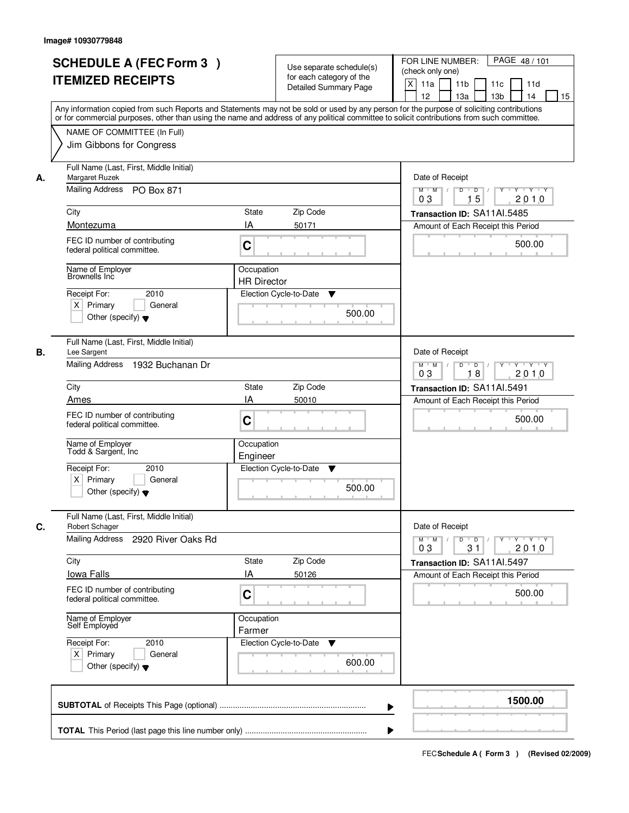|    | <b>SCHEDULE A (FEC Form 3)</b><br><b>ITEMIZED RECEIPTS</b><br>Any information copied from such Reports and Statements may not be sold or used by any person for the purpose of soliciting contributions<br>or for commercial purposes, other than using the name and address of any political committee to solicit contributions from such committee. |                                  | Use separate schedule(s)<br>for each category of the<br><b>Detailed Summary Page</b> | PAGE 48 / 101<br>FOR LINE NUMBER:<br>(check only one)<br>X<br>11a<br>11 <sub>b</sub><br>11c<br>11d<br>12<br>13a<br>13 <sub>b</sub><br>14<br>15 |
|----|-------------------------------------------------------------------------------------------------------------------------------------------------------------------------------------------------------------------------------------------------------------------------------------------------------------------------------------------------------|----------------------------------|--------------------------------------------------------------------------------------|------------------------------------------------------------------------------------------------------------------------------------------------|
|    | NAME OF COMMITTEE (In Full)<br>Jim Gibbons for Congress                                                                                                                                                                                                                                                                                               |                                  |                                                                                      |                                                                                                                                                |
| А. | Full Name (Last, First, Middle Initial)<br>Margaret Ruzek<br>Mailing Address PO Box 871                                                                                                                                                                                                                                                               |                                  |                                                                                      | Date of Receipt<br>$Y$ $Y$ $Y$<br>$M$ $M$<br>$D$ $D$ $1$<br>$\overline{Y}$<br>0 <sub>3</sub><br>15<br>2010                                     |
|    | City                                                                                                                                                                                                                                                                                                                                                  | State                            | Zip Code                                                                             | Transaction ID: SA11Al.5485                                                                                                                    |
|    | Montezuma                                                                                                                                                                                                                                                                                                                                             | IA                               | 50171                                                                                | Amount of Each Receipt this Period                                                                                                             |
|    | FEC ID number of contributing<br>federal political committee.                                                                                                                                                                                                                                                                                         | C                                |                                                                                      | 500.00                                                                                                                                         |
|    | Name of Employer<br>Brownells Inc                                                                                                                                                                                                                                                                                                                     | Occupation<br><b>HR Director</b> |                                                                                      |                                                                                                                                                |
|    | 2010<br>Receipt For:<br>$X$ Primary<br>General<br>Other (specify) $\blacktriangledown$                                                                                                                                                                                                                                                                |                                  | Election Cycle-to-Date<br>▼<br>500.00                                                |                                                                                                                                                |
| В. | Full Name (Last, First, Middle Initial)<br>Lee Sargent<br>Mailing Address<br>1932 Buchanan Dr                                                                                                                                                                                                                                                         |                                  |                                                                                      | Date of Receipt<br>$M$ $M$ /<br>Y<br>$Y \vdash Y \vdash Y$<br>D<br>$\overline{D}$<br>2010<br>03<br>18                                          |
|    | City                                                                                                                                                                                                                                                                                                                                                  | State                            | Zip Code                                                                             | Transaction ID: SA11AI.5491                                                                                                                    |
|    | Ames                                                                                                                                                                                                                                                                                                                                                  | IA                               | 50010                                                                                | Amount of Each Receipt this Period                                                                                                             |
|    | FEC ID number of contributing<br>federal political committee.                                                                                                                                                                                                                                                                                         | C                                |                                                                                      | 500.00                                                                                                                                         |
|    | Name of Employer<br>Todd & Sargent, Inc                                                                                                                                                                                                                                                                                                               | Occupation<br>Engineer           |                                                                                      |                                                                                                                                                |
|    | Receipt For:<br>2010<br>$X$ Primary<br>General<br>Other (specify) $\blacktriangledown$                                                                                                                                                                                                                                                                |                                  | Election Cycle-to-Date<br>v<br>500.00                                                |                                                                                                                                                |
| C. | Full Name (Last, First, Middle Initial)<br>Robert Schager                                                                                                                                                                                                                                                                                             |                                  |                                                                                      | Date of Receipt                                                                                                                                |
|    | Mailing Address<br>2920 River Oaks Rd                                                                                                                                                                                                                                                                                                                 |                                  |                                                                                      | $\mathsf D$<br>$M$ $M$ /<br>$\overline{D}$<br>$Y$ <sup>U</sup><br>$Y + Y + Y$<br>03<br>31<br>2010                                              |
|    | City                                                                                                                                                                                                                                                                                                                                                  | State                            | Zip Code                                                                             | Transaction ID: SA11Al.5497                                                                                                                    |
|    | lowa Falls<br>FEC ID number of contributing<br>federal political committee.                                                                                                                                                                                                                                                                           | ΙA<br>C                          | 50126                                                                                | Amount of Each Receipt this Period<br>500.00                                                                                                   |
|    | Name of Employer<br>Self Employed                                                                                                                                                                                                                                                                                                                     | Occupation<br>Farmer             |                                                                                      |                                                                                                                                                |
|    | Receipt For:<br>2010<br>$X$ Primary<br>General<br>Other (specify) $\blacktriangledown$                                                                                                                                                                                                                                                                |                                  | Election Cycle-to-Date<br>v<br>600.00                                                |                                                                                                                                                |
|    |                                                                                                                                                                                                                                                                                                                                                       |                                  | ▶                                                                                    | 1500.00                                                                                                                                        |
|    |                                                                                                                                                                                                                                                                                                                                                       |                                  |                                                                                      |                                                                                                                                                |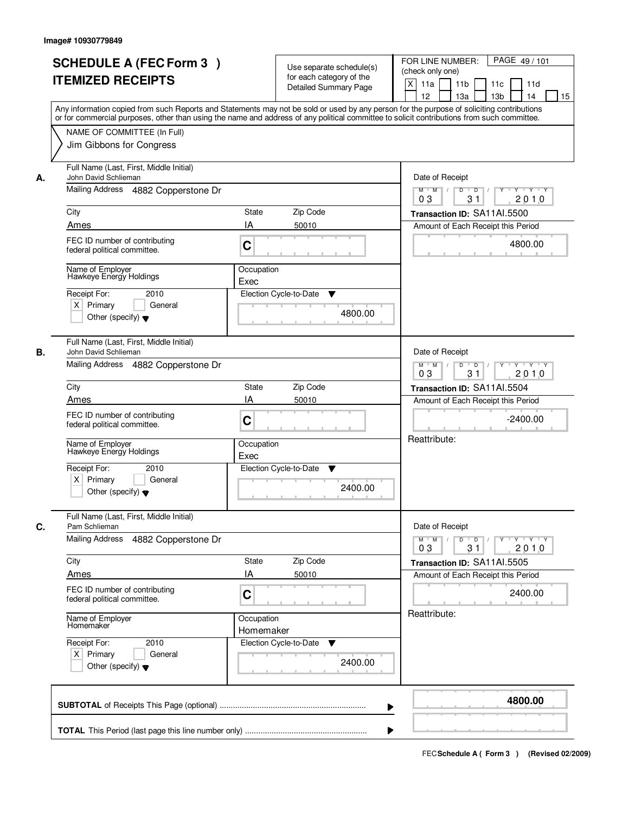| Any information copied from such Reports and Statements may not be sold or used by any person for the purpose of soliciting contributions<br>or for commercial purposes, other than using the name and address of any political committee to solicit contributions from such committee.<br>NAME OF COMMITTEE (In Full)<br>Jim Gibbons for Congress<br>Full Name (Last, First, Middle Initial)<br>John David Schlieman<br>А.<br>Mailing Address 4882 Copperstone Dr<br>City<br>State<br>Zip Code<br>IA<br>Ames<br>50010<br>FEC ID number of contributing<br>C<br>federal political committee.<br>Name of Employer<br>Occupation<br>Hawkeye Energy Holdings<br>Exec<br>Election Cycle-to-Date<br>Receipt For:<br>2010<br>$X$ Primary<br>General<br>Other (specify) $\blacktriangledown$<br>Full Name (Last, First, Middle Initial)<br>В.<br>John David Schlieman | Date of Receipt<br>$Y - Y - Y$<br>$M$ $M$ /<br>D<br>$\overline{D}$<br>31<br>2010<br>03<br>Transaction ID: SA11AI.5500<br>Amount of Each Receipt this Period<br>4800.00                                           |
|----------------------------------------------------------------------------------------------------------------------------------------------------------------------------------------------------------------------------------------------------------------------------------------------------------------------------------------------------------------------------------------------------------------------------------------------------------------------------------------------------------------------------------------------------------------------------------------------------------------------------------------------------------------------------------------------------------------------------------------------------------------------------------------------------------------------------------------------------------------|------------------------------------------------------------------------------------------------------------------------------------------------------------------------------------------------------------------|
|                                                                                                                                                                                                                                                                                                                                                                                                                                                                                                                                                                                                                                                                                                                                                                                                                                                                |                                                                                                                                                                                                                  |
|                                                                                                                                                                                                                                                                                                                                                                                                                                                                                                                                                                                                                                                                                                                                                                                                                                                                | ▼<br>4800.00                                                                                                                                                                                                     |
| Mailing Address 4882 Copperstone Dr<br>Zip Code<br>City<br>State<br>IA<br>Ames<br>50010<br>FEC ID number of contributing<br>C<br>federal political committee.<br>Name of Employer<br>Hawkeye Energy Holdings<br>Occupation<br>Exec<br>Receipt For:<br>2010<br>Election Cycle-to-Date<br>$X$ Primary<br>General<br>Other (specify) $\blacktriangledown$                                                                                                                                                                                                                                                                                                                                                                                                                                                                                                         | Date of Receipt<br>$M$ $M$ /<br>D<br>$\overline{D}$ /<br>Y<br>$Y + Y + Y$<br>03<br>31<br>2010<br>Transaction ID: SA11AI.5504<br>Amount of Each Receipt this Period<br>$-2400.00$<br>Reattribute:<br>v<br>2400.00 |
| Full Name (Last, First, Middle Initial)<br>C.<br>Pam Schlieman<br><b>Mailing Address</b><br>4882 Copperstone Dr<br>Zip Code<br>City<br>State<br>IA<br>Ames<br>50010<br>FEC ID number of contributing<br>C<br>federal political committee.<br>Occupation<br>Name of Employer<br>Homemaker<br>Homemaker<br>Receipt For:<br>Election Cycle-to-Date<br>2010<br>$X$ Primary<br>General<br>Other (specify) $\blacktriangledown$                                                                                                                                                                                                                                                                                                                                                                                                                                      | Date of Receipt<br>$M$ $M$<br>$D$ $D$ $l$<br>$Y - Y - Y$<br>$Y$ <sup>-1</sup><br>03<br>2010<br>31<br>Transaction ID: SA11AI.5505<br>Amount of Each Receipt this Period<br>2400.00<br>Reattribute:<br>v           |
|                                                                                                                                                                                                                                                                                                                                                                                                                                                                                                                                                                                                                                                                                                                                                                                                                                                                | 2400.00                                                                                                                                                                                                          |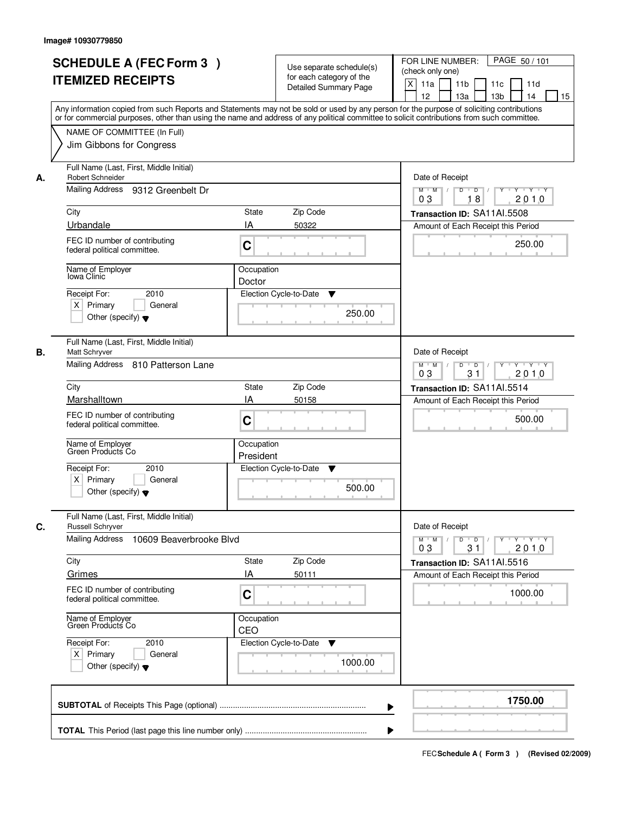|    | <b>SCHEDULE A (FEC Form 3)</b><br><b>ITEMIZED RECEIPTS</b><br>Any information copied from such Reports and Statements may not be sold or used by any person for the purpose of soliciting contributions<br>or for commercial purposes, other than using the name and address of any political committee to solicit contributions from such committee. |                         | Use separate schedule(s)<br>for each category of the<br><b>Detailed Summary Page</b> | PAGE 50 / 101<br>FOR LINE NUMBER:<br>(check only one)<br>X<br>11 <sub>b</sub><br>11a<br>11c<br>11d<br>12<br>13 <sub>b</sub><br>13a<br>14<br>15 |
|----|-------------------------------------------------------------------------------------------------------------------------------------------------------------------------------------------------------------------------------------------------------------------------------------------------------------------------------------------------------|-------------------------|--------------------------------------------------------------------------------------|------------------------------------------------------------------------------------------------------------------------------------------------|
|    | NAME OF COMMITTEE (In Full)<br>Jim Gibbons for Congress                                                                                                                                                                                                                                                                                               |                         |                                                                                      |                                                                                                                                                |
| А. | Full Name (Last, First, Middle Initial)<br>Robert Schneider<br>Mailing Address 9312 Greenbelt Dr                                                                                                                                                                                                                                                      |                         |                                                                                      | Date of Receipt<br>$Y \rightarrow Y \rightarrow Y$<br>$M$ $M$ /<br>$D$ $D$ $/$<br>$\overline{Y}$                                               |
|    |                                                                                                                                                                                                                                                                                                                                                       |                         |                                                                                      | 18<br>2010<br>03                                                                                                                               |
|    | City<br>Urbandale                                                                                                                                                                                                                                                                                                                                     | <b>State</b><br>IA      | Zip Code<br>50322                                                                    | Transaction ID: SA11AI.5508<br>Amount of Each Receipt this Period                                                                              |
|    | FEC ID number of contributing<br>federal political committee.                                                                                                                                                                                                                                                                                         | C                       |                                                                                      | 250.00                                                                                                                                         |
|    | Name of Employer<br>Iowa Clinic                                                                                                                                                                                                                                                                                                                       | Occupation<br>Doctor    |                                                                                      |                                                                                                                                                |
|    | 2010<br>Receipt For:<br>$X$ Primary<br>General<br>Other (specify) $\blacktriangledown$                                                                                                                                                                                                                                                                |                         | Election Cycle-to-Date<br>▼<br>250.00                                                |                                                                                                                                                |
| В. | Full Name (Last, First, Middle Initial)<br>Matt Schryver<br>Mailing Address 810 Patterson Lane                                                                                                                                                                                                                                                        |                         |                                                                                      | Date of Receipt<br>$Y - Y - Y$<br>$M$ $M$ /<br>D<br>$\overline{D}$                                                                             |
|    |                                                                                                                                                                                                                                                                                                                                                       |                         |                                                                                      | 31<br>2010<br>03                                                                                                                               |
|    | City<br>Marshalltown                                                                                                                                                                                                                                                                                                                                  | State<br>IA             | Zip Code                                                                             | Transaction ID: SA11Al.5514                                                                                                                    |
|    | FEC ID number of contributing<br>federal political committee.                                                                                                                                                                                                                                                                                         | C                       | 50158                                                                                | Amount of Each Receipt this Period<br>500.00                                                                                                   |
|    | Name of Employer<br>Green Products Co                                                                                                                                                                                                                                                                                                                 | Occupation<br>President |                                                                                      |                                                                                                                                                |
|    | Receipt For:<br>2010<br>$X$ Primary<br>General<br>Other (specify) $\blacktriangledown$                                                                                                                                                                                                                                                                |                         | Election Cycle-to-Date<br>v<br>500.00                                                |                                                                                                                                                |
| C. | Full Name (Last, First, Middle Initial)<br>Russell Schryver<br><b>Mailing Address</b><br>10609 Beaverbrooke Blvd                                                                                                                                                                                                                                      |                         |                                                                                      | Date of Receipt<br>$M = M$<br>$D$ $D$ $I$<br>$Y + Y + Y$<br>Y "<br>03<br>31<br>2010                                                            |
|    | City                                                                                                                                                                                                                                                                                                                                                  | <b>State</b>            | Zip Code                                                                             | Transaction ID: SA11Al.5516                                                                                                                    |
|    | Grimes                                                                                                                                                                                                                                                                                                                                                | ΙA                      | 50111                                                                                | Amount of Each Receipt this Period                                                                                                             |
|    | FEC ID number of contributing<br>federal political committee.                                                                                                                                                                                                                                                                                         | C                       |                                                                                      | 1000.00                                                                                                                                        |
|    | Name of Employer<br>Green Products Co                                                                                                                                                                                                                                                                                                                 | Occupation<br>CEO       |                                                                                      |                                                                                                                                                |
|    | Receipt For:<br>2010<br>$X$ Primary<br>General<br>Other (specify) $\blacktriangledown$                                                                                                                                                                                                                                                                |                         | Election Cycle-to-Date<br>v<br>1000.00                                               |                                                                                                                                                |
|    |                                                                                                                                                                                                                                                                                                                                                       |                         |                                                                                      | 1750.00                                                                                                                                        |
|    |                                                                                                                                                                                                                                                                                                                                                       |                         |                                                                                      |                                                                                                                                                |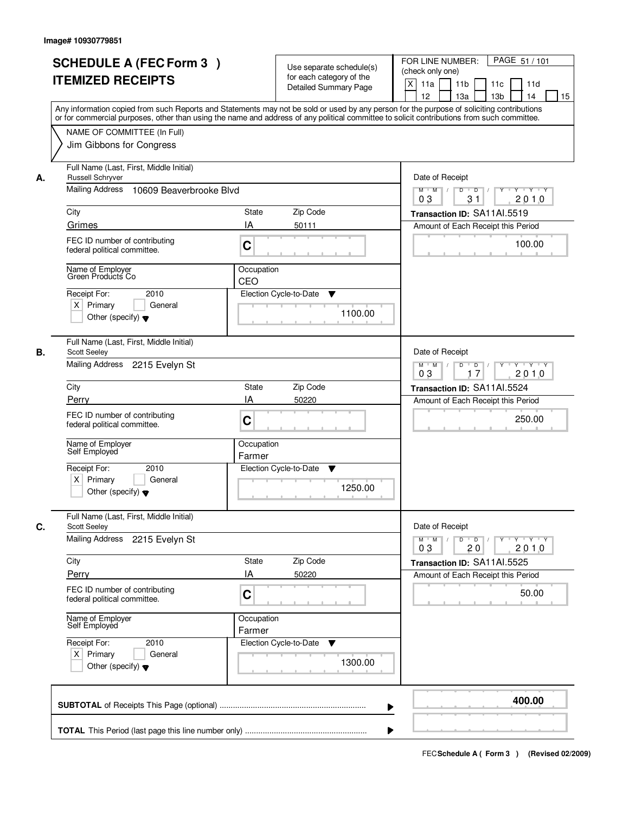|    | <b>SCHEDULE A (FEC Form 3)</b>                                                                                                                                                                                                                                                          |            | Use separate schedule(s)     | PAGE 51 / 101<br>FOR LINE NUMBER:                                                                             |  |  |
|----|-----------------------------------------------------------------------------------------------------------------------------------------------------------------------------------------------------------------------------------------------------------------------------------------|------------|------------------------------|---------------------------------------------------------------------------------------------------------------|--|--|
|    | <b>ITEMIZED RECEIPTS</b>                                                                                                                                                                                                                                                                |            | for each category of the     | (check only one)                                                                                              |  |  |
|    |                                                                                                                                                                                                                                                                                         |            | <b>Detailed Summary Page</b> | $\boldsymbol{\mathsf{X}}$<br>11a<br>11 <sub>b</sub><br>11c<br>11d                                             |  |  |
|    |                                                                                                                                                                                                                                                                                         |            |                              | 12<br>13a<br>13 <sub>b</sub><br>14<br>15                                                                      |  |  |
|    | Any information copied from such Reports and Statements may not be sold or used by any person for the purpose of soliciting contributions<br>or for commercial purposes, other than using the name and address of any political committee to solicit contributions from such committee. |            |                              |                                                                                                               |  |  |
|    |                                                                                                                                                                                                                                                                                         |            |                              |                                                                                                               |  |  |
|    | NAME OF COMMITTEE (In Full)                                                                                                                                                                                                                                                             |            |                              |                                                                                                               |  |  |
|    | Jim Gibbons for Congress                                                                                                                                                                                                                                                                |            |                              |                                                                                                               |  |  |
| А. | Full Name (Last, First, Middle Initial)<br><b>Russell Schryver</b>                                                                                                                                                                                                                      |            |                              |                                                                                                               |  |  |
|    | Mailing Address<br>10609 Beaverbrooke Blvd                                                                                                                                                                                                                                              |            |                              | $Y - Y - Y$<br>$M$ $M$ /<br>D<br>$\overline{D}$<br>31<br>2010<br>03                                           |  |  |
|    | City                                                                                                                                                                                                                                                                                    | State      | Zip Code                     | Transaction ID: SA11AI.5519                                                                                   |  |  |
|    | Grimes                                                                                                                                                                                                                                                                                  | IA         | 50111                        | Amount of Each Receipt this Period                                                                            |  |  |
|    | FEC ID number of contributing                                                                                                                                                                                                                                                           |            |                              |                                                                                                               |  |  |
|    | federal political committee.                                                                                                                                                                                                                                                            | C          |                              | 100.00                                                                                                        |  |  |
|    | Name of Employer<br>Green Products Co                                                                                                                                                                                                                                                   | Occupation |                              |                                                                                                               |  |  |
|    |                                                                                                                                                                                                                                                                                         | CEO        |                              |                                                                                                               |  |  |
|    | 2010<br>Receipt For:                                                                                                                                                                                                                                                                    |            | Election Cycle-to-Date<br>▼  |                                                                                                               |  |  |
|    | $X$ Primary<br>General                                                                                                                                                                                                                                                                  |            | 1100.00                      |                                                                                                               |  |  |
|    | Other (specify) $\blacktriangledown$                                                                                                                                                                                                                                                    |            |                              |                                                                                                               |  |  |
| В. | Full Name (Last, First, Middle Initial)<br><b>Scott Seeley</b>                                                                                                                                                                                                                          |            |                              | Date of Receipt                                                                                               |  |  |
|    | Mailing Address 2215 Evelyn St                                                                                                                                                                                                                                                          |            |                              | D<br>$Y - Y - Y$<br>$M$ $M$ /<br>$\overline{D}$<br>$Y$ <sup>-1</sup>                                          |  |  |
|    |                                                                                                                                                                                                                                                                                         |            |                              | 03<br>17<br>2010                                                                                              |  |  |
|    | City                                                                                                                                                                                                                                                                                    | State      | Zip Code                     | Transaction ID: SA11AI.5524                                                                                   |  |  |
|    | Perry                                                                                                                                                                                                                                                                                   | IA         | 50220                        | Amount of Each Receipt this Period                                                                            |  |  |
|    | FEC ID number of contributing                                                                                                                                                                                                                                                           |            |                              | 250.00                                                                                                        |  |  |
|    | federal political committee.                                                                                                                                                                                                                                                            | C          |                              |                                                                                                               |  |  |
|    | Name of Employer                                                                                                                                                                                                                                                                        | Occupation |                              |                                                                                                               |  |  |
|    | Self Employed                                                                                                                                                                                                                                                                           | Farmer     |                              |                                                                                                               |  |  |
|    | Receipt For:<br>2010                                                                                                                                                                                                                                                                    |            | Election Cycle-to-Date<br>v  |                                                                                                               |  |  |
|    | $X$ Primary<br>General                                                                                                                                                                                                                                                                  |            |                              |                                                                                                               |  |  |
|    | Other (specify) $\blacktriangledown$                                                                                                                                                                                                                                                    |            | 1250.00                      |                                                                                                               |  |  |
|    | Full Name (Last, First, Middle Initial)                                                                                                                                                                                                                                                 |            |                              |                                                                                                               |  |  |
| C. | <b>Scott Seeley</b>                                                                                                                                                                                                                                                                     |            |                              | Date of Receipt                                                                                               |  |  |
|    | Mailing Address 2215 Evelyn St                                                                                                                                                                                                                                                          |            |                              | $M$ $M$<br>$D$ $D$ $/$<br>$Y$ <sup>U</sup><br>$Y \rightarrow Y \rightarrow Y$<br>$\top$ /<br>03<br>2010<br>20 |  |  |
|    | City                                                                                                                                                                                                                                                                                    | State      | Zip Code                     | Transaction ID: SA11Al.5525                                                                                   |  |  |
|    | Perry                                                                                                                                                                                                                                                                                   | IA         | 50220                        | Amount of Each Receipt this Period                                                                            |  |  |
|    | FEC ID number of contributing                                                                                                                                                                                                                                                           |            |                              |                                                                                                               |  |  |
|    | federal political committee.                                                                                                                                                                                                                                                            | C          |                              | 50.00                                                                                                         |  |  |
|    | Name of Employer<br>Self Employed                                                                                                                                                                                                                                                       | Occupation |                              |                                                                                                               |  |  |
|    | Receipt For:<br>2010                                                                                                                                                                                                                                                                    | Farmer     | Election Cycle-to-Date       |                                                                                                               |  |  |
|    | $X$ Primary<br>General                                                                                                                                                                                                                                                                  |            | v                            |                                                                                                               |  |  |
|    | Other (specify) $\blacktriangledown$                                                                                                                                                                                                                                                    |            | 1300.00                      |                                                                                                               |  |  |
|    |                                                                                                                                                                                                                                                                                         |            |                              |                                                                                                               |  |  |
|    |                                                                                                                                                                                                                                                                                         |            |                              |                                                                                                               |  |  |
|    |                                                                                                                                                                                                                                                                                         |            | ▶                            | 400.00                                                                                                        |  |  |
|    |                                                                                                                                                                                                                                                                                         |            |                              |                                                                                                               |  |  |
|    |                                                                                                                                                                                                                                                                                         |            |                              |                                                                                                               |  |  |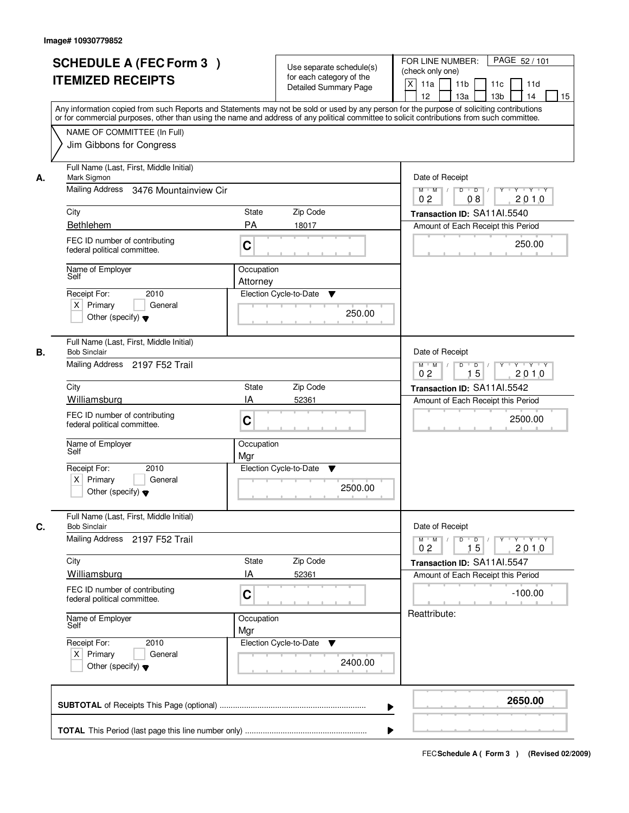|    | <b>SCHEDULE A (FEC Form 3)</b><br><b>ITEMIZED RECEIPTS</b><br>Any information copied from such Reports and Statements may not be sold or used by any person for the purpose of soliciting contributions<br>or for commercial purposes, other than using the name and address of any political committee to solicit contributions from such committee. |                        | Use separate schedule(s)<br>for each category of the<br><b>Detailed Summary Page</b> | PAGE 52 / 101<br>FOR LINE NUMBER:<br>(check only one)<br>$\boldsymbol{\mathsf{X}}$<br>11a<br>11 <sub>b</sub><br>11c<br>11d<br>12<br>13a<br>13 <sub>b</sub><br>14<br>15 |
|----|-------------------------------------------------------------------------------------------------------------------------------------------------------------------------------------------------------------------------------------------------------------------------------------------------------------------------------------------------------|------------------------|--------------------------------------------------------------------------------------|------------------------------------------------------------------------------------------------------------------------------------------------------------------------|
|    | NAME OF COMMITTEE (In Full)<br>Jim Gibbons for Congress                                                                                                                                                                                                                                                                                               |                        |                                                                                      |                                                                                                                                                                        |
| А. | Full Name (Last, First, Middle Initial)<br>Mark Sigmon<br>Mailing Address 3476 Mountainview Cir                                                                                                                                                                                                                                                       |                        |                                                                                      | Date of Receipt<br>$D$ $D$ $/$<br>$M$ $M$ /                                                                                                                            |
|    | City                                                                                                                                                                                                                                                                                                                                                  | State                  | Zip Code                                                                             | 0 <sub>2</sub><br>2010<br>08                                                                                                                                           |
|    | Bethlehem                                                                                                                                                                                                                                                                                                                                             | PA                     | 18017                                                                                | Transaction ID: SA11Al.5540<br>Amount of Each Receipt this Period                                                                                                      |
|    | FEC ID number of contributing<br>federal political committee.                                                                                                                                                                                                                                                                                         | C                      |                                                                                      | 250.00                                                                                                                                                                 |
|    | Name of Employer<br>Self                                                                                                                                                                                                                                                                                                                              | Occupation<br>Attorney |                                                                                      |                                                                                                                                                                        |
|    | 2010<br>Receipt For:<br>$X$ Primary<br>General<br>Other (specify) $\blacktriangledown$                                                                                                                                                                                                                                                                |                        | Election Cycle-to-Date<br>▼<br>250.00                                                |                                                                                                                                                                        |
| В. | Full Name (Last, First, Middle Initial)<br><b>Bob Sinclair</b><br>Mailing Address 2197 F52 Trail                                                                                                                                                                                                                                                      |                        |                                                                                      | Date of Receipt<br>$Y - Y - Y$<br>$M$ $M$ /<br>D<br>$\overline{D}$ /<br>Y                                                                                              |
|    |                                                                                                                                                                                                                                                                                                                                                       |                        |                                                                                      | 15<br>2010<br>0 <sub>2</sub>                                                                                                                                           |
|    | City                                                                                                                                                                                                                                                                                                                                                  | State                  | Zip Code                                                                             | Transaction ID: SA11AI.5542                                                                                                                                            |
|    | Williamsburg<br>FEC ID number of contributing<br>federal political committee.                                                                                                                                                                                                                                                                         | IA<br>C                | 52361                                                                                | Amount of Each Receipt this Period<br>2500.00                                                                                                                          |
|    | Name of Employer<br>Self                                                                                                                                                                                                                                                                                                                              | Occupation<br>Mgr      |                                                                                      |                                                                                                                                                                        |
|    | Receipt For:<br>2010<br>$X$ Primary<br>General<br>Other (specify) $\blacktriangledown$                                                                                                                                                                                                                                                                |                        | Election Cycle-to-Date<br>▼<br>2500.00                                               |                                                                                                                                                                        |
| C. | Full Name (Last, First, Middle Initial)<br><b>Bob Sinclair</b>                                                                                                                                                                                                                                                                                        |                        |                                                                                      | Date of Receipt                                                                                                                                                        |
|    | Mailing Address 2197 F52 Trail                                                                                                                                                                                                                                                                                                                        |                        |                                                                                      | $D$ $D$ $l$<br>$M$ $M$ /<br>Y 'Y 'Y 'Y<br>0 <sub>2</sub><br>15<br>2010                                                                                                 |
|    | City                                                                                                                                                                                                                                                                                                                                                  | State                  | Zip Code                                                                             | Transaction ID: SA11Al.5547                                                                                                                                            |
|    | Williamsburg                                                                                                                                                                                                                                                                                                                                          | ΙA                     | 52361                                                                                | Amount of Each Receipt this Period                                                                                                                                     |
|    | FEC ID number of contributing<br>federal political committee.                                                                                                                                                                                                                                                                                         | C                      |                                                                                      | $-100.00$                                                                                                                                                              |
|    | Name of Employer<br>Self                                                                                                                                                                                                                                                                                                                              | Occupation<br>Mgr      |                                                                                      | Reattribute:                                                                                                                                                           |
|    | Receipt For:<br>2010<br>$X$ Primary<br>General<br>Other (specify) $\blacktriangledown$                                                                                                                                                                                                                                                                |                        | Election Cycle-to-Date<br>v<br>2400.00                                               |                                                                                                                                                                        |
|    |                                                                                                                                                                                                                                                                                                                                                       |                        | ▶                                                                                    | 2650.00                                                                                                                                                                |
|    |                                                                                                                                                                                                                                                                                                                                                       |                        |                                                                                      |                                                                                                                                                                        |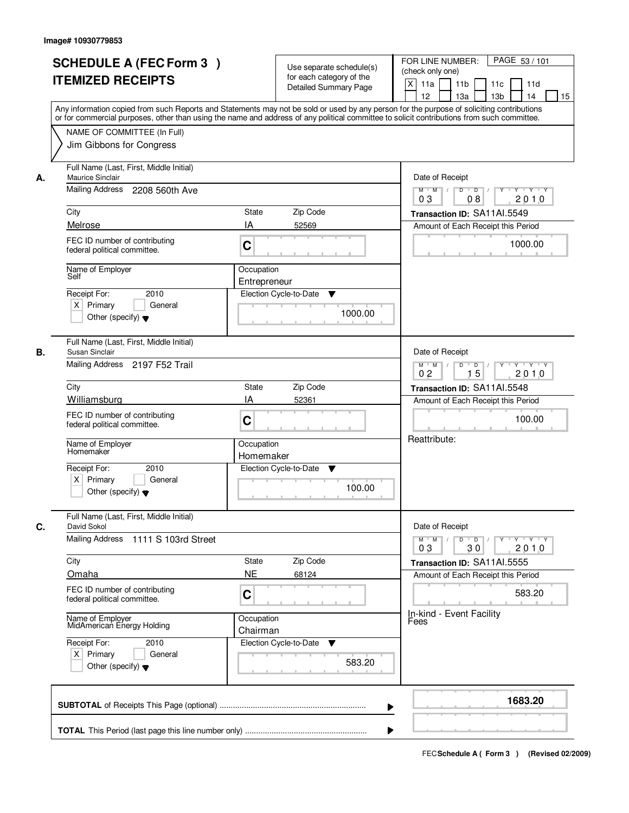|    | <b>SCHEDULE A (FEC Form 3)</b><br><b>ITEMIZED RECEIPTS</b><br>Any information copied from such Reports and Statements may not be sold or used by any person for the purpose of soliciting contributions<br>or for commercial purposes, other than using the name and address of any political committee to solicit contributions from such committee. |                            | Use separate schedule(s)<br>for each category of the<br><b>Detailed Summary Page</b> | PAGE 53 / 101<br>FOR LINE NUMBER:<br>(check only one)<br>$\boldsymbol{\mathsf{X}}$<br>11a<br>11 <sub>b</sub><br>11c<br>11d<br>12<br>13a<br>13 <sub>b</sub><br>14<br>15 |
|----|-------------------------------------------------------------------------------------------------------------------------------------------------------------------------------------------------------------------------------------------------------------------------------------------------------------------------------------------------------|----------------------------|--------------------------------------------------------------------------------------|------------------------------------------------------------------------------------------------------------------------------------------------------------------------|
|    | NAME OF COMMITTEE (In Full)<br>Jim Gibbons for Congress                                                                                                                                                                                                                                                                                               |                            |                                                                                      |                                                                                                                                                                        |
| А. | Full Name (Last, First, Middle Initial)<br>Maurice Sinclair<br>Mailing Address 2208 560th Ave                                                                                                                                                                                                                                                         |                            |                                                                                      | Date of Receipt<br>$Y$ $Y$ $Y$<br>$M$ $M$<br>$D$ $D$ $/$<br>$\overline{Y}$                                                                                             |
|    | City                                                                                                                                                                                                                                                                                                                                                  | State                      | Zip Code                                                                             | 0 <sub>3</sub><br>2010<br>08<br>Transaction ID: SA11Al.5549                                                                                                            |
|    | Melrose                                                                                                                                                                                                                                                                                                                                               | IA                         | 52569                                                                                | Amount of Each Receipt this Period                                                                                                                                     |
|    | FEC ID number of contributing<br>federal political committee.                                                                                                                                                                                                                                                                                         | C                          |                                                                                      | 1000.00                                                                                                                                                                |
|    | Name of Employer<br>Self                                                                                                                                                                                                                                                                                                                              | Occupation<br>Entrepreneur |                                                                                      |                                                                                                                                                                        |
|    | 2010<br>Receipt For:<br>$X$ Primary<br>General<br>Other (specify) $\blacktriangledown$                                                                                                                                                                                                                                                                |                            | Election Cycle-to-Date<br>▼<br>1000.00                                               |                                                                                                                                                                        |
| В. | Full Name (Last, First, Middle Initial)<br>Susan Sinclair<br>Mailing Address 2197 F52 Trail                                                                                                                                                                                                                                                           |                            |                                                                                      | Date of Receipt<br>$Y \vdash Y \vdash Y$<br>$M$ $M$ /<br>D<br>$\Box$<br>Y                                                                                              |
|    | City                                                                                                                                                                                                                                                                                                                                                  | <b>State</b>               | Zip Code                                                                             | 15<br>2010<br>0 <sub>2</sub>                                                                                                                                           |
|    | Williamsburg                                                                                                                                                                                                                                                                                                                                          | IA                         | 52361                                                                                | Transaction ID: SA11AI.5548<br>Amount of Each Receipt this Period                                                                                                      |
|    | FEC ID number of contributing<br>federal political committee.                                                                                                                                                                                                                                                                                         | C                          |                                                                                      | 100.00                                                                                                                                                                 |
|    | Name of Employer<br>Homemaker                                                                                                                                                                                                                                                                                                                         | Occupation<br>Homemaker    |                                                                                      | Reattribute:                                                                                                                                                           |
|    | Receipt For:<br>2010<br>$X$ Primary<br>General<br>Other (specify) $\blacktriangledown$                                                                                                                                                                                                                                                                |                            | Election Cycle-to-Date<br>v<br>100.00                                                |                                                                                                                                                                        |
| C. | Full Name (Last, First, Middle Initial)<br>David Sokol                                                                                                                                                                                                                                                                                                |                            |                                                                                      | Date of Receipt                                                                                                                                                        |
|    | Mailing Address 1111 S 103rd Street                                                                                                                                                                                                                                                                                                                   |                            |                                                                                      | $D$ $D$ $/$<br>$M$ $M$ /<br>$Y$ <sup>U</sup><br>$Y + Y + Y$<br>03<br>2010<br>30                                                                                        |
|    | City                                                                                                                                                                                                                                                                                                                                                  | State                      | Zip Code                                                                             | Transaction ID: SA11AI.5555                                                                                                                                            |
|    | Omaha<br>FEC ID number of contributing<br>federal political committee.                                                                                                                                                                                                                                                                                | <b>NE</b><br>C             | 68124                                                                                | Amount of Each Receipt this Period<br>583.20                                                                                                                           |
|    | Name of Employer<br>MidAmerican Energy Holding                                                                                                                                                                                                                                                                                                        | Occupation<br>Chairman     |                                                                                      | In-kind - Event Facility<br>Fees                                                                                                                                       |
|    | Receipt For:<br>2010<br>$X$ Primary<br>General<br>Other (specify) $\blacktriangledown$                                                                                                                                                                                                                                                                |                            | Election Cycle-to-Date<br>v<br>583.20                                                |                                                                                                                                                                        |
|    |                                                                                                                                                                                                                                                                                                                                                       |                            | ▶                                                                                    | 1683.20                                                                                                                                                                |
|    |                                                                                                                                                                                                                                                                                                                                                       |                            |                                                                                      |                                                                                                                                                                        |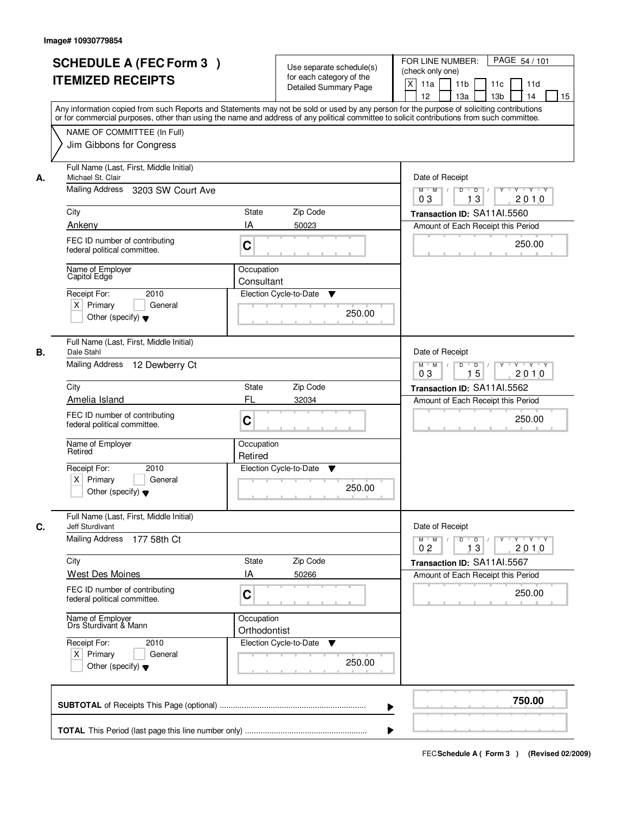| <b>SCHEDULE A (FEC Form 3)</b><br><b>ITEMIZED RECEIPTS</b>                                                 | Use separate schedule(s)<br>for each category of the<br><b>Detailed Summary Page</b><br>Any information copied from such Reports and Statements may not be sold or used by any person for the purpose of soliciting contributions | PAGE 54 / 101<br>FOR LINE NUMBER:<br>(check only one)<br>$\boldsymbol{\mathsf{X}}$<br>11 <sub>b</sub><br>11a<br>11c<br>11d<br>12<br>13 <sub>b</sub><br>14<br>13a<br>15 |
|------------------------------------------------------------------------------------------------------------|-----------------------------------------------------------------------------------------------------------------------------------------------------------------------------------------------------------------------------------|------------------------------------------------------------------------------------------------------------------------------------------------------------------------|
| NAME OF COMMITTEE (In Full)<br>Jim Gibbons for Congress                                                    | or for commercial purposes, other than using the name and address of any political committee to solicit contributions from such committee.                                                                                        |                                                                                                                                                                        |
| Full Name (Last, First, Middle Initial)<br>Michael St. Clair<br>А.<br>Mailing Address<br>3203 SW Court Ave |                                                                                                                                                                                                                                   | Date of Receipt<br>$D$ $D$ $/$<br>$Y$ <sup>U</sup><br>$Y - Y - Y - Y$<br>$M$ $M$ /<br>0 <sub>3</sub><br>13<br>2010                                                     |
| City                                                                                                       | <b>State</b><br>Zip Code                                                                                                                                                                                                          | Transaction ID: SA11AI.5560                                                                                                                                            |
| Ankeny                                                                                                     | IA<br>50023                                                                                                                                                                                                                       | Amount of Each Receipt this Period                                                                                                                                     |
| FEC ID number of contributing<br>federal political committee.                                              | C                                                                                                                                                                                                                                 | 250.00                                                                                                                                                                 |
| Name of Employer<br>Capitol Edge                                                                           | Occupation<br>Consultant                                                                                                                                                                                                          |                                                                                                                                                                        |
| 2010<br>Receipt For:<br>$X$ Primary<br>General<br>Other (specify) $\blacktriangledown$                     | Election Cycle-to-Date<br>▼<br>250.00                                                                                                                                                                                             |                                                                                                                                                                        |
| Full Name (Last, First, Middle Initial)<br>Dale Stahl<br>В.                                                |                                                                                                                                                                                                                                   | Date of Receipt                                                                                                                                                        |
| <b>Mailing Address</b><br>12 Dewberry Ct                                                                   |                                                                                                                                                                                                                                   | $Y - Y - Y$<br>$M$ $M$ /<br>D<br>$\Box$ D $\Box$<br>Y<br>15<br>2010<br>03                                                                                              |
| City                                                                                                       | Zip Code<br>State                                                                                                                                                                                                                 | Transaction ID: SA11AI.5562                                                                                                                                            |
| Amelia Island                                                                                              | FL<br>32034                                                                                                                                                                                                                       | Amount of Each Receipt this Period                                                                                                                                     |
| FEC ID number of contributing<br>federal political committee.                                              | C                                                                                                                                                                                                                                 | 250.00                                                                                                                                                                 |
| Name of Employer<br>Retired                                                                                | Occupation<br>Retired                                                                                                                                                                                                             |                                                                                                                                                                        |
| Receipt For:<br>2010<br>$X$ Primary<br>General<br>Other (specify) $\blacktriangledown$                     | Election Cycle-to-Date<br>v<br>250.00                                                                                                                                                                                             |                                                                                                                                                                        |
| Full Name (Last, First, Middle Initial)<br>C.<br><b>Jeff Sturdivant</b>                                    |                                                                                                                                                                                                                                   | Date of Receipt                                                                                                                                                        |
| <b>Mailing Address</b><br>177 58th Ct                                                                      |                                                                                                                                                                                                                                   | $M$ $M$<br>$D$ $D$ $/$<br>y y y y y<br>2010<br>0 <sub>2</sub><br>13                                                                                                    |
| City<br><b>West Des Moines</b>                                                                             | Zip Code<br>State<br>IA<br>50266                                                                                                                                                                                                  | Transaction ID: SA11AI.5567<br>Amount of Each Receipt this Period                                                                                                      |
| FEC ID number of contributing<br>federal political committee.                                              | C                                                                                                                                                                                                                                 | 250.00                                                                                                                                                                 |
| Name of Employer<br>Drs Sturdivant & Mann                                                                  | Occupation<br>Orthodontist                                                                                                                                                                                                        |                                                                                                                                                                        |
| Receipt For:<br>2010<br>$X$ Primary<br>General<br>Other (specify) $\blacktriangledown$                     | Election Cycle-to-Date<br>v<br>250.00                                                                                                                                                                                             |                                                                                                                                                                        |
|                                                                                                            |                                                                                                                                                                                                                                   | 750.00                                                                                                                                                                 |
|                                                                                                            |                                                                                                                                                                                                                                   |                                                                                                                                                                        |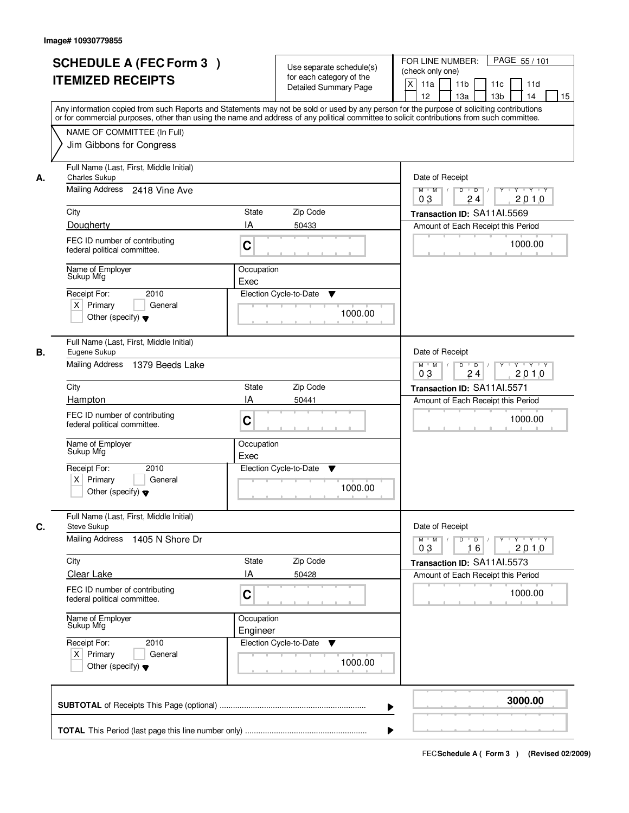|            | <b>SCHEDULE A (FEC Form 3)</b><br><b>ITEMIZED RECEIPTS</b>                                                                                                                                            |                         | Use separate schedule(s)<br>for each category of the<br><b>Detailed Summary Page</b> | PAGE 55/101<br>FOR LINE NUMBER:<br>(check only one)<br>$\boldsymbol{\mathsf{X}}$<br>11 <sub>b</sub><br>11a<br>11c<br>11d<br>12<br>13 <sub>b</sub><br>14<br>13a<br>15<br>Any information copied from such Reports and Statements may not be sold or used by any person for the purpose of soliciting contributions |
|------------|-------------------------------------------------------------------------------------------------------------------------------------------------------------------------------------------------------|-------------------------|--------------------------------------------------------------------------------------|-------------------------------------------------------------------------------------------------------------------------------------------------------------------------------------------------------------------------------------------------------------------------------------------------------------------|
|            | or for commercial purposes, other than using the name and address of any political committee to solicit contributions from such committee.<br>NAME OF COMMITTEE (In Full)<br>Jim Gibbons for Congress |                         |                                                                                      |                                                                                                                                                                                                                                                                                                                   |
| А.<br>City | Full Name (Last, First, Middle Initial)<br><b>Charles Sukup</b><br>Mailing Address 2418 Vine Ave<br>Dougherty<br>FEC ID number of contributing                                                        | <b>State</b><br>IA      | Zip Code<br>50433                                                                    | Date of Receipt<br>$D$ $D$ $I$<br>Y<br>$Y - Y - Y - Y$<br>$M$ $M$ /<br>0 <sub>3</sub><br>24<br>2010<br>Transaction ID: SA11AI.5569<br>Amount of Each Receipt this Period<br>1000.00                                                                                                                               |
|            | federal political committee.<br>Name of Employer<br>Sukup Mfg<br>2010<br>Receipt For:<br>$X$ Primary<br>General<br>Other (specify) $\blacktriangledown$                                               | C<br>Occupation<br>Exec | Election Cycle-to-Date<br>▼<br>1000.00                                               |                                                                                                                                                                                                                                                                                                                   |
| В.<br>City | Full Name (Last, First, Middle Initial)<br>Eugene Sukup<br>Mailing Address 1379 Beeds Lake<br>Hampton                                                                                                 | State<br>IA             | Zip Code<br>50441                                                                    | Date of Receipt<br>$M$ $M$ /<br>D<br>$\overline{D}$<br>Y<br>$Y + Y + Y$<br>2010<br>03<br>24<br>Transaction ID: SA11AI.5571<br>Amount of Each Receipt this Period                                                                                                                                                  |
|            | FEC ID number of contributing<br>federal political committee.<br>Name of Employer<br>Sukup Mfg<br>2010<br>Receipt For:<br>$X$ Primary<br>General<br>Other (specify) $\blacktriangledown$              | C<br>Occupation<br>Exec | Election Cycle-to-Date<br>▼<br>1000.00                                               | 1000.00                                                                                                                                                                                                                                                                                                           |
| C.<br>City | Full Name (Last, First, Middle Initial)<br><b>Steve Sukup</b><br><b>Mailing Address</b><br>1405 N Shore Dr                                                                                            | State                   | Zip Code                                                                             | Date of Receipt<br>$M$ $M$ $M$<br>$D$ $D$ $I$<br><u> Y LY LY LY</u><br>2010<br>03<br>16<br>Transaction ID: SA11Al.5573                                                                                                                                                                                            |
|            | Clear Lake<br>FEC ID number of contributing<br>federal political committee.                                                                                                                           | IA<br>C                 | 50428                                                                                | Amount of Each Receipt this Period<br>1000.00                                                                                                                                                                                                                                                                     |
|            | Name of Employer<br>Sukup Mfg<br>Receipt For:<br>2010<br>$X$ Primary<br>General<br>Other (specify) $\blacktriangledown$                                                                               | Occupation<br>Engineer  | Election Cycle-to-Date<br>v<br>1000.00                                               |                                                                                                                                                                                                                                                                                                                   |
|            |                                                                                                                                                                                                       |                         |                                                                                      | 3000.00                                                                                                                                                                                                                                                                                                           |
|            |                                                                                                                                                                                                       |                         |                                                                                      |                                                                                                                                                                                                                                                                                                                   |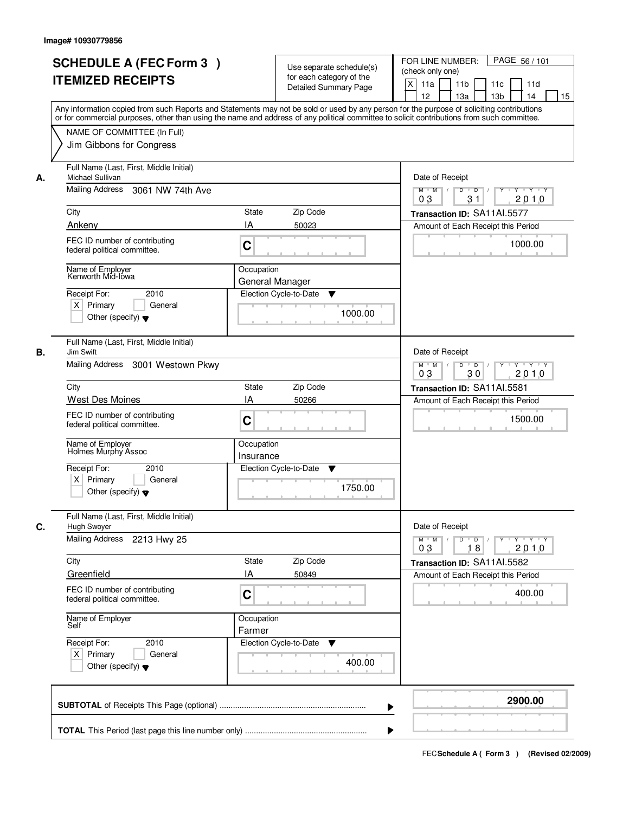|    | <b>SCHEDULE A (FEC Form 3)</b><br><b>ITEMIZED RECEIPTS</b><br>Any information copied from such Reports and Statements may not be sold or used by any person for the purpose of soliciting contributions |                               | Use separate schedule(s)<br>for each category of the<br><b>Detailed Summary Page</b> | PAGE 56 / 101<br>FOR LINE NUMBER:<br>(check only one)<br>X<br>11 <sub>b</sub><br>11a<br>11 <sub>c</sub><br>11d<br>12<br>13 <sub>b</sub><br>13a<br>14<br>15 |
|----|---------------------------------------------------------------------------------------------------------------------------------------------------------------------------------------------------------|-------------------------------|--------------------------------------------------------------------------------------|------------------------------------------------------------------------------------------------------------------------------------------------------------|
|    | or for commercial purposes, other than using the name and address of any political committee to solicit contributions from such committee.<br>NAME OF COMMITTEE (In Full)<br>Jim Gibbons for Congress   |                               |                                                                                      |                                                                                                                                                            |
| А. | Full Name (Last, First, Middle Initial)<br>Michael Sullivan<br>Mailing Address<br>3061 NW 74th Ave                                                                                                      |                               |                                                                                      | Date of Receipt<br>$Y + Y + Y$<br>$M$ $M$ /<br>$D$ $D$ $I$<br>$Y^+$                                                                                        |
|    | City                                                                                                                                                                                                    | <b>State</b>                  | Zip Code                                                                             | 31<br>2010<br>03<br>Transaction ID: SA11AI.5577                                                                                                            |
|    | Ankeny<br>FEC ID number of contributing<br>federal political committee.                                                                                                                                 | IA<br>C                       | 50023                                                                                | Amount of Each Receipt this Period<br>1000.00                                                                                                              |
|    | Name of Employer<br>Kenworth Mid-Iówa<br>Receipt For:<br>2010<br>$X$ Primary<br>General<br>Other (specify) $\blacktriangledown$                                                                         | Occupation<br>General Manager | Election Cycle-to-Date<br>▼<br>1000.00                                               |                                                                                                                                                            |
| В. | Full Name (Last, First, Middle Initial)<br>Jim Swift<br>Mailing Address 3001 Westown Pkwy                                                                                                               |                               |                                                                                      | Date of Receipt<br>$Y - Y - Y$                                                                                                                             |
|    |                                                                                                                                                                                                         |                               | Zip Code                                                                             | $M$ $M$ /<br>$\overline{D}$<br>D<br>30<br>03<br>2010                                                                                                       |
|    | City<br>West Des Moines                                                                                                                                                                                 | <b>State</b><br>IA            | 50266                                                                                | Transaction ID: SA11AI.5581                                                                                                                                |
|    | FEC ID number of contributing<br>federal political committee.                                                                                                                                           | C                             |                                                                                      | Amount of Each Receipt this Period<br>1500.00                                                                                                              |
|    | Name of Employer<br><b>Holmes Murphy Assoc</b>                                                                                                                                                          | Occupation<br>Insurance       |                                                                                      |                                                                                                                                                            |
|    | Receipt For:<br>2010<br>$X$ Primary<br>General<br>Other (specify) $\blacktriangledown$                                                                                                                  |                               | Election Cycle-to-Date<br>v<br>1750.00                                               |                                                                                                                                                            |
| C. | Full Name (Last, First, Middle Initial)<br>Hugh Swoyer                                                                                                                                                  |                               |                                                                                      | Date of Receipt                                                                                                                                            |
|    | <b>Mailing Address</b><br>2213 Hwy 25                                                                                                                                                                   |                               |                                                                                      | $M = M$<br>$D$ $D$ $/$<br>$Y + Y + Y + Y$<br>03<br>18<br>2010                                                                                              |
|    | City                                                                                                                                                                                                    | <b>State</b>                  | Zip Code                                                                             | Transaction ID: SA11AI.5582                                                                                                                                |
|    | Greenfield                                                                                                                                                                                              | ΙA                            | 50849                                                                                | Amount of Each Receipt this Period                                                                                                                         |
|    | FEC ID number of contributing<br>federal political committee.                                                                                                                                           | $\mathbf C$                   |                                                                                      | 400.00                                                                                                                                                     |
|    | Name of Employer<br>Self                                                                                                                                                                                | Occupation<br>Farmer          |                                                                                      |                                                                                                                                                            |
|    | Receipt For:<br>2010<br>$X$ Primary<br>General<br>Other (specify) $\blacktriangledown$                                                                                                                  |                               | Election Cycle-to-Date<br>v<br>400.00                                                |                                                                                                                                                            |
|    |                                                                                                                                                                                                         |                               |                                                                                      | 2900.00                                                                                                                                                    |
|    |                                                                                                                                                                                                         |                               |                                                                                      |                                                                                                                                                            |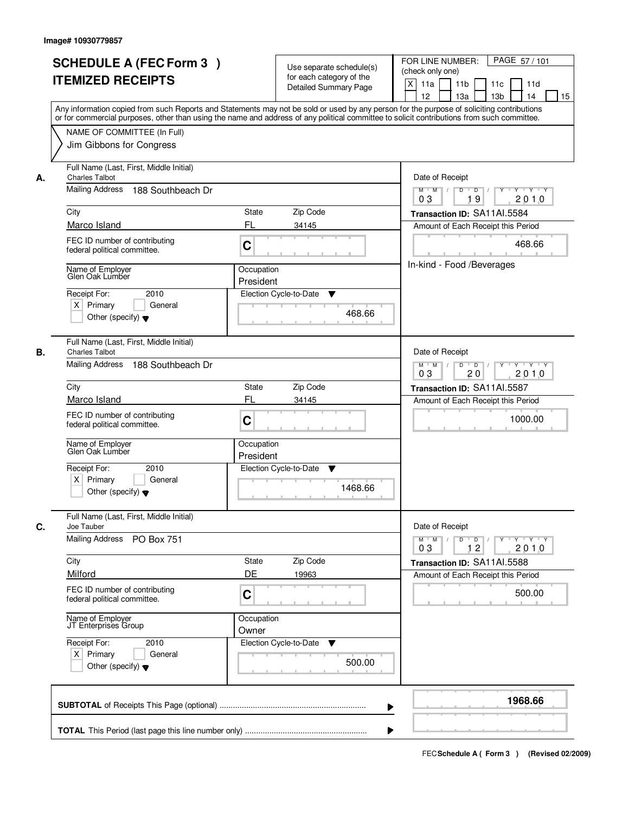|    | <b>SCHEDULE A (FEC Form 3)</b><br><b>ITEMIZED RECEIPTS</b><br>Any information copied from such Reports and Statements may not be sold or used by any person for the purpose of soliciting contributions<br>or for commercial purposes, other than using the name and address of any political committee to solicit contributions from such committee. | Use separate schedule(s)<br>for each category of the<br><b>Detailed Summary Page</b>            | PAGE 57/101<br>FOR LINE NUMBER:<br>(check only one)<br>X<br>11 <sub>b</sub><br>11a<br>11c<br>11d<br>12<br>13a<br>13 <sub>b</sub><br>15<br>14                                                                 |
|----|-------------------------------------------------------------------------------------------------------------------------------------------------------------------------------------------------------------------------------------------------------------------------------------------------------------------------------------------------------|-------------------------------------------------------------------------------------------------|--------------------------------------------------------------------------------------------------------------------------------------------------------------------------------------------------------------|
|    | NAME OF COMMITTEE (In Full)<br>Jim Gibbons for Congress                                                                                                                                                                                                                                                                                               |                                                                                                 |                                                                                                                                                                                                              |
| А. | Full Name (Last, First, Middle Initial)<br><b>Charles Talbot</b><br>Mailing Address<br>188 Southbeach Dr<br>City<br>Marco Island<br>FEC ID number of contributing<br>federal political committee.<br>Name of Employer<br>Glen Oak Lumber<br>Receipt For:<br>2010                                                                                      | State<br>Zip Code<br>FL<br>34145<br>C<br>Occupation<br>President<br>Election Cycle-to-Date<br>▼ | Date of Receipt<br>$Y$ $Y$ $Y$<br>$D$ $D$ $1$<br>$\overline{Y}$<br>$M$ $M$ /<br>03<br>2010<br>19<br>Transaction ID: SA11AI.5584<br>Amount of Each Receipt this Period<br>468.66<br>In-kind - Food /Beverages |
|    | $X$ Primary<br>General<br>Other (specify) $\blacktriangledown$<br>Full Name (Last, First, Middle Initial)                                                                                                                                                                                                                                             | 468.66                                                                                          |                                                                                                                                                                                                              |
| В. | <b>Charles Talbot</b><br>Mailing Address<br>188 Southbeach Dr                                                                                                                                                                                                                                                                                         |                                                                                                 | Date of Receipt<br>$M$ $M$ /<br>D<br>$\overline{D}$ $\overline{I}$<br>Y<br>Y 'Y 'Y<br>03<br>20<br>2010                                                                                                       |
|    | City<br>Marco Island<br>FEC ID number of contributing<br>federal political committee.                                                                                                                                                                                                                                                                 | Zip Code<br><b>State</b><br>FL<br>34145<br>C                                                    | Transaction ID: SA11AI.5587<br>Amount of Each Receipt this Period<br>1000.00                                                                                                                                 |
|    | Name of Employer<br>Glen Oak Lumber<br>Receipt For:<br>2010<br>$X$ Primary<br>General<br>Other (specify) $\blacktriangledown$                                                                                                                                                                                                                         | Occupation<br>President<br>Election Cycle-to-Date<br>v<br>1468.66                               |                                                                                                                                                                                                              |
| С. | Full Name (Last, First, Middle Initial)<br>Joe Tauber<br>Mailing Address<br>PO Box 751                                                                                                                                                                                                                                                                |                                                                                                 | Date of Receipt<br>D<br>$M$ $M$ /<br>$\overline{D}$ /<br>$Y + Y + Y$<br>Y<br>03<br>12<br>2010                                                                                                                |
|    | City<br>Milford<br>FEC ID number of contributing                                                                                                                                                                                                                                                                                                      | Zip Code<br>State<br>DE<br>19963                                                                | Transaction ID: SA11AI.5588<br>Amount of Each Receipt this Period<br>500.00                                                                                                                                  |
|    | federal political committee.<br>Name of Employer<br>JT Enterprises Group                                                                                                                                                                                                                                                                              | C<br>Occupation<br>Owner                                                                        |                                                                                                                                                                                                              |
|    | Receipt For:<br>2010<br>$X$ Primary<br>General<br>Other (specify) $\blacktriangledown$                                                                                                                                                                                                                                                                | Election Cycle-to-Date<br>v<br>500.00                                                           |                                                                                                                                                                                                              |
|    |                                                                                                                                                                                                                                                                                                                                                       | ▶                                                                                               | 1968.66                                                                                                                                                                                                      |
|    |                                                                                                                                                                                                                                                                                                                                                       |                                                                                                 |                                                                                                                                                                                                              |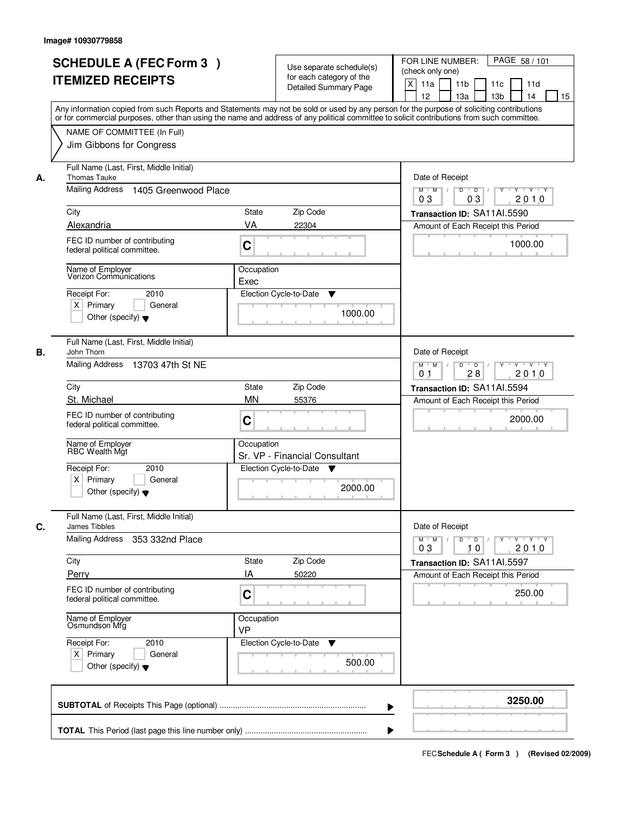|    | <b>SCHEDULE A (FEC Form 3)</b><br><b>ITEMIZED RECEIPTS</b>                             | Use separate schedule(s)<br>for each category of the<br><b>Detailed Summary Page</b><br>Any information copied from such Reports and Statements may not be sold or used by any person for the purpose of soliciting contributions | PAGE 58 / 101<br>FOR LINE NUMBER:<br>(check only one)<br>X<br>11 <sub>b</sub><br>11a<br>11 <sub>c</sub><br>11d<br>12<br>13 <sub>b</sub><br>14<br>13a<br>15 |
|----|----------------------------------------------------------------------------------------|-----------------------------------------------------------------------------------------------------------------------------------------------------------------------------------------------------------------------------------|------------------------------------------------------------------------------------------------------------------------------------------------------------|
|    | NAME OF COMMITTEE (In Full)<br>Jim Gibbons for Congress                                | or for commercial purposes, other than using the name and address of any political committee to solicit contributions from such committee.                                                                                        |                                                                                                                                                            |
| А. | Full Name (Last, First, Middle Initial)<br><b>Thomas Tauke</b><br>Mailing Address      | Date of Receipt<br>$D$ $D$ $1$                                                                                                                                                                                                    |                                                                                                                                                            |
|    | 1405 Greenwood Place                                                                   |                                                                                                                                                                                                                                   | $Y$ <sup>U</sup><br>Y Y Y Y<br>$M$ $M$<br>03<br>03<br>2010                                                                                                 |
|    | City                                                                                   | <b>State</b><br>Zip Code                                                                                                                                                                                                          | Transaction ID: SA11AI.5590                                                                                                                                |
|    | Alexandria                                                                             | VA<br>22304                                                                                                                                                                                                                       | Amount of Each Receipt this Period                                                                                                                         |
|    | FEC ID number of contributing<br>federal political committee.                          | C                                                                                                                                                                                                                                 | 1000.00                                                                                                                                                    |
|    | Name of Employer<br>Verizon Communications                                             | Occupation<br>Exec                                                                                                                                                                                                                |                                                                                                                                                            |
|    | Receipt For:<br>2010<br>$X$ Primary<br>General                                         | Election Cycle-to-Date<br>▼                                                                                                                                                                                                       |                                                                                                                                                            |
|    | Other (specify) $\blacktriangledown$                                                   | 1000.00                                                                                                                                                                                                                           |                                                                                                                                                            |
| В. | Full Name (Last, First, Middle Initial)<br>John Thorn                                  |                                                                                                                                                                                                                                   | Date of Receipt                                                                                                                                            |
|    | Mailing Address<br>13703 47th St NE                                                    |                                                                                                                                                                                                                                   | $M$ $M$ /<br>D<br>$\overline{D}$ /<br>$Y + Y + Y$<br>0 <sub>1</sub><br>28<br>2010                                                                          |
|    | City                                                                                   | Zip Code<br><b>State</b>                                                                                                                                                                                                          | Transaction ID: SA11Al.5594                                                                                                                                |
|    | St. Michael                                                                            | <b>MN</b><br>55376                                                                                                                                                                                                                | Amount of Each Receipt this Period                                                                                                                         |
|    | FEC ID number of contributing<br>federal political committee.                          | C                                                                                                                                                                                                                                 | 2000.00                                                                                                                                                    |
|    | Name of Employer<br>RBC Wealth Mát                                                     | Occupation<br>Sr. VP - Financial Consultant                                                                                                                                                                                       |                                                                                                                                                            |
|    | Receipt For:<br>2010<br>$X$ Primary<br>General<br>Other (specify) $\blacktriangledown$ | Election Cycle-to-Date<br>Y<br>2000.00                                                                                                                                                                                            |                                                                                                                                                            |
| C. | Full Name (Last, First, Middle Initial)<br>James Tibbles                               |                                                                                                                                                                                                                                   | Date of Receipt                                                                                                                                            |
|    | Mailing Address<br>353 332nd Place                                                     |                                                                                                                                                                                                                                   | $M = M$<br>$D$ $D$ $I$<br>y y y y y y<br>03<br>10<br>2010                                                                                                  |
|    | City                                                                                   | Zip Code<br>State                                                                                                                                                                                                                 | Transaction ID: SA11AI.5597                                                                                                                                |
|    | Perry                                                                                  | IA<br>50220                                                                                                                                                                                                                       | Amount of Each Receipt this Period                                                                                                                         |
|    | FEC ID number of contributing<br>federal political committee.                          | C                                                                                                                                                                                                                                 | 250.00                                                                                                                                                     |
|    | Name of Employer<br>Osmundson Mfg                                                      | Occupation<br><b>VP</b>                                                                                                                                                                                                           |                                                                                                                                                            |
|    | Receipt For:<br>2010<br>$X$ Primary<br>General<br>Other (specify) $\blacktriangledown$ | Election Cycle-to-Date<br>$\blacktriangledown$<br>500.00                                                                                                                                                                          |                                                                                                                                                            |
|    |                                                                                        |                                                                                                                                                                                                                                   | 3250.00                                                                                                                                                    |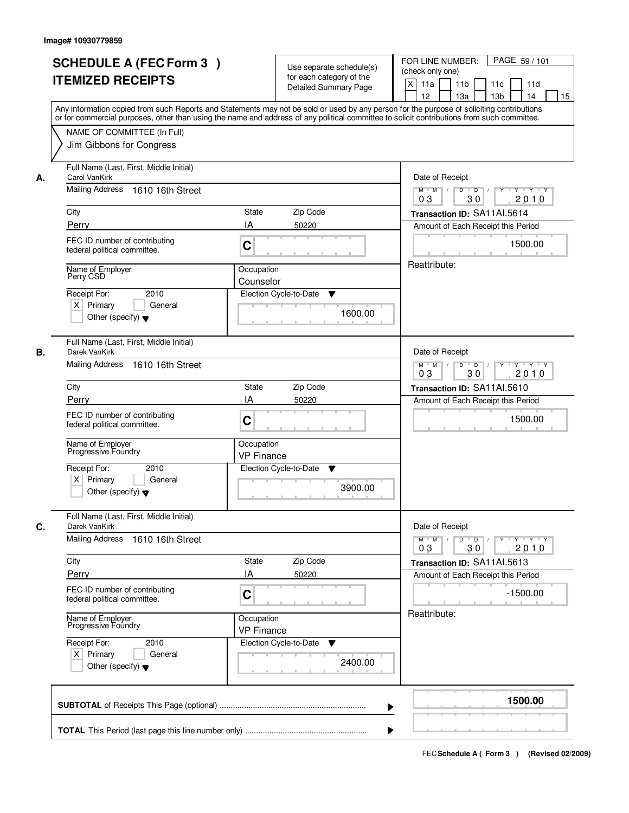|    | <b>SCHEDULE A (FEC Form 3)</b><br><b>ITEMIZED RECEIPTS</b><br>Any information copied from such Reports and Statements may not be sold or used by any person for the purpose of soliciting contributions<br>or for commercial purposes, other than using the name and address of any political committee to solicit contributions from such committee. |                                 | Use separate schedule(s)<br>for each category of the<br><b>Detailed Summary Page</b> | PAGE 59/101<br>FOR LINE NUMBER:<br>(check only one)<br>X<br>11a<br>11 <sub>b</sub><br>11c<br>11d<br>12<br>13a<br>13 <sub>b</sub><br>14<br>15 |
|----|-------------------------------------------------------------------------------------------------------------------------------------------------------------------------------------------------------------------------------------------------------------------------------------------------------------------------------------------------------|---------------------------------|--------------------------------------------------------------------------------------|----------------------------------------------------------------------------------------------------------------------------------------------|
|    | NAME OF COMMITTEE (In Full)<br>Jim Gibbons for Congress                                                                                                                                                                                                                                                                                               |                                 |                                                                                      |                                                                                                                                              |
| А. | Full Name (Last, First, Middle Initial)<br>Carol VanKirk<br>Mailing Address 1610 16th Street                                                                                                                                                                                                                                                          |                                 |                                                                                      | Date of Receipt<br>$M$ $M$<br>$D$ $D$ $/$<br>$\overline{Y}$<br>Y Y Y Y                                                                       |
|    | City                                                                                                                                                                                                                                                                                                                                                  | State                           | Zip Code                                                                             | 03<br>30<br>2010<br>Transaction ID: SA11AI.5614                                                                                              |
|    | Perry                                                                                                                                                                                                                                                                                                                                                 | IA                              | 50220                                                                                | Amount of Each Receipt this Period                                                                                                           |
|    | FEC ID number of contributing<br>federal political committee.                                                                                                                                                                                                                                                                                         | C                               |                                                                                      | 1500.00                                                                                                                                      |
|    | Name of Employer<br>Perry CSD                                                                                                                                                                                                                                                                                                                         | Occupation<br>Counselor         |                                                                                      | Reattribute:                                                                                                                                 |
|    | 2010<br>Receipt For:<br>$X$ Primary<br>General<br>Other (specify) $\blacktriangledown$                                                                                                                                                                                                                                                                |                                 | Election Cycle-to-Date<br>▼<br>1600.00                                               |                                                                                                                                              |
| В. | Full Name (Last, First, Middle Initial)<br>Darek VanKirk<br>Mailing Address 1610 16th Street                                                                                                                                                                                                                                                          |                                 |                                                                                      | Date of Receipt<br>$Y - Y - Y$<br>$M$ $M$ /<br>D<br>$\overline{D}$ /<br>Y<br>30<br>2010<br>03                                                |
|    | City                                                                                                                                                                                                                                                                                                                                                  | State                           | Zip Code                                                                             | Transaction ID: SA11AI.5610                                                                                                                  |
|    | Perry                                                                                                                                                                                                                                                                                                                                                 | IA                              | 50220                                                                                | Amount of Each Receipt this Period                                                                                                           |
|    | FEC ID number of contributing<br>federal political committee.                                                                                                                                                                                                                                                                                         | C                               |                                                                                      | 1500.00                                                                                                                                      |
|    | Name of Employer<br>Progressive Foundry                                                                                                                                                                                                                                                                                                               | Occupation<br><b>VP Finance</b> |                                                                                      |                                                                                                                                              |
|    | Receipt For:<br>2010<br>$X$ Primary<br>General<br>Other (specify) $\blacktriangledown$                                                                                                                                                                                                                                                                |                                 | Election Cycle-to-Date<br>v<br>3900.00                                               |                                                                                                                                              |
| C. | Full Name (Last, First, Middle Initial)<br>Darek VanKirk                                                                                                                                                                                                                                                                                              |                                 |                                                                                      | Date of Receipt                                                                                                                              |
|    | Mailing Address 1610 16th Street                                                                                                                                                                                                                                                                                                                      |                                 |                                                                                      | $D$ $D$ $/$<br>$M$ $M$ /<br>Y Y Y Y Y<br>03<br>30<br>2010                                                                                    |
|    | City                                                                                                                                                                                                                                                                                                                                                  | State                           | Zip Code                                                                             | Transaction ID: SA11Al.5613                                                                                                                  |
|    | Perry<br>FEC ID number of contributing<br>federal political committee.                                                                                                                                                                                                                                                                                | ΙA<br>C                         | 50220                                                                                | Amount of Each Receipt this Period<br>$-1500.00$                                                                                             |
|    | Name of Employer<br>Progressive Foundry                                                                                                                                                                                                                                                                                                               | Occupation<br><b>VP Finance</b> |                                                                                      | Reattribute:                                                                                                                                 |
|    | Receipt For:<br>2010<br>$X$ Primary<br>General<br>Other (specify) $\blacktriangledown$                                                                                                                                                                                                                                                                |                                 | Election Cycle-to-Date<br>v<br>2400.00                                               |                                                                                                                                              |
|    |                                                                                                                                                                                                                                                                                                                                                       |                                 | ▶                                                                                    | 1500.00                                                                                                                                      |
|    |                                                                                                                                                                                                                                                                                                                                                       |                                 |                                                                                      |                                                                                                                                              |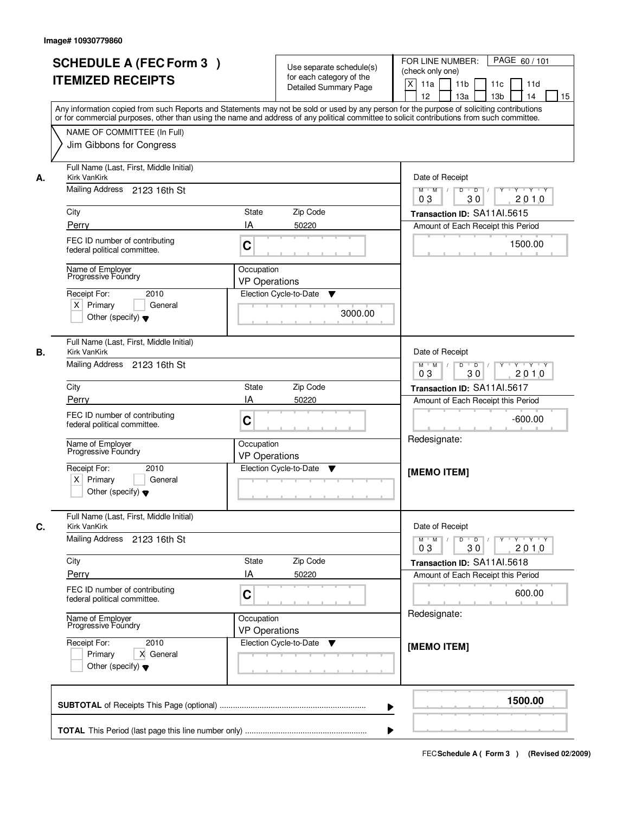|    | <b>SCHEDULE A (FEC Form 3)</b><br><b>ITEMIZED RECEIPTS</b>                                                                      | Use separate schedule(s)<br>for each category of the<br><b>Detailed Summary Page</b><br>Any information copied from such Reports and Statements may not be sold or used by any person for the purpose of soliciting contributions<br>or for commercial purposes, other than using the name and address of any political committee to solicit contributions from such committee. | PAGE 60 / 101<br>FOR LINE NUMBER:<br>(check only one)<br>X<br>11 <sub>b</sub><br>11a<br>11d<br>11c<br>12<br>13 <sub>b</sub><br>13a<br>14<br>15 |
|----|---------------------------------------------------------------------------------------------------------------------------------|---------------------------------------------------------------------------------------------------------------------------------------------------------------------------------------------------------------------------------------------------------------------------------------------------------------------------------------------------------------------------------|------------------------------------------------------------------------------------------------------------------------------------------------|
|    | NAME OF COMMITTEE (In Full)<br>Jim Gibbons for Congress                                                                         |                                                                                                                                                                                                                                                                                                                                                                                 |                                                                                                                                                |
| А. | Full Name (Last, First, Middle Initial)<br><b>Kirk VanKirk</b><br>Mailing Address 2123 16th St<br>City                          | Zip Code<br>State                                                                                                                                                                                                                                                                                                                                                               | Date of Receipt<br>$Y + Y + Y$<br>$D$ $D$ $/$<br>$\overline{Y}$<br>$M$ $M$ /<br>2010<br>03<br>30<br>Transaction ID: SA11Al.5615                |
|    | Perry                                                                                                                           | IA<br>50220                                                                                                                                                                                                                                                                                                                                                                     | Amount of Each Receipt this Period                                                                                                             |
|    | FEC ID number of contributing<br>federal political committee.                                                                   | C                                                                                                                                                                                                                                                                                                                                                                               | 1500.00                                                                                                                                        |
|    | Name of Employer<br>Progressive Foundry<br>Receipt For:<br>2010<br>$X$ Primary<br>General                                       | Occupation<br><b>VP Operations</b><br>Election Cycle-to-Date<br>▼<br>3000.00                                                                                                                                                                                                                                                                                                    |                                                                                                                                                |
| В. | Other (specify) $\blacktriangledown$<br>Full Name (Last, First, Middle Initial)<br>Kirk VanKirk<br>Mailing Address 2123 16th St |                                                                                                                                                                                                                                                                                                                                                                                 | Date of Receipt<br>D<br>$Y - Y - Y$<br>$M$ $M$ /<br>$\overline{\phantom{0}}$ D                                                                 |
|    |                                                                                                                                 |                                                                                                                                                                                                                                                                                                                                                                                 | 30<br>03<br>2010                                                                                                                               |
|    | City                                                                                                                            | Zip Code<br><b>State</b>                                                                                                                                                                                                                                                                                                                                                        | Transaction ID: SA11AI.5617                                                                                                                    |
|    | Perry<br>FEC ID number of contributing<br>federal political committee.<br>Name of Employer                                      | IA<br>50220<br>C<br>Occupation                                                                                                                                                                                                                                                                                                                                                  | Amount of Each Receipt this Period<br>$-600.00$<br>Redesignate:                                                                                |
|    | Progressive Foundry<br>Receipt For:<br>2010<br>$X$ Primary<br>General<br>Other (specify) $\blacktriangledown$                   | <b>VP Operations</b><br>Election Cycle-to-Date<br>v                                                                                                                                                                                                                                                                                                                             | [MEMO ITEM]                                                                                                                                    |
| С. | Full Name (Last, First, Middle Initial)<br>Kirk VanKirk                                                                         |                                                                                                                                                                                                                                                                                                                                                                                 | Date of Receipt                                                                                                                                |
|    | Mailing Address 2123 16th St                                                                                                    |                                                                                                                                                                                                                                                                                                                                                                                 | $M^{\prime}$ M $\rightarrow$ /<br>D<br>$\overline{D}$ /<br>Y<br>$Y + Y + Y$<br>2010<br>03<br>30                                                |
|    | City                                                                                                                            | Zip Code<br>State                                                                                                                                                                                                                                                                                                                                                               | Transaction ID: SA11AI.5618                                                                                                                    |
|    | Perry                                                                                                                           | IA<br>50220                                                                                                                                                                                                                                                                                                                                                                     | Amount of Each Receipt this Period                                                                                                             |
|    | FEC ID number of contributing<br>federal political committee.                                                                   | C                                                                                                                                                                                                                                                                                                                                                                               | 600.00                                                                                                                                         |
|    | Name of Employer<br>Progressive Foundry                                                                                         | Occupation<br><b>VP Operations</b>                                                                                                                                                                                                                                                                                                                                              | Redesignate:                                                                                                                                   |
|    | Receipt For:<br>2010<br>Primary<br>X General<br>Other (specify) $\blacktriangledown$                                            | Election Cycle-to-Date<br>v                                                                                                                                                                                                                                                                                                                                                     | [MEMO ITEM]                                                                                                                                    |
|    |                                                                                                                                 | ▶                                                                                                                                                                                                                                                                                                                                                                               | 1500.00                                                                                                                                        |
|    |                                                                                                                                 |                                                                                                                                                                                                                                                                                                                                                                                 |                                                                                                                                                |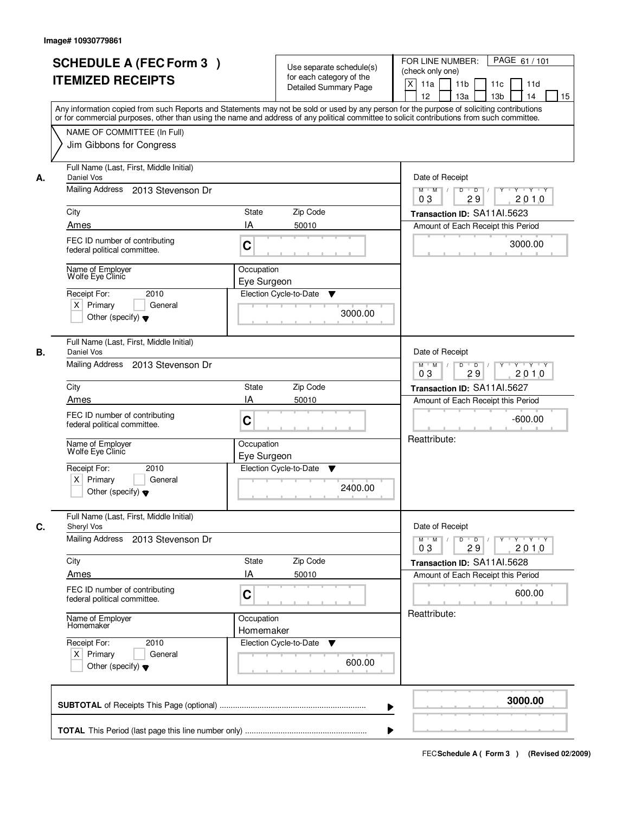| <b>SCHEDULE A (FEC Form 3)</b><br><b>ITEMIZED RECEIPTS</b>                             | Use separate schedule(s)<br>for each category of the<br><b>Detailed Summary Page</b>                                                                                                                                                                                                    | PAGE 61 / 101<br>FOR LINE NUMBER:<br>(check only one)<br>$\boldsymbol{\mathsf{X}}$<br>11a<br>11 <sub>b</sub><br>11c<br>11d |
|----------------------------------------------------------------------------------------|-----------------------------------------------------------------------------------------------------------------------------------------------------------------------------------------------------------------------------------------------------------------------------------------|----------------------------------------------------------------------------------------------------------------------------|
|                                                                                        | Any information copied from such Reports and Statements may not be sold or used by any person for the purpose of soliciting contributions<br>or for commercial purposes, other than using the name and address of any political committee to solicit contributions from such committee. | 12<br>13a<br>13 <sub>b</sub><br>14<br>15                                                                                   |
| NAME OF COMMITTEE (In Full)<br>Jim Gibbons for Congress                                |                                                                                                                                                                                                                                                                                         |                                                                                                                            |
| Full Name (Last, First, Middle Initial)<br>Daniel Vos<br>А.<br>Mailing Address         |                                                                                                                                                                                                                                                                                         | Date of Receipt                                                                                                            |
| 2013 Stevenson Dr                                                                      |                                                                                                                                                                                                                                                                                         | $Y - Y - Y$<br>D<br>$\overline{D}$<br>$M$ $M$ /<br>2010<br>03<br>29                                                        |
| City                                                                                   | State<br>Zip Code                                                                                                                                                                                                                                                                       | Transaction ID: SA11AI.5623                                                                                                |
| Ames                                                                                   | IA<br>50010                                                                                                                                                                                                                                                                             | Amount of Each Receipt this Period                                                                                         |
| FEC ID number of contributing<br>federal political committee.                          | C                                                                                                                                                                                                                                                                                       | 3000.00                                                                                                                    |
| Name of Employer<br>Wolfe Eye Clinic                                                   | Occupation                                                                                                                                                                                                                                                                              |                                                                                                                            |
| 2010<br>Receipt For:                                                                   | Eye Surgeon<br>Election Cycle-to-Date<br>v                                                                                                                                                                                                                                              |                                                                                                                            |
| $X$ Primary<br>General<br>Other (specify) $\blacktriangledown$                         | 3000.00                                                                                                                                                                                                                                                                                 |                                                                                                                            |
| Full Name (Last, First, Middle Initial)<br>В.<br>Daniel Vos                            |                                                                                                                                                                                                                                                                                         | Date of Receipt                                                                                                            |
| Mailing Address<br>2013 Stevenson Dr                                                   |                                                                                                                                                                                                                                                                                         | $M$ $M$ /<br>D<br>$\overline{D}$<br>Y<br>$Y + Y + Y$<br>03<br>29<br>2010                                                   |
| City                                                                                   | Zip Code<br>State                                                                                                                                                                                                                                                                       | Transaction ID: SA11AI.5627                                                                                                |
| Ames                                                                                   | IA<br>50010                                                                                                                                                                                                                                                                             | Amount of Each Receipt this Period                                                                                         |
| FEC ID number of contributing<br>federal political committee.                          | C                                                                                                                                                                                                                                                                                       | $-600.00$                                                                                                                  |
| Name of Employer<br>Wolfe Eye Clinic                                                   | Occupation<br>Eye Surgeon                                                                                                                                                                                                                                                               | Reattribute:                                                                                                               |
| Receipt For:<br>2010<br>$X$ Primary<br>General<br>Other (specify) $\blacktriangledown$ | Election Cycle-to-Date<br>v<br>2400.00                                                                                                                                                                                                                                                  |                                                                                                                            |
| Full Name (Last, First, Middle Initial)<br>C.<br>Sheryl Vos                            |                                                                                                                                                                                                                                                                                         | Date of Receipt                                                                                                            |
| Mailing Address<br>2013 Stevenson Dr                                                   |                                                                                                                                                                                                                                                                                         | $M$ $M$<br>$D$ $D$ $/$<br>$Y - Y - Y - Y$<br>$\top$ /<br>$Y$ <sup>-1</sup><br>03<br>2010<br>29                             |
| City                                                                                   | Zip Code<br>State                                                                                                                                                                                                                                                                       | Transaction ID: SA11AI.5628                                                                                                |
| Ames                                                                                   | IA<br>50010                                                                                                                                                                                                                                                                             | Amount of Each Receipt this Period                                                                                         |
| FEC ID number of contributing<br>federal political committee.                          | C                                                                                                                                                                                                                                                                                       | 600.00                                                                                                                     |
| Name of Employer<br>Homemaker                                                          | Occupation<br>Homemaker                                                                                                                                                                                                                                                                 | Reattribute:                                                                                                               |
| Receipt For:<br>2010<br>$X$ Primary<br>General<br>Other (specify) $\blacktriangledown$ | Election Cycle-to-Date<br>v<br>600.00                                                                                                                                                                                                                                                   |                                                                                                                            |
|                                                                                        | ▶                                                                                                                                                                                                                                                                                       | 3000.00                                                                                                                    |
|                                                                                        |                                                                                                                                                                                                                                                                                         |                                                                                                                            |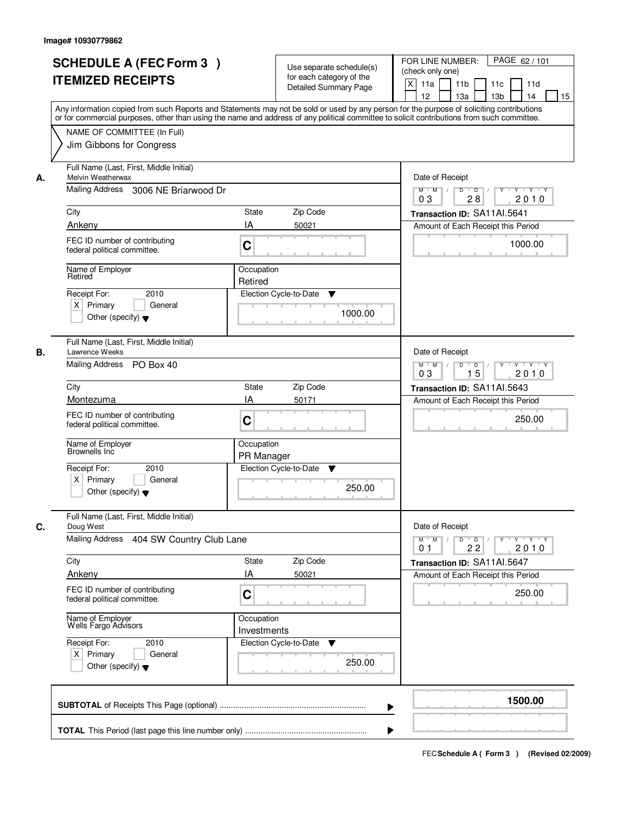|    | <b>SCHEDULE A (FEC Form 3)</b><br><b>ITEMIZED RECEIPTS</b>                                                                                                                                                                                                                                                             |                           | Use separate schedule(s)<br>for each category of the<br><b>Detailed Summary Page</b> | PAGE 62 / 101<br>FOR LINE NUMBER:<br>(check only one)<br>$\boldsymbol{\mathsf{X}}$<br>11a<br>11 <sub>b</sub><br>11c<br>11d<br>12<br>13a<br>13 <sub>b</sub><br>14<br>15 |
|----|------------------------------------------------------------------------------------------------------------------------------------------------------------------------------------------------------------------------------------------------------------------------------------------------------------------------|---------------------------|--------------------------------------------------------------------------------------|------------------------------------------------------------------------------------------------------------------------------------------------------------------------|
|    | Any information copied from such Reports and Statements may not be sold or used by any person for the purpose of soliciting contributions<br>or for commercial purposes, other than using the name and address of any political committee to solicit contributions from such committee.<br>NAME OF COMMITTEE (In Full) |                           |                                                                                      |                                                                                                                                                                        |
|    | Jim Gibbons for Congress                                                                                                                                                                                                                                                                                               |                           |                                                                                      |                                                                                                                                                                        |
| А. | Full Name (Last, First, Middle Initial)<br>Melvin Weatherwax                                                                                                                                                                                                                                                           |                           |                                                                                      | Date of Receipt                                                                                                                                                        |
|    | Mailing Address 3006 NE Briarwood Dr                                                                                                                                                                                                                                                                                   |                           |                                                                                      | $Y$ $Y$ $Y$<br>$M$ $M$<br>$D$ $D$ $/$<br>$\overline{Y}$<br>0 <sub>3</sub><br>28<br>2010                                                                                |
|    | City                                                                                                                                                                                                                                                                                                                   | State                     | Zip Code                                                                             | Transaction ID: SA11AI.5641                                                                                                                                            |
|    | Ankeny                                                                                                                                                                                                                                                                                                                 | IA                        | 50021                                                                                | Amount of Each Receipt this Period                                                                                                                                     |
|    | FEC ID number of contributing<br>federal political committee.                                                                                                                                                                                                                                                          | C                         |                                                                                      | 1000.00                                                                                                                                                                |
|    | Name of Employer<br>Retired                                                                                                                                                                                                                                                                                            | Occupation<br>Retired     |                                                                                      |                                                                                                                                                                        |
|    | 2010<br>Receipt For:                                                                                                                                                                                                                                                                                                   |                           | Election Cycle-to-Date<br>▼                                                          |                                                                                                                                                                        |
|    | $X$ Primary<br>General<br>Other (specify) $\blacktriangledown$                                                                                                                                                                                                                                                         |                           | 1000.00                                                                              |                                                                                                                                                                        |
| В. | Full Name (Last, First, Middle Initial)<br>Lawrence Weeks                                                                                                                                                                                                                                                              |                           |                                                                                      | Date of Receipt                                                                                                                                                        |
|    | Mailing Address PO Box 40                                                                                                                                                                                                                                                                                              |                           |                                                                                      | $M$ $M$ /<br>$Y \vdash Y \vdash Y$<br>D<br>$\Box$<br>Y<br>15<br>2010<br>03                                                                                             |
|    | City                                                                                                                                                                                                                                                                                                                   | State                     | Zip Code                                                                             | Transaction ID: SA11AI.5643                                                                                                                                            |
|    | Montezuma                                                                                                                                                                                                                                                                                                              | IA                        | 50171                                                                                | Amount of Each Receipt this Period                                                                                                                                     |
|    | FEC ID number of contributing<br>federal political committee.                                                                                                                                                                                                                                                          | C                         |                                                                                      | 250.00                                                                                                                                                                 |
|    | Name of Employer<br>Brownells Inc                                                                                                                                                                                                                                                                                      | Occupation<br>PR Manager  |                                                                                      |                                                                                                                                                                        |
|    | Receipt For:<br>2010                                                                                                                                                                                                                                                                                                   |                           | Election Cycle-to-Date<br>v                                                          |                                                                                                                                                                        |
|    | $X$ Primary<br>General<br>Other (specify) $\blacktriangledown$                                                                                                                                                                                                                                                         |                           | 250.00                                                                               |                                                                                                                                                                        |
| C. | Full Name (Last, First, Middle Initial)<br>Doug West                                                                                                                                                                                                                                                                   |                           |                                                                                      | Date of Receipt                                                                                                                                                        |
|    | Mailing Address<br>404 SW Country Club Lane                                                                                                                                                                                                                                                                            |                           |                                                                                      | $D$ $D$ $/$<br>$M$ $M$ /<br>$Y + Y + Y$<br>Y "<br>22<br>2010<br>0 <sub>1</sub>                                                                                         |
|    | City                                                                                                                                                                                                                                                                                                                   | State                     | Zip Code                                                                             | Transaction ID: SA11Al.5647                                                                                                                                            |
|    | Ankeny                                                                                                                                                                                                                                                                                                                 | ΙA                        | 50021                                                                                | Amount of Each Receipt this Period                                                                                                                                     |
|    | FEC ID number of contributing<br>federal political committee.                                                                                                                                                                                                                                                          | C                         |                                                                                      | 250.00                                                                                                                                                                 |
|    | Name of Employer<br>Wells Fargo Advisors                                                                                                                                                                                                                                                                               | Occupation<br>Investments |                                                                                      |                                                                                                                                                                        |
|    | Receipt For:<br>2010                                                                                                                                                                                                                                                                                                   |                           | Election Cycle-to-Date<br>v                                                          |                                                                                                                                                                        |
|    | $X$ Primary<br>General<br>Other (specify) $\blacktriangledown$                                                                                                                                                                                                                                                         |                           | 250.00                                                                               |                                                                                                                                                                        |
|    |                                                                                                                                                                                                                                                                                                                        |                           |                                                                                      | 1500.00                                                                                                                                                                |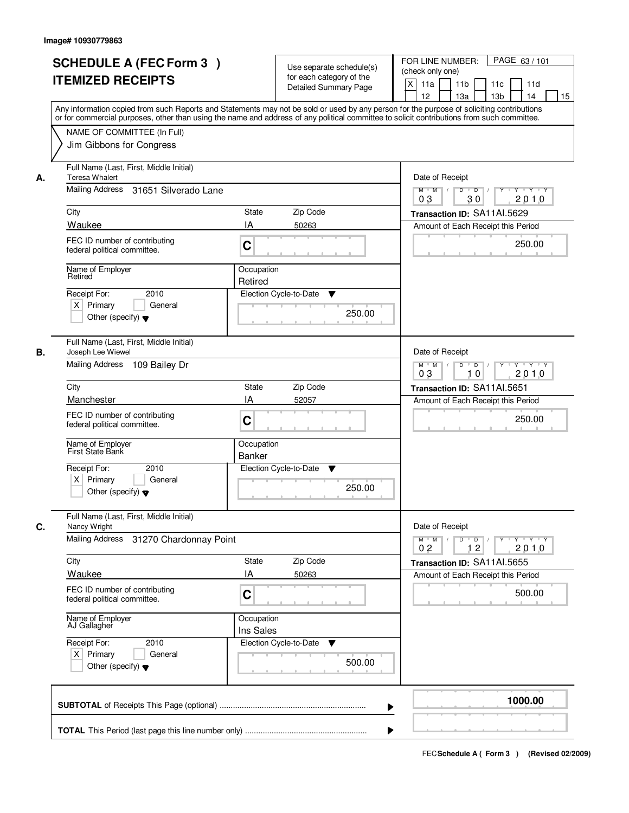| <b>SCHEDULE A (FEC Form 3)</b><br><b>ITEMIZED RECEIPTS</b>                                                            | Use separate schedule(s)<br>for each category of the<br><b>Detailed Summary Page</b><br>Any information copied from such Reports and Statements may not be sold or used by any person for the purpose of soliciting contributions | PAGE 63/101<br>FOR LINE NUMBER:<br>(check only one)<br>$\boldsymbol{\mathsf{X}}$<br>11 <sub>b</sub><br>11a<br>11 <sub>c</sub><br>11d<br>12<br>13 <sub>b</sub><br>14<br>13a<br>15 |
|-----------------------------------------------------------------------------------------------------------------------|-----------------------------------------------------------------------------------------------------------------------------------------------------------------------------------------------------------------------------------|----------------------------------------------------------------------------------------------------------------------------------------------------------------------------------|
| NAME OF COMMITTEE (In Full)<br>Jim Gibbons for Congress                                                               | or for commercial purposes, other than using the name and address of any political committee to solicit contributions from such committee.                                                                                        |                                                                                                                                                                                  |
| Full Name (Last, First, Middle Initial)<br><b>Teresa Whalert</b><br>А.<br>Mailing Address 31651 Silverado Lane        |                                                                                                                                                                                                                                   | Date of Receipt<br>$D$ $D$ $1$<br>Y<br>$Y - Y - Y - Y$<br>$M$ $M$ /                                                                                                              |
| City<br>Waukee                                                                                                        | <b>State</b><br>Zip Code<br>IA<br>50263                                                                                                                                                                                           | 0 <sub>3</sub><br>30<br>2010<br>Transaction ID: SA11AI.5629<br>Amount of Each Receipt this Period                                                                                |
| FEC ID number of contributing<br>federal political committee.                                                         | C                                                                                                                                                                                                                                 | 250.00                                                                                                                                                                           |
| Name of Employer<br>Retired<br>2010<br>Receipt For:<br>$X$ Primary<br>General<br>Other (specify) $\blacktriangledown$ | Occupation<br>Retired<br>Election Cycle-to-Date<br>▼<br>250.00                                                                                                                                                                    |                                                                                                                                                                                  |
| Full Name (Last, First, Middle Initial)<br>Joseph Lee Wiewel<br>В.<br>Mailing Address 109 Bailey Dr                   |                                                                                                                                                                                                                                   | Date of Receipt<br>$Y - Y - Y$<br>$M$ $M$ /<br>D<br>$\overline{D}$<br>$Y$ <sup>U</sup><br>2010<br>03<br>10                                                                       |
| City                                                                                                                  | Zip Code<br>State                                                                                                                                                                                                                 | Transaction ID: SA11AI.5651                                                                                                                                                      |
| Manchester<br>FEC ID number of contributing<br>federal political committee.                                           | IA<br>52057<br>C                                                                                                                                                                                                                  | Amount of Each Receipt this Period<br>250.00                                                                                                                                     |
| Name of Employer<br>First State Bank                                                                                  | Occupation<br><b>Banker</b>                                                                                                                                                                                                       |                                                                                                                                                                                  |
| Receipt For:<br>2010<br>$X$ Primary<br>General<br>Other (specify) $\blacktriangledown$                                | Election Cycle-to-Date<br>v<br>250.00                                                                                                                                                                                             |                                                                                                                                                                                  |
| Full Name (Last, First, Middle Initial)<br>C.<br>Nancy Wright                                                         |                                                                                                                                                                                                                                   | Date of Receipt                                                                                                                                                                  |
| Mailing Address<br>31270 Chardonnay Point                                                                             |                                                                                                                                                                                                                                   | $M$ $M$<br>$D$ $D$ $l$<br><u> Y LY LY LY</u><br>2010<br>0 <sub>2</sub><br>12                                                                                                     |
| City<br>Waukee                                                                                                        | Zip Code<br>State<br>IA<br>50263                                                                                                                                                                                                  | Transaction ID: SA11Al.5655<br>Amount of Each Receipt this Period                                                                                                                |
| FEC ID number of contributing<br>federal political committee.                                                         | C                                                                                                                                                                                                                                 | 500.00                                                                                                                                                                           |
| Name of Employer<br>AJ Gallagher                                                                                      | Occupation<br>Ins Sales                                                                                                                                                                                                           |                                                                                                                                                                                  |
| Receipt For:<br>2010<br>$X$ Primary<br>General<br>Other (specify) $\blacktriangledown$                                | Election Cycle-to-Date<br>▼<br>500.00                                                                                                                                                                                             |                                                                                                                                                                                  |
|                                                                                                                       |                                                                                                                                                                                                                                   | 1000.00                                                                                                                                                                          |
|                                                                                                                       |                                                                                                                                                                                                                                   |                                                                                                                                                                                  |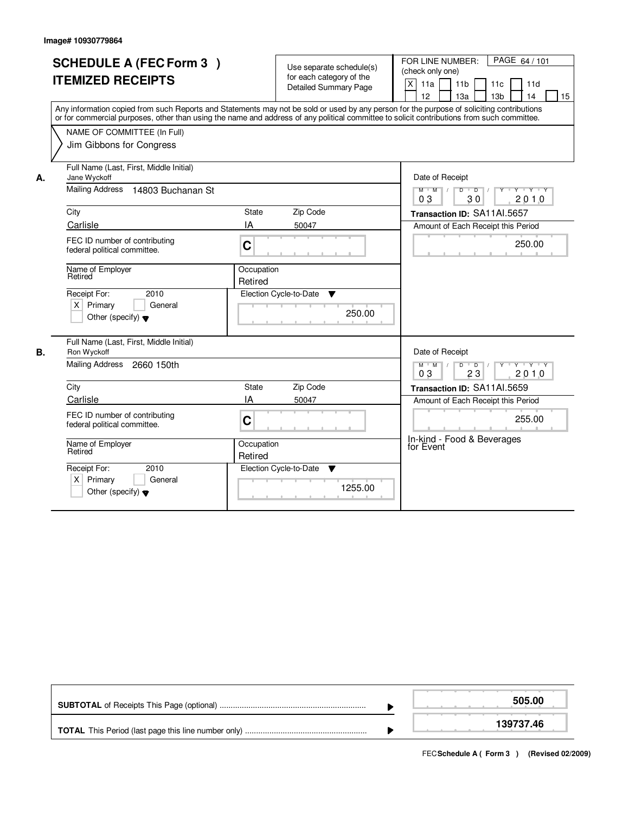f

|    | <b>SCHEDULE A (FEC Form 3)</b><br><b>ITEMIZED RECEIPTS</b><br>Any information copied from such Reports and Statements may not be sold or used by any person for the purpose of soliciting contributions<br>or for commercial purposes, other than using the name and address of any political committee to solicit contributions from such committee.<br>NAME OF COMMITTEE (In Full) |                               | Use separate schedule(s)<br>for each category of the<br><b>Detailed Summary Page</b> | FOR LINE NUMBER:<br>PAGE 64 / 101<br>(check only one)<br>$\pmb{\times}$<br>11a<br>11 <sub>b</sub><br>11c<br>11d<br>12<br>13a<br>13 <sub>b</sub><br>14<br>15          |
|----|--------------------------------------------------------------------------------------------------------------------------------------------------------------------------------------------------------------------------------------------------------------------------------------------------------------------------------------------------------------------------------------|-------------------------------|--------------------------------------------------------------------------------------|----------------------------------------------------------------------------------------------------------------------------------------------------------------------|
| А. | Jim Gibbons for Congress<br>Full Name (Last, First, Middle Initial)<br>Jane Wyckoff<br>Mailing Address<br>14803 Buchanan St                                                                                                                                                                                                                                                          |                               |                                                                                      | Date of Receipt<br>$Y + Y + Y$<br>$M$ $M$<br>$\overline{D}$<br>$\overline{D}$<br>$Y$ <sup><math>\top</math></sup><br>30<br>03<br>2010                                |
|    | City<br>Carlisle<br>FEC ID number of contributing<br>federal political committee.                                                                                                                                                                                                                                                                                                    | State<br>IA<br>$\overline{C}$ | Zip Code<br>50047                                                                    | Transaction ID: SA11AI.5657<br>Amount of Each Receipt this Period<br>250.00                                                                                          |
|    | Name of Employer<br>Retired<br>Receipt For:<br>2010<br>$X$ Primary<br>General<br>Other (specify) $\blacktriangledown$                                                                                                                                                                                                                                                                | Occupation<br>Retired         | Election Cycle-to-Date<br>▼<br>250.00                                                |                                                                                                                                                                      |
| В. | Full Name (Last, First, Middle Initial)<br>Ron Wyckoff<br>Mailing Address 2660 150th<br>City                                                                                                                                                                                                                                                                                         | <b>State</b>                  | Zip Code                                                                             | Date of Receipt<br>$D$ $D$ $/$<br>$\mathsf{Y} \dashv \mathsf{Y} \dashv \mathsf{Y} \dashv \mathsf{Y}$<br>$M$ $M$ /<br>2010<br>03<br>23<br>Transaction ID: SA11AI.5659 |
|    | Carlisle<br>FEC ID number of contributing<br>federal political committee.                                                                                                                                                                                                                                                                                                            | ΙA<br>$\mathbf C$             | 50047                                                                                | Amount of Each Receipt this Period<br>255.00<br>In-kind - Food & Beverages                                                                                           |
|    | Name of Employer<br>Retired<br>2010<br>Receipt For:<br>Primary<br>General<br>ΧI<br>Other (specify) $\blacktriangledown$                                                                                                                                                                                                                                                              | Occupation<br>Retired         | Election Cycle-to-Date<br>▼<br>1255.00                                               | for Event                                                                                                                                                            |

|  | 505.00    |
|--|-----------|
|  | 139737.46 |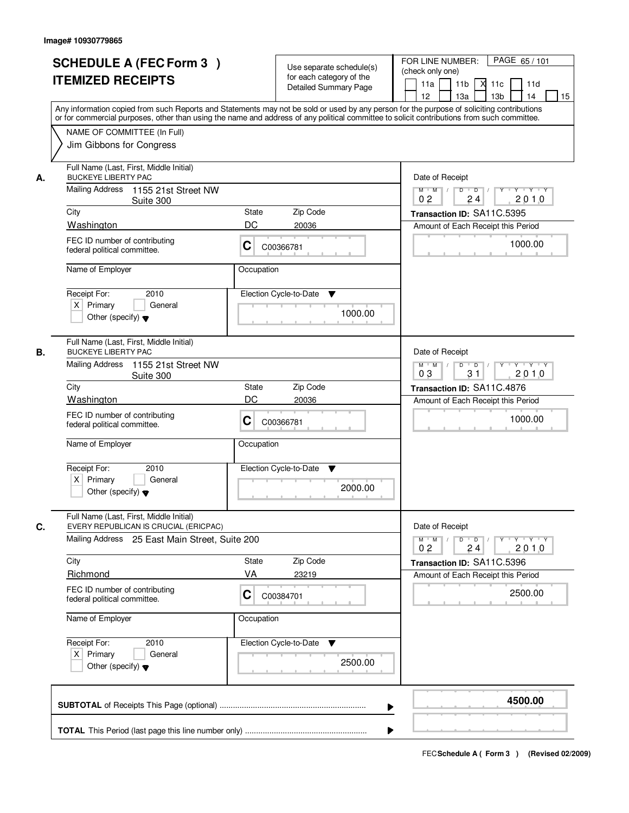|    | <b>SCHEDULE A (FEC Form 3)</b><br><b>ITEMIZED RECEIPTS</b><br>Any information copied from such Reports and Statements may not be sold or used by any person for the purpose of soliciting contributions | Use separate schedule(s)<br>for each category of the<br>Detailed Summary Page | PAGE 65/101<br>FOR LINE NUMBER:<br>(check only one)<br>11 <sub>b</sub><br>11a<br>×<br>11c<br>11d<br>12<br>13a<br>13 <sub>b</sub><br>14<br>15 |
|----|---------------------------------------------------------------------------------------------------------------------------------------------------------------------------------------------------------|-------------------------------------------------------------------------------|----------------------------------------------------------------------------------------------------------------------------------------------|
|    | or for commercial purposes, other than using the name and address of any political committee to solicit contributions from such committee.<br>NAME OF COMMITTEE (In Full)<br>Jim Gibbons for Congress   |                                                                               |                                                                                                                                              |
| А. | Full Name (Last, First, Middle Initial)<br><b>BUCKEYE LIBERTY PAC</b><br>Mailing Address<br>1155 21st Street NW<br>Suite 300                                                                            |                                                                               | Date of Receipt<br>$Y$ $Y$ $Y$<br>$\overline{D}$<br>Y<br>$M$ $M$ /<br>D<br>0 <sub>2</sub><br>24<br>2010                                      |
|    | City                                                                                                                                                                                                    | Zip Code<br>State                                                             | Transaction ID: SA11C.5395                                                                                                                   |
|    | Washington                                                                                                                                                                                              | DC<br>20036                                                                   | Amount of Each Receipt this Period                                                                                                           |
|    | FEC ID number of contributing<br>federal political committee.                                                                                                                                           | C<br>C00366781                                                                | 1000.00                                                                                                                                      |
|    | Name of Employer                                                                                                                                                                                        | Occupation                                                                    |                                                                                                                                              |
|    | Receipt For:<br>2010<br>$X$ Primary<br>General<br>Other (specify) $\blacktriangledown$                                                                                                                  | Election Cycle-to-Date<br>▼<br>1000.00                                        |                                                                                                                                              |
| В. | Full Name (Last, First, Middle Initial)<br><b>BUCKEYE LIBERTY PAC</b><br><b>Mailing Address</b><br>1155 21st Street NW                                                                                  |                                                                               | Date of Receipt<br>$\overline{D}$<br>$\overline{D}$ /<br>Y Y Y Y<br>$M$ $M$ /<br>Y                                                           |
|    | Suite 300                                                                                                                                                                                               |                                                                               | 03<br>31<br>2010                                                                                                                             |
|    | City<br>Washington                                                                                                                                                                                      | Zip Code<br>State<br>DC<br>20036                                              | Transaction ID: SA11C.4876                                                                                                                   |
|    | FEC ID number of contributing<br>federal political committee.                                                                                                                                           | С<br>C00366781                                                                | Amount of Each Receipt this Period<br>1000.00                                                                                                |
|    | Name of Employer                                                                                                                                                                                        | Occupation                                                                    |                                                                                                                                              |
|    | Receipt For:<br>2010<br>$X$ Primary<br>General<br>Other (specify) $\blacktriangledown$                                                                                                                  | Election Cycle-to-Date<br>v<br>2000.00                                        |                                                                                                                                              |
| C. | Full Name (Last, First, Middle Initial)<br>EVERY REPUBLICAN IS CRUCIAL (ERICPAC)                                                                                                                        |                                                                               | Date of Receipt                                                                                                                              |
|    | Mailing Address 25 East Main Street, Suite 200                                                                                                                                                          |                                                                               | $D$ $D$ $/$<br>$Y - Y - Y - Y$<br>$M$ $M$<br>$\top$ /<br>$Y$ <sup>U</sup><br>2010<br>0 <sub>2</sub><br>24                                    |
|    | City                                                                                                                                                                                                    | Zip Code<br>State                                                             | Transaction ID: SA11C.5396                                                                                                                   |
|    | Richmond                                                                                                                                                                                                | VA<br>23219                                                                   | Amount of Each Receipt this Period                                                                                                           |
|    | FEC ID number of contributing<br>federal political committee.                                                                                                                                           | С<br>C00384701                                                                | 2500.00                                                                                                                                      |
|    | Name of Employer                                                                                                                                                                                        | Occupation                                                                    |                                                                                                                                              |
|    | Receipt For:<br>2010<br>$X$ Primary<br>General<br>Other (specify) $\blacktriangledown$                                                                                                                  | Election Cycle-to-Date<br>v<br>2500.00                                        |                                                                                                                                              |
|    |                                                                                                                                                                                                         | ▶                                                                             | 4500.00                                                                                                                                      |
|    |                                                                                                                                                                                                         |                                                                               |                                                                                                                                              |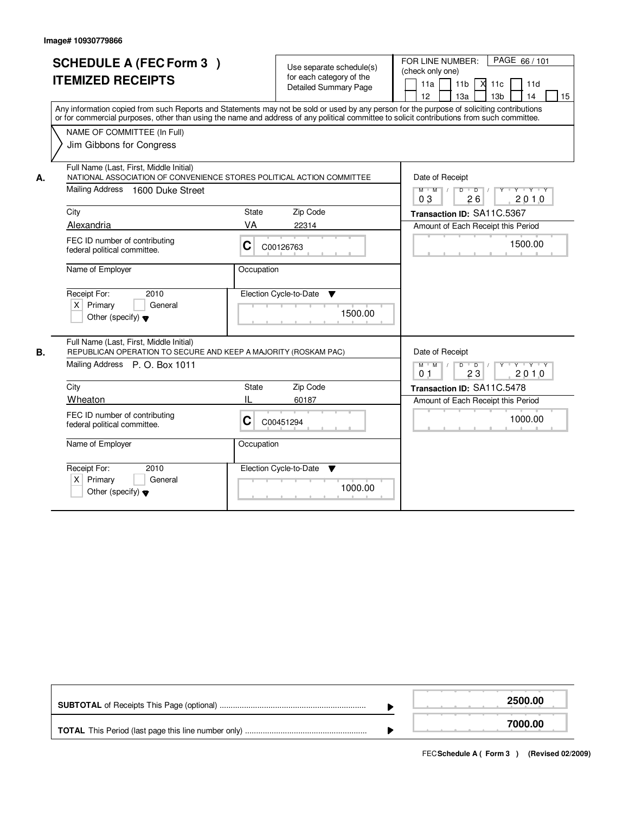|    | <b>SCHEDULE A (FEC Form 3)</b><br><b>ITEMIZED RECEIPTS</b><br>Any information copied from such Reports and Statements may not be sold or used by any person for the purpose of soliciting contributions |                        | Use separate schedule(s)<br>for each category of the<br><b>Detailed Summary Page</b> | FOR LINE NUMBER:<br>PAGE 66/101<br>(check only one)<br>$X$ 11c<br>11a<br>11b<br>11d<br>12 <sup>2</sup><br>13 <sub>b</sub><br>13a<br>14<br>15        |
|----|---------------------------------------------------------------------------------------------------------------------------------------------------------------------------------------------------------|------------------------|--------------------------------------------------------------------------------------|-----------------------------------------------------------------------------------------------------------------------------------------------------|
|    | or for commercial purposes, other than using the name and address of any political committee to solicit contributions from such committee.<br>NAME OF COMMITTEE (In Full)<br>Jim Gibbons for Congress   |                        |                                                                                      |                                                                                                                                                     |
| А. | Full Name (Last, First, Middle Initial)<br>NATIONAL ASSOCIATION OF CONVENIENCE STORES POLITICAL ACTION COMMITTEE<br>Mailing Address<br>1600 Duke Street<br>City                                         | <b>State</b>           | Zip Code                                                                             | Date of Receipt<br>$M$ $M$ /<br>D<br>$\overline{D}$<br>Y Y Y Y<br>03<br>26<br>2010<br>Transaction ID: SA11C.5367                                    |
|    | Alexandria<br>FEC ID number of contributing<br>federal political committee.                                                                                                                             | VA<br>C                | 22314<br>C00126763                                                                   | Amount of Each Receipt this Period<br>1500.00                                                                                                       |
|    | Name of Employer<br>Receipt For:<br>2010<br>$X$ Primary<br>General<br>Other (specify) $\blacktriangledown$                                                                                              | Occupation             | Election Cycle-to-Date<br>▼<br>1500.00                                               |                                                                                                                                                     |
| В. | Full Name (Last, First, Middle Initial)<br>REPUBLICAN OPERATION TO SECURE AND KEEP A MAJORITY (ROSKAM PAC)<br>Mailing Address P. O. Box 1011                                                            |                        |                                                                                      | Date of Receipt<br>$M$ $M$ $/$<br>$D$ $D$ $1$<br>$\mathsf{Y} \dashv \mathsf{Y} \dashv \mathsf{Y} \dashv \mathsf{Y}$<br>0 <sub>1</sub><br>23<br>2010 |
|    | City<br>Wheaton<br>FEC ID number of contributing<br>federal political committee.                                                                                                                        | <b>State</b><br>Ш<br>C | Zip Code<br>60187<br>C00451294                                                       | Transaction ID: SA11C.5478<br>Amount of Each Receipt this Period<br>1000.00                                                                         |
|    | Name of Employer<br>Receipt For:<br>2010<br>X.<br>Primary<br>General<br>Other (specify) $\blacktriangledown$                                                                                            | Occupation             | Election Cycle-to-Date<br>v<br>1000.00                                               |                                                                                                                                                     |

|  | 2500.00 |
|--|---------|
|  | 7000.00 |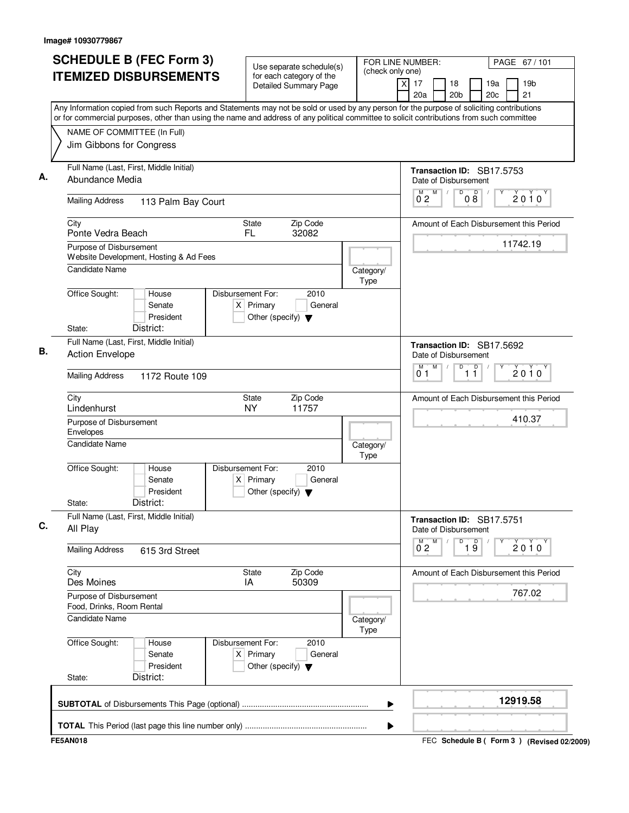| <b>SCHEDULE B (FEC Form 3)</b><br><b>ITEMIZED DISBURSEMENTS</b>                                                                                                                                                                                                                                                       | Use separate schedule(s)<br>for each category of the<br><b>Detailed Summary Page</b>        | FOR LINE NUMBER:<br>(check only one) | PAGE 67 / 101<br>19 <sub>b</sub><br>$\times$<br>17<br>18<br>19a<br>21<br>20a<br>20 <sub>b</sub><br>20c |
|-----------------------------------------------------------------------------------------------------------------------------------------------------------------------------------------------------------------------------------------------------------------------------------------------------------------------|---------------------------------------------------------------------------------------------|--------------------------------------|--------------------------------------------------------------------------------------------------------|
| Any Information copied from such Reports and Statements may not be sold or used by any person for the purpose of soliciting contributions<br>or for commercial purposes, other than using the name and address of any political committee to solicit contributions from such committee<br>NAME OF COMMITTEE (In Full) |                                                                                             |                                      |                                                                                                        |
| Jim Gibbons for Congress                                                                                                                                                                                                                                                                                              |                                                                                             |                                      |                                                                                                        |
| Full Name (Last, First, Middle Initial)<br>Abundance Media                                                                                                                                                                                                                                                            |                                                                                             |                                      | Transaction ID: SB17.5753<br>Date of Disbursement                                                      |
| <b>Mailing Address</b><br>113 Palm Bay Court                                                                                                                                                                                                                                                                          |                                                                                             |                                      | M<br>D<br>$\begin{smallmatrix}&&0\&0\0&8\end{smallmatrix}$<br>2010<br>$0^{\degree}2$                   |
| City<br>Ponte Vedra Beach                                                                                                                                                                                                                                                                                             | Zip Code<br><b>State</b><br>FL.<br>32082                                                    |                                      | Amount of Each Disbursement this Period                                                                |
| Purpose of Disbursement<br>Website Development, Hosting & Ad Fees                                                                                                                                                                                                                                                     |                                                                                             |                                      | 11742.19                                                                                               |
| Candidate Name                                                                                                                                                                                                                                                                                                        |                                                                                             | Category/<br><b>Type</b>             |                                                                                                        |
| Office Sought:<br>House<br>Senate<br>President<br>District:<br>State:                                                                                                                                                                                                                                                 | Disbursement For:<br>2010<br>$X$ Primary<br>General<br>Other (specify) $\blacktriangledown$ |                                      |                                                                                                        |
| Full Name (Last, First, Middle Initial)<br><b>Action Envelope</b>                                                                                                                                                                                                                                                     |                                                                                             |                                      | Transaction ID: SB17.5692<br>Date of Disbursement                                                      |
| <b>Mailing Address</b><br>1172 Route 109                                                                                                                                                                                                                                                                              |                                                                                             |                                      | M<br>D<br>$\overline{1}$ $\overline{1}$<br>M<br>2010<br>01                                             |
| City<br>Lindenhurst                                                                                                                                                                                                                                                                                                   | Zip Code<br><b>State</b><br><b>NY</b><br>11757                                              |                                      | Amount of Each Disbursement this Period                                                                |
| Purpose of Disbursement<br>Envelopes                                                                                                                                                                                                                                                                                  |                                                                                             |                                      | 410.37                                                                                                 |
| <b>Candidate Name</b>                                                                                                                                                                                                                                                                                                 |                                                                                             | Category/<br><b>Type</b>             |                                                                                                        |
| Office Sought:<br>House<br>Senate<br>President<br>District:<br>State:                                                                                                                                                                                                                                                 | Disbursement For:<br>2010<br>$X$ Primary<br>General<br>Other (specify) $\blacktriangledown$ |                                      |                                                                                                        |
| Full Name (Last, First, Middle Initial)<br>All Play                                                                                                                                                                                                                                                                   |                                                                                             |                                      | Transaction ID: SB17.5751<br>Date of Disbursement                                                      |
| <b>Mailing Address</b><br>615 3rd Street                                                                                                                                                                                                                                                                              |                                                                                             |                                      | $\overline{1}$ $\overline{9}$<br>М<br>D<br>$0^{M}$ <sub>2</sub><br>$2010^y$                            |
| City<br>Des Moines                                                                                                                                                                                                                                                                                                    | State<br>Zip Code<br>50309<br>IA                                                            |                                      | Amount of Each Disbursement this Period                                                                |
| Purpose of Disbursement<br>Food, Drinks, Room Rental<br><b>Candidate Name</b>                                                                                                                                                                                                                                         |                                                                                             | Category/                            | 767.02                                                                                                 |
| Office Sought:<br>House<br>Senate<br>President<br>District:<br>State:                                                                                                                                                                                                                                                 | Disbursement For:<br>2010<br>$X$ Primary<br>General<br>Other (specify) $\blacktriangledown$ | Type                                 |                                                                                                        |
|                                                                                                                                                                                                                                                                                                                       |                                                                                             | ▶                                    | 12919.58                                                                                               |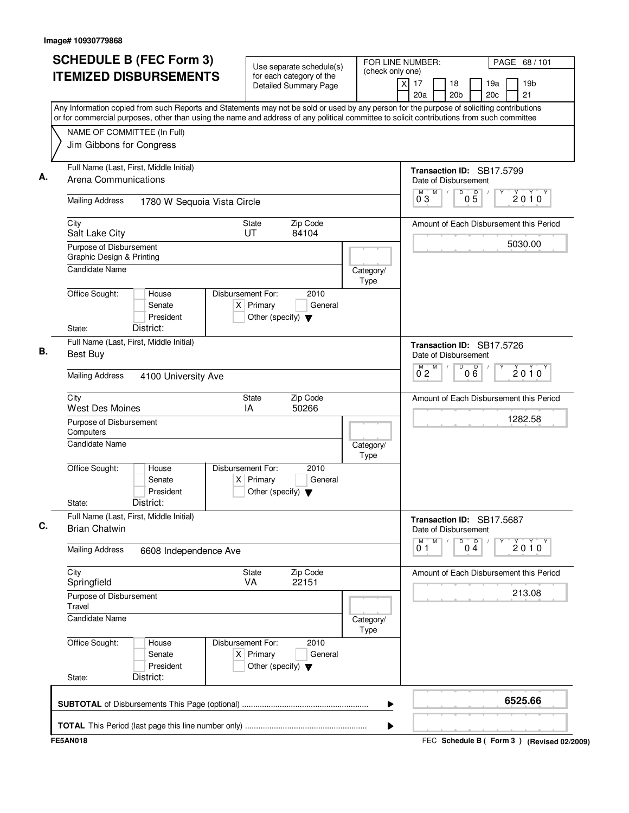| <b>SCHEDULE B (FEC Form 3)</b><br><b>ITEMIZED DISBURSEMENTS</b>                                                                                                                                                                                                                        | Use separate schedule(s)<br>for each category of the                                        | FOR LINE NUMBER:<br>(check only one)                                          | PAGE 68 / 101                           |
|----------------------------------------------------------------------------------------------------------------------------------------------------------------------------------------------------------------------------------------------------------------------------------------|---------------------------------------------------------------------------------------------|-------------------------------------------------------------------------------|-----------------------------------------|
|                                                                                                                                                                                                                                                                                        | <b>Detailed Summary Page</b>                                                                | $\times$<br>17<br>18<br>20a<br>20 <sub>b</sub>                                | 19 <sub>b</sub><br>19a<br>21<br>20c     |
| Any Information copied from such Reports and Statements may not be sold or used by any person for the purpose of soliciting contributions<br>or for commercial purposes, other than using the name and address of any political committee to solicit contributions from such committee |                                                                                             |                                                                               |                                         |
| NAME OF COMMITTEE (In Full)<br>Jim Gibbons for Congress                                                                                                                                                                                                                                |                                                                                             |                                                                               |                                         |
| Full Name (Last, First, Middle Initial)<br>Arena Communications                                                                                                                                                                                                                        |                                                                                             | Transaction ID: SB17.5799<br>Date of Disbursement                             |                                         |
| <b>Mailing Address</b><br>1780 W Sequoia Vista Circle                                                                                                                                                                                                                                  |                                                                                             | M<br>$\overline{D}$<br>$\mathsf D$<br>M<br>$\sqrt{2}$<br>03<br>0 <sub>5</sub> | 2010                                    |
| City<br>Salt Lake City                                                                                                                                                                                                                                                                 | Zip Code<br>State<br>UT<br>84104                                                            |                                                                               | Amount of Each Disbursement this Period |
| Purpose of Disbursement<br><b>Graphic Design &amp; Printing</b>                                                                                                                                                                                                                        |                                                                                             |                                                                               | 5030.00                                 |
| Candidate Name                                                                                                                                                                                                                                                                         |                                                                                             | Category/<br>Type                                                             |                                         |
| Office Sought:<br>House<br>Senate<br>President                                                                                                                                                                                                                                         | Disbursement For:<br>2010<br>$X$ Primary<br>General<br>Other (specify) $\blacktriangledown$ |                                                                               |                                         |
| District:<br>State:<br>Full Name (Last, First, Middle Initial)<br>Best Buy                                                                                                                                                                                                             |                                                                                             | Transaction ID: SB17.5726                                                     |                                         |
| <b>Mailing Address</b><br>4100 University Ave                                                                                                                                                                                                                                          |                                                                                             | Date of Disbursement<br>M<br>D<br>000<br>M<br>0 <sub>2</sub>                  | $2010^y$                                |
| City                                                                                                                                                                                                                                                                                   | Zip Code<br>State                                                                           |                                                                               | Amount of Each Disbursement this Period |
| <b>West Des Moines</b><br>Purpose of Disbursement<br>Computers                                                                                                                                                                                                                         | IA<br>50266                                                                                 |                                                                               | 1282.58                                 |
| Candidate Name                                                                                                                                                                                                                                                                         |                                                                                             | Category/<br>Type                                                             |                                         |
| Office Sought:<br>House<br>Senate<br>President<br>District:<br>State:                                                                                                                                                                                                                  | Disbursement For:<br>2010<br>$X$ Primary<br>General<br>Other (specify) $\blacktriangledown$ |                                                                               |                                         |
| Full Name (Last, First, Middle Initial)<br><b>Brian Chatwin</b>                                                                                                                                                                                                                        |                                                                                             | Transaction ID: SB17.5687<br>Date of Disbursement                             |                                         |
| <b>Mailing Address</b><br>6608 Independence Ave                                                                                                                                                                                                                                        |                                                                                             | M<br>D<br>$0\stackrel{D}{4}$<br>M<br>0 1                                      | $2010^y$                                |
| City<br>Springfield                                                                                                                                                                                                                                                                    | State<br>Zip Code<br>VA<br>22151                                                            |                                                                               | Amount of Each Disbursement this Period |
| Purpose of Disbursement<br>Travel                                                                                                                                                                                                                                                      |                                                                                             |                                                                               | 213.08                                  |
| <b>Candidate Name</b>                                                                                                                                                                                                                                                                  |                                                                                             | Category/<br><b>Type</b>                                                      |                                         |
| Office Sought:<br>House<br>Senate<br>President                                                                                                                                                                                                                                         | Disbursement For:<br>2010<br>$X$ Primary<br>General<br>Other (specify) $\blacktriangledown$ |                                                                               |                                         |
| District:<br>State:                                                                                                                                                                                                                                                                    |                                                                                             |                                                                               |                                         |
|                                                                                                                                                                                                                                                                                        |                                                                                             | ▶                                                                             | 6525.66                                 |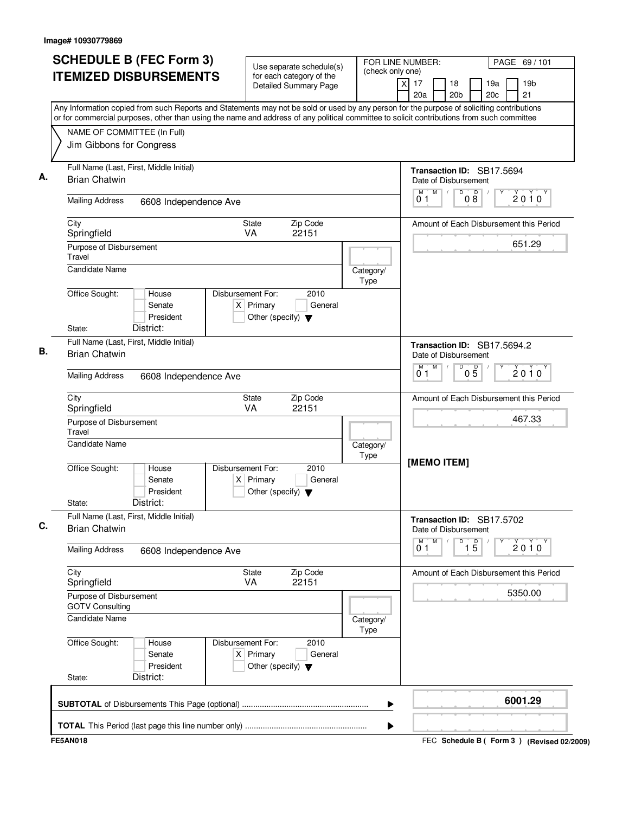| <b>SCHEDULE B (FEC Form 3)</b><br><b>ITEMIZED DISBURSEMENTS</b>                                                                                                                                                                                                                        | Use separate schedule(s)<br>for each category of the<br><b>Detailed Summary Page</b>        | (check only one)         | FOR LINE NUMBER:<br>PAGE 69 / 101<br>$\times$<br>17<br>18<br>19a<br>19 <sub>b</sub> |
|----------------------------------------------------------------------------------------------------------------------------------------------------------------------------------------------------------------------------------------------------------------------------------------|---------------------------------------------------------------------------------------------|--------------------------|-------------------------------------------------------------------------------------|
| Any Information copied from such Reports and Statements may not be sold or used by any person for the purpose of soliciting contributions<br>or for commercial purposes, other than using the name and address of any political committee to solicit contributions from such committee |                                                                                             |                          | 21<br>20a<br>20 <sub>b</sub><br>20c                                                 |
| NAME OF COMMITTEE (In Full)<br>Jim Gibbons for Congress                                                                                                                                                                                                                                |                                                                                             |                          |                                                                                     |
| Full Name (Last, First, Middle Initial)<br><b>Brian Chatwin</b>                                                                                                                                                                                                                        |                                                                                             |                          | Transaction ID: SB17.5694<br>Date of Disbursement                                   |
| <b>Mailing Address</b><br>6608 Independence Ave                                                                                                                                                                                                                                        |                                                                                             |                          | M<br>D<br>$\mathsf D$<br>M<br>$\sqrt{2}$<br>2010<br>08<br>01                        |
| City<br>Springfield                                                                                                                                                                                                                                                                    | Zip Code<br>State<br>VA<br>22151                                                            |                          | Amount of Each Disbursement this Period                                             |
| Purpose of Disbursement<br>Travel                                                                                                                                                                                                                                                      |                                                                                             |                          | 651.29                                                                              |
| <b>Candidate Name</b>                                                                                                                                                                                                                                                                  |                                                                                             | Category/<br>Type        |                                                                                     |
| Office Sought:<br>House<br>Senate<br>President<br>District:<br>State:                                                                                                                                                                                                                  | Disbursement For:<br>2010<br>$X$ Primary<br>General<br>Other (specify) $\blacktriangledown$ |                          |                                                                                     |
| Full Name (Last, First, Middle Initial)<br><b>Brian Chatwin</b>                                                                                                                                                                                                                        |                                                                                             |                          | Transaction ID: SB17.5694.2<br>Date of Disbursement                                 |
| <b>Mailing Address</b><br>6608 Independence Ave                                                                                                                                                                                                                                        |                                                                                             |                          | M<br>M<br>D<br>$0\overline{5}$<br>2010<br>01                                        |
| City<br>Springfield                                                                                                                                                                                                                                                                    | Zip Code<br>State<br><b>VA</b><br>22151                                                     |                          | Amount of Each Disbursement this Period                                             |
| Purpose of Disbursement<br>Travel                                                                                                                                                                                                                                                      |                                                                                             |                          | 467.33                                                                              |
| <b>Candidate Name</b>                                                                                                                                                                                                                                                                  |                                                                                             | Category/<br>Type        | [MEMO ITEM]                                                                         |
| Office Sought:<br>House<br>Senate<br>President<br>District:<br>State:                                                                                                                                                                                                                  | Disbursement For:<br>2010<br>$X$ Primary<br>General<br>Other (specify) $\blacktriangledown$ |                          |                                                                                     |
| Full Name (Last, First, Middle Initial)<br><b>Brian Chatwin</b>                                                                                                                                                                                                                        |                                                                                             |                          | Transaction ID: SB17.5702<br>Date of Disbursement                                   |
| <b>Mailing Address</b><br>6608 Independence Ave                                                                                                                                                                                                                                        |                                                                                             |                          | M<br>$\overline{15}$<br>M<br>D<br>$2010^y$<br>0 1                                   |
| City<br>Springfield                                                                                                                                                                                                                                                                    | State<br>Zip Code<br>VA<br>22151                                                            |                          | Amount of Each Disbursement this Period                                             |
| Purpose of Disbursement<br><b>GOTV Consulting</b>                                                                                                                                                                                                                                      |                                                                                             |                          | 5350.00                                                                             |
| <b>Candidate Name</b>                                                                                                                                                                                                                                                                  |                                                                                             | Category/<br><b>Type</b> |                                                                                     |
| Office Sought:<br>House<br>Senate<br>President<br>District:                                                                                                                                                                                                                            | Disbursement For:<br>2010<br>$X$ Primary<br>General<br>Other (specify) $\blacktriangledown$ |                          |                                                                                     |
| State:                                                                                                                                                                                                                                                                                 |                                                                                             |                          | 6001.29                                                                             |
|                                                                                                                                                                                                                                                                                        |                                                                                             | ▶                        |                                                                                     |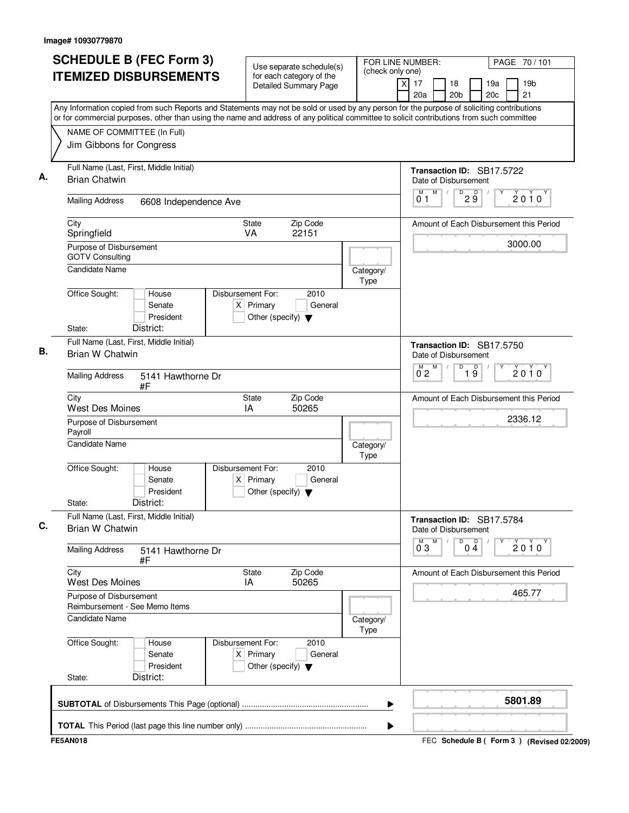| (check only one)<br><b>ITEMIZED DISBURSEMENTS</b><br>for each category of the<br>19 <sub>b</sub><br>X<br>17<br>18<br>19a<br><b>Detailed Summary Page</b><br>20 <sub>b</sub><br>20 <sub>c</sub><br>21<br>20a<br>Any Information copied from such Reports and Statements may not be sold or used by any person for the purpose of soliciting contributions<br>or for commercial purposes, other than using the name and address of any political committee to solicit contributions from such committee<br>NAME OF COMMITTEE (In Full)<br>Jim Gibbons for Congress<br>Full Name (Last, First, Middle Initial)<br>Transaction ID: SB17.5722<br><b>Brian Chatwin</b><br>Date of Disbursement<br>M<br>D<br>29<br>M<br>$\sqrt{2}$<br>$2010^y$<br>01<br><b>Mailing Address</b><br>6608 Independence Ave<br>Zip Code<br><b>State</b><br>City<br>22151<br>Springfield<br><b>VA</b><br>3000.00<br>Purpose of Disbursement<br><b>GOTV Consulting</b><br><b>Candidate Name</b><br>Category/<br>Type<br>Office Sought:<br>Disbursement For:<br>2010<br>House<br>$X$ Primary<br>Senate<br>General<br>President<br>Other (specify) $\blacktriangledown$<br>State:<br>District:<br>Full Name (Last, First, Middle Initial)<br>Transaction ID: SB17.5750<br>Brian W Chatwin<br>Date of Disbursement<br>D<br>$M$ $M$<br>$\overline{19}$<br>$2010^y$<br>$0^{\degree}2$<br><b>Mailing Address</b><br>5141 Hawthorne Dr<br>#F<br>Zip Code<br>City<br>State<br><b>West Des Moines</b><br>IA<br>50265<br>2336.12<br>Purpose of Disbursement<br>Payroll<br><b>Candidate Name</b><br>Category/<br>Type<br>Office Sought:<br>Disbursement For:<br>2010<br>House<br>Senate<br>$X$ Primary<br>General<br>President<br>Other (specify) $\blacktriangledown$<br>District:<br>State:<br>Full Name (Last, First, Middle Initial)<br>Transaction ID: SB17.5784<br>Brian W Chatwin<br>Date of Disbursement<br>D<br>$\overline{0}^M$ 3<br>M<br>$0\frac{D}{4}$<br>2010<br><b>Mailing Address</b><br>5141 Hawthorne Dr<br>#F<br>City<br>Zip Code<br>State<br>50265<br>West Des Moines<br>IA<br>465.77<br>Purpose of Disbursement<br>Reimbursement - See Memo Items<br>Candidate Name<br>Category/<br>Type<br>Office Sought:<br>Disbursement For:<br>2010<br>House<br>$X$ Primary<br>Senate<br>General<br>President<br>Other (specify) $\blacktriangledown$<br>District:<br>State:<br>5801.89 | <b>SCHEDULE B (FEC Form 3)</b> | Use separate schedule(s) | FOR LINE NUMBER:<br>PAGE 70/101         |
|---------------------------------------------------------------------------------------------------------------------------------------------------------------------------------------------------------------------------------------------------------------------------------------------------------------------------------------------------------------------------------------------------------------------------------------------------------------------------------------------------------------------------------------------------------------------------------------------------------------------------------------------------------------------------------------------------------------------------------------------------------------------------------------------------------------------------------------------------------------------------------------------------------------------------------------------------------------------------------------------------------------------------------------------------------------------------------------------------------------------------------------------------------------------------------------------------------------------------------------------------------------------------------------------------------------------------------------------------------------------------------------------------------------------------------------------------------------------------------------------------------------------------------------------------------------------------------------------------------------------------------------------------------------------------------------------------------------------------------------------------------------------------------------------------------------------------------------------------------------------------------------------------------------------------------------------------------------------------------------------------------------------------------------------------------------------------------------------------------------------------------------------------------------------------------------------------------------------------------------------------------------------------------------------------------------------------------------------------------|--------------------------------|--------------------------|-----------------------------------------|
|                                                                                                                                                                                                                                                                                                                                                                                                                                                                                                                                                                                                                                                                                                                                                                                                                                                                                                                                                                                                                                                                                                                                                                                                                                                                                                                                                                                                                                                                                                                                                                                                                                                                                                                                                                                                                                                                                                                                                                                                                                                                                                                                                                                                                                                                                                                                                         |                                |                          |                                         |
|                                                                                                                                                                                                                                                                                                                                                                                                                                                                                                                                                                                                                                                                                                                                                                                                                                                                                                                                                                                                                                                                                                                                                                                                                                                                                                                                                                                                                                                                                                                                                                                                                                                                                                                                                                                                                                                                                                                                                                                                                                                                                                                                                                                                                                                                                                                                                         |                                |                          |                                         |
|                                                                                                                                                                                                                                                                                                                                                                                                                                                                                                                                                                                                                                                                                                                                                                                                                                                                                                                                                                                                                                                                                                                                                                                                                                                                                                                                                                                                                                                                                                                                                                                                                                                                                                                                                                                                                                                                                                                                                                                                                                                                                                                                                                                                                                                                                                                                                         |                                |                          |                                         |
|                                                                                                                                                                                                                                                                                                                                                                                                                                                                                                                                                                                                                                                                                                                                                                                                                                                                                                                                                                                                                                                                                                                                                                                                                                                                                                                                                                                                                                                                                                                                                                                                                                                                                                                                                                                                                                                                                                                                                                                                                                                                                                                                                                                                                                                                                                                                                         |                                |                          |                                         |
|                                                                                                                                                                                                                                                                                                                                                                                                                                                                                                                                                                                                                                                                                                                                                                                                                                                                                                                                                                                                                                                                                                                                                                                                                                                                                                                                                                                                                                                                                                                                                                                                                                                                                                                                                                                                                                                                                                                                                                                                                                                                                                                                                                                                                                                                                                                                                         |                                |                          |                                         |
|                                                                                                                                                                                                                                                                                                                                                                                                                                                                                                                                                                                                                                                                                                                                                                                                                                                                                                                                                                                                                                                                                                                                                                                                                                                                                                                                                                                                                                                                                                                                                                                                                                                                                                                                                                                                                                                                                                                                                                                                                                                                                                                                                                                                                                                                                                                                                         |                                |                          |                                         |
|                                                                                                                                                                                                                                                                                                                                                                                                                                                                                                                                                                                                                                                                                                                                                                                                                                                                                                                                                                                                                                                                                                                                                                                                                                                                                                                                                                                                                                                                                                                                                                                                                                                                                                                                                                                                                                                                                                                                                                                                                                                                                                                                                                                                                                                                                                                                                         |                                |                          | Amount of Each Disbursement this Period |
|                                                                                                                                                                                                                                                                                                                                                                                                                                                                                                                                                                                                                                                                                                                                                                                                                                                                                                                                                                                                                                                                                                                                                                                                                                                                                                                                                                                                                                                                                                                                                                                                                                                                                                                                                                                                                                                                                                                                                                                                                                                                                                                                                                                                                                                                                                                                                         |                                |                          |                                         |
|                                                                                                                                                                                                                                                                                                                                                                                                                                                                                                                                                                                                                                                                                                                                                                                                                                                                                                                                                                                                                                                                                                                                                                                                                                                                                                                                                                                                                                                                                                                                                                                                                                                                                                                                                                                                                                                                                                                                                                                                                                                                                                                                                                                                                                                                                                                                                         |                                |                          |                                         |
|                                                                                                                                                                                                                                                                                                                                                                                                                                                                                                                                                                                                                                                                                                                                                                                                                                                                                                                                                                                                                                                                                                                                                                                                                                                                                                                                                                                                                                                                                                                                                                                                                                                                                                                                                                                                                                                                                                                                                                                                                                                                                                                                                                                                                                                                                                                                                         |                                |                          |                                         |
|                                                                                                                                                                                                                                                                                                                                                                                                                                                                                                                                                                                                                                                                                                                                                                                                                                                                                                                                                                                                                                                                                                                                                                                                                                                                                                                                                                                                                                                                                                                                                                                                                                                                                                                                                                                                                                                                                                                                                                                                                                                                                                                                                                                                                                                                                                                                                         |                                |                          |                                         |
|                                                                                                                                                                                                                                                                                                                                                                                                                                                                                                                                                                                                                                                                                                                                                                                                                                                                                                                                                                                                                                                                                                                                                                                                                                                                                                                                                                                                                                                                                                                                                                                                                                                                                                                                                                                                                                                                                                                                                                                                                                                                                                                                                                                                                                                                                                                                                         |                                |                          |                                         |
|                                                                                                                                                                                                                                                                                                                                                                                                                                                                                                                                                                                                                                                                                                                                                                                                                                                                                                                                                                                                                                                                                                                                                                                                                                                                                                                                                                                                                                                                                                                                                                                                                                                                                                                                                                                                                                                                                                                                                                                                                                                                                                                                                                                                                                                                                                                                                         |                                |                          |                                         |
|                                                                                                                                                                                                                                                                                                                                                                                                                                                                                                                                                                                                                                                                                                                                                                                                                                                                                                                                                                                                                                                                                                                                                                                                                                                                                                                                                                                                                                                                                                                                                                                                                                                                                                                                                                                                                                                                                                                                                                                                                                                                                                                                                                                                                                                                                                                                                         |                                |                          | Amount of Each Disbursement this Period |
|                                                                                                                                                                                                                                                                                                                                                                                                                                                                                                                                                                                                                                                                                                                                                                                                                                                                                                                                                                                                                                                                                                                                                                                                                                                                                                                                                                                                                                                                                                                                                                                                                                                                                                                                                                                                                                                                                                                                                                                                                                                                                                                                                                                                                                                                                                                                                         |                                |                          |                                         |
|                                                                                                                                                                                                                                                                                                                                                                                                                                                                                                                                                                                                                                                                                                                                                                                                                                                                                                                                                                                                                                                                                                                                                                                                                                                                                                                                                                                                                                                                                                                                                                                                                                                                                                                                                                                                                                                                                                                                                                                                                                                                                                                                                                                                                                                                                                                                                         |                                |                          |                                         |
|                                                                                                                                                                                                                                                                                                                                                                                                                                                                                                                                                                                                                                                                                                                                                                                                                                                                                                                                                                                                                                                                                                                                                                                                                                                                                                                                                                                                                                                                                                                                                                                                                                                                                                                                                                                                                                                                                                                                                                                                                                                                                                                                                                                                                                                                                                                                                         |                                |                          |                                         |
|                                                                                                                                                                                                                                                                                                                                                                                                                                                                                                                                                                                                                                                                                                                                                                                                                                                                                                                                                                                                                                                                                                                                                                                                                                                                                                                                                                                                                                                                                                                                                                                                                                                                                                                                                                                                                                                                                                                                                                                                                                                                                                                                                                                                                                                                                                                                                         |                                |                          |                                         |
|                                                                                                                                                                                                                                                                                                                                                                                                                                                                                                                                                                                                                                                                                                                                                                                                                                                                                                                                                                                                                                                                                                                                                                                                                                                                                                                                                                                                                                                                                                                                                                                                                                                                                                                                                                                                                                                                                                                                                                                                                                                                                                                                                                                                                                                                                                                                                         |                                |                          |                                         |
|                                                                                                                                                                                                                                                                                                                                                                                                                                                                                                                                                                                                                                                                                                                                                                                                                                                                                                                                                                                                                                                                                                                                                                                                                                                                                                                                                                                                                                                                                                                                                                                                                                                                                                                                                                                                                                                                                                                                                                                                                                                                                                                                                                                                                                                                                                                                                         |                                |                          |                                         |
|                                                                                                                                                                                                                                                                                                                                                                                                                                                                                                                                                                                                                                                                                                                                                                                                                                                                                                                                                                                                                                                                                                                                                                                                                                                                                                                                                                                                                                                                                                                                                                                                                                                                                                                                                                                                                                                                                                                                                                                                                                                                                                                                                                                                                                                                                                                                                         |                                |                          | Amount of Each Disbursement this Period |
|                                                                                                                                                                                                                                                                                                                                                                                                                                                                                                                                                                                                                                                                                                                                                                                                                                                                                                                                                                                                                                                                                                                                                                                                                                                                                                                                                                                                                                                                                                                                                                                                                                                                                                                                                                                                                                                                                                                                                                                                                                                                                                                                                                                                                                                                                                                                                         |                                |                          |                                         |
|                                                                                                                                                                                                                                                                                                                                                                                                                                                                                                                                                                                                                                                                                                                                                                                                                                                                                                                                                                                                                                                                                                                                                                                                                                                                                                                                                                                                                                                                                                                                                                                                                                                                                                                                                                                                                                                                                                                                                                                                                                                                                                                                                                                                                                                                                                                                                         |                                |                          |                                         |
|                                                                                                                                                                                                                                                                                                                                                                                                                                                                                                                                                                                                                                                                                                                                                                                                                                                                                                                                                                                                                                                                                                                                                                                                                                                                                                                                                                                                                                                                                                                                                                                                                                                                                                                                                                                                                                                                                                                                                                                                                                                                                                                                                                                                                                                                                                                                                         |                                |                          |                                         |
|                                                                                                                                                                                                                                                                                                                                                                                                                                                                                                                                                                                                                                                                                                                                                                                                                                                                                                                                                                                                                                                                                                                                                                                                                                                                                                                                                                                                                                                                                                                                                                                                                                                                                                                                                                                                                                                                                                                                                                                                                                                                                                                                                                                                                                                                                                                                                         |                                |                          |                                         |
|                                                                                                                                                                                                                                                                                                                                                                                                                                                                                                                                                                                                                                                                                                                                                                                                                                                                                                                                                                                                                                                                                                                                                                                                                                                                                                                                                                                                                                                                                                                                                                                                                                                                                                                                                                                                                                                                                                                                                                                                                                                                                                                                                                                                                                                                                                                                                         |                                |                          |                                         |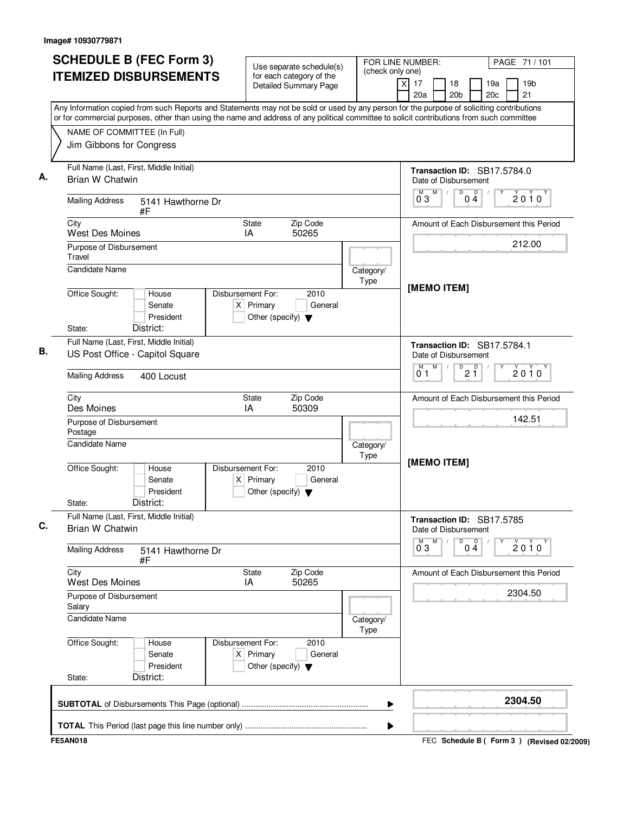| <b>SCHEDULE B (FEC Form 3)</b>                                                                                                                                                                                                                                                         | Use separate schedule(s)                                                                    | (check only one)         | FOR LINE NUMBER:<br>PAGE 71 / 101                                                          |  |
|----------------------------------------------------------------------------------------------------------------------------------------------------------------------------------------------------------------------------------------------------------------------------------------|---------------------------------------------------------------------------------------------|--------------------------|--------------------------------------------------------------------------------------------|--|
| <b>ITEMIZED DISBURSEMENTS</b>                                                                                                                                                                                                                                                          | for each category of the<br><b>Detailed Summary Page</b>                                    |                          | $\times$<br>17<br>18<br>19a<br>19 <sub>b</sub><br>20a<br>20 <sub>b</sub><br>20c<br>21      |  |
| Any Information copied from such Reports and Statements may not be sold or used by any person for the purpose of soliciting contributions<br>or for commercial purposes, other than using the name and address of any political committee to solicit contributions from such committee |                                                                                             |                          |                                                                                            |  |
|                                                                                                                                                                                                                                                                                        |                                                                                             |                          |                                                                                            |  |
| NAME OF COMMITTEE (In Full)<br>Jim Gibbons for Congress                                                                                                                                                                                                                                |                                                                                             |                          |                                                                                            |  |
| Full Name (Last, First, Middle Initial)<br>Brian W Chatwin                                                                                                                                                                                                                             |                                                                                             |                          | Transaction ID: SB17.5784.0<br>Date of Disbursement                                        |  |
| <b>Mailing Address</b><br>5141 Hawthorne Dr<br>#F                                                                                                                                                                                                                                      |                                                                                             |                          | Ď<br>M<br>D<br>M<br>$2010^y$<br>03<br>04                                                   |  |
| City<br><b>West Des Moines</b>                                                                                                                                                                                                                                                         | <b>State</b><br>Zip Code<br>IA<br>50265                                                     |                          | Amount of Each Disbursement this Period                                                    |  |
| Purpose of Disbursement<br>Travel                                                                                                                                                                                                                                                      |                                                                                             |                          | 212.00                                                                                     |  |
| <b>Candidate Name</b>                                                                                                                                                                                                                                                                  |                                                                                             | Category/<br>Type        | [MEMO ITEM]                                                                                |  |
| Office Sought:<br>House<br>Senate<br>President                                                                                                                                                                                                                                         | Disbursement For:<br>2010<br>$X$ Primary<br>General<br>Other (specify) $\blacktriangledown$ |                          |                                                                                            |  |
| District:<br>State:                                                                                                                                                                                                                                                                    |                                                                                             |                          |                                                                                            |  |
| Full Name (Last, First, Middle Initial)<br>US Post Office - Capitol Square                                                                                                                                                                                                             |                                                                                             |                          | Transaction ID: SB17.5784.1<br>Date of Disbursement                                        |  |
| <b>Mailing Address</b><br>400 Locust                                                                                                                                                                                                                                                   |                                                                                             |                          | $\overline{P}$ 2 $\overline{1}$<br>M<br>М<br>2010<br>01                                    |  |
| City<br>Des Moines                                                                                                                                                                                                                                                                     | Zip Code<br>State<br>IA<br>50309                                                            |                          | Amount of Each Disbursement this Period                                                    |  |
| Purpose of Disbursement<br>Postage                                                                                                                                                                                                                                                     |                                                                                             |                          | 142.51                                                                                     |  |
| Candidate Name                                                                                                                                                                                                                                                                         |                                                                                             | Category/<br><b>Type</b> | [MEMO ITEM]                                                                                |  |
| Office Sought:<br>House<br>Senate<br>President                                                                                                                                                                                                                                         | Disbursement For:<br>2010<br>General<br>$X$ Primary<br>Other (specify) $\blacktriangledown$ |                          |                                                                                            |  |
| District:<br>State:                                                                                                                                                                                                                                                                    |                                                                                             |                          |                                                                                            |  |
| Full Name (Last, First, Middle Initial)<br>Brian W Chatwin                                                                                                                                                                                                                             |                                                                                             |                          | Transaction ID: SB17.5785<br>Date of Disbursement                                          |  |
| <b>Mailing Address</b><br>5141 Hawthorne Dr<br>#F                                                                                                                                                                                                                                      |                                                                                             |                          | $\begin{bmatrix} 0 & 0 \\ 0 & 4 \end{bmatrix}$<br>M<br>$\overline{0}^M$ 3<br>Υ<br>$2010^y$ |  |
| City<br><b>West Des Moines</b>                                                                                                                                                                                                                                                         | State<br>Zip Code<br>IA<br>50265                                                            |                          | Amount of Each Disbursement this Period                                                    |  |
| Purpose of Disbursement<br>Salary                                                                                                                                                                                                                                                      |                                                                                             |                          | 2304.50                                                                                    |  |
| Candidate Name                                                                                                                                                                                                                                                                         |                                                                                             | Category/<br>Type        |                                                                                            |  |
| Office Sought:<br>House<br>Senate<br>President                                                                                                                                                                                                                                         | Disbursement For:<br>2010<br>$X$ Primary<br>General<br>Other (specify) $\blacktriangledown$ |                          |                                                                                            |  |
| District:<br>State:                                                                                                                                                                                                                                                                    |                                                                                             |                          |                                                                                            |  |
|                                                                                                                                                                                                                                                                                        |                                                                                             |                          |                                                                                            |  |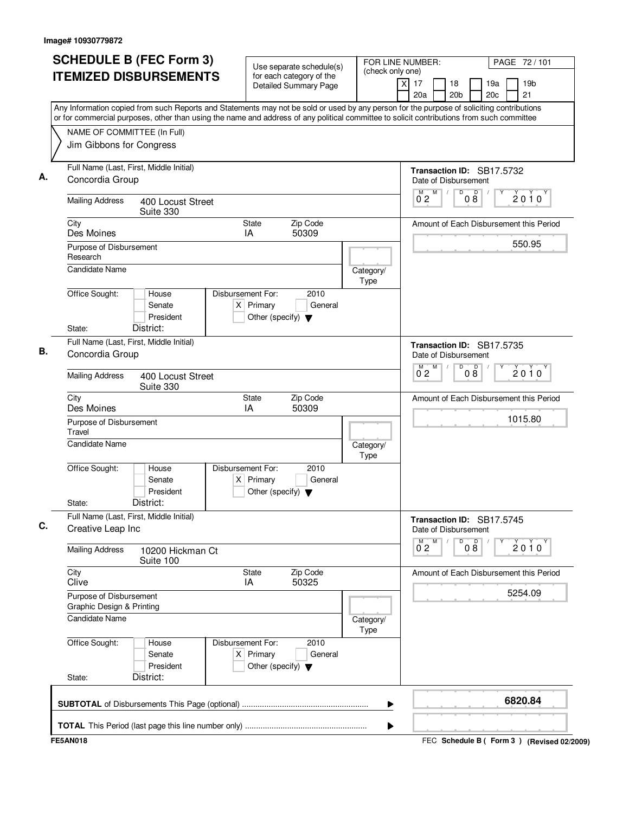| <b>SCHEDULE B (FEC Form 3)</b><br><b>ITEMIZED DISBURSEMENTS</b>                                                                                                                                                                                                                        | Use separate schedule(s)<br>for each category of the<br><b>Detailed Summary Page</b>        | FOR LINE NUMBER:<br>(check only one)<br>$\times$ | PAGE 72/101<br>19 <sub>b</sub><br>17<br>18<br>19a<br>20 <sub>b</sub><br>21<br>20a<br>20c |
|----------------------------------------------------------------------------------------------------------------------------------------------------------------------------------------------------------------------------------------------------------------------------------------|---------------------------------------------------------------------------------------------|--------------------------------------------------|------------------------------------------------------------------------------------------|
| Any Information copied from such Reports and Statements may not be sold or used by any person for the purpose of soliciting contributions<br>or for commercial purposes, other than using the name and address of any political committee to solicit contributions from such committee |                                                                                             |                                                  |                                                                                          |
| NAME OF COMMITTEE (In Full)<br>Jim Gibbons for Congress                                                                                                                                                                                                                                |                                                                                             |                                                  |                                                                                          |
| Full Name (Last, First, Middle Initial)<br>Concordia Group                                                                                                                                                                                                                             |                                                                                             |                                                  | Transaction ID: SB17.5732<br>Date of Disbursement                                        |
| <b>Mailing Address</b><br>400 Locust Street<br>Suite 330                                                                                                                                                                                                                               |                                                                                             |                                                  | D<br>M<br>M<br>$0\overset{D}{8}$<br>$2010^y$<br>$0^{\degree}2$                           |
| City<br>Des Moines                                                                                                                                                                                                                                                                     | <b>State</b><br>Zip Code<br>50309<br>IA                                                     |                                                  | Amount of Each Disbursement this Period                                                  |
| Purpose of Disbursement<br>Research                                                                                                                                                                                                                                                    |                                                                                             |                                                  | 550.95                                                                                   |
| Candidate Name                                                                                                                                                                                                                                                                         |                                                                                             | Category/<br>Type                                |                                                                                          |
| Office Sought:<br>House<br>Senate<br>President<br>District:                                                                                                                                                                                                                            | Disbursement For:<br>2010<br>$X$ Primary<br>General<br>Other (specify) $\blacktriangledown$ |                                                  |                                                                                          |
| State:<br>Full Name (Last, First, Middle Initial)                                                                                                                                                                                                                                      |                                                                                             |                                                  | Transaction ID: SB17.5735                                                                |
| Concordia Group                                                                                                                                                                                                                                                                        |                                                                                             |                                                  | Date of Disbursement                                                                     |
| <b>Mailing Address</b><br>400 Locust Street<br>Suite 330                                                                                                                                                                                                                               |                                                                                             |                                                  | $M$ $M$<br>D<br>08<br>2010<br>$0^{\degree}2$                                             |
| City<br>Des Moines                                                                                                                                                                                                                                                                     | Zip Code<br>State<br>IA<br>50309                                                            |                                                  | Amount of Each Disbursement this Period                                                  |
| Purpose of Disbursement<br>Travel                                                                                                                                                                                                                                                      |                                                                                             |                                                  | 1015.80                                                                                  |
| <b>Candidate Name</b>                                                                                                                                                                                                                                                                  |                                                                                             | Category/<br>Type                                |                                                                                          |
| Office Sought:<br>House<br>Senate<br>President<br>District:<br>State:                                                                                                                                                                                                                  | Disbursement For:<br>2010<br>$X$ Primary<br>General<br>Other (specify) $\blacktriangledown$ |                                                  |                                                                                          |
| Full Name (Last, First, Middle Initial)<br>Creative Leap Inc                                                                                                                                                                                                                           |                                                                                             |                                                  | Transaction ID: SB17.5745<br>Date of Disbursement                                        |
| <b>Mailing Address</b><br>10200 Hickman Ct<br>Suite 100                                                                                                                                                                                                                                |                                                                                             |                                                  | M<br>D<br>08<br>$\overline{0}^M$ 2<br>$2010^{\circ}$                                     |
| City<br>Clive                                                                                                                                                                                                                                                                          | <b>State</b><br>Zip Code<br>50325<br>IA                                                     |                                                  | Amount of Each Disbursement this Period                                                  |
| Purpose of Disbursement<br>Graphic Design & Printing                                                                                                                                                                                                                                   |                                                                                             |                                                  | 5254.09                                                                                  |
| <b>Candidate Name</b>                                                                                                                                                                                                                                                                  |                                                                                             | Category/<br>Type                                |                                                                                          |
| Office Sought:<br>House<br>Senate<br>President                                                                                                                                                                                                                                         | Disbursement For:<br>2010<br>$X$ Primary<br>General<br>Other (specify) $\blacktriangledown$ |                                                  |                                                                                          |
| District:<br>State:                                                                                                                                                                                                                                                                    |                                                                                             |                                                  |                                                                                          |
|                                                                                                                                                                                                                                                                                        |                                                                                             |                                                  | 6820.84                                                                                  |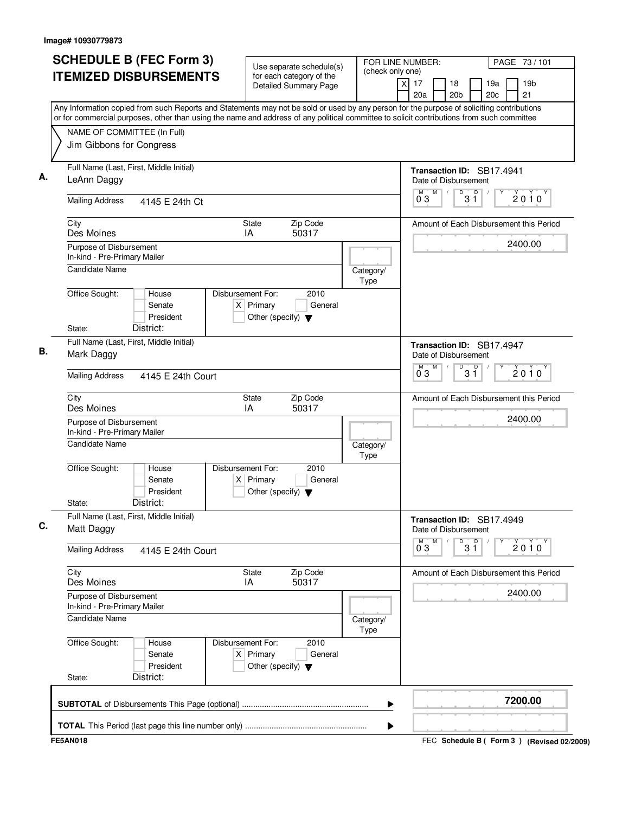| <b>SCHEDULE B (FEC Form 3)</b>                                                                                                                                                                                                                                                         | Use separate schedule(s)                                                                    | FOR LINE NUMBER:<br>(check only one) | PAGE 73 / 101                                                             |
|----------------------------------------------------------------------------------------------------------------------------------------------------------------------------------------------------------------------------------------------------------------------------------------|---------------------------------------------------------------------------------------------|--------------------------------------|---------------------------------------------------------------------------|
| <b>ITEMIZED DISBURSEMENTS</b>                                                                                                                                                                                                                                                          | for each category of the<br>Detailed Summary Page                                           | $\times$                             | 19 <sub>b</sub><br>17<br>18<br>19a<br>20 <sub>b</sub><br>20c<br>21<br>20a |
| Any Information copied from such Reports and Statements may not be sold or used by any person for the purpose of soliciting contributions<br>or for commercial purposes, other than using the name and address of any political committee to solicit contributions from such committee |                                                                                             |                                      |                                                                           |
| NAME OF COMMITTEE (In Full)                                                                                                                                                                                                                                                            |                                                                                             |                                      |                                                                           |
| Jim Gibbons for Congress                                                                                                                                                                                                                                                               |                                                                                             |                                      |                                                                           |
| Full Name (Last, First, Middle Initial)<br>LeAnn Daggy                                                                                                                                                                                                                                 |                                                                                             |                                      | Transaction ID: SB17.4941<br>Date of Disbursement                         |
| <b>Mailing Address</b><br>4145 E 24th Ct                                                                                                                                                                                                                                               |                                                                                             |                                      | D<br>M<br>D<br>2010<br>3 Ĭ<br>03                                          |
| City<br>Des Moines                                                                                                                                                                                                                                                                     | Zip Code<br>State<br>50317<br>IA                                                            |                                      | Amount of Each Disbursement this Period                                   |
| Purpose of Disbursement<br>In-kind - Pre-Primary Mailer                                                                                                                                                                                                                                |                                                                                             |                                      | 2400.00                                                                   |
| <b>Candidate Name</b>                                                                                                                                                                                                                                                                  |                                                                                             | Category/<br>Type                    |                                                                           |
| Office Sought:<br>House<br>Senate<br>President                                                                                                                                                                                                                                         | Disbursement For:<br>2010<br>$X$ Primary<br>General<br>Other (specify) $\blacktriangledown$ |                                      |                                                                           |
| District:<br>State:                                                                                                                                                                                                                                                                    |                                                                                             |                                      |                                                                           |
| Full Name (Last, First, Middle Initial)<br>Mark Daggy                                                                                                                                                                                                                                  |                                                                                             |                                      | Transaction ID: SB17.4947<br>Date of Disbursement<br>M<br>D<br>М          |
| <b>Mailing Address</b><br>4145 E 24th Court                                                                                                                                                                                                                                            |                                                                                             |                                      | $3^{\circ}$<br>2010<br>$0^{\degree}3$                                     |
| City<br>Des Moines                                                                                                                                                                                                                                                                     | Zip Code<br><b>State</b><br>IA<br>50317                                                     |                                      | Amount of Each Disbursement this Period                                   |
| Purpose of Disbursement<br>In-kind - Pre-Primary Mailer                                                                                                                                                                                                                                |                                                                                             |                                      | 2400.00                                                                   |
| <b>Candidate Name</b>                                                                                                                                                                                                                                                                  |                                                                                             | Category/<br><b>Type</b>             |                                                                           |
| Office Sought:<br>House<br>Senate<br>President<br>District:<br>State:                                                                                                                                                                                                                  | Disbursement For:<br>2010<br>$X$ Primary<br>General<br>Other (specify) $\blacktriangledown$ |                                      |                                                                           |
| Full Name (Last, First, Middle Initial)                                                                                                                                                                                                                                                |                                                                                             |                                      |                                                                           |
| Matt Daggy                                                                                                                                                                                                                                                                             |                                                                                             |                                      | Transaction ID: SB17.4949<br>Date of Disbursement                         |
| <b>Mailing Address</b><br>4145 E 24th Court                                                                                                                                                                                                                                            |                                                                                             |                                      | $\overline{0}^M$ 3<br>M<br>D<br>$3^{\circ}$<br>2010                       |
| City<br>Des Moines                                                                                                                                                                                                                                                                     | Zip Code<br><b>State</b><br>IA<br>50317                                                     |                                      | Amount of Each Disbursement this Period                                   |
| Purpose of Disbursement<br>In-kind - Pre-Primary Mailer                                                                                                                                                                                                                                |                                                                                             |                                      | 2400.00                                                                   |
| <b>Candidate Name</b>                                                                                                                                                                                                                                                                  |                                                                                             | Category/<br>Type                    |                                                                           |
| Office Sought:<br>House<br>Senate<br>President                                                                                                                                                                                                                                         | Disbursement For:<br>2010<br>$X$ Primary<br>General<br>Other (specify) $\blacktriangledown$ |                                      |                                                                           |
| District:<br>State:                                                                                                                                                                                                                                                                    |                                                                                             |                                      |                                                                           |
|                                                                                                                                                                                                                                                                                        |                                                                                             | ▶                                    | 7200.00                                                                   |
|                                                                                                                                                                                                                                                                                        |                                                                                             |                                      |                                                                           |
|                                                                                                                                                                                                                                                                                        |                                                                                             |                                      |                                                                           |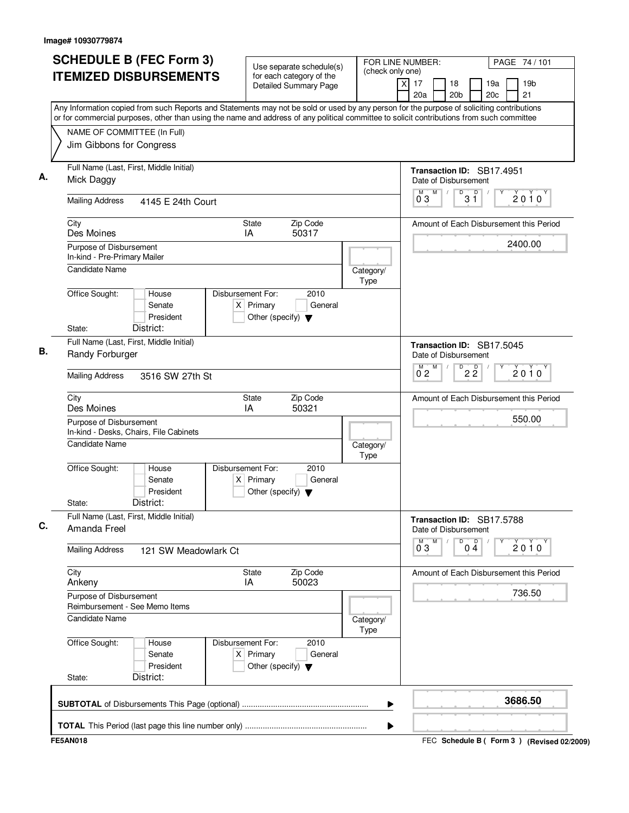| <b>SCHEDULE B (FEC Form 3)</b>                                                                                                                                                                                                                                                         | Use separate schedule(s)                                                                    | FOR LINE NUMBER:         | PAGE 74 / 101                                                             |
|----------------------------------------------------------------------------------------------------------------------------------------------------------------------------------------------------------------------------------------------------------------------------------------|---------------------------------------------------------------------------------------------|--------------------------|---------------------------------------------------------------------------|
| <b>ITEMIZED DISBURSEMENTS</b>                                                                                                                                                                                                                                                          | for each category of the<br><b>Detailed Summary Page</b>                                    | (check only one)<br>Χ    | 17<br>18<br>19a<br>19 <sub>b</sub><br>20a<br>20 <sub>b</sub><br>20c<br>21 |
| Any Information copied from such Reports and Statements may not be sold or used by any person for the purpose of soliciting contributions<br>or for commercial purposes, other than using the name and address of any political committee to solicit contributions from such committee |                                                                                             |                          |                                                                           |
| NAME OF COMMITTEE (In Full)                                                                                                                                                                                                                                                            |                                                                                             |                          |                                                                           |
| Jim Gibbons for Congress                                                                                                                                                                                                                                                               |                                                                                             |                          |                                                                           |
| Full Name (Last, First, Middle Initial)<br>Mick Daggy                                                                                                                                                                                                                                  |                                                                                             |                          | Transaction ID: SB17.4951<br>Date of Disbursement                         |
| <b>Mailing Address</b><br>4145 E 24th Court                                                                                                                                                                                                                                            |                                                                                             |                          | M<br>D<br>$3^{\circ}$<br>М<br>$2010^y$<br>03                              |
| City<br>Des Moines                                                                                                                                                                                                                                                                     | Zip Code<br>State<br>50317<br>IA                                                            |                          | Amount of Each Disbursement this Period                                   |
| Purpose of Disbursement<br>In-kind - Pre-Primary Mailer                                                                                                                                                                                                                                |                                                                                             |                          | 2400.00                                                                   |
| Candidate Name                                                                                                                                                                                                                                                                         |                                                                                             | Category/<br>Type        |                                                                           |
| Office Sought:<br>House<br>Senate<br>President                                                                                                                                                                                                                                         | Disbursement For:<br>2010<br>$X$ Primary<br>General<br>Other (specify) $\blacktriangledown$ |                          |                                                                           |
| State:<br>District:                                                                                                                                                                                                                                                                    |                                                                                             |                          |                                                                           |
| Full Name (Last, First, Middle Initial)<br>Randy Forburger                                                                                                                                                                                                                             |                                                                                             |                          | Transaction ID: SB17.5045<br>Date of Disbursement                         |
| <b>Mailing Address</b><br>3516 SW 27th St                                                                                                                                                                                                                                              |                                                                                             |                          | M<br>D<br>$2\overline{2}$<br>$2010^y$<br>$0^{\degree}2$                   |
| City<br>Des Moines                                                                                                                                                                                                                                                                     | Zip Code<br>State<br>IA<br>50321                                                            |                          | Amount of Each Disbursement this Period                                   |
| Purpose of Disbursement<br>In-kind - Desks, Chairs, File Cabinets                                                                                                                                                                                                                      |                                                                                             |                          | 550.00                                                                    |
| <b>Candidate Name</b>                                                                                                                                                                                                                                                                  |                                                                                             | Category/<br><b>Type</b> |                                                                           |
| Office Sought:<br>House<br>Senate<br>President                                                                                                                                                                                                                                         | Disbursement For:<br>2010<br>$X$ Primary<br>General<br>Other (specify) $\blacktriangledown$ |                          |                                                                           |
| District:<br>State:                                                                                                                                                                                                                                                                    |                                                                                             |                          |                                                                           |
| Full Name (Last, First, Middle Initial)<br>Amanda Freel                                                                                                                                                                                                                                |                                                                                             |                          | Transaction ID: SB17.5788<br>Date of Disbursement                         |
| <b>Mailing Address</b><br>121 SW Meadowlark Ct                                                                                                                                                                                                                                         |                                                                                             |                          | D<br>$0\stackrel{D}{4}$<br>$\overline{0}^M$ 3<br>M<br>2010                |
| City<br>Ankeny                                                                                                                                                                                                                                                                         | Zip Code<br>State<br>IA<br>50023                                                            |                          | Amount of Each Disbursement this Period                                   |
| Purpose of Disbursement<br>Reimbursement - See Memo Items                                                                                                                                                                                                                              |                                                                                             |                          | 736.50                                                                    |
| <b>Candidate Name</b>                                                                                                                                                                                                                                                                  |                                                                                             | Category/<br>Type        |                                                                           |
| Office Sought:<br>House<br>Senate<br>President                                                                                                                                                                                                                                         | Disbursement For:<br>2010<br>$X$ Primary<br>General<br>Other (specify) $\blacktriangledown$ |                          |                                                                           |
| District:<br>State:                                                                                                                                                                                                                                                                    |                                                                                             |                          |                                                                           |
|                                                                                                                                                                                                                                                                                        |                                                                                             | ▶                        | 3686.50                                                                   |
|                                                                                                                                                                                                                                                                                        |                                                                                             |                          |                                                                           |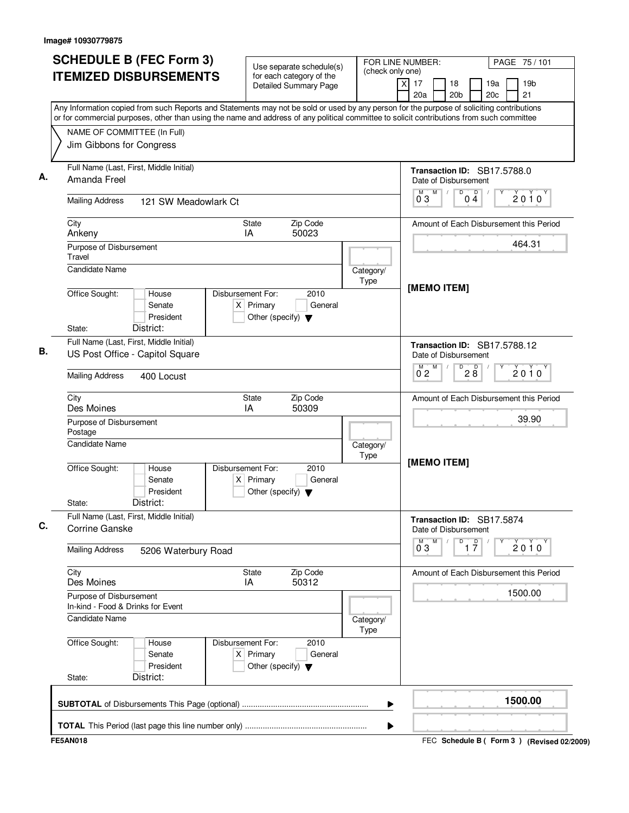| <b>SCHEDULE B (FEC Form 3)</b>                                                                                                                                                                                                                                                         | Use separate schedule(s)                                                                    | (check only one)  | FOR LINE NUMBER:<br>PAGE 75/101                                                             |
|----------------------------------------------------------------------------------------------------------------------------------------------------------------------------------------------------------------------------------------------------------------------------------------|---------------------------------------------------------------------------------------------|-------------------|---------------------------------------------------------------------------------------------|
| <b>ITEMIZED DISBURSEMENTS</b>                                                                                                                                                                                                                                                          | for each category of the<br><b>Detailed Summary Page</b>                                    |                   | 19 <sub>b</sub><br>xl<br>17<br>18<br>19a<br>20a<br>20 <sub>b</sub><br>20 <sub>c</sub><br>21 |
| Any Information copied from such Reports and Statements may not be sold or used by any person for the purpose of soliciting contributions<br>or for commercial purposes, other than using the name and address of any political committee to solicit contributions from such committee |                                                                                             |                   |                                                                                             |
| NAME OF COMMITTEE (In Full)                                                                                                                                                                                                                                                            |                                                                                             |                   |                                                                                             |
| Jim Gibbons for Congress                                                                                                                                                                                                                                                               |                                                                                             |                   |                                                                                             |
| Full Name (Last, First, Middle Initial)<br>Amanda Freel                                                                                                                                                                                                                                |                                                                                             |                   | Transaction ID: SB17.5788.0<br>Date of Disbursement                                         |
| <b>Mailing Address</b><br>121 SW Meadowlark Ct                                                                                                                                                                                                                                         |                                                                                             |                   | D<br>M<br>D<br>M<br>2010<br>03<br>04                                                        |
| City<br>Ankeny                                                                                                                                                                                                                                                                         | Zip Code<br><b>State</b><br>50023<br>IA                                                     |                   | Amount of Each Disbursement this Period                                                     |
| Purpose of Disbursement<br>Travel                                                                                                                                                                                                                                                      |                                                                                             |                   | 464.31                                                                                      |
| <b>Candidate Name</b>                                                                                                                                                                                                                                                                  |                                                                                             | Category/<br>Type | [MEMO ITEM]                                                                                 |
| Office Sought:<br>House<br>Senate<br>President                                                                                                                                                                                                                                         | Disbursement For:<br>2010<br>$X$ Primary<br>General<br>Other (specify) $\blacktriangledown$ |                   |                                                                                             |
| District:<br>State:                                                                                                                                                                                                                                                                    |                                                                                             |                   |                                                                                             |
| Full Name (Last, First, Middle Initial)<br>US Post Office - Capitol Square                                                                                                                                                                                                             |                                                                                             |                   | Transaction ID: SB17.5788.12<br>Date of Disbursement                                        |
| <b>Mailing Address</b><br>400 Locust                                                                                                                                                                                                                                                   |                                                                                             |                   | $\overline{D}$<br>M<br>28<br>2010<br>$0^{\degree}2$                                         |
| City<br>Des Moines                                                                                                                                                                                                                                                                     | Zip Code<br><b>State</b><br>50309<br>ΙA                                                     |                   | Amount of Each Disbursement this Period                                                     |
| Purpose of Disbursement<br>Postage                                                                                                                                                                                                                                                     |                                                                                             |                   | 39.90                                                                                       |
| <b>Candidate Name</b>                                                                                                                                                                                                                                                                  |                                                                                             | Category/         |                                                                                             |
| Office Sought:<br>House<br>Senate<br>President<br>District:<br>State:                                                                                                                                                                                                                  | Disbursement For:<br>2010<br>$X$ Primary<br>General<br>Other (specify) $\blacktriangledown$ | Type              | [MEMO ITEM]                                                                                 |
| Full Name (Last, First, Middle Initial)<br>Corrine Ganske                                                                                                                                                                                                                              |                                                                                             |                   | Transaction ID: SB17.5874<br>Date of Disbursement                                           |
| <b>Mailing Address</b><br>5206 Waterbury Road                                                                                                                                                                                                                                          |                                                                                             |                   | M<br>D<br>$0^{\overline{0}}3$<br>$\overline{1}$ $\overline{7}$<br>$2010^y$                  |
| City<br>Des Moines                                                                                                                                                                                                                                                                     | <b>State</b><br>Zip Code<br>IA<br>50312                                                     |                   | Amount of Each Disbursement this Period                                                     |
| Purpose of Disbursement<br>In-kind - Food & Drinks for Event                                                                                                                                                                                                                           |                                                                                             |                   | 1500.00                                                                                     |
| <b>Candidate Name</b>                                                                                                                                                                                                                                                                  |                                                                                             | Category/<br>Type |                                                                                             |
| Office Sought:<br>House<br>Senate<br>President                                                                                                                                                                                                                                         | Disbursement For:<br>2010<br>$X$ Primary<br>General<br>Other (specify) $\blacktriangledown$ |                   |                                                                                             |
| District:<br>State:                                                                                                                                                                                                                                                                    |                                                                                             |                   |                                                                                             |
|                                                                                                                                                                                                                                                                                        |                                                                                             | ▶                 | 1500.00                                                                                     |
|                                                                                                                                                                                                                                                                                        |                                                                                             |                   |                                                                                             |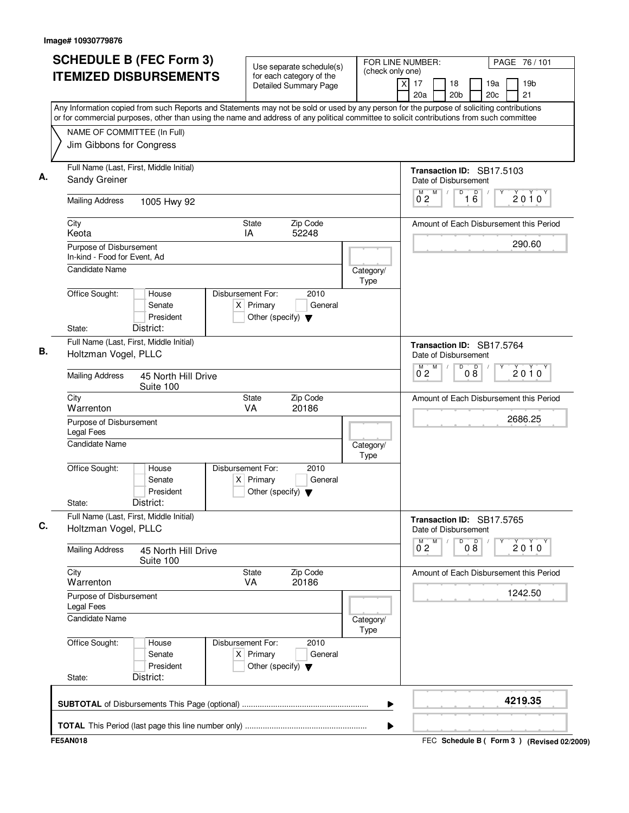| <b>SCHEDULE B (FEC Form 3)</b>                                                                                                            | Use separate schedule(s)                                                                    | FOR LINE NUMBER:<br>PAGE 76 / 101                                                                                                         |
|-------------------------------------------------------------------------------------------------------------------------------------------|---------------------------------------------------------------------------------------------|-------------------------------------------------------------------------------------------------------------------------------------------|
| <b>ITEMIZED DISBURSEMENTS</b>                                                                                                             | for each category of the<br><b>Detailed Summary Page</b>                                    | (check only one)<br>19 <sub>b</sub><br>17<br>18<br>19a<br>Χ<br>20a<br>20 <sub>b</sub><br>20c<br>21                                        |
| or for commercial purposes, other than using the name and address of any political committee to solicit contributions from such committee |                                                                                             | Any Information copied from such Reports and Statements may not be sold or used by any person for the purpose of soliciting contributions |
| NAME OF COMMITTEE (In Full)                                                                                                               |                                                                                             |                                                                                                                                           |
| Jim Gibbons for Congress                                                                                                                  |                                                                                             |                                                                                                                                           |
| Full Name (Last, First, Middle Initial)<br>Sandy Greiner                                                                                  |                                                                                             | Transaction ID: SB17.5103<br>Date of Disbursement                                                                                         |
| <b>Mailing Address</b><br>1005 Hwy 92                                                                                                     |                                                                                             | D<br>M<br>D<br>М<br>$2010^y$<br>0 <sub>2</sub><br>16                                                                                      |
| City<br>Keota                                                                                                                             | Zip Code<br>State<br>IA<br>52248                                                            | Amount of Each Disbursement this Period                                                                                                   |
| Purpose of Disbursement<br>In-kind - Food for Event. Ad                                                                                   |                                                                                             | 290.60                                                                                                                                    |
| Candidate Name                                                                                                                            |                                                                                             | Category/<br>Type                                                                                                                         |
| Office Sought:<br>House<br>Senate<br>President                                                                                            | Disbursement For:<br>2010<br>$X$ Primary<br>General<br>Other (specify) $\blacktriangledown$ |                                                                                                                                           |
| District:<br>State:                                                                                                                       |                                                                                             |                                                                                                                                           |
| Full Name (Last, First, Middle Initial)<br>Holtzman Vogel, PLLC                                                                           |                                                                                             | Transaction ID: SB17.5764<br>Date of Disbursement                                                                                         |
| <b>Mailing Address</b><br>45 North Hill Drive<br>Suite 100                                                                                |                                                                                             | M<br>D<br>08<br>$2010^y$<br>$0^{\degree}2$                                                                                                |
| City<br>Warrenton                                                                                                                         | Zip Code<br>State<br><b>VA</b><br>20186                                                     | Amount of Each Disbursement this Period                                                                                                   |
| Purpose of Disbursement<br><b>Legal Fees</b>                                                                                              |                                                                                             | 2686.25                                                                                                                                   |
| Candidate Name                                                                                                                            |                                                                                             | Category/<br>Type                                                                                                                         |
| Office Sought:<br>House<br>Senate<br>President                                                                                            | Disbursement For:<br>2010<br>$X$ Primary<br>General<br>Other (specify) $\blacktriangledown$ |                                                                                                                                           |
| District:<br>State:<br>Full Name (Last, First, Middle Initial)                                                                            |                                                                                             |                                                                                                                                           |
| Holtzman Vogel, PLLC                                                                                                                      |                                                                                             | Transaction ID: SB17.5765<br>Date of Disbursement<br>M<br>D                                                                               |
| <b>Mailing Address</b><br>45 North Hill Drive<br>Suite 100                                                                                |                                                                                             | 08<br>$\overline{0}^M$ 2<br>$2010^y$                                                                                                      |
| City<br>Warrenton                                                                                                                         | Zip Code<br>State<br>VA<br>20186                                                            | Amount of Each Disbursement this Period                                                                                                   |
| Purpose of Disbursement<br>Legal Fees                                                                                                     |                                                                                             | 1242.50                                                                                                                                   |
| <b>Candidate Name</b>                                                                                                                     |                                                                                             | Category/<br>Type                                                                                                                         |
| Office Sought:<br>House<br>Senate<br>President                                                                                            | Disbursement For:<br>2010<br>$X$ Primary<br>General<br>Other (specify) $\blacktriangledown$ |                                                                                                                                           |
| District:<br>State:                                                                                                                       |                                                                                             |                                                                                                                                           |
|                                                                                                                                           |                                                                                             | 4219.35<br>▶                                                                                                                              |
|                                                                                                                                           |                                                                                             |                                                                                                                                           |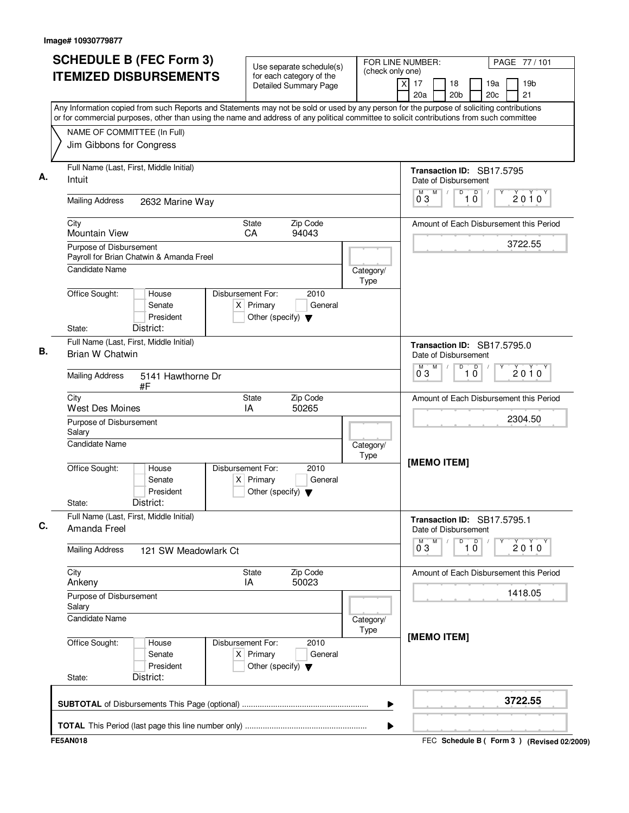| <b>SCHEDULE B (FEC Form 3)</b>                                                                                                                                                                                                                                                         | Use separate schedule(s)                                                                    | FOR LINE NUMBER:<br>(check only one) |                                                               | PAGE 77 / 101                             |
|----------------------------------------------------------------------------------------------------------------------------------------------------------------------------------------------------------------------------------------------------------------------------------------|---------------------------------------------------------------------------------------------|--------------------------------------|---------------------------------------------------------------|-------------------------------------------|
| <b>ITEMIZED DISBURSEMENTS</b>                                                                                                                                                                                                                                                          | for each category of the<br><b>Detailed Summary Page</b>                                    |                                      | x<br>17<br>18<br>20a<br>20 <sub>b</sub>                       | 19a<br>19 <sub>b</sub><br>20c<br>21       |
| Any Information copied from such Reports and Statements may not be sold or used by any person for the purpose of soliciting contributions<br>or for commercial purposes, other than using the name and address of any political committee to solicit contributions from such committee |                                                                                             |                                      |                                                               |                                           |
| NAME OF COMMITTEE (In Full)                                                                                                                                                                                                                                                            |                                                                                             |                                      |                                                               |                                           |
| Jim Gibbons for Congress                                                                                                                                                                                                                                                               |                                                                                             |                                      |                                                               |                                           |
| Full Name (Last, First, Middle Initial)<br>Intuit                                                                                                                                                                                                                                      |                                                                                             |                                      | Transaction ID: SB17.5795<br>Date of Disbursement             |                                           |
| <b>Mailing Address</b><br>2632 Marine Way                                                                                                                                                                                                                                              |                                                                                             |                                      | $\mathsf D$<br>M<br>M<br>D<br>03<br>10                        | 2010                                      |
| City<br><b>Mountain View</b>                                                                                                                                                                                                                                                           | Zip Code<br>State<br>CA<br>94043                                                            |                                      |                                                               | Amount of Each Disbursement this Period   |
| Purpose of Disbursement<br>Payroll for Brian Chatwin & Amanda Freel                                                                                                                                                                                                                    |                                                                                             |                                      |                                                               | 3722.55                                   |
| <b>Candidate Name</b>                                                                                                                                                                                                                                                                  |                                                                                             | Category/<br>Type                    |                                                               |                                           |
| Office Sought:<br>House<br>Senate<br>President<br>District:<br>State:                                                                                                                                                                                                                  | Disbursement For:<br>2010<br>$X$ Primary<br>General<br>Other (specify) $\blacktriangledown$ |                                      |                                                               |                                           |
| Full Name (Last, First, Middle Initial)<br>Brian W Chatwin                                                                                                                                                                                                                             |                                                                                             |                                      | Transaction ID: SB17.5795.0<br>Date of Disbursement           |                                           |
| <b>Mailing Address</b><br>5141 Hawthorne Dr<br>#F                                                                                                                                                                                                                                      |                                                                                             |                                      | D<br>M<br>D<br>0 <sub>3</sub><br>10                           | $2010^y$                                  |
| City<br><b>West Des Moines</b>                                                                                                                                                                                                                                                         | Zip Code<br>State<br>IA<br>50265                                                            |                                      |                                                               | Amount of Each Disbursement this Period   |
| Purpose of Disbursement<br>Salary                                                                                                                                                                                                                                                      |                                                                                             |                                      |                                                               | 2304.50                                   |
| <b>Candidate Name</b>                                                                                                                                                                                                                                                                  |                                                                                             | Category/<br>Type                    | [MEMO ITEM]                                                   |                                           |
| Office Sought:<br>House<br>Senate<br>President<br>District:<br>State:                                                                                                                                                                                                                  | 2010<br>Disbursement For:<br>General<br>$X$ Primary<br>Other (specify) $\blacktriangledown$ |                                      |                                                               |                                           |
| Full Name (Last, First, Middle Initial)<br>Amanda Freel                                                                                                                                                                                                                                |                                                                                             |                                      | Transaction ID: SB17.5795.1<br>Date of Disbursement           |                                           |
| <b>Mailing Address</b><br>121 SW Meadowlark Ct                                                                                                                                                                                                                                         |                                                                                             |                                      | M<br>$\overline{1}$ $\overline{0}$<br>$\overline{0}^M$ 3<br>D | 2010                                      |
| City<br>Ankeny                                                                                                                                                                                                                                                                         | State<br>Zip Code<br>50023<br>IA                                                            |                                      |                                                               | Amount of Each Disbursement this Period   |
| Purpose of Disbursement<br>Salary                                                                                                                                                                                                                                                      |                                                                                             |                                      |                                                               | 1418.05                                   |
| Candidate Name                                                                                                                                                                                                                                                                         |                                                                                             | Category/<br>Type                    | [MEMO ITEM]                                                   |                                           |
| Office Sought:<br>House<br>Senate<br>President<br>District:<br>State:                                                                                                                                                                                                                  | Disbursement For:<br>2010<br>$X$ Primary<br>General<br>Other (specify) $\blacktriangledown$ |                                      |                                                               |                                           |
|                                                                                                                                                                                                                                                                                        |                                                                                             | ▶                                    |                                                               | 3722.55                                   |
|                                                                                                                                                                                                                                                                                        |                                                                                             | ▶                                    |                                                               |                                           |
| <b>FE5AN018</b>                                                                                                                                                                                                                                                                        |                                                                                             |                                      |                                                               | FEC Schedule B (Form 3) (Revised 02/2009) |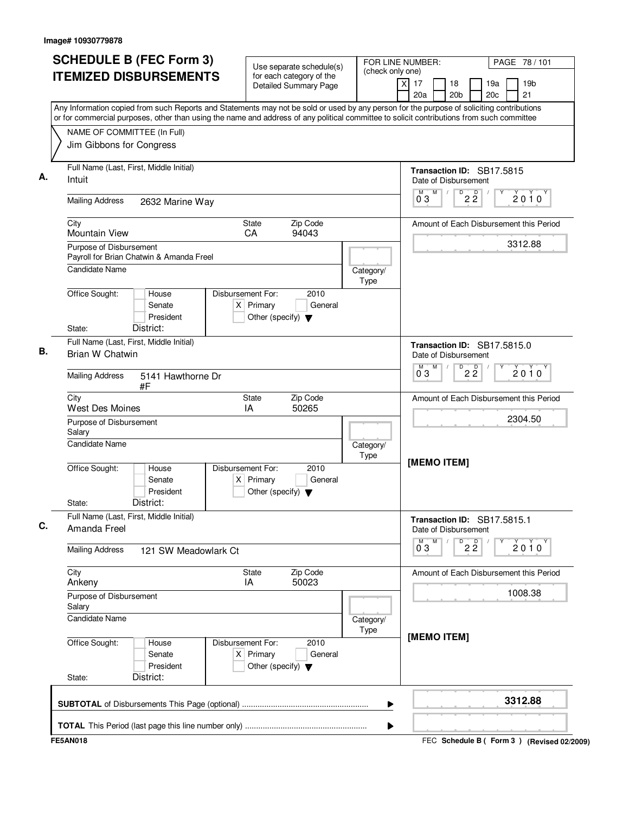| <b>SCHEDULE B (FEC Form 3)</b>                                                                                                                                                                                                                                                         | Use separate schedule(s)                                                                    | FOR LINE NUMBER:  |                                                     | PAGE 78 / 101                               |
|----------------------------------------------------------------------------------------------------------------------------------------------------------------------------------------------------------------------------------------------------------------------------------------|---------------------------------------------------------------------------------------------|-------------------|-----------------------------------------------------|---------------------------------------------|
| <b>ITEMIZED DISBURSEMENTS</b>                                                                                                                                                                                                                                                          | for each category of the<br><b>Detailed Summary Page</b>                                    | (check only one)  | x<br>17<br>18<br>20a<br>20 <sub>b</sub>             | 19 <sub>b</sub><br>19a<br>20c<br>21         |
| Any Information copied from such Reports and Statements may not be sold or used by any person for the purpose of soliciting contributions<br>or for commercial purposes, other than using the name and address of any political committee to solicit contributions from such committee |                                                                                             |                   |                                                     |                                             |
| NAME OF COMMITTEE (In Full)                                                                                                                                                                                                                                                            |                                                                                             |                   |                                                     |                                             |
| Jim Gibbons for Congress                                                                                                                                                                                                                                                               |                                                                                             |                   |                                                     |                                             |
| Full Name (Last, First, Middle Initial)<br>Intuit                                                                                                                                                                                                                                      |                                                                                             |                   | Transaction ID: SB17.5815<br>Date of Disbursement   |                                             |
| <b>Mailing Address</b><br>2632 Marine Way                                                                                                                                                                                                                                              |                                                                                             |                   | M<br>D<br>$2\overline{2}$<br>$0^{\degree}3$         | 2010                                        |
| City<br><b>Mountain View</b>                                                                                                                                                                                                                                                           | Zip Code<br>State<br>CA<br>94043                                                            |                   |                                                     | Amount of Each Disbursement this Period     |
| Purpose of Disbursement                                                                                                                                                                                                                                                                |                                                                                             |                   |                                                     | 3312.88                                     |
| Payroll for Brian Chatwin & Amanda Freel<br><b>Candidate Name</b>                                                                                                                                                                                                                      |                                                                                             | Category/         |                                                     |                                             |
|                                                                                                                                                                                                                                                                                        |                                                                                             | Type              |                                                     |                                             |
| Office Sought:<br>House<br>Senate<br>President<br>District:<br>State:                                                                                                                                                                                                                  | Disbursement For:<br>2010<br>$X$ Primary<br>General<br>Other (specify) $\blacktriangledown$ |                   |                                                     |                                             |
| Full Name (Last, First, Middle Initial)                                                                                                                                                                                                                                                |                                                                                             |                   | Transaction ID: SB17.5815.0                         |                                             |
| Brian W Chatwin                                                                                                                                                                                                                                                                        |                                                                                             |                   | Date of Disbursement<br>M<br>D                      |                                             |
| <b>Mailing Address</b><br>5141 Hawthorne Dr<br>#F                                                                                                                                                                                                                                      |                                                                                             |                   | $2\overline{2}$<br>$0^{\degree}3$                   | 2010                                        |
| City<br><b>West Des Moines</b>                                                                                                                                                                                                                                                         | Zip Code<br>State<br>IA<br>50265                                                            |                   |                                                     | Amount of Each Disbursement this Period     |
| Purpose of Disbursement<br>Salary                                                                                                                                                                                                                                                      |                                                                                             |                   |                                                     | 2304.50                                     |
| <b>Candidate Name</b>                                                                                                                                                                                                                                                                  |                                                                                             | Category/<br>Type |                                                     |                                             |
| Office Sought:<br>House<br>Senate<br>President<br>District:<br>State:                                                                                                                                                                                                                  | Disbursement For:<br>2010<br>$X$ Primary<br>General<br>Other (specify) $\blacktriangledown$ |                   | [MEMO ITEM]                                         |                                             |
| Full Name (Last, First, Middle Initial)<br>Amanda Freel                                                                                                                                                                                                                                |                                                                                             |                   | Transaction ID: SB17.5815.1<br>Date of Disbursement |                                             |
| <b>Mailing Address</b><br>121 SW Meadowlark Ct                                                                                                                                                                                                                                         |                                                                                             |                   | $\overline{0}^M$ 3<br>M<br>$\overline{2\,2}$        | $2010^y$                                    |
| City<br>Ankeny                                                                                                                                                                                                                                                                         | Zip Code<br>State<br>50023<br>IA                                                            |                   |                                                     | Amount of Each Disbursement this Period     |
| Purpose of Disbursement<br>Salary                                                                                                                                                                                                                                                      |                                                                                             |                   |                                                     | 1008.38                                     |
| <b>Candidate Name</b>                                                                                                                                                                                                                                                                  |                                                                                             | Category/<br>Type |                                                     |                                             |
| Office Sought:<br>House<br>Senate<br>President<br>District:<br>State:                                                                                                                                                                                                                  | Disbursement For:<br>2010<br>$X$ Primary<br>General<br>Other (specify) $\blacktriangledown$ |                   | [MEMO ITEM]                                         |                                             |
|                                                                                                                                                                                                                                                                                        |                                                                                             | ▶                 |                                                     | 3312.88                                     |
|                                                                                                                                                                                                                                                                                        |                                                                                             | ▶                 |                                                     |                                             |
| <b>FE5AN018</b>                                                                                                                                                                                                                                                                        |                                                                                             |                   |                                                     | FEC Schedule B ( Form 3 ) (Revised 02/2009) |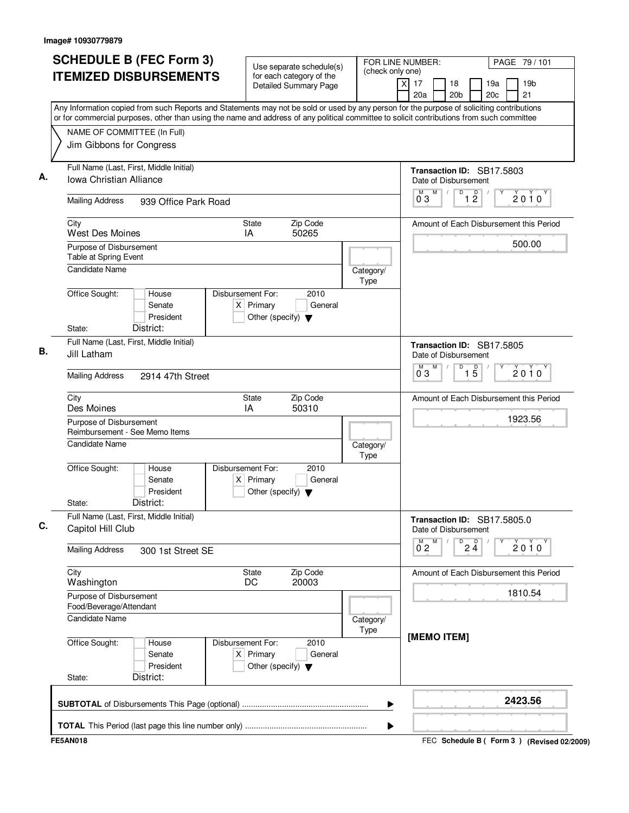| <b>SCHEDULE B (FEC Form 3)</b>                                                                                                                                                                                                                                                         | Use separate schedule(s)                                                                      |                   | FOR LINE NUMBER:                                     | PAGE 79 / 101                               |
|----------------------------------------------------------------------------------------------------------------------------------------------------------------------------------------------------------------------------------------------------------------------------------------|-----------------------------------------------------------------------------------------------|-------------------|------------------------------------------------------|---------------------------------------------|
| <b>ITEMIZED DISBURSEMENTS</b>                                                                                                                                                                                                                                                          | for each category of the<br><b>Detailed Summary Page</b>                                      | (check only one)  | $\overline{X}$<br>17<br>18<br>20a<br>20 <sub>b</sub> | 19a<br>19 <sub>b</sub><br>21<br>20c         |
| Any Information copied from such Reports and Statements may not be sold or used by any person for the purpose of soliciting contributions<br>or for commercial purposes, other than using the name and address of any political committee to solicit contributions from such committee |                                                                                               |                   |                                                      |                                             |
| NAME OF COMMITTEE (In Full)                                                                                                                                                                                                                                                            |                                                                                               |                   |                                                      |                                             |
| Jim Gibbons for Congress                                                                                                                                                                                                                                                               |                                                                                               |                   |                                                      |                                             |
| Full Name (Last, First, Middle Initial)                                                                                                                                                                                                                                                |                                                                                               |                   |                                                      | Transaction ID: SB17.5803                   |
| Iowa Christian Alliance                                                                                                                                                                                                                                                                |                                                                                               |                   | Date of Disbursement                                 |                                             |
| <b>Mailing Address</b><br>939 Office Park Road                                                                                                                                                                                                                                         |                                                                                               |                   | M<br>D<br>M<br>03                                    | D<br>2010<br>$1\overline{2}$                |
| City<br><b>West Des Moines</b>                                                                                                                                                                                                                                                         | Zip Code<br>State<br>50265<br>IA                                                              |                   |                                                      | Amount of Each Disbursement this Period     |
| Purpose of Disbursement<br>Table at Spring Event<br><b>Candidate Name</b>                                                                                                                                                                                                              |                                                                                               |                   |                                                      | 500.00                                      |
|                                                                                                                                                                                                                                                                                        |                                                                                               | Category/<br>Type |                                                      |                                             |
| Office Sought:<br>House<br>Senate<br>President<br>District:<br>State:                                                                                                                                                                                                                  | Disbursement For:<br>2010<br>$X$ Primary<br>General<br>Other (specify) $\blacktriangledown$   |                   |                                                      |                                             |
| Full Name (Last, First, Middle Initial)                                                                                                                                                                                                                                                |                                                                                               |                   |                                                      | Transaction ID: SB17.5805                   |
| Jill Latham                                                                                                                                                                                                                                                                            |                                                                                               |                   | Date of Disbursement                                 |                                             |
| <b>Mailing Address</b><br>2914 47th Street                                                                                                                                                                                                                                             |                                                                                               |                   | M<br>D<br>M<br>03                                    | $\overline{1\,5}$<br>2010                   |
| City<br>Des Moines                                                                                                                                                                                                                                                                     | Zip Code<br>State<br>IA<br>50310                                                              |                   |                                                      | Amount of Each Disbursement this Period     |
| Purpose of Disbursement<br>Reimbursement - See Memo Items                                                                                                                                                                                                                              |                                                                                               |                   |                                                      | 1923.56                                     |
| <b>Candidate Name</b>                                                                                                                                                                                                                                                                  |                                                                                               | Category/<br>Type |                                                      |                                             |
| Office Sought:<br>House<br>Senate<br>President<br>District:<br>State:                                                                                                                                                                                                                  | Disbursement For:<br>2010<br>Primary<br>General<br>ΧI<br>Other (specify) $\blacktriangledown$ |                   |                                                      |                                             |
| Full Name (Last, First, Middle Initial)<br>Capitol Hill Club                                                                                                                                                                                                                           |                                                                                               |                   | Date of Disbursement                                 | Transaction ID: SB17.5805.0                 |
| <b>Mailing Address</b><br>300 1st Street SE                                                                                                                                                                                                                                            |                                                                                               |                   | $\overline{0}^M$ 2<br>M                              | $\overline{P}$ 2 $\overline{4}$<br>$2010^y$ |
| City<br>Washington                                                                                                                                                                                                                                                                     | <b>State</b><br>Zip Code<br>20003<br>DC                                                       |                   |                                                      | Amount of Each Disbursement this Period     |
| Purpose of Disbursement<br>Food/Beverage/Attendant                                                                                                                                                                                                                                     |                                                                                               |                   |                                                      | 1810.54                                     |
| <b>Candidate Name</b>                                                                                                                                                                                                                                                                  |                                                                                               | Category/<br>Type |                                                      |                                             |
| Office Sought:<br>House<br>Senate<br>President<br>District:<br>State:                                                                                                                                                                                                                  | Disbursement For:<br>2010<br>$X$ Primary<br>General<br>Other (specify) $\blacktriangledown$   |                   | [MEMO ITEM]                                          |                                             |
|                                                                                                                                                                                                                                                                                        |                                                                                               | ▶                 |                                                      | 2423.56                                     |
|                                                                                                                                                                                                                                                                                        |                                                                                               | ▶                 |                                                      |                                             |
| <b>FE5AN018</b>                                                                                                                                                                                                                                                                        |                                                                                               |                   |                                                      | FEC Schedule B (Form 3) (Revised 02/2009)   |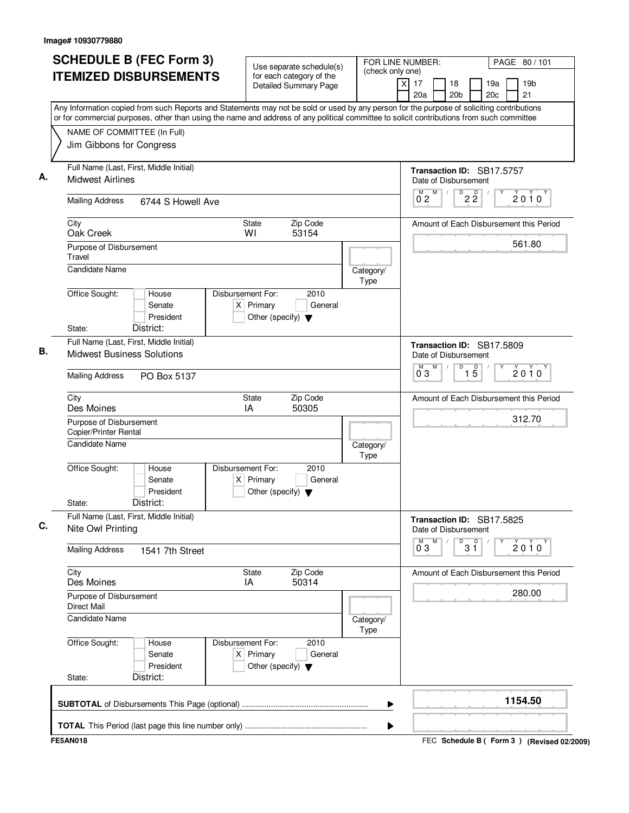| Any Information copied from such Reports and Statements may not be sold or used by any person for the purpose of soliciting contributions<br>or for commercial purposes, other than using the name and address of any political committee to solicit contributions from such committee<br>NAME OF COMMITTEE (In Full)<br>Jim Gibbons for Congress<br>Full Name (Last, First, Middle Initial)<br>Transaction ID: SB17.5757<br>А.<br><b>Midwest Airlines</b><br>Date of Disbursement<br>M<br>22<br>M<br>$2010^y$<br>$0^{\degree}2$<br><b>Mailing Address</b><br>6744 S Howell Ave<br>Zip Code<br>City<br><b>State</b><br>WI<br>53154<br>Oak Creek<br>561.80<br>Purpose of Disbursement<br>Travel<br>Candidate Name<br>Category/<br>Type<br>Office Sought:<br>Disbursement For:<br>2010<br>House<br>$X$ Primary<br>General<br>Senate<br>President<br>Other (specify) $\blacktriangledown$<br>District:<br>State:<br>Full Name (Last, First, Middle Initial)<br>Transaction ID: SB17.5809<br>В.<br><b>Midwest Business Solutions</b><br>Date of Disbursement<br>M<br>D<br>M<br>$\overline{1\,5}$<br>$2010^y$<br>$0^{\degree}3$<br><b>Mailing Address</b><br>PO Box 5137<br>Zip Code<br>City<br>State<br>Des Moines<br>IA<br>50305<br>312.70<br>Purpose of Disbursement<br>Copier/Printer Rental<br>Candidate Name<br>Category/<br>Type<br>2010<br>Office Sought:<br>Disbursement For:<br>House<br>Senate<br>$X$ Primary<br>General<br>President<br>Other (specify) $\blacktriangledown$<br>District:<br>State:<br>Full Name (Last, First, Middle Initial)<br>Transaction ID: SB17.5825<br>C.<br>Nite Owl Printing<br>Date of Disbursement<br>M<br>$0^{M}$ 3<br>D<br>$3^{\circ}$<br>Υ<br>$2010^y$<br><b>Mailing Address</b><br>1541 7th Street<br>City<br>State<br>Zip Code<br>50314<br>Des Moines<br>IA<br>280.00<br>Purpose of Disbursement<br><b>Direct Mail</b><br>Candidate Name<br>Category/<br>Type<br>Office Sought:<br>Disbursement For:<br>2010<br>House<br>$X$ Primary<br>Senate<br>General<br>President<br>Other (specify) $\blacktriangledown$<br>District:<br>State:<br>1154.50<br>▶ | <b>SCHEDULE B (FEC Form 3)</b><br><b>ITEMIZED DISBURSEMENTS</b> | Use separate schedule(s)<br>for each category of the<br><b>Detailed Summary Page</b> | FOR LINE NUMBER:<br>(check only one) | PAGE 80 / 101<br>19 <sub>b</sub><br>xl<br>17<br>18<br>19a<br>20c<br>21<br>20a<br>20 <sub>b</sub> |
|-----------------------------------------------------------------------------------------------------------------------------------------------------------------------------------------------------------------------------------------------------------------------------------------------------------------------------------------------------------------------------------------------------------------------------------------------------------------------------------------------------------------------------------------------------------------------------------------------------------------------------------------------------------------------------------------------------------------------------------------------------------------------------------------------------------------------------------------------------------------------------------------------------------------------------------------------------------------------------------------------------------------------------------------------------------------------------------------------------------------------------------------------------------------------------------------------------------------------------------------------------------------------------------------------------------------------------------------------------------------------------------------------------------------------------------------------------------------------------------------------------------------------------------------------------------------------------------------------------------------------------------------------------------------------------------------------------------------------------------------------------------------------------------------------------------------------------------------------------------------------------------------------------------------------------------------------------------------------------------------------------------------------------------------------------------------------------------------------|-----------------------------------------------------------------|--------------------------------------------------------------------------------------|--------------------------------------|--------------------------------------------------------------------------------------------------|
|                                                                                                                                                                                                                                                                                                                                                                                                                                                                                                                                                                                                                                                                                                                                                                                                                                                                                                                                                                                                                                                                                                                                                                                                                                                                                                                                                                                                                                                                                                                                                                                                                                                                                                                                                                                                                                                                                                                                                                                                                                                                                               |                                                                 |                                                                                      |                                      |                                                                                                  |
|                                                                                                                                                                                                                                                                                                                                                                                                                                                                                                                                                                                                                                                                                                                                                                                                                                                                                                                                                                                                                                                                                                                                                                                                                                                                                                                                                                                                                                                                                                                                                                                                                                                                                                                                                                                                                                                                                                                                                                                                                                                                                               |                                                                 |                                                                                      |                                      |                                                                                                  |
|                                                                                                                                                                                                                                                                                                                                                                                                                                                                                                                                                                                                                                                                                                                                                                                                                                                                                                                                                                                                                                                                                                                                                                                                                                                                                                                                                                                                                                                                                                                                                                                                                                                                                                                                                                                                                                                                                                                                                                                                                                                                                               |                                                                 |                                                                                      |                                      |                                                                                                  |
|                                                                                                                                                                                                                                                                                                                                                                                                                                                                                                                                                                                                                                                                                                                                                                                                                                                                                                                                                                                                                                                                                                                                                                                                                                                                                                                                                                                                                                                                                                                                                                                                                                                                                                                                                                                                                                                                                                                                                                                                                                                                                               |                                                                 |                                                                                      |                                      |                                                                                                  |
|                                                                                                                                                                                                                                                                                                                                                                                                                                                                                                                                                                                                                                                                                                                                                                                                                                                                                                                                                                                                                                                                                                                                                                                                                                                                                                                                                                                                                                                                                                                                                                                                                                                                                                                                                                                                                                                                                                                                                                                                                                                                                               |                                                                 |                                                                                      |                                      | Amount of Each Disbursement this Period                                                          |
|                                                                                                                                                                                                                                                                                                                                                                                                                                                                                                                                                                                                                                                                                                                                                                                                                                                                                                                                                                                                                                                                                                                                                                                                                                                                                                                                                                                                                                                                                                                                                                                                                                                                                                                                                                                                                                                                                                                                                                                                                                                                                               |                                                                 |                                                                                      |                                      |                                                                                                  |
|                                                                                                                                                                                                                                                                                                                                                                                                                                                                                                                                                                                                                                                                                                                                                                                                                                                                                                                                                                                                                                                                                                                                                                                                                                                                                                                                                                                                                                                                                                                                                                                                                                                                                                                                                                                                                                                                                                                                                                                                                                                                                               |                                                                 |                                                                                      |                                      |                                                                                                  |
|                                                                                                                                                                                                                                                                                                                                                                                                                                                                                                                                                                                                                                                                                                                                                                                                                                                                                                                                                                                                                                                                                                                                                                                                                                                                                                                                                                                                                                                                                                                                                                                                                                                                                                                                                                                                                                                                                                                                                                                                                                                                                               |                                                                 |                                                                                      |                                      |                                                                                                  |
|                                                                                                                                                                                                                                                                                                                                                                                                                                                                                                                                                                                                                                                                                                                                                                                                                                                                                                                                                                                                                                                                                                                                                                                                                                                                                                                                                                                                                                                                                                                                                                                                                                                                                                                                                                                                                                                                                                                                                                                                                                                                                               |                                                                 |                                                                                      |                                      |                                                                                                  |
|                                                                                                                                                                                                                                                                                                                                                                                                                                                                                                                                                                                                                                                                                                                                                                                                                                                                                                                                                                                                                                                                                                                                                                                                                                                                                                                                                                                                                                                                                                                                                                                                                                                                                                                                                                                                                                                                                                                                                                                                                                                                                               |                                                                 |                                                                                      |                                      |                                                                                                  |
|                                                                                                                                                                                                                                                                                                                                                                                                                                                                                                                                                                                                                                                                                                                                                                                                                                                                                                                                                                                                                                                                                                                                                                                                                                                                                                                                                                                                                                                                                                                                                                                                                                                                                                                                                                                                                                                                                                                                                                                                                                                                                               |                                                                 |                                                                                      |                                      |                                                                                                  |
|                                                                                                                                                                                                                                                                                                                                                                                                                                                                                                                                                                                                                                                                                                                                                                                                                                                                                                                                                                                                                                                                                                                                                                                                                                                                                                                                                                                                                                                                                                                                                                                                                                                                                                                                                                                                                                                                                                                                                                                                                                                                                               |                                                                 |                                                                                      |                                      | Amount of Each Disbursement this Period                                                          |
|                                                                                                                                                                                                                                                                                                                                                                                                                                                                                                                                                                                                                                                                                                                                                                                                                                                                                                                                                                                                                                                                                                                                                                                                                                                                                                                                                                                                                                                                                                                                                                                                                                                                                                                                                                                                                                                                                                                                                                                                                                                                                               |                                                                 |                                                                                      |                                      |                                                                                                  |
|                                                                                                                                                                                                                                                                                                                                                                                                                                                                                                                                                                                                                                                                                                                                                                                                                                                                                                                                                                                                                                                                                                                                                                                                                                                                                                                                                                                                                                                                                                                                                                                                                                                                                                                                                                                                                                                                                                                                                                                                                                                                                               |                                                                 |                                                                                      |                                      |                                                                                                  |
|                                                                                                                                                                                                                                                                                                                                                                                                                                                                                                                                                                                                                                                                                                                                                                                                                                                                                                                                                                                                                                                                                                                                                                                                                                                                                                                                                                                                                                                                                                                                                                                                                                                                                                                                                                                                                                                                                                                                                                                                                                                                                               |                                                                 |                                                                                      |                                      |                                                                                                  |
|                                                                                                                                                                                                                                                                                                                                                                                                                                                                                                                                                                                                                                                                                                                                                                                                                                                                                                                                                                                                                                                                                                                                                                                                                                                                                                                                                                                                                                                                                                                                                                                                                                                                                                                                                                                                                                                                                                                                                                                                                                                                                               |                                                                 |                                                                                      |                                      |                                                                                                  |
|                                                                                                                                                                                                                                                                                                                                                                                                                                                                                                                                                                                                                                                                                                                                                                                                                                                                                                                                                                                                                                                                                                                                                                                                                                                                                                                                                                                                                                                                                                                                                                                                                                                                                                                                                                                                                                                                                                                                                                                                                                                                                               |                                                                 |                                                                                      |                                      | Amount of Each Disbursement this Period                                                          |
|                                                                                                                                                                                                                                                                                                                                                                                                                                                                                                                                                                                                                                                                                                                                                                                                                                                                                                                                                                                                                                                                                                                                                                                                                                                                                                                                                                                                                                                                                                                                                                                                                                                                                                                                                                                                                                                                                                                                                                                                                                                                                               |                                                                 |                                                                                      |                                      |                                                                                                  |
|                                                                                                                                                                                                                                                                                                                                                                                                                                                                                                                                                                                                                                                                                                                                                                                                                                                                                                                                                                                                                                                                                                                                                                                                                                                                                                                                                                                                                                                                                                                                                                                                                                                                                                                                                                                                                                                                                                                                                                                                                                                                                               |                                                                 |                                                                                      |                                      |                                                                                                  |
|                                                                                                                                                                                                                                                                                                                                                                                                                                                                                                                                                                                                                                                                                                                                                                                                                                                                                                                                                                                                                                                                                                                                                                                                                                                                                                                                                                                                                                                                                                                                                                                                                                                                                                                                                                                                                                                                                                                                                                                                                                                                                               |                                                                 |                                                                                      |                                      |                                                                                                  |
|                                                                                                                                                                                                                                                                                                                                                                                                                                                                                                                                                                                                                                                                                                                                                                                                                                                                                                                                                                                                                                                                                                                                                                                                                                                                                                                                                                                                                                                                                                                                                                                                                                                                                                                                                                                                                                                                                                                                                                                                                                                                                               |                                                                 |                                                                                      |                                      |                                                                                                  |
| ▶                                                                                                                                                                                                                                                                                                                                                                                                                                                                                                                                                                                                                                                                                                                                                                                                                                                                                                                                                                                                                                                                                                                                                                                                                                                                                                                                                                                                                                                                                                                                                                                                                                                                                                                                                                                                                                                                                                                                                                                                                                                                                             |                                                                 |                                                                                      |                                      |                                                                                                  |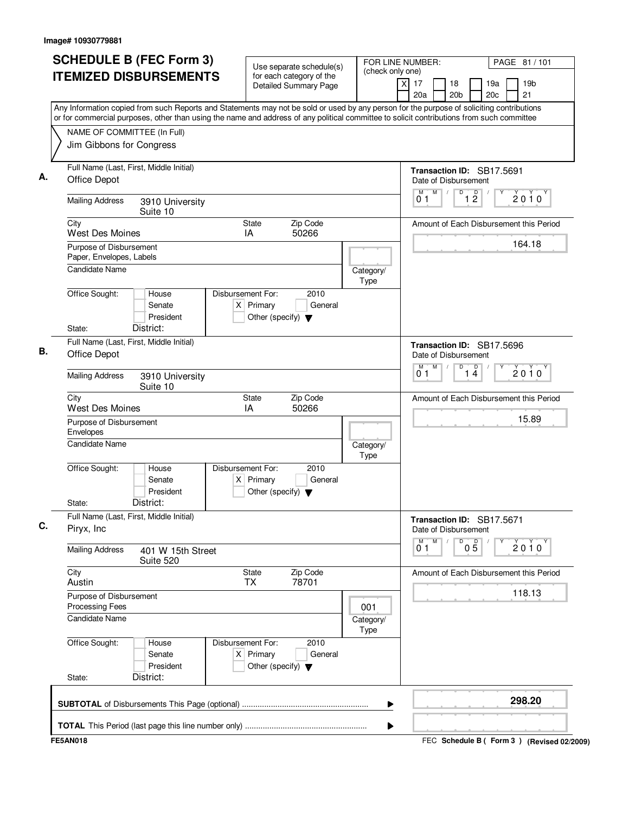| Any Information copied from such Reports and Statements may not be sold or used by any person for the purpose of soliciting contributions<br>or for commercial purposes, other than using the name and address of any political committee to solicit contributions from such committee<br>NAME OF COMMITTEE (In Full)<br>Jim Gibbons for Congress<br>Full Name (Last, First, Middle Initial)<br>Transaction ID: SB17.5691<br><b>Office Depot</b><br>Date of Disbursement<br>M<br>D<br>$\overline{1}$ $\overline{2}$<br>M<br>$2010^y$<br>01<br><b>Mailing Address</b><br>3910 University<br>Suite 10<br>City<br><b>State</b><br>Zip Code<br>Amount of Each Disbursement this Period<br><b>West Des Moines</b><br>50266<br>IA<br>164.18<br>Purpose of Disbursement<br>Paper, Envelopes, Labels<br><b>Candidate Name</b><br>Category/<br>Type<br>Office Sought:<br>Disbursement For:<br>2010<br>House<br>$X$ Primary<br>Senate<br>General<br>President<br>Other (specify) $\blacktriangledown$<br>District:<br>State:<br>Full Name (Last, First, Middle Initial)<br>Transaction ID: SB17.5696<br>Office Depot<br>Date of Disbursement<br>M<br>D<br>$\overline{1\ 4}$<br>M<br>2010<br>0 <sub>1</sub><br><b>Mailing Address</b><br>3910 University<br>Suite 10<br><b>State</b><br>Zip Code<br>City<br>Amount of Each Disbursement this Period<br><b>West Des Moines</b><br>IA<br>50266<br>15.89<br>Purpose of Disbursement<br>Envelopes<br><b>Candidate Name</b><br>Category/<br>Type<br>Office Sought:<br>Disbursement For:<br>2010<br>House<br>Senate<br>$X$ Primary<br>General<br>President<br>Other (specify) $\blacktriangledown$<br>District:<br>State:<br>Full Name (Last, First, Middle Initial)<br>Transaction ID: SB17.5671<br>Piryx, Inc.<br>Date of Disbursement<br>M<br>D<br>M<br>$0\overline{5}$<br>$2010^y$<br>0 <sub>1</sub><br><b>Mailing Address</b><br>401 W 15th Street<br>Suite 520<br>City<br>State<br>Zip Code<br>Amount of Each Disbursement this Period<br>78701<br>Austin<br>TX<br>118.13<br>Purpose of Disbursement<br><b>Processing Fees</b><br>001<br><b>Candidate Name</b><br>Category/<br>Type<br>Office Sought:<br>Disbursement For:<br>2010<br>House<br>$X$ Primary<br>Senate<br>General<br>President<br>Other (specify) $\blacktriangledown$<br>District:<br>State: | <b>SCHEDULE B (FEC Form 3)</b><br><b>ITEMIZED DISBURSEMENTS</b> | Use separate schedule(s)<br>for each category of the<br><b>Detailed Summary Page</b> | FOR LINE NUMBER:<br>(check only one)<br>$\times$ | PAGE 81 / 101<br>19 <sub>b</sub><br>17<br>18<br>19a<br>21<br>20a<br>20 <sub>b</sub><br>20c |
|--------------------------------------------------------------------------------------------------------------------------------------------------------------------------------------------------------------------------------------------------------------------------------------------------------------------------------------------------------------------------------------------------------------------------------------------------------------------------------------------------------------------------------------------------------------------------------------------------------------------------------------------------------------------------------------------------------------------------------------------------------------------------------------------------------------------------------------------------------------------------------------------------------------------------------------------------------------------------------------------------------------------------------------------------------------------------------------------------------------------------------------------------------------------------------------------------------------------------------------------------------------------------------------------------------------------------------------------------------------------------------------------------------------------------------------------------------------------------------------------------------------------------------------------------------------------------------------------------------------------------------------------------------------------------------------------------------------------------------------------------------------------------------------------------------------------------------------------------------------------------------------------------------------------------------------------------------------------------------------------------------------------------------------------------------------------------------------------------------------------------------------------------------------------------------------------------------------------------------------------------------------------------------------------------|-----------------------------------------------------------------|--------------------------------------------------------------------------------------|--------------------------------------------------|--------------------------------------------------------------------------------------------|
|                                                                                                                                                                                                                                                                                                                                                                                                                                                                                                                                                                                                                                                                                                                                                                                                                                                                                                                                                                                                                                                                                                                                                                                                                                                                                                                                                                                                                                                                                                                                                                                                                                                                                                                                                                                                                                                                                                                                                                                                                                                                                                                                                                                                                                                                                                  |                                                                 |                                                                                      |                                                  |                                                                                            |
|                                                                                                                                                                                                                                                                                                                                                                                                                                                                                                                                                                                                                                                                                                                                                                                                                                                                                                                                                                                                                                                                                                                                                                                                                                                                                                                                                                                                                                                                                                                                                                                                                                                                                                                                                                                                                                                                                                                                                                                                                                                                                                                                                                                                                                                                                                  |                                                                 |                                                                                      |                                                  |                                                                                            |
|                                                                                                                                                                                                                                                                                                                                                                                                                                                                                                                                                                                                                                                                                                                                                                                                                                                                                                                                                                                                                                                                                                                                                                                                                                                                                                                                                                                                                                                                                                                                                                                                                                                                                                                                                                                                                                                                                                                                                                                                                                                                                                                                                                                                                                                                                                  |                                                                 |                                                                                      |                                                  |                                                                                            |
|                                                                                                                                                                                                                                                                                                                                                                                                                                                                                                                                                                                                                                                                                                                                                                                                                                                                                                                                                                                                                                                                                                                                                                                                                                                                                                                                                                                                                                                                                                                                                                                                                                                                                                                                                                                                                                                                                                                                                                                                                                                                                                                                                                                                                                                                                                  |                                                                 |                                                                                      |                                                  |                                                                                            |
|                                                                                                                                                                                                                                                                                                                                                                                                                                                                                                                                                                                                                                                                                                                                                                                                                                                                                                                                                                                                                                                                                                                                                                                                                                                                                                                                                                                                                                                                                                                                                                                                                                                                                                                                                                                                                                                                                                                                                                                                                                                                                                                                                                                                                                                                                                  |                                                                 |                                                                                      |                                                  |                                                                                            |
|                                                                                                                                                                                                                                                                                                                                                                                                                                                                                                                                                                                                                                                                                                                                                                                                                                                                                                                                                                                                                                                                                                                                                                                                                                                                                                                                                                                                                                                                                                                                                                                                                                                                                                                                                                                                                                                                                                                                                                                                                                                                                                                                                                                                                                                                                                  |                                                                 |                                                                                      |                                                  |                                                                                            |
|                                                                                                                                                                                                                                                                                                                                                                                                                                                                                                                                                                                                                                                                                                                                                                                                                                                                                                                                                                                                                                                                                                                                                                                                                                                                                                                                                                                                                                                                                                                                                                                                                                                                                                                                                                                                                                                                                                                                                                                                                                                                                                                                                                                                                                                                                                  |                                                                 |                                                                                      |                                                  |                                                                                            |
|                                                                                                                                                                                                                                                                                                                                                                                                                                                                                                                                                                                                                                                                                                                                                                                                                                                                                                                                                                                                                                                                                                                                                                                                                                                                                                                                                                                                                                                                                                                                                                                                                                                                                                                                                                                                                                                                                                                                                                                                                                                                                                                                                                                                                                                                                                  |                                                                 |                                                                                      |                                                  |                                                                                            |
|                                                                                                                                                                                                                                                                                                                                                                                                                                                                                                                                                                                                                                                                                                                                                                                                                                                                                                                                                                                                                                                                                                                                                                                                                                                                                                                                                                                                                                                                                                                                                                                                                                                                                                                                                                                                                                                                                                                                                                                                                                                                                                                                                                                                                                                                                                  |                                                                 |                                                                                      |                                                  |                                                                                            |
|                                                                                                                                                                                                                                                                                                                                                                                                                                                                                                                                                                                                                                                                                                                                                                                                                                                                                                                                                                                                                                                                                                                                                                                                                                                                                                                                                                                                                                                                                                                                                                                                                                                                                                                                                                                                                                                                                                                                                                                                                                                                                                                                                                                                                                                                                                  |                                                                 |                                                                                      |                                                  |                                                                                            |
|                                                                                                                                                                                                                                                                                                                                                                                                                                                                                                                                                                                                                                                                                                                                                                                                                                                                                                                                                                                                                                                                                                                                                                                                                                                                                                                                                                                                                                                                                                                                                                                                                                                                                                                                                                                                                                                                                                                                                                                                                                                                                                                                                                                                                                                                                                  |                                                                 |                                                                                      |                                                  |                                                                                            |
|                                                                                                                                                                                                                                                                                                                                                                                                                                                                                                                                                                                                                                                                                                                                                                                                                                                                                                                                                                                                                                                                                                                                                                                                                                                                                                                                                                                                                                                                                                                                                                                                                                                                                                                                                                                                                                                                                                                                                                                                                                                                                                                                                                                                                                                                                                  |                                                                 |                                                                                      |                                                  |                                                                                            |
|                                                                                                                                                                                                                                                                                                                                                                                                                                                                                                                                                                                                                                                                                                                                                                                                                                                                                                                                                                                                                                                                                                                                                                                                                                                                                                                                                                                                                                                                                                                                                                                                                                                                                                                                                                                                                                                                                                                                                                                                                                                                                                                                                                                                                                                                                                  |                                                                 |                                                                                      |                                                  |                                                                                            |
|                                                                                                                                                                                                                                                                                                                                                                                                                                                                                                                                                                                                                                                                                                                                                                                                                                                                                                                                                                                                                                                                                                                                                                                                                                                                                                                                                                                                                                                                                                                                                                                                                                                                                                                                                                                                                                                                                                                                                                                                                                                                                                                                                                                                                                                                                                  |                                                                 |                                                                                      |                                                  |                                                                                            |
|                                                                                                                                                                                                                                                                                                                                                                                                                                                                                                                                                                                                                                                                                                                                                                                                                                                                                                                                                                                                                                                                                                                                                                                                                                                                                                                                                                                                                                                                                                                                                                                                                                                                                                                                                                                                                                                                                                                                                                                                                                                                                                                                                                                                                                                                                                  |                                                                 |                                                                                      |                                                  |                                                                                            |
|                                                                                                                                                                                                                                                                                                                                                                                                                                                                                                                                                                                                                                                                                                                                                                                                                                                                                                                                                                                                                                                                                                                                                                                                                                                                                                                                                                                                                                                                                                                                                                                                                                                                                                                                                                                                                                                                                                                                                                                                                                                                                                                                                                                                                                                                                                  |                                                                 |                                                                                      |                                                  |                                                                                            |
|                                                                                                                                                                                                                                                                                                                                                                                                                                                                                                                                                                                                                                                                                                                                                                                                                                                                                                                                                                                                                                                                                                                                                                                                                                                                                                                                                                                                                                                                                                                                                                                                                                                                                                                                                                                                                                                                                                                                                                                                                                                                                                                                                                                                                                                                                                  |                                                                 |                                                                                      |                                                  |                                                                                            |
|                                                                                                                                                                                                                                                                                                                                                                                                                                                                                                                                                                                                                                                                                                                                                                                                                                                                                                                                                                                                                                                                                                                                                                                                                                                                                                                                                                                                                                                                                                                                                                                                                                                                                                                                                                                                                                                                                                                                                                                                                                                                                                                                                                                                                                                                                                  |                                                                 |                                                                                      |                                                  |                                                                                            |
|                                                                                                                                                                                                                                                                                                                                                                                                                                                                                                                                                                                                                                                                                                                                                                                                                                                                                                                                                                                                                                                                                                                                                                                                                                                                                                                                                                                                                                                                                                                                                                                                                                                                                                                                                                                                                                                                                                                                                                                                                                                                                                                                                                                                                                                                                                  |                                                                 |                                                                                      |                                                  |                                                                                            |
|                                                                                                                                                                                                                                                                                                                                                                                                                                                                                                                                                                                                                                                                                                                                                                                                                                                                                                                                                                                                                                                                                                                                                                                                                                                                                                                                                                                                                                                                                                                                                                                                                                                                                                                                                                                                                                                                                                                                                                                                                                                                                                                                                                                                                                                                                                  |                                                                 |                                                                                      |                                                  |                                                                                            |
|                                                                                                                                                                                                                                                                                                                                                                                                                                                                                                                                                                                                                                                                                                                                                                                                                                                                                                                                                                                                                                                                                                                                                                                                                                                                                                                                                                                                                                                                                                                                                                                                                                                                                                                                                                                                                                                                                                                                                                                                                                                                                                                                                                                                                                                                                                  |                                                                 |                                                                                      |                                                  |                                                                                            |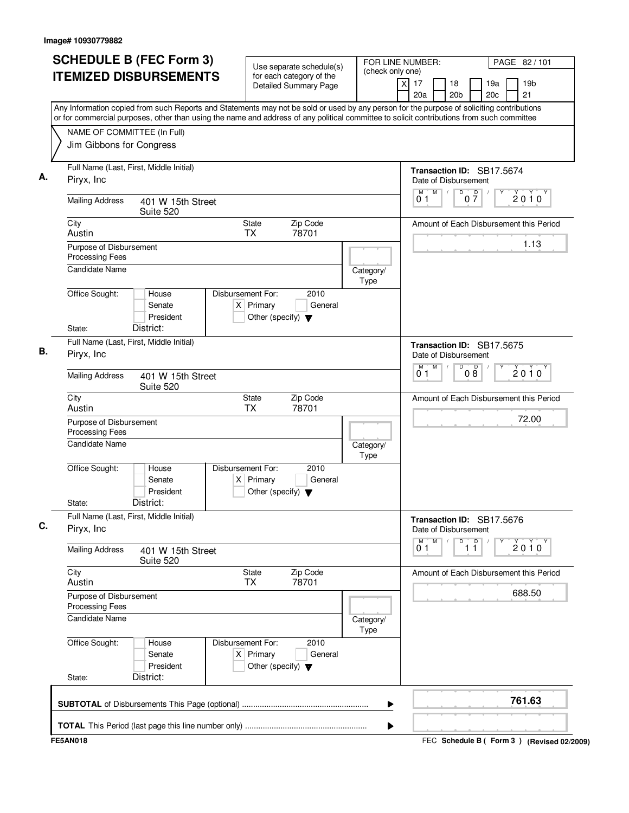| <b>SCHEDULE B (FEC Form 3)</b><br><b>ITEMIZED DISBURSEMENTS</b> | Use separate schedule(s)<br>(check only one)<br>for each category of the<br><b>Detailed Summary Page</b><br>Any Information copied from such Reports and Statements may not be sold or used by any person for the purpose of soliciting contributions | FOR LINE NUMBER:<br>PAGE 82 / 101<br>19 <sub>b</sub><br>$\times$<br>17<br>18<br>19a<br>20 <sub>b</sub><br>20 <sub>c</sub><br>21<br>20a |
|-----------------------------------------------------------------|-------------------------------------------------------------------------------------------------------------------------------------------------------------------------------------------------------------------------------------------------------|----------------------------------------------------------------------------------------------------------------------------------------|
|                                                                 | or for commercial purposes, other than using the name and address of any political committee to solicit contributions from such committee                                                                                                             |                                                                                                                                        |
| NAME OF COMMITTEE (In Full)<br>Jim Gibbons for Congress         |                                                                                                                                                                                                                                                       |                                                                                                                                        |
| Full Name (Last, First, Middle Initial)<br>Piryx, Inc.          |                                                                                                                                                                                                                                                       | Transaction ID: SB17.5674<br>Date of Disbursement                                                                                      |
| <b>Mailing Address</b><br>401 W 15th Street<br>Suite 520        |                                                                                                                                                                                                                                                       | M<br>D<br>M<br>$0\frac{D}{7}$<br>$\sqrt{2}$<br>$2010^y$<br>01                                                                          |
| City<br>Austin                                                  | Zip Code<br>State<br>78701<br><b>TX</b>                                                                                                                                                                                                               | Amount of Each Disbursement this Period                                                                                                |
| Purpose of Disbursement<br>Processing Fees                      |                                                                                                                                                                                                                                                       | 1.13                                                                                                                                   |
| <b>Candidate Name</b>                                           | Category/<br>Type                                                                                                                                                                                                                                     |                                                                                                                                        |
| Office Sought:<br>House<br>Senate<br>President                  | Disbursement For:<br>2010<br>$X$ Primary<br>General<br>Other (specify) $\blacktriangledown$                                                                                                                                                           |                                                                                                                                        |
| District:<br>State:                                             |                                                                                                                                                                                                                                                       |                                                                                                                                        |
| Full Name (Last, First, Middle Initial)<br>Piryx, Inc.          |                                                                                                                                                                                                                                                       | Transaction ID: SB17.5675<br>Date of Disbursement                                                                                      |
| <b>Mailing Address</b><br>401 W 15th Street<br>Suite 520        |                                                                                                                                                                                                                                                       | M<br>D<br>M<br>08<br>2010<br>01                                                                                                        |
| City<br>Austin                                                  | Zip Code<br>State<br><b>TX</b><br>78701                                                                                                                                                                                                               | Amount of Each Disbursement this Period                                                                                                |
| Purpose of Disbursement<br>Processing Fees                      |                                                                                                                                                                                                                                                       | 72.00                                                                                                                                  |
| Candidate Name                                                  | Category/<br>Type                                                                                                                                                                                                                                     |                                                                                                                                        |
| Office Sought:<br>House<br>Senate<br>President                  | Disbursement For:<br>2010<br>$X$ Primary<br>General<br>Other (specify) $\blacktriangledown$                                                                                                                                                           |                                                                                                                                        |
| District:<br>State:                                             |                                                                                                                                                                                                                                                       |                                                                                                                                        |
| Full Name (Last, First, Middle Initial)<br>Piryx, Inc.          |                                                                                                                                                                                                                                                       | Transaction ID: SB17.5676<br>Date of Disbursement                                                                                      |
| <b>Mailing Address</b><br>401 W 15th Street<br>Suite 520        |                                                                                                                                                                                                                                                       | M<br>$\overline{1}$ $\overline{1}$<br>M<br>D<br>$2010^{\circ}$<br>01                                                                   |
| City<br>Austin                                                  | <b>State</b><br>Zip Code<br>78701<br>TX                                                                                                                                                                                                               | Amount of Each Disbursement this Period                                                                                                |
| Purpose of Disbursement<br>Processing Fees                      |                                                                                                                                                                                                                                                       | 688.50                                                                                                                                 |
| <b>Candidate Name</b>                                           | Category/<br>Type                                                                                                                                                                                                                                     |                                                                                                                                        |
| Office Sought:<br>House<br>Senate<br>President                  | Disbursement For:<br>2010<br>$X$ Primary<br>General<br>Other (specify) $\blacktriangledown$                                                                                                                                                           |                                                                                                                                        |
| District:<br>State:                                             |                                                                                                                                                                                                                                                       |                                                                                                                                        |
|                                                                 |                                                                                                                                                                                                                                                       | 761.63                                                                                                                                 |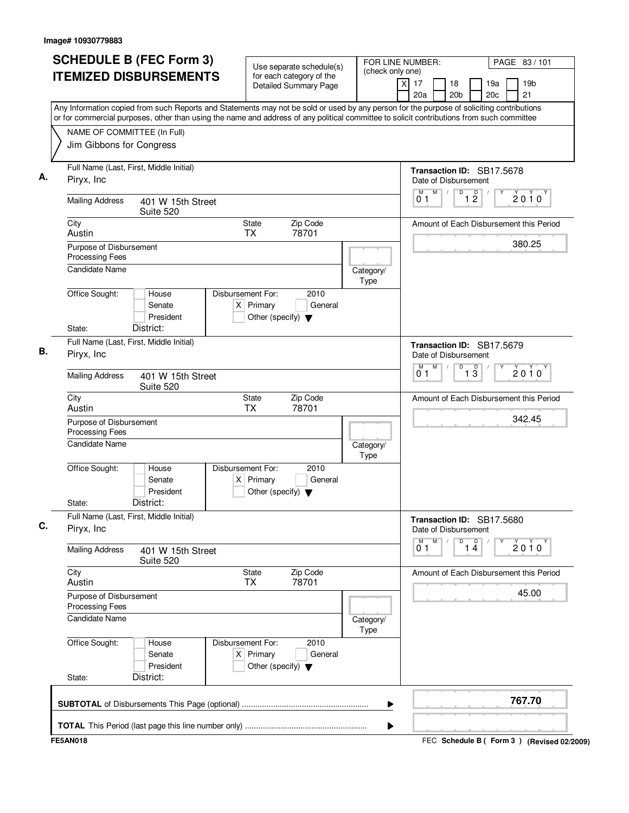| <b>ITEMIZED DISBURSEMENTS</b><br>for each category of the<br>19 <sub>b</sub><br>$\boldsymbol{\mathsf{X}}$<br>17<br>18<br>19a<br>Detailed Summary Page<br>20 <sub>b</sub><br>20 <sub>c</sub><br>21<br>20a<br>Any Information copied from such Reports and Statements may not be sold or used by any person for the purpose of soliciting contributions<br>or for commercial purposes, other than using the name and address of any political committee to solicit contributions from such committee<br>NAME OF COMMITTEE (In Full)<br>Jim Gibbons for Congress<br>Full Name (Last, First, Middle Initial)<br>Transaction ID: SB17.5678<br>Piryx, Inc<br>Date of Disbursement<br>M<br>$\overline{1}$ $\overline{2}$<br>D<br>M<br>$\sqrt{2}$<br>$2010^y$<br>01<br><b>Mailing Address</b><br>401 W 15th Street<br>Suite 520<br>Zip Code<br>City<br><b>State</b><br>Amount of Each Disbursement this Period<br>78701<br>Austin<br><b>TX</b><br>380.25<br>Purpose of Disbursement<br><b>Processing Fees</b><br><b>Candidate Name</b><br>Category/<br>Type<br>Office Sought:<br>Disbursement For:<br>2010<br>House<br>$X$ Primary<br>Senate<br>General<br>President<br>Other (specify) $\blacktriangledown$<br>State:<br>District:<br>Full Name (Last, First, Middle Initial)<br>Transaction ID: SB17.5679<br>Piryx, Inc.<br>Date of Disbursement<br>M<br>D<br>$\overline{1\ 3}$<br>M<br>$2010^y$<br>01<br><b>Mailing Address</b><br>401 W 15th Street<br>Suite 520<br>Zip Code<br>Amount of Each Disbursement this Period<br>City<br>State<br>Austin<br><b>TX</b><br>78701<br>342.45<br>Purpose of Disbursement<br><b>Processing Fees</b><br>Candidate Name<br>Category/<br>Type<br>Office Sought:<br>Disbursement For:<br>2010<br>House<br>Senate<br>$X$ Primary<br>General<br>President<br>Other (specify) $\blacktriangledown$<br>District:<br>State:<br>Full Name (Last, First, Middle Initial)<br>Transaction ID: SB17.5680<br>Piryx, Inc.<br>Date of Disbursement<br>M<br>D<br>$\overline{1\ 4}$<br>$\overline{0}^M$ 1<br>2010<br><b>Mailing Address</b><br>401 W 15th Street<br>Suite 520<br>City<br>Zip Code<br>State<br>Amount of Each Disbursement this Period<br>78701<br>Austin<br><b>TX</b><br>45.00<br>Purpose of Disbursement<br>Processing Fees<br><b>Candidate Name</b><br>Category/<br>Type<br>Office Sought:<br>Disbursement For:<br>2010<br>House<br>$X$ Primary<br>Senate<br>General<br>President<br>Other (specify) $\blacktriangledown$<br>District:<br>State:<br>767.70 | <b>SCHEDULE B (FEC Form 3)</b> | Use separate schedule(s) | FOR LINE NUMBER:<br>PAGE 83 / 101<br>(check only one) |
|-------------------------------------------------------------------------------------------------------------------------------------------------------------------------------------------------------------------------------------------------------------------------------------------------------------------------------------------------------------------------------------------------------------------------------------------------------------------------------------------------------------------------------------------------------------------------------------------------------------------------------------------------------------------------------------------------------------------------------------------------------------------------------------------------------------------------------------------------------------------------------------------------------------------------------------------------------------------------------------------------------------------------------------------------------------------------------------------------------------------------------------------------------------------------------------------------------------------------------------------------------------------------------------------------------------------------------------------------------------------------------------------------------------------------------------------------------------------------------------------------------------------------------------------------------------------------------------------------------------------------------------------------------------------------------------------------------------------------------------------------------------------------------------------------------------------------------------------------------------------------------------------------------------------------------------------------------------------------------------------------------------------------------------------------------------------------------------------------------------------------------------------------------------------------------------------------------------------------------------------------------------------------------------------------------------------------------------------------------------------------------------------------------------------------------------------------------------------------------------------|--------------------------------|--------------------------|-------------------------------------------------------|
|                                                                                                                                                                                                                                                                                                                                                                                                                                                                                                                                                                                                                                                                                                                                                                                                                                                                                                                                                                                                                                                                                                                                                                                                                                                                                                                                                                                                                                                                                                                                                                                                                                                                                                                                                                                                                                                                                                                                                                                                                                                                                                                                                                                                                                                                                                                                                                                                                                                                                           |                                |                          |                                                       |
|                                                                                                                                                                                                                                                                                                                                                                                                                                                                                                                                                                                                                                                                                                                                                                                                                                                                                                                                                                                                                                                                                                                                                                                                                                                                                                                                                                                                                                                                                                                                                                                                                                                                                                                                                                                                                                                                                                                                                                                                                                                                                                                                                                                                                                                                                                                                                                                                                                                                                           |                                |                          |                                                       |
|                                                                                                                                                                                                                                                                                                                                                                                                                                                                                                                                                                                                                                                                                                                                                                                                                                                                                                                                                                                                                                                                                                                                                                                                                                                                                                                                                                                                                                                                                                                                                                                                                                                                                                                                                                                                                                                                                                                                                                                                                                                                                                                                                                                                                                                                                                                                                                                                                                                                                           |                                |                          |                                                       |
|                                                                                                                                                                                                                                                                                                                                                                                                                                                                                                                                                                                                                                                                                                                                                                                                                                                                                                                                                                                                                                                                                                                                                                                                                                                                                                                                                                                                                                                                                                                                                                                                                                                                                                                                                                                                                                                                                                                                                                                                                                                                                                                                                                                                                                                                                                                                                                                                                                                                                           |                                |                          |                                                       |
|                                                                                                                                                                                                                                                                                                                                                                                                                                                                                                                                                                                                                                                                                                                                                                                                                                                                                                                                                                                                                                                                                                                                                                                                                                                                                                                                                                                                                                                                                                                                                                                                                                                                                                                                                                                                                                                                                                                                                                                                                                                                                                                                                                                                                                                                                                                                                                                                                                                                                           |                                |                          |                                                       |
|                                                                                                                                                                                                                                                                                                                                                                                                                                                                                                                                                                                                                                                                                                                                                                                                                                                                                                                                                                                                                                                                                                                                                                                                                                                                                                                                                                                                                                                                                                                                                                                                                                                                                                                                                                                                                                                                                                                                                                                                                                                                                                                                                                                                                                                                                                                                                                                                                                                                                           |                                |                          |                                                       |
|                                                                                                                                                                                                                                                                                                                                                                                                                                                                                                                                                                                                                                                                                                                                                                                                                                                                                                                                                                                                                                                                                                                                                                                                                                                                                                                                                                                                                                                                                                                                                                                                                                                                                                                                                                                                                                                                                                                                                                                                                                                                                                                                                                                                                                                                                                                                                                                                                                                                                           |                                |                          |                                                       |
|                                                                                                                                                                                                                                                                                                                                                                                                                                                                                                                                                                                                                                                                                                                                                                                                                                                                                                                                                                                                                                                                                                                                                                                                                                                                                                                                                                                                                                                                                                                                                                                                                                                                                                                                                                                                                                                                                                                                                                                                                                                                                                                                                                                                                                                                                                                                                                                                                                                                                           |                                |                          |                                                       |
|                                                                                                                                                                                                                                                                                                                                                                                                                                                                                                                                                                                                                                                                                                                                                                                                                                                                                                                                                                                                                                                                                                                                                                                                                                                                                                                                                                                                                                                                                                                                                                                                                                                                                                                                                                                                                                                                                                                                                                                                                                                                                                                                                                                                                                                                                                                                                                                                                                                                                           |                                |                          |                                                       |
|                                                                                                                                                                                                                                                                                                                                                                                                                                                                                                                                                                                                                                                                                                                                                                                                                                                                                                                                                                                                                                                                                                                                                                                                                                                                                                                                                                                                                                                                                                                                                                                                                                                                                                                                                                                                                                                                                                                                                                                                                                                                                                                                                                                                                                                                                                                                                                                                                                                                                           |                                |                          |                                                       |
|                                                                                                                                                                                                                                                                                                                                                                                                                                                                                                                                                                                                                                                                                                                                                                                                                                                                                                                                                                                                                                                                                                                                                                                                                                                                                                                                                                                                                                                                                                                                                                                                                                                                                                                                                                                                                                                                                                                                                                                                                                                                                                                                                                                                                                                                                                                                                                                                                                                                                           |                                |                          |                                                       |
|                                                                                                                                                                                                                                                                                                                                                                                                                                                                                                                                                                                                                                                                                                                                                                                                                                                                                                                                                                                                                                                                                                                                                                                                                                                                                                                                                                                                                                                                                                                                                                                                                                                                                                                                                                                                                                                                                                                                                                                                                                                                                                                                                                                                                                                                                                                                                                                                                                                                                           |                                |                          |                                                       |
|                                                                                                                                                                                                                                                                                                                                                                                                                                                                                                                                                                                                                                                                                                                                                                                                                                                                                                                                                                                                                                                                                                                                                                                                                                                                                                                                                                                                                                                                                                                                                                                                                                                                                                                                                                                                                                                                                                                                                                                                                                                                                                                                                                                                                                                                                                                                                                                                                                                                                           |                                |                          |                                                       |
|                                                                                                                                                                                                                                                                                                                                                                                                                                                                                                                                                                                                                                                                                                                                                                                                                                                                                                                                                                                                                                                                                                                                                                                                                                                                                                                                                                                                                                                                                                                                                                                                                                                                                                                                                                                                                                                                                                                                                                                                                                                                                                                                                                                                                                                                                                                                                                                                                                                                                           |                                |                          |                                                       |
|                                                                                                                                                                                                                                                                                                                                                                                                                                                                                                                                                                                                                                                                                                                                                                                                                                                                                                                                                                                                                                                                                                                                                                                                                                                                                                                                                                                                                                                                                                                                                                                                                                                                                                                                                                                                                                                                                                                                                                                                                                                                                                                                                                                                                                                                                                                                                                                                                                                                                           |                                |                          |                                                       |
|                                                                                                                                                                                                                                                                                                                                                                                                                                                                                                                                                                                                                                                                                                                                                                                                                                                                                                                                                                                                                                                                                                                                                                                                                                                                                                                                                                                                                                                                                                                                                                                                                                                                                                                                                                                                                                                                                                                                                                                                                                                                                                                                                                                                                                                                                                                                                                                                                                                                                           |                                |                          |                                                       |
|                                                                                                                                                                                                                                                                                                                                                                                                                                                                                                                                                                                                                                                                                                                                                                                                                                                                                                                                                                                                                                                                                                                                                                                                                                                                                                                                                                                                                                                                                                                                                                                                                                                                                                                                                                                                                                                                                                                                                                                                                                                                                                                                                                                                                                                                                                                                                                                                                                                                                           |                                |                          |                                                       |
|                                                                                                                                                                                                                                                                                                                                                                                                                                                                                                                                                                                                                                                                                                                                                                                                                                                                                                                                                                                                                                                                                                                                                                                                                                                                                                                                                                                                                                                                                                                                                                                                                                                                                                                                                                                                                                                                                                                                                                                                                                                                                                                                                                                                                                                                                                                                                                                                                                                                                           |                                |                          |                                                       |
|                                                                                                                                                                                                                                                                                                                                                                                                                                                                                                                                                                                                                                                                                                                                                                                                                                                                                                                                                                                                                                                                                                                                                                                                                                                                                                                                                                                                                                                                                                                                                                                                                                                                                                                                                                                                                                                                                                                                                                                                                                                                                                                                                                                                                                                                                                                                                                                                                                                                                           |                                |                          |                                                       |
|                                                                                                                                                                                                                                                                                                                                                                                                                                                                                                                                                                                                                                                                                                                                                                                                                                                                                                                                                                                                                                                                                                                                                                                                                                                                                                                                                                                                                                                                                                                                                                                                                                                                                                                                                                                                                                                                                                                                                                                                                                                                                                                                                                                                                                                                                                                                                                                                                                                                                           |                                |                          |                                                       |
|                                                                                                                                                                                                                                                                                                                                                                                                                                                                                                                                                                                                                                                                                                                                                                                                                                                                                                                                                                                                                                                                                                                                                                                                                                                                                                                                                                                                                                                                                                                                                                                                                                                                                                                                                                                                                                                                                                                                                                                                                                                                                                                                                                                                                                                                                                                                                                                                                                                                                           |                                |                          |                                                       |
|                                                                                                                                                                                                                                                                                                                                                                                                                                                                                                                                                                                                                                                                                                                                                                                                                                                                                                                                                                                                                                                                                                                                                                                                                                                                                                                                                                                                                                                                                                                                                                                                                                                                                                                                                                                                                                                                                                                                                                                                                                                                                                                                                                                                                                                                                                                                                                                                                                                                                           |                                |                          |                                                       |
|                                                                                                                                                                                                                                                                                                                                                                                                                                                                                                                                                                                                                                                                                                                                                                                                                                                                                                                                                                                                                                                                                                                                                                                                                                                                                                                                                                                                                                                                                                                                                                                                                                                                                                                                                                                                                                                                                                                                                                                                                                                                                                                                                                                                                                                                                                                                                                                                                                                                                           |                                |                          |                                                       |
|                                                                                                                                                                                                                                                                                                                                                                                                                                                                                                                                                                                                                                                                                                                                                                                                                                                                                                                                                                                                                                                                                                                                                                                                                                                                                                                                                                                                                                                                                                                                                                                                                                                                                                                                                                                                                                                                                                                                                                                                                                                                                                                                                                                                                                                                                                                                                                                                                                                                                           |                                |                          |                                                       |
|                                                                                                                                                                                                                                                                                                                                                                                                                                                                                                                                                                                                                                                                                                                                                                                                                                                                                                                                                                                                                                                                                                                                                                                                                                                                                                                                                                                                                                                                                                                                                                                                                                                                                                                                                                                                                                                                                                                                                                                                                                                                                                                                                                                                                                                                                                                                                                                                                                                                                           |                                |                          |                                                       |
|                                                                                                                                                                                                                                                                                                                                                                                                                                                                                                                                                                                                                                                                                                                                                                                                                                                                                                                                                                                                                                                                                                                                                                                                                                                                                                                                                                                                                                                                                                                                                                                                                                                                                                                                                                                                                                                                                                                                                                                                                                                                                                                                                                                                                                                                                                                                                                                                                                                                                           |                                |                          |                                                       |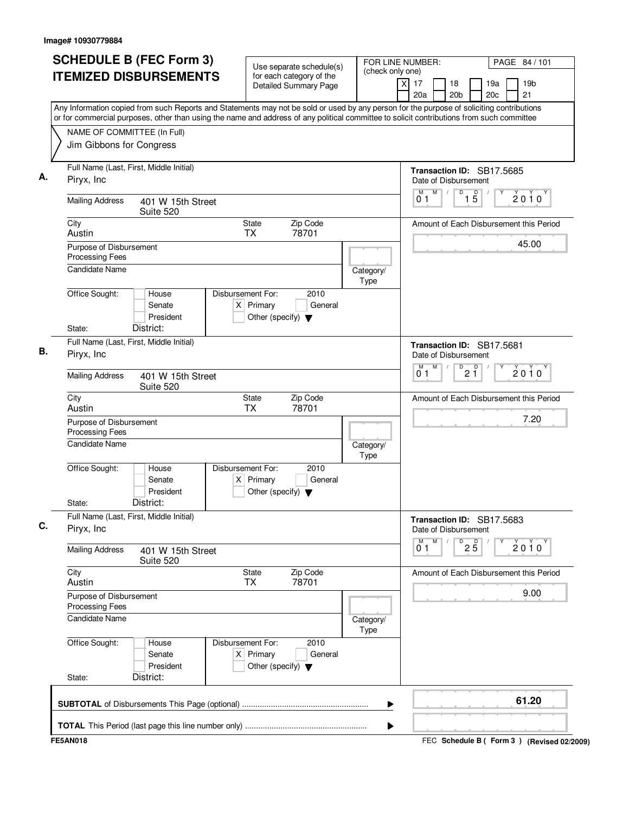| <b>SCHEDULE B (FEC Form 3)</b>                                                                                                                                                                                                                                                         | Use separate schedule(s)                                                                    | FOR LINE NUMBER:<br>(check only one) |                                    | PAGE 84 / 101                               |
|----------------------------------------------------------------------------------------------------------------------------------------------------------------------------------------------------------------------------------------------------------------------------------------|---------------------------------------------------------------------------------------------|--------------------------------------|------------------------------------|---------------------------------------------|
| <b>ITEMIZED DISBURSEMENTS</b>                                                                                                                                                                                                                                                          | for each category of the<br>Detailed Summary Page                                           | $\overline{X}$                       | 17<br>18<br>20a<br>20 <sub>b</sub> | 19 <sub>b</sub><br>19a<br>21<br>20c         |
| Any Information copied from such Reports and Statements may not be sold or used by any person for the purpose of soliciting contributions<br>or for commercial purposes, other than using the name and address of any political committee to solicit contributions from such committee |                                                                                             |                                      |                                    |                                             |
| NAME OF COMMITTEE (In Full)<br>Jim Gibbons for Congress                                                                                                                                                                                                                                |                                                                                             |                                      |                                    |                                             |
|                                                                                                                                                                                                                                                                                        |                                                                                             |                                      |                                    |                                             |
| Full Name (Last, First, Middle Initial)<br>Piryx, Inc                                                                                                                                                                                                                                  |                                                                                             |                                      | Date of Disbursement               | Transaction ID: SB17.5685                   |
| <b>Mailing Address</b><br>401 W 15th Street<br>Suite 520                                                                                                                                                                                                                               |                                                                                             |                                      | M<br>01                            | $1\overline{5}$<br>D<br>2010                |
| City<br>Austin                                                                                                                                                                                                                                                                         | Zip Code<br>State<br><b>TX</b><br>78701                                                     |                                      |                                    | Amount of Each Disbursement this Period     |
| Purpose of Disbursement<br>Processing Fees                                                                                                                                                                                                                                             |                                                                                             |                                      |                                    | 45.00                                       |
| <b>Candidate Name</b>                                                                                                                                                                                                                                                                  |                                                                                             | Category/<br>Type                    |                                    |                                             |
| Office Sought:<br>House<br>Senate<br>President<br>District:<br>State:                                                                                                                                                                                                                  | Disbursement For:<br>2010<br>$X$ Primary<br>General<br>Other (specify) $\blacktriangledown$ |                                      |                                    |                                             |
| Full Name (Last, First, Middle Initial)<br>Piryx, Inc.                                                                                                                                                                                                                                 |                                                                                             |                                      | Date of Disbursement               | Transaction ID: SB17.5681                   |
| <b>Mailing Address</b><br>401 W 15th Street<br>Suite 520                                                                                                                                                                                                                               |                                                                                             |                                      | M<br>M<br>0 <sub>1</sub>           | $P^D$ 2 $P^D$<br>2010                       |
| City<br>Austin                                                                                                                                                                                                                                                                         | Zip Code<br>State<br>ТX<br>78701                                                            |                                      |                                    | Amount of Each Disbursement this Period     |
| Purpose of Disbursement<br><b>Processing Fees</b>                                                                                                                                                                                                                                      |                                                                                             |                                      |                                    | 7.20                                        |
| <b>Candidate Name</b>                                                                                                                                                                                                                                                                  |                                                                                             | Category/<br>Type                    |                                    |                                             |
| Office Sought:<br>House<br>Senate<br>President<br>District:<br>State:                                                                                                                                                                                                                  | 2010<br>Disbursement For:<br>$X$ Primary<br>General<br>Other (specify) $\blacktriangledown$ |                                      |                                    |                                             |
| Full Name (Last, First, Middle Initial)<br>Piryx, Inc.                                                                                                                                                                                                                                 |                                                                                             |                                      | Date of Disbursement               | Transaction ID: SB17.5683                   |
| <b>Mailing Address</b><br>401 W 15th Street<br>Suite 520                                                                                                                                                                                                                               |                                                                                             |                                      | M<br>M<br>0 <sub>1</sub>           | D<br>$2\overline{5}$<br>$2010^y$            |
| City<br>Austin                                                                                                                                                                                                                                                                         | State<br>Zip Code<br>78701<br>ТX                                                            |                                      |                                    | Amount of Each Disbursement this Period     |
| Purpose of Disbursement<br>Processing Fees                                                                                                                                                                                                                                             |                                                                                             |                                      |                                    | 9.00                                        |
| Candidate Name                                                                                                                                                                                                                                                                         |                                                                                             | Category/<br>Type                    |                                    |                                             |
| Office Sought:<br>House<br>Senate<br>President<br>District:<br>State:                                                                                                                                                                                                                  | Disbursement For:<br>2010<br>$X$ Primary<br>General<br>Other (specify) $\blacktriangledown$ |                                      |                                    |                                             |
|                                                                                                                                                                                                                                                                                        |                                                                                             | ▶                                    |                                    | 61.20                                       |
|                                                                                                                                                                                                                                                                                        |                                                                                             | ▶                                    |                                    |                                             |
| <b>FE5AN018</b>                                                                                                                                                                                                                                                                        |                                                                                             |                                      |                                    | FEC Schedule B ( Form 3 ) (Revised 02/2009) |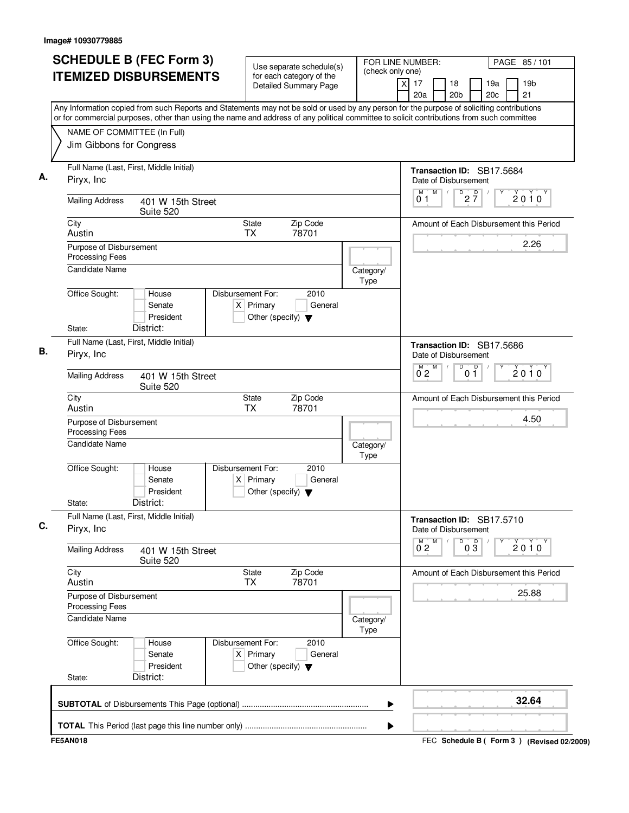| NAME OF COMMITTEE (In Full)<br>Jim Gibbons for Congress<br>Full Name (Last, First, Middle Initial)<br>Piryx, Inc<br><b>Mailing Address</b> | <b>ITEMIZED DISBURSEMENTS</b>  |                                                                          | for each category of the<br>Detailed Summary Page |                   | (check only one)<br>19 <sub>b</sub><br>$\boldsymbol{\mathsf{X}}$<br>17<br>18<br>19a<br>20 <sub>b</sub><br>20 <sub>c</sub><br>21<br>20a<br>Any Information copied from such Reports and Statements may not be sold or used by any person for the purpose of soliciting contributions<br>or for commercial purposes, other than using the name and address of any political committee to solicit contributions from such committee |
|--------------------------------------------------------------------------------------------------------------------------------------------|--------------------------------|--------------------------------------------------------------------------|---------------------------------------------------|-------------------|----------------------------------------------------------------------------------------------------------------------------------------------------------------------------------------------------------------------------------------------------------------------------------------------------------------------------------------------------------------------------------------------------------------------------------|
|                                                                                                                                            |                                |                                                                          |                                                   |                   |                                                                                                                                                                                                                                                                                                                                                                                                                                  |
|                                                                                                                                            |                                |                                                                          |                                                   |                   |                                                                                                                                                                                                                                                                                                                                                                                                                                  |
|                                                                                                                                            |                                |                                                                          |                                                   |                   |                                                                                                                                                                                                                                                                                                                                                                                                                                  |
|                                                                                                                                            |                                |                                                                          |                                                   |                   |                                                                                                                                                                                                                                                                                                                                                                                                                                  |
|                                                                                                                                            |                                |                                                                          |                                                   |                   | Transaction ID: SB17.5684<br>Date of Disbursement                                                                                                                                                                                                                                                                                                                                                                                |
|                                                                                                                                            | 401 W 15th Street<br>Suite 520 |                                                                          |                                                   |                   | M<br>$D$ <sub>2</sub> $\frac{D}{7}$<br>M<br>$\sqrt{2}$<br>$2010^y$<br>01                                                                                                                                                                                                                                                                                                                                                         |
| City<br>Austin                                                                                                                             |                                | <b>State</b><br><b>TX</b>                                                | Zip Code<br>78701                                 |                   | Amount of Each Disbursement this Period                                                                                                                                                                                                                                                                                                                                                                                          |
| Purpose of Disbursement<br><b>Processing Fees</b>                                                                                          |                                |                                                                          |                                                   |                   | 2.26                                                                                                                                                                                                                                                                                                                                                                                                                             |
| <b>Candidate Name</b>                                                                                                                      |                                |                                                                          |                                                   | Category/<br>Type |                                                                                                                                                                                                                                                                                                                                                                                                                                  |
| Office Sought:                                                                                                                             | House<br>Senate<br>President   | Disbursement For:<br>$X$ Primary<br>Other (specify) $\blacktriangledown$ | 2010<br>General                                   |                   |                                                                                                                                                                                                                                                                                                                                                                                                                                  |
| State:                                                                                                                                     | District:                      |                                                                          |                                                   |                   |                                                                                                                                                                                                                                                                                                                                                                                                                                  |
| Full Name (Last, First, Middle Initial)<br>Piryx, Inc.                                                                                     |                                |                                                                          |                                                   |                   | Transaction ID: SB17.5686<br>Date of Disbursement                                                                                                                                                                                                                                                                                                                                                                                |
| <b>Mailing Address</b>                                                                                                                     | 401 W 15th Street<br>Suite 520 |                                                                          |                                                   |                   | D<br>$M$ $M$<br>0 <sup>0</sup><br>$2010^y$<br>$0^{\degree}2$                                                                                                                                                                                                                                                                                                                                                                     |
| City<br>Austin                                                                                                                             |                                | State<br><b>TX</b>                                                       | Zip Code<br>78701                                 |                   | Amount of Each Disbursement this Period                                                                                                                                                                                                                                                                                                                                                                                          |
| Purpose of Disbursement<br><b>Processing Fees</b>                                                                                          |                                |                                                                          |                                                   |                   | 4.50                                                                                                                                                                                                                                                                                                                                                                                                                             |
| Candidate Name                                                                                                                             |                                |                                                                          |                                                   | Category/<br>Type |                                                                                                                                                                                                                                                                                                                                                                                                                                  |
| Office Sought:                                                                                                                             | House<br>Senate<br>President   | Disbursement For:<br>$X$ Primary<br>Other (specify) $\blacktriangledown$ | 2010<br>General                                   |                   |                                                                                                                                                                                                                                                                                                                                                                                                                                  |
| State:                                                                                                                                     | District:                      |                                                                          |                                                   |                   |                                                                                                                                                                                                                                                                                                                                                                                                                                  |
| Full Name (Last, First, Middle Initial)<br>Piryx, Inc.                                                                                     |                                |                                                                          |                                                   |                   | Transaction ID: SB17.5710<br>Date of Disbursement                                                                                                                                                                                                                                                                                                                                                                                |
| <b>Mailing Address</b>                                                                                                                     | 401 W 15th Street<br>Suite 520 |                                                                          |                                                   |                   | M<br>D<br>$\overline{0}^M$ 2<br>$0\overline{3}$<br>$2010^{\circ}$                                                                                                                                                                                                                                                                                                                                                                |
| City<br>Austin                                                                                                                             |                                | State<br><b>TX</b>                                                       | Zip Code<br>78701                                 |                   | Amount of Each Disbursement this Period                                                                                                                                                                                                                                                                                                                                                                                          |
| Purpose of Disbursement<br>Processing Fees                                                                                                 |                                |                                                                          |                                                   |                   | 25.88                                                                                                                                                                                                                                                                                                                                                                                                                            |
| <b>Candidate Name</b>                                                                                                                      |                                |                                                                          |                                                   | Category/<br>Type |                                                                                                                                                                                                                                                                                                                                                                                                                                  |
| Office Sought:                                                                                                                             | House<br>Senate<br>President   | Disbursement For:<br>$X$ Primary<br>Other (specify) $\blacktriangledown$ | 2010<br>General                                   |                   |                                                                                                                                                                                                                                                                                                                                                                                                                                  |
| State:                                                                                                                                     | District:                      |                                                                          |                                                   |                   |                                                                                                                                                                                                                                                                                                                                                                                                                                  |
|                                                                                                                                            |                                |                                                                          |                                                   |                   | 32.64                                                                                                                                                                                                                                                                                                                                                                                                                            |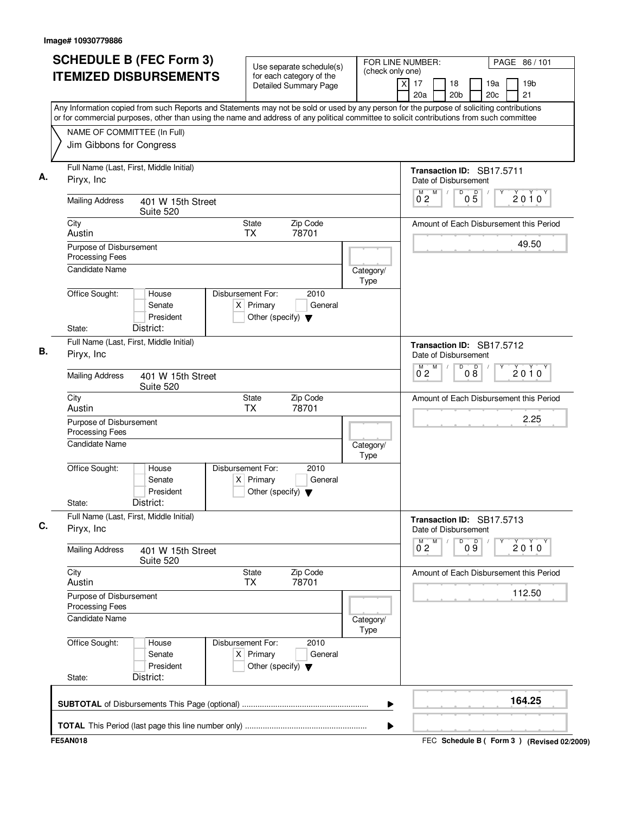| <b>SCHEDULE B (FEC Form 3)</b>                                                                                                                                                                                                                                                         | Use separate schedule(s)                                                                    | FOR LINE NUMBER:         |                          | PAGE 86/101                                            |
|----------------------------------------------------------------------------------------------------------------------------------------------------------------------------------------------------------------------------------------------------------------------------------------|---------------------------------------------------------------------------------------------|--------------------------|--------------------------|--------------------------------------------------------|
| <b>ITEMIZED DISBURSEMENTS</b>                                                                                                                                                                                                                                                          | for each category of the<br><b>Detailed Summary Page</b>                                    | (check only one)<br>x    | 17<br>18<br>20a          | 19a<br>19 <sub>b</sub><br>20 <sub>b</sub><br>20c<br>21 |
| Any Information copied from such Reports and Statements may not be sold or used by any person for the purpose of soliciting contributions<br>or for commercial purposes, other than using the name and address of any political committee to solicit contributions from such committee |                                                                                             |                          |                          |                                                        |
| NAME OF COMMITTEE (In Full)                                                                                                                                                                                                                                                            |                                                                                             |                          |                          |                                                        |
| Jim Gibbons for Congress                                                                                                                                                                                                                                                               |                                                                                             |                          |                          |                                                        |
| Full Name (Last, First, Middle Initial)<br>Piryx, Inc.                                                                                                                                                                                                                                 |                                                                                             |                          | Date of Disbursement     | Transaction ID: SB17.5711                              |
| <b>Mailing Address</b><br>401 W 15th Street<br>Suite 520                                                                                                                                                                                                                               |                                                                                             |                          | M<br>M<br>0 <sub>2</sub> | D<br>$0\overline{5}$<br>$2010^y$                       |
| City<br>Austin                                                                                                                                                                                                                                                                         | State<br>Zip Code<br><b>TX</b><br>78701                                                     |                          |                          | Amount of Each Disbursement this Period                |
| Purpose of Disbursement<br><b>Processing Fees</b>                                                                                                                                                                                                                                      |                                                                                             |                          |                          | 49.50                                                  |
| <b>Candidate Name</b>                                                                                                                                                                                                                                                                  |                                                                                             | Category/<br>Type        |                          |                                                        |
| Office Sought:<br>House<br>Senate<br>President<br>District:<br>State:                                                                                                                                                                                                                  | Disbursement For:<br>2010<br>$X$ Primary<br>General<br>Other (specify) $\blacktriangledown$ |                          |                          |                                                        |
| Full Name (Last, First, Middle Initial)<br>Piryx, Inc                                                                                                                                                                                                                                  |                                                                                             |                          | Date of Disbursement     | Transaction ID: SB17.5712                              |
| <b>Mailing Address</b><br>401 W 15th Street<br>Suite 520                                                                                                                                                                                                                               |                                                                                             |                          | M<br>$0^{\degree}2$      | 08<br>D<br>$2010^y$                                    |
| City<br>Austin                                                                                                                                                                                                                                                                         | Zip Code<br>State<br><b>TX</b><br>78701                                                     |                          |                          | Amount of Each Disbursement this Period                |
| Purpose of Disbursement<br>Processing Fees                                                                                                                                                                                                                                             |                                                                                             |                          |                          | 2.25                                                   |
| Candidate Name                                                                                                                                                                                                                                                                         |                                                                                             | Category/<br>Type        |                          |                                                        |
| Office Sought:<br>House<br>Senate<br>President<br>District:<br>State:                                                                                                                                                                                                                  | Disbursement For:<br>2010<br>General<br>$X$ Primary<br>Other (specify) $\blacktriangledown$ |                          |                          |                                                        |
| Full Name (Last, First, Middle Initial)<br>Piryx, Inc                                                                                                                                                                                                                                  |                                                                                             |                          | Date of Disbursement     | Transaction ID: SB17.5713                              |
| <b>Mailing Address</b><br>401 W 15th Street<br>Suite 520                                                                                                                                                                                                                               |                                                                                             |                          | М<br>$0^{\text{M}}$ 2    | D<br>09<br>2010                                        |
| City<br>Austin                                                                                                                                                                                                                                                                         | Zip Code<br><b>State</b><br>78701<br>TX                                                     |                          |                          | Amount of Each Disbursement this Period                |
| Purpose of Disbursement<br><b>Processing Fees</b>                                                                                                                                                                                                                                      |                                                                                             |                          |                          | 112.50                                                 |
| Candidate Name                                                                                                                                                                                                                                                                         |                                                                                             | Category/<br><b>Type</b> |                          |                                                        |
| Office Sought:<br>House<br>Senate<br>President<br>District:<br>State:                                                                                                                                                                                                                  | Disbursement For:<br>2010<br>$X$ Primary<br>General<br>Other (specify) $\blacktriangledown$ |                          |                          |                                                        |
|                                                                                                                                                                                                                                                                                        |                                                                                             | ▶                        |                          | 164.25                                                 |
|                                                                                                                                                                                                                                                                                        |                                                                                             | ▶                        |                          |                                                        |
| <b>FE5AN018</b>                                                                                                                                                                                                                                                                        |                                                                                             |                          |                          | FEC Schedule B ( Form 3 ) (Revised 02/2009)            |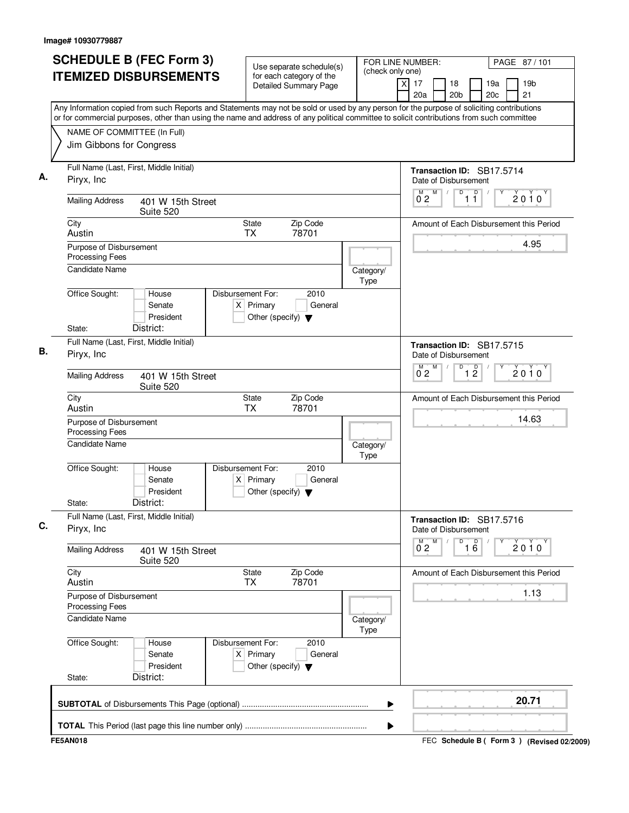| <b>ITEMIZED DISBURSEMENTS</b><br>for each category of the<br>19 <sub>b</sub><br>$\boldsymbol{\mathsf{X}}$<br>17<br>18<br>19a<br>Detailed Summary Page<br>20 <sub>b</sub><br>20 <sub>c</sub><br>21<br>20a<br>Any Information copied from such Reports and Statements may not be sold or used by any person for the purpose of soliciting contributions<br>or for commercial purposes, other than using the name and address of any political committee to solicit contributions from such committee<br>NAME OF COMMITTEE (In Full)<br>Jim Gibbons for Congress<br>Full Name (Last, First, Middle Initial)<br>Transaction ID: SB17.5714<br>Piryx, Inc<br>Date of Disbursement<br>D<br>M<br>D<br>$2010^y$<br>ő 2<br>11<br><b>Mailing Address</b><br>401 W 15th Street<br>Suite 520<br>Zip Code<br>City<br><b>State</b><br>Amount of Each Disbursement this Period<br>78701<br>Austin<br><b>TX</b><br>4.95<br>Purpose of Disbursement<br><b>Processing Fees</b><br><b>Candidate Name</b><br>Category/<br>Type<br>Office Sought:<br>Disbursement For:<br>2010<br>House<br>$X$ Primary<br>Senate<br>General<br>President<br>Other (specify) $\blacktriangledown$<br>State:<br>District:<br>Full Name (Last, First, Middle Initial)<br>Transaction ID: SB17.5715<br>Piryx, Inc.<br>Date of Disbursement<br>D<br>$\overline{1}$ $\overline{2}$<br>$M$ $M$<br>$2010^y$<br>$0^{\degree}2$<br><b>Mailing Address</b><br>401 W 15th Street<br>Suite 520<br>Zip Code<br>Amount of Each Disbursement this Period<br>City<br>State<br>Austin<br><b>TX</b><br>78701<br>14.63<br>Purpose of Disbursement<br><b>Processing Fees</b><br>Candidate Name<br>Category/<br>Type<br>Office Sought:<br>Disbursement For:<br>2010<br>House<br>Senate<br>$X$ Primary<br>General<br>President<br>Other (specify) $\blacktriangledown$<br>District:<br>State:<br>Full Name (Last, First, Middle Initial)<br>Transaction ID: SB17.5716<br>Piryx, Inc.<br>Date of Disbursement<br>M<br>D<br>$\overline{0}^M$ 2<br>$\overline{16}$<br>$2010^{\circ}$<br><b>Mailing Address</b><br>401 W 15th Street<br>Suite 520<br>City<br>Zip Code<br>State<br>Amount of Each Disbursement this Period<br>78701<br>Austin<br><b>TX</b><br>1.13<br>Purpose of Disbursement<br>Processing Fees<br><b>Candidate Name</b><br>Category/<br>Type<br>Office Sought:<br>Disbursement For:<br>2010<br>House<br>$X$ Primary<br>Senate<br>General<br>President<br>Other (specify) $\blacktriangledown$<br>District:<br>State:<br>20.71 | <b>SCHEDULE B (FEC Form 3)</b> |  | Use separate schedule(s) |  | FOR LINE NUMBER:<br>PAGE 87/101<br>(check only one) |  |  |  |  |  |  |
|-------------------------------------------------------------------------------------------------------------------------------------------------------------------------------------------------------------------------------------------------------------------------------------------------------------------------------------------------------------------------------------------------------------------------------------------------------------------------------------------------------------------------------------------------------------------------------------------------------------------------------------------------------------------------------------------------------------------------------------------------------------------------------------------------------------------------------------------------------------------------------------------------------------------------------------------------------------------------------------------------------------------------------------------------------------------------------------------------------------------------------------------------------------------------------------------------------------------------------------------------------------------------------------------------------------------------------------------------------------------------------------------------------------------------------------------------------------------------------------------------------------------------------------------------------------------------------------------------------------------------------------------------------------------------------------------------------------------------------------------------------------------------------------------------------------------------------------------------------------------------------------------------------------------------------------------------------------------------------------------------------------------------------------------------------------------------------------------------------------------------------------------------------------------------------------------------------------------------------------------------------------------------------------------------------------------------------------------------------------------------------------------------------------------------------------------------------------------------------|--------------------------------|--|--------------------------|--|-----------------------------------------------------|--|--|--|--|--|--|
|                                                                                                                                                                                                                                                                                                                                                                                                                                                                                                                                                                                                                                                                                                                                                                                                                                                                                                                                                                                                                                                                                                                                                                                                                                                                                                                                                                                                                                                                                                                                                                                                                                                                                                                                                                                                                                                                                                                                                                                                                                                                                                                                                                                                                                                                                                                                                                                                                                                                               |                                |  |                          |  |                                                     |  |  |  |  |  |  |
|                                                                                                                                                                                                                                                                                                                                                                                                                                                                                                                                                                                                                                                                                                                                                                                                                                                                                                                                                                                                                                                                                                                                                                                                                                                                                                                                                                                                                                                                                                                                                                                                                                                                                                                                                                                                                                                                                                                                                                                                                                                                                                                                                                                                                                                                                                                                                                                                                                                                               |                                |  |                          |  |                                                     |  |  |  |  |  |  |
|                                                                                                                                                                                                                                                                                                                                                                                                                                                                                                                                                                                                                                                                                                                                                                                                                                                                                                                                                                                                                                                                                                                                                                                                                                                                                                                                                                                                                                                                                                                                                                                                                                                                                                                                                                                                                                                                                                                                                                                                                                                                                                                                                                                                                                                                                                                                                                                                                                                                               |                                |  |                          |  |                                                     |  |  |  |  |  |  |
|                                                                                                                                                                                                                                                                                                                                                                                                                                                                                                                                                                                                                                                                                                                                                                                                                                                                                                                                                                                                                                                                                                                                                                                                                                                                                                                                                                                                                                                                                                                                                                                                                                                                                                                                                                                                                                                                                                                                                                                                                                                                                                                                                                                                                                                                                                                                                                                                                                                                               |                                |  |                          |  |                                                     |  |  |  |  |  |  |
|                                                                                                                                                                                                                                                                                                                                                                                                                                                                                                                                                                                                                                                                                                                                                                                                                                                                                                                                                                                                                                                                                                                                                                                                                                                                                                                                                                                                                                                                                                                                                                                                                                                                                                                                                                                                                                                                                                                                                                                                                                                                                                                                                                                                                                                                                                                                                                                                                                                                               |                                |  |                          |  |                                                     |  |  |  |  |  |  |
|                                                                                                                                                                                                                                                                                                                                                                                                                                                                                                                                                                                                                                                                                                                                                                                                                                                                                                                                                                                                                                                                                                                                                                                                                                                                                                                                                                                                                                                                                                                                                                                                                                                                                                                                                                                                                                                                                                                                                                                                                                                                                                                                                                                                                                                                                                                                                                                                                                                                               |                                |  |                          |  |                                                     |  |  |  |  |  |  |
|                                                                                                                                                                                                                                                                                                                                                                                                                                                                                                                                                                                                                                                                                                                                                                                                                                                                                                                                                                                                                                                                                                                                                                                                                                                                                                                                                                                                                                                                                                                                                                                                                                                                                                                                                                                                                                                                                                                                                                                                                                                                                                                                                                                                                                                                                                                                                                                                                                                                               |                                |  |                          |  |                                                     |  |  |  |  |  |  |
|                                                                                                                                                                                                                                                                                                                                                                                                                                                                                                                                                                                                                                                                                                                                                                                                                                                                                                                                                                                                                                                                                                                                                                                                                                                                                                                                                                                                                                                                                                                                                                                                                                                                                                                                                                                                                                                                                                                                                                                                                                                                                                                                                                                                                                                                                                                                                                                                                                                                               |                                |  |                          |  |                                                     |  |  |  |  |  |  |
|                                                                                                                                                                                                                                                                                                                                                                                                                                                                                                                                                                                                                                                                                                                                                                                                                                                                                                                                                                                                                                                                                                                                                                                                                                                                                                                                                                                                                                                                                                                                                                                                                                                                                                                                                                                                                                                                                                                                                                                                                                                                                                                                                                                                                                                                                                                                                                                                                                                                               |                                |  |                          |  |                                                     |  |  |  |  |  |  |
|                                                                                                                                                                                                                                                                                                                                                                                                                                                                                                                                                                                                                                                                                                                                                                                                                                                                                                                                                                                                                                                                                                                                                                                                                                                                                                                                                                                                                                                                                                                                                                                                                                                                                                                                                                                                                                                                                                                                                                                                                                                                                                                                                                                                                                                                                                                                                                                                                                                                               |                                |  |                          |  |                                                     |  |  |  |  |  |  |
|                                                                                                                                                                                                                                                                                                                                                                                                                                                                                                                                                                                                                                                                                                                                                                                                                                                                                                                                                                                                                                                                                                                                                                                                                                                                                                                                                                                                                                                                                                                                                                                                                                                                                                                                                                                                                                                                                                                                                                                                                                                                                                                                                                                                                                                                                                                                                                                                                                                                               |                                |  |                          |  |                                                     |  |  |  |  |  |  |
|                                                                                                                                                                                                                                                                                                                                                                                                                                                                                                                                                                                                                                                                                                                                                                                                                                                                                                                                                                                                                                                                                                                                                                                                                                                                                                                                                                                                                                                                                                                                                                                                                                                                                                                                                                                                                                                                                                                                                                                                                                                                                                                                                                                                                                                                                                                                                                                                                                                                               |                                |  |                          |  |                                                     |  |  |  |  |  |  |
|                                                                                                                                                                                                                                                                                                                                                                                                                                                                                                                                                                                                                                                                                                                                                                                                                                                                                                                                                                                                                                                                                                                                                                                                                                                                                                                                                                                                                                                                                                                                                                                                                                                                                                                                                                                                                                                                                                                                                                                                                                                                                                                                                                                                                                                                                                                                                                                                                                                                               |                                |  |                          |  |                                                     |  |  |  |  |  |  |
|                                                                                                                                                                                                                                                                                                                                                                                                                                                                                                                                                                                                                                                                                                                                                                                                                                                                                                                                                                                                                                                                                                                                                                                                                                                                                                                                                                                                                                                                                                                                                                                                                                                                                                                                                                                                                                                                                                                                                                                                                                                                                                                                                                                                                                                                                                                                                                                                                                                                               |                                |  |                          |  |                                                     |  |  |  |  |  |  |
|                                                                                                                                                                                                                                                                                                                                                                                                                                                                                                                                                                                                                                                                                                                                                                                                                                                                                                                                                                                                                                                                                                                                                                                                                                                                                                                                                                                                                                                                                                                                                                                                                                                                                                                                                                                                                                                                                                                                                                                                                                                                                                                                                                                                                                                                                                                                                                                                                                                                               |                                |  |                          |  |                                                     |  |  |  |  |  |  |
|                                                                                                                                                                                                                                                                                                                                                                                                                                                                                                                                                                                                                                                                                                                                                                                                                                                                                                                                                                                                                                                                                                                                                                                                                                                                                                                                                                                                                                                                                                                                                                                                                                                                                                                                                                                                                                                                                                                                                                                                                                                                                                                                                                                                                                                                                                                                                                                                                                                                               |                                |  |                          |  |                                                     |  |  |  |  |  |  |
|                                                                                                                                                                                                                                                                                                                                                                                                                                                                                                                                                                                                                                                                                                                                                                                                                                                                                                                                                                                                                                                                                                                                                                                                                                                                                                                                                                                                                                                                                                                                                                                                                                                                                                                                                                                                                                                                                                                                                                                                                                                                                                                                                                                                                                                                                                                                                                                                                                                                               |                                |  |                          |  |                                                     |  |  |  |  |  |  |
|                                                                                                                                                                                                                                                                                                                                                                                                                                                                                                                                                                                                                                                                                                                                                                                                                                                                                                                                                                                                                                                                                                                                                                                                                                                                                                                                                                                                                                                                                                                                                                                                                                                                                                                                                                                                                                                                                                                                                                                                                                                                                                                                                                                                                                                                                                                                                                                                                                                                               |                                |  |                          |  |                                                     |  |  |  |  |  |  |
|                                                                                                                                                                                                                                                                                                                                                                                                                                                                                                                                                                                                                                                                                                                                                                                                                                                                                                                                                                                                                                                                                                                                                                                                                                                                                                                                                                                                                                                                                                                                                                                                                                                                                                                                                                                                                                                                                                                                                                                                                                                                                                                                                                                                                                                                                                                                                                                                                                                                               |                                |  |                          |  |                                                     |  |  |  |  |  |  |
|                                                                                                                                                                                                                                                                                                                                                                                                                                                                                                                                                                                                                                                                                                                                                                                                                                                                                                                                                                                                                                                                                                                                                                                                                                                                                                                                                                                                                                                                                                                                                                                                                                                                                                                                                                                                                                                                                                                                                                                                                                                                                                                                                                                                                                                                                                                                                                                                                                                                               |                                |  |                          |  |                                                     |  |  |  |  |  |  |
|                                                                                                                                                                                                                                                                                                                                                                                                                                                                                                                                                                                                                                                                                                                                                                                                                                                                                                                                                                                                                                                                                                                                                                                                                                                                                                                                                                                                                                                                                                                                                                                                                                                                                                                                                                                                                                                                                                                                                                                                                                                                                                                                                                                                                                                                                                                                                                                                                                                                               |                                |  |                          |  |                                                     |  |  |  |  |  |  |
|                                                                                                                                                                                                                                                                                                                                                                                                                                                                                                                                                                                                                                                                                                                                                                                                                                                                                                                                                                                                                                                                                                                                                                                                                                                                                                                                                                                                                                                                                                                                                                                                                                                                                                                                                                                                                                                                                                                                                                                                                                                                                                                                                                                                                                                                                                                                                                                                                                                                               |                                |  |                          |  |                                                     |  |  |  |  |  |  |
|                                                                                                                                                                                                                                                                                                                                                                                                                                                                                                                                                                                                                                                                                                                                                                                                                                                                                                                                                                                                                                                                                                                                                                                                                                                                                                                                                                                                                                                                                                                                                                                                                                                                                                                                                                                                                                                                                                                                                                                                                                                                                                                                                                                                                                                                                                                                                                                                                                                                               |                                |  |                          |  |                                                     |  |  |  |  |  |  |
|                                                                                                                                                                                                                                                                                                                                                                                                                                                                                                                                                                                                                                                                                                                                                                                                                                                                                                                                                                                                                                                                                                                                                                                                                                                                                                                                                                                                                                                                                                                                                                                                                                                                                                                                                                                                                                                                                                                                                                                                                                                                                                                                                                                                                                                                                                                                                                                                                                                                               |                                |  |                          |  |                                                     |  |  |  |  |  |  |
|                                                                                                                                                                                                                                                                                                                                                                                                                                                                                                                                                                                                                                                                                                                                                                                                                                                                                                                                                                                                                                                                                                                                                                                                                                                                                                                                                                                                                                                                                                                                                                                                                                                                                                                                                                                                                                                                                                                                                                                                                                                                                                                                                                                                                                                                                                                                                                                                                                                                               |                                |  |                          |  |                                                     |  |  |  |  |  |  |
|                                                                                                                                                                                                                                                                                                                                                                                                                                                                                                                                                                                                                                                                                                                                                                                                                                                                                                                                                                                                                                                                                                                                                                                                                                                                                                                                                                                                                                                                                                                                                                                                                                                                                                                                                                                                                                                                                                                                                                                                                                                                                                                                                                                                                                                                                                                                                                                                                                                                               |                                |  |                          |  |                                                     |  |  |  |  |  |  |
|                                                                                                                                                                                                                                                                                                                                                                                                                                                                                                                                                                                                                                                                                                                                                                                                                                                                                                                                                                                                                                                                                                                                                                                                                                                                                                                                                                                                                                                                                                                                                                                                                                                                                                                                                                                                                                                                                                                                                                                                                                                                                                                                                                                                                                                                                                                                                                                                                                                                               |                                |  |                          |  |                                                     |  |  |  |  |  |  |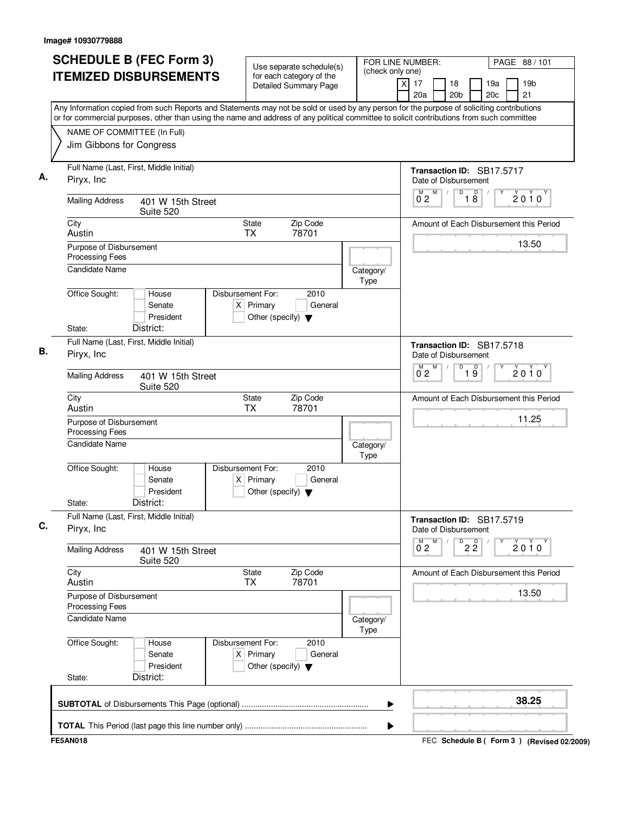| <b>SCHEDULE B (FEC Form 3)</b>                                                                                                                                                                                                                                                         | Use separate schedule(s)                                                                    | FOR LINE NUMBER:<br>(check only one) | PAGE 88 / 101                                                                  |
|----------------------------------------------------------------------------------------------------------------------------------------------------------------------------------------------------------------------------------------------------------------------------------------|---------------------------------------------------------------------------------------------|--------------------------------------|--------------------------------------------------------------------------------|
| <b>ITEMIZED DISBURSEMENTS</b>                                                                                                                                                                                                                                                          | for each category of the<br><b>Detailed Summary Page</b>                                    |                                      | 19 <sub>b</sub><br>17<br>18<br>19a<br>X<br>20a<br>20 <sub>b</sub><br>20c<br>21 |
| Any Information copied from such Reports and Statements may not be sold or used by any person for the purpose of soliciting contributions<br>or for commercial purposes, other than using the name and address of any political committee to solicit contributions from such committee |                                                                                             |                                      |                                                                                |
| NAME OF COMMITTEE (In Full)                                                                                                                                                                                                                                                            |                                                                                             |                                      |                                                                                |
| Jim Gibbons for Congress                                                                                                                                                                                                                                                               |                                                                                             |                                      |                                                                                |
| Full Name (Last, First, Middle Initial)<br>Piryx, Inc                                                                                                                                                                                                                                  |                                                                                             |                                      | Transaction ID: SB17.5717<br>Date of Disbursement                              |
| <b>Mailing Address</b><br>401 W 15th Street<br>Suite 520                                                                                                                                                                                                                               |                                                                                             |                                      | D<br>M<br>D<br>М<br>$2010^y$<br>0 <sub>2</sub><br>18                           |
| City<br>Austin                                                                                                                                                                                                                                                                         | Zip Code<br>State<br>78701<br><b>TX</b>                                                     |                                      | Amount of Each Disbursement this Period                                        |
| Purpose of Disbursement<br>Processing Fees                                                                                                                                                                                                                                             |                                                                                             |                                      | 13.50                                                                          |
| <b>Candidate Name</b>                                                                                                                                                                                                                                                                  |                                                                                             | Category/<br>Type                    |                                                                                |
| Office Sought:<br>House<br>Senate<br>President                                                                                                                                                                                                                                         | Disbursement For:<br>2010<br>$X$ Primary<br>General<br>Other (specify) $\blacktriangledown$ |                                      |                                                                                |
| District:<br>State:                                                                                                                                                                                                                                                                    |                                                                                             |                                      |                                                                                |
| Full Name (Last, First, Middle Initial)<br>Piryx, Inc.                                                                                                                                                                                                                                 |                                                                                             |                                      | Transaction ID: SB17.5718<br>Date of Disbursement                              |
| <b>Mailing Address</b><br>401 W 15th Street<br>Suite 520                                                                                                                                                                                                                               |                                                                                             |                                      | M<br>D<br>$\overline{19}$<br>M.<br>$2010^y$<br>$0^{\degree}2$                  |
| City<br>Austin                                                                                                                                                                                                                                                                         | State<br>Zip Code<br><b>TX</b><br>78701                                                     |                                      | Amount of Each Disbursement this Period                                        |
| Purpose of Disbursement<br><b>Processing Fees</b>                                                                                                                                                                                                                                      |                                                                                             |                                      | 11.25                                                                          |
| Candidate Name                                                                                                                                                                                                                                                                         |                                                                                             | Category/<br><b>Type</b>             |                                                                                |
| Office Sought:<br>House<br>Senate<br>President                                                                                                                                                                                                                                         | Disbursement For:<br>2010<br>$X$ Primary<br>General<br>Other (specify) $\blacktriangledown$ |                                      |                                                                                |
| District:<br>State:                                                                                                                                                                                                                                                                    |                                                                                             |                                      |                                                                                |
| Full Name (Last, First, Middle Initial)<br>Piryx, Inc.                                                                                                                                                                                                                                 |                                                                                             |                                      | Transaction ID: SB17.5719<br>Date of Disbursement                              |
| <b>Mailing Address</b><br>401 W 15th Street<br>Suite 520                                                                                                                                                                                                                               |                                                                                             |                                      | M<br>$\overline{P}$ 2 $\overline{2}$<br>$\overline{0}^M$ 2<br>$2010^{\circ}$   |
| City<br>Austin                                                                                                                                                                                                                                                                         | Zip Code<br>State<br><b>TX</b><br>78701                                                     |                                      | Amount of Each Disbursement this Period                                        |
| Purpose of Disbursement<br>Processing Fees                                                                                                                                                                                                                                             |                                                                                             |                                      | 13.50                                                                          |
| <b>Candidate Name</b>                                                                                                                                                                                                                                                                  |                                                                                             | Category/<br><b>Type</b>             |                                                                                |
| Office Sought:<br>House<br>Senate<br>President                                                                                                                                                                                                                                         | Disbursement For:<br>2010<br>$X$ Primary<br>General<br>Other (specify) $\blacktriangledown$ |                                      |                                                                                |
| District:<br>State:                                                                                                                                                                                                                                                                    |                                                                                             |                                      |                                                                                |
|                                                                                                                                                                                                                                                                                        |                                                                                             | ▶                                    | 38.25                                                                          |
|                                                                                                                                                                                                                                                                                        |                                                                                             |                                      |                                                                                |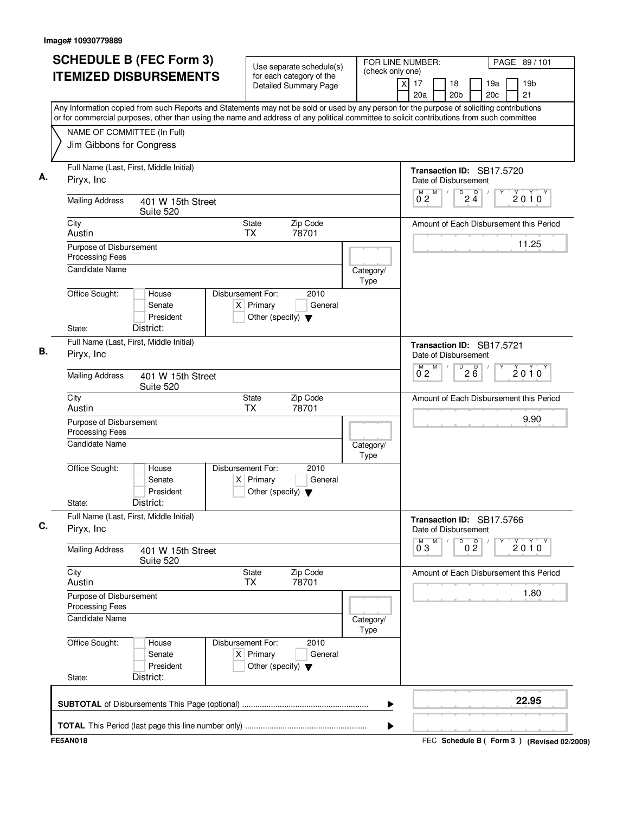| <b>SCHEDULE B (FEC Form 3)</b>                                                                                                                                                                                                                                                         | Use separate schedule(s)                                                                    | FOR LINE NUMBER:         |                          |                                                 | PAGE 89/101                                 |
|----------------------------------------------------------------------------------------------------------------------------------------------------------------------------------------------------------------------------------------------------------------------------------------|---------------------------------------------------------------------------------------------|--------------------------|--------------------------|-------------------------------------------------|---------------------------------------------|
| <b>ITEMIZED DISBURSEMENTS</b>                                                                                                                                                                                                                                                          | for each category of the<br><b>Detailed Summary Page</b>                                    | (check only one)<br>x    | 17<br>20a                | 18<br>20 <sub>b</sub>                           | 19a<br>19 <sub>b</sub><br>20c<br>21         |
| Any Information copied from such Reports and Statements may not be sold or used by any person for the purpose of soliciting contributions<br>or for commercial purposes, other than using the name and address of any political committee to solicit contributions from such committee |                                                                                             |                          |                          |                                                 |                                             |
| NAME OF COMMITTEE (In Full)                                                                                                                                                                                                                                                            |                                                                                             |                          |                          |                                                 |                                             |
| Jim Gibbons for Congress                                                                                                                                                                                                                                                               |                                                                                             |                          |                          |                                                 |                                             |
| Full Name (Last, First, Middle Initial)<br>Piryx, Inc.                                                                                                                                                                                                                                 |                                                                                             |                          |                          | Date of Disbursement                            | Transaction ID: SB17.5720                   |
| <b>Mailing Address</b><br>401 W 15th Street<br>Suite 520                                                                                                                                                                                                                               |                                                                                             |                          | M<br>M<br>0 <sub>2</sub> | $\overline{D}$<br>$\overline{D}$<br>$2\ddot{4}$ | $2010^y$                                    |
| City<br>Austin                                                                                                                                                                                                                                                                         | Zip Code<br>State<br><b>TX</b><br>78701                                                     |                          |                          |                                                 | Amount of Each Disbursement this Period     |
| Purpose of Disbursement<br><b>Processing Fees</b>                                                                                                                                                                                                                                      |                                                                                             |                          |                          |                                                 | 11.25                                       |
| <b>Candidate Name</b>                                                                                                                                                                                                                                                                  |                                                                                             | Category/<br>Type        |                          |                                                 |                                             |
| Office Sought:<br>House<br>Senate<br>President<br>District:<br>State:                                                                                                                                                                                                                  | Disbursement For:<br>2010<br>$X$ Primary<br>General<br>Other (specify) $\blacktriangledown$ |                          |                          |                                                 |                                             |
| Full Name (Last, First, Middle Initial)<br>Piryx, Inc                                                                                                                                                                                                                                  |                                                                                             |                          |                          | Date of Disbursement                            | Transaction ID: SB17.5721                   |
| <b>Mailing Address</b><br>401 W 15th Street<br>Suite 520                                                                                                                                                                                                                               |                                                                                             |                          | M<br>$\overline{0}^M$ 2  | D<br>26                                         | $2010^y$                                    |
| City<br>Austin                                                                                                                                                                                                                                                                         | Zip Code<br>State<br><b>TX</b><br>78701                                                     |                          |                          |                                                 | Amount of Each Disbursement this Period     |
| Purpose of Disbursement<br>Processing Fees                                                                                                                                                                                                                                             |                                                                                             |                          |                          |                                                 | 9.90                                        |
| Candidate Name                                                                                                                                                                                                                                                                         |                                                                                             | Category/<br>Type        |                          |                                                 |                                             |
| Office Sought:<br>House<br>Senate<br>President<br>District:<br>State:                                                                                                                                                                                                                  | Disbursement For:<br>2010<br>General<br>$X$ Primary<br>Other (specify) $\blacktriangledown$ |                          |                          |                                                 |                                             |
| Full Name (Last, First, Middle Initial)<br>Piryx, Inc                                                                                                                                                                                                                                  |                                                                                             |                          |                          | Date of Disbursement                            | Transaction ID: SB17.5766                   |
| <b>Mailing Address</b><br>401 W 15th Street<br>Suite 520                                                                                                                                                                                                                               |                                                                                             |                          | M<br>м<br>$0^{\degree}3$ | 0 <sup>0</sup><br>D                             | 2010                                        |
| City<br>Austin                                                                                                                                                                                                                                                                         | Zip Code<br>State<br>78701<br>TX                                                            |                          |                          |                                                 | Amount of Each Disbursement this Period     |
| Purpose of Disbursement<br>Processing Fees                                                                                                                                                                                                                                             |                                                                                             |                          |                          |                                                 | 1.80                                        |
| Candidate Name                                                                                                                                                                                                                                                                         |                                                                                             | Category/<br><b>Type</b> |                          |                                                 |                                             |
| Office Sought:<br>House<br>Senate<br>President<br>District:<br>State:                                                                                                                                                                                                                  | Disbursement For:<br>2010<br>$X$ Primary<br>General<br>Other (specify) $\blacktriangledown$ |                          |                          |                                                 |                                             |
|                                                                                                                                                                                                                                                                                        |                                                                                             | ▶                        |                          |                                                 | 22.95                                       |
|                                                                                                                                                                                                                                                                                        |                                                                                             | ▶                        |                          |                                                 |                                             |
| <b>FE5AN018</b>                                                                                                                                                                                                                                                                        |                                                                                             |                          |                          |                                                 | FEC Schedule B ( Form 3 ) (Revised 02/2009) |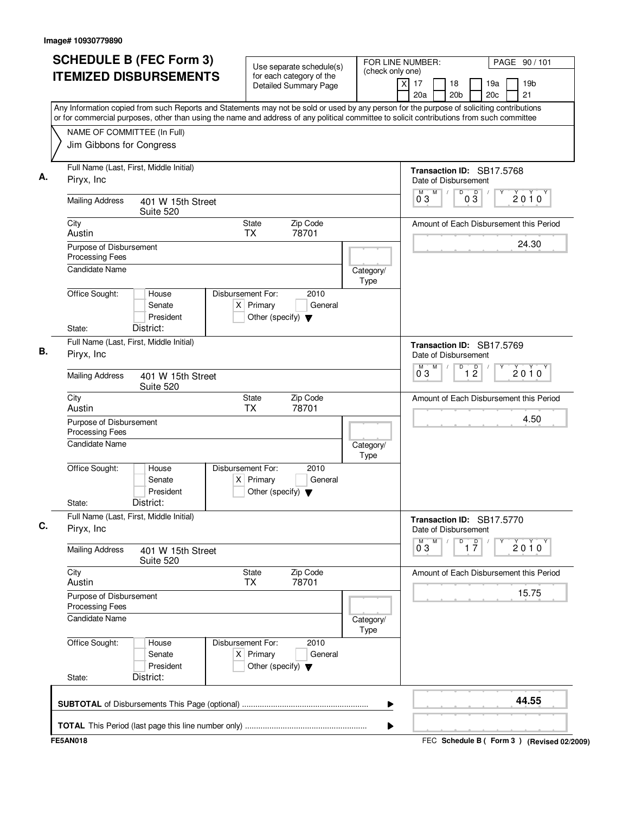| <b>SCHEDULE B (FEC Form 3)</b><br><b>ITEMIZED DISBURSEMENTS</b> |                                | Use separate schedule(s)<br>for each category of the<br><b>Detailed Summary Page</b>        |                          | FOR LINE NUMBER:<br>(check only one)<br>x<br>17<br>18<br>20a<br>20 <sub>b</sub>                                                                                                                                                                                                        | PAGE 90 / 101<br>19a<br>19 <sub>b</sub><br>20c<br>21 |
|-----------------------------------------------------------------|--------------------------------|---------------------------------------------------------------------------------------------|--------------------------|----------------------------------------------------------------------------------------------------------------------------------------------------------------------------------------------------------------------------------------------------------------------------------------|------------------------------------------------------|
|                                                                 |                                |                                                                                             |                          | Any Information copied from such Reports and Statements may not be sold or used by any person for the purpose of soliciting contributions<br>or for commercial purposes, other than using the name and address of any political committee to solicit contributions from such committee |                                                      |
| NAME OF COMMITTEE (In Full)<br>Jim Gibbons for Congress         |                                |                                                                                             |                          |                                                                                                                                                                                                                                                                                        |                                                      |
| Full Name (Last, First, Middle Initial)<br>Piryx, Inc.          |                                |                                                                                             |                          | Transaction ID: SB17.5768<br>Date of Disbursement                                                                                                                                                                                                                                      |                                                      |
| <b>Mailing Address</b>                                          | 401 W 15th Street<br>Suite 520 |                                                                                             |                          | M<br>D<br>$\overline{D}$<br>M<br>$\sqrt{2}$<br>03<br>$0\bar{3}$                                                                                                                                                                                                                        | 2010                                                 |
| City<br>Austin                                                  |                                | Zip Code<br>State<br><b>TX</b><br>78701                                                     |                          |                                                                                                                                                                                                                                                                                        | Amount of Each Disbursement this Period              |
| Purpose of Disbursement<br>Processing Fees                      |                                |                                                                                             |                          |                                                                                                                                                                                                                                                                                        | 24.30                                                |
| <b>Candidate Name</b>                                           |                                |                                                                                             | Category/<br>Type        |                                                                                                                                                                                                                                                                                        |                                                      |
| Office Sought:                                                  | House<br>Senate<br>President   | Disbursement For:<br>2010<br>$X$ Primary<br>General<br>Other (specify) $\blacktriangledown$ |                          |                                                                                                                                                                                                                                                                                        |                                                      |
| District:<br>State:                                             |                                |                                                                                             |                          |                                                                                                                                                                                                                                                                                        |                                                      |
| Full Name (Last, First, Middle Initial)<br>Piryx, Inc.          |                                |                                                                                             |                          | Transaction ID: SB17.5769<br>Date of Disbursement                                                                                                                                                                                                                                      |                                                      |
| <b>Mailing Address</b>                                          | 401 W 15th Street<br>Suite 520 |                                                                                             |                          | M<br>D<br>$\overline{1}$ $\overline{2}$<br>M<br>03                                                                                                                                                                                                                                     | $2010^y$                                             |
| City<br>Austin                                                  |                                | Zip Code<br>State<br><b>TX</b><br>78701                                                     |                          |                                                                                                                                                                                                                                                                                        | Amount of Each Disbursement this Period              |
| Purpose of Disbursement<br>Processing Fees                      |                                |                                                                                             |                          |                                                                                                                                                                                                                                                                                        | 4.50                                                 |
| <b>Candidate Name</b>                                           |                                |                                                                                             | Category/<br>Type        |                                                                                                                                                                                                                                                                                        |                                                      |
| Office Sought:                                                  | House<br>Senate<br>President   | Disbursement For:<br>2010<br>$X$ Primary<br>General<br>Other (specify) $\blacktriangledown$ |                          |                                                                                                                                                                                                                                                                                        |                                                      |
| District:<br>State:<br>Full Name (Last, First, Middle Initial)  |                                |                                                                                             |                          |                                                                                                                                                                                                                                                                                        |                                                      |
| Piryx, Inc.                                                     |                                |                                                                                             |                          | Transaction ID: SB17.5770<br>Date of Disbursement<br>М<br>D                                                                                                                                                                                                                            |                                                      |
| <b>Mailing Address</b>                                          | 401 W 15th Street<br>Suite 520 |                                                                                             |                          | $\overline{1}$ $\overline{7}$<br>$0^{\circ}3$                                                                                                                                                                                                                                          | $2010^y$                                             |
| City<br>Austin                                                  |                                | State<br>Zip Code<br>78701<br>TX                                                            |                          |                                                                                                                                                                                                                                                                                        | Amount of Each Disbursement this Period              |
| Purpose of Disbursement<br><b>Processing Fees</b>               |                                |                                                                                             |                          |                                                                                                                                                                                                                                                                                        | 15.75                                                |
| <b>Candidate Name</b>                                           |                                |                                                                                             | Category/<br><b>Type</b> |                                                                                                                                                                                                                                                                                        |                                                      |
| Office Sought:                                                  | House<br>Senate<br>President   | Disbursement For:<br>2010<br>$X$ Primary<br>General<br>Other (specify) $\blacktriangledown$ |                          |                                                                                                                                                                                                                                                                                        |                                                      |
| District:<br>State:                                             |                                |                                                                                             |                          |                                                                                                                                                                                                                                                                                        |                                                      |
|                                                                 |                                |                                                                                             |                          | ▶                                                                                                                                                                                                                                                                                      | 44.55                                                |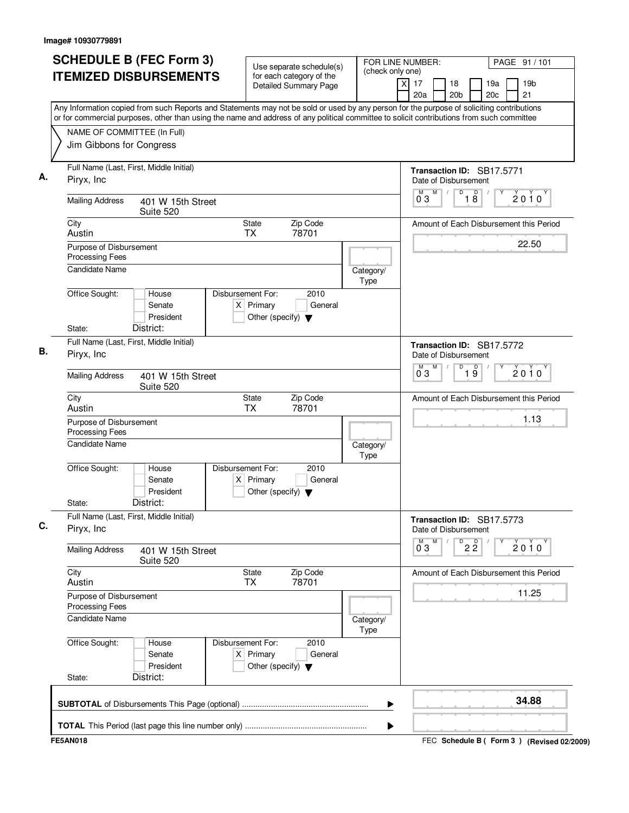| <b>SCHEDULE B (FEC Form 3)</b><br><b>ITEMIZED DISBURSEMENTS</b>                                                                                                                                                                                                                        | Use separate schedule(s)<br>for each category of the<br><b>Detailed Summary Page</b>        | FOR LINE NUMBER:<br>(check only one)<br>x | PAGE 91 / 101<br>17<br>18<br>19a<br>19 <sub>b</sub><br>20 <sub>b</sub><br>20c<br>21<br>20a |
|----------------------------------------------------------------------------------------------------------------------------------------------------------------------------------------------------------------------------------------------------------------------------------------|---------------------------------------------------------------------------------------------|-------------------------------------------|--------------------------------------------------------------------------------------------|
| Any Information copied from such Reports and Statements may not be sold or used by any person for the purpose of soliciting contributions<br>or for commercial purposes, other than using the name and address of any political committee to solicit contributions from such committee |                                                                                             |                                           |                                                                                            |
| NAME OF COMMITTEE (In Full)<br>Jim Gibbons for Congress                                                                                                                                                                                                                                |                                                                                             |                                           |                                                                                            |
| Full Name (Last, First, Middle Initial)<br>Piryx, Inc.                                                                                                                                                                                                                                 |                                                                                             |                                           | Transaction ID: SB17.5771<br>Date of Disbursement                                          |
| <b>Mailing Address</b><br>401 W 15th Street<br>Suite 520                                                                                                                                                                                                                               |                                                                                             |                                           | M<br>D<br>$\overline{D}$<br>M<br>$\sqrt{2}$<br>2010<br>$1\overline{8}$<br>03               |
| City<br>Austin                                                                                                                                                                                                                                                                         | Zip Code<br>State<br><b>TX</b><br>78701                                                     |                                           | Amount of Each Disbursement this Period                                                    |
| Purpose of Disbursement<br>Processing Fees                                                                                                                                                                                                                                             |                                                                                             |                                           | 22.50                                                                                      |
| <b>Candidate Name</b>                                                                                                                                                                                                                                                                  |                                                                                             | Category/<br>Type                         |                                                                                            |
| Office Sought:<br>House<br>Senate<br>President                                                                                                                                                                                                                                         | Disbursement For:<br>2010<br>$X$ Primary<br>General<br>Other (specify) $\blacktriangledown$ |                                           |                                                                                            |
| District:<br>State:                                                                                                                                                                                                                                                                    |                                                                                             |                                           |                                                                                            |
| Full Name (Last, First, Middle Initial)<br>Piryx, Inc.                                                                                                                                                                                                                                 |                                                                                             |                                           | Transaction ID: SB17.5772<br>Date of Disbursement                                          |
| <b>Mailing Address</b><br>401 W 15th Street<br>Suite 520                                                                                                                                                                                                                               |                                                                                             |                                           | M<br>D<br>$\overline{19}$<br>M<br>$2010^y$<br>03                                           |
| City<br>Austin                                                                                                                                                                                                                                                                         | Zip Code<br>State<br><b>TX</b><br>78701                                                     |                                           | Amount of Each Disbursement this Period                                                    |
| Purpose of Disbursement<br>Processing Fees                                                                                                                                                                                                                                             |                                                                                             |                                           | 1.13                                                                                       |
| <b>Candidate Name</b>                                                                                                                                                                                                                                                                  |                                                                                             | Category/<br>Type                         |                                                                                            |
| Office Sought:<br>House<br>Senate<br>President<br>District:<br>State:                                                                                                                                                                                                                  | Disbursement For:<br>2010<br>$X$ Primary<br>General<br>Other (specify) $\blacktriangledown$ |                                           |                                                                                            |
| Full Name (Last, First, Middle Initial)                                                                                                                                                                                                                                                |                                                                                             |                                           |                                                                                            |
| Piryx, Inc.                                                                                                                                                                                                                                                                            |                                                                                             |                                           | Transaction ID: SB17.5773<br>Date of Disbursement<br>M                                     |
| <b>Mailing Address</b><br>401 W 15th Street<br>Suite 520                                                                                                                                                                                                                               |                                                                                             |                                           | $\overline{P}$ 2 $\overline{2}$<br>$0^{\circ}3$<br>$2010^y$                                |
| City<br>Austin                                                                                                                                                                                                                                                                         | State<br>Zip Code<br>78701<br>TX                                                            |                                           | Amount of Each Disbursement this Period                                                    |
| Purpose of Disbursement<br><b>Processing Fees</b>                                                                                                                                                                                                                                      |                                                                                             |                                           | 11.25                                                                                      |
| <b>Candidate Name</b>                                                                                                                                                                                                                                                                  |                                                                                             | Category/<br><b>Type</b>                  |                                                                                            |
| Office Sought:<br>House<br>Senate<br>President                                                                                                                                                                                                                                         | Disbursement For:<br>2010<br>$X$ Primary<br>General<br>Other (specify) $\blacktriangledown$ |                                           |                                                                                            |
| District:<br>State:                                                                                                                                                                                                                                                                    |                                                                                             |                                           |                                                                                            |
|                                                                                                                                                                                                                                                                                        |                                                                                             | ▶                                         | 34.88                                                                                      |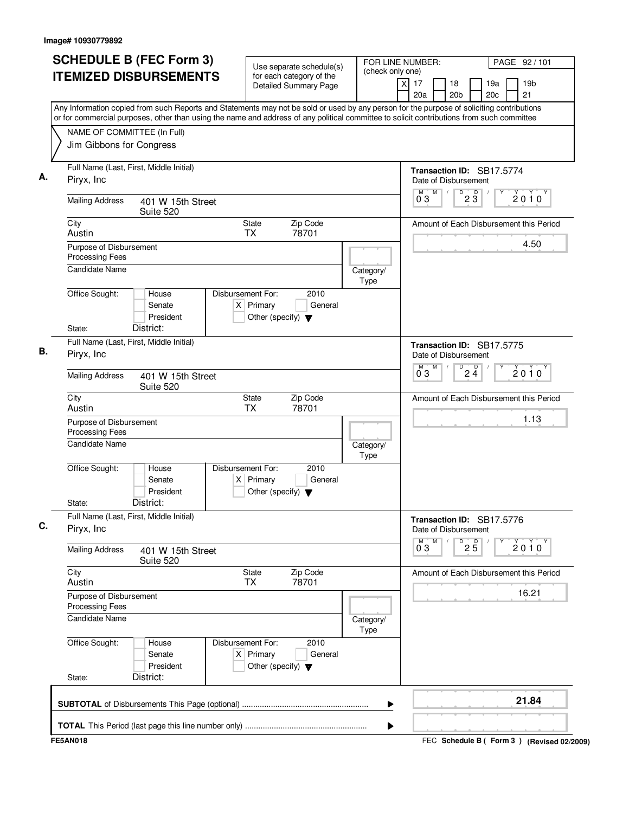| <b>SCHEDULE B (FEC Form 3)</b>                                                                                                                                                                                                                                                         | Use separate schedule(s)                                                                    | FOR LINE NUMBER:<br>(check only one) |                          | PAGE 92/101                                                  |
|----------------------------------------------------------------------------------------------------------------------------------------------------------------------------------------------------------------------------------------------------------------------------------------|---------------------------------------------------------------------------------------------|--------------------------------------|--------------------------|--------------------------------------------------------------|
| <b>ITEMIZED DISBURSEMENTS</b>                                                                                                                                                                                                                                                          | for each category of the<br><b>Detailed Summary Page</b>                                    |                                      | x<br>17<br>20a           | 18<br>19a<br>19 <sub>b</sub><br>20 <sub>b</sub><br>20c<br>21 |
| Any Information copied from such Reports and Statements may not be sold or used by any person for the purpose of soliciting contributions<br>or for commercial purposes, other than using the name and address of any political committee to solicit contributions from such committee |                                                                                             |                                      |                          |                                                              |
| NAME OF COMMITTEE (In Full)                                                                                                                                                                                                                                                            |                                                                                             |                                      |                          |                                                              |
| Jim Gibbons for Congress                                                                                                                                                                                                                                                               |                                                                                             |                                      |                          |                                                              |
| Full Name (Last, First, Middle Initial)<br>Piryx, Inc.                                                                                                                                                                                                                                 |                                                                                             |                                      |                          | Transaction ID: SB17.5774<br>Date of Disbursement            |
| <b>Mailing Address</b><br>401 W 15th Street<br>Suite 520                                                                                                                                                                                                                               |                                                                                             |                                      | M<br>M<br>03             | $\overline{D}$<br>$\overline{D}$<br>$2010^y$<br>23           |
| City<br>Austin                                                                                                                                                                                                                                                                         | Zip Code<br>State<br><b>TX</b><br>78701                                                     |                                      |                          | Amount of Each Disbursement this Period                      |
| Purpose of Disbursement<br><b>Processing Fees</b>                                                                                                                                                                                                                                      |                                                                                             |                                      |                          | 4.50                                                         |
| <b>Candidate Name</b>                                                                                                                                                                                                                                                                  |                                                                                             | Category/<br>Type                    |                          |                                                              |
| Office Sought:<br>House<br>Senate<br>President<br>District:<br>State:                                                                                                                                                                                                                  | Disbursement For:<br>2010<br>$X$ Primary<br>General<br>Other (specify) $\blacktriangledown$ |                                      |                          |                                                              |
| Full Name (Last, First, Middle Initial)<br>Piryx, Inc                                                                                                                                                                                                                                  |                                                                                             |                                      |                          | Transaction ID: SB17.5775<br>Date of Disbursement            |
| <b>Mailing Address</b><br>401 W 15th Street<br>Suite 520                                                                                                                                                                                                                               |                                                                                             |                                      | M<br>$0^{\degree}3$      | $2\frac{D}{4}$<br>D<br>$2010^y$                              |
| City<br>Austin                                                                                                                                                                                                                                                                         | Zip Code<br>State<br><b>TX</b><br>78701                                                     |                                      |                          | Amount of Each Disbursement this Period                      |
| Purpose of Disbursement<br>Processing Fees                                                                                                                                                                                                                                             |                                                                                             |                                      |                          | 1.13                                                         |
| <b>Candidate Name</b>                                                                                                                                                                                                                                                                  |                                                                                             | Category/<br>Type                    |                          |                                                              |
| Office Sought:<br>House<br>Senate<br>President<br>District:<br>State:                                                                                                                                                                                                                  | Disbursement For:<br>2010<br>General<br>$X$ Primary<br>Other (specify) $\blacktriangledown$ |                                      |                          |                                                              |
| Full Name (Last, First, Middle Initial)<br>Piryx, Inc                                                                                                                                                                                                                                  |                                                                                             |                                      |                          | Transaction ID: SB17.5776<br>Date of Disbursement            |
| <b>Mailing Address</b><br>401 W 15th Street<br>Suite 520                                                                                                                                                                                                                               |                                                                                             |                                      | м<br>Μ<br>$0^{\degree}3$ | D<br>$2\overline{5}$<br>2010                                 |
| City<br>Austin                                                                                                                                                                                                                                                                         | Zip Code<br><b>State</b><br>78701<br>TX                                                     |                                      |                          | Amount of Each Disbursement this Period                      |
| Purpose of Disbursement<br>Processing Fees                                                                                                                                                                                                                                             |                                                                                             |                                      |                          | 16.21                                                        |
| Candidate Name                                                                                                                                                                                                                                                                         |                                                                                             | Category/<br><b>Type</b>             |                          |                                                              |
| Office Sought:<br>House<br>Senate<br>President<br>District:<br>State:                                                                                                                                                                                                                  | Disbursement For:<br>2010<br>$X$ Primary<br>General<br>Other (specify) $\blacktriangledown$ |                                      |                          |                                                              |
|                                                                                                                                                                                                                                                                                        |                                                                                             | ▶                                    |                          | 21.84                                                        |
|                                                                                                                                                                                                                                                                                        |                                                                                             | ▶                                    |                          |                                                              |
| <b>FE5AN018</b>                                                                                                                                                                                                                                                                        |                                                                                             |                                      |                          | FEC Schedule B ( Form 3 ) (Revised 02/2009)                  |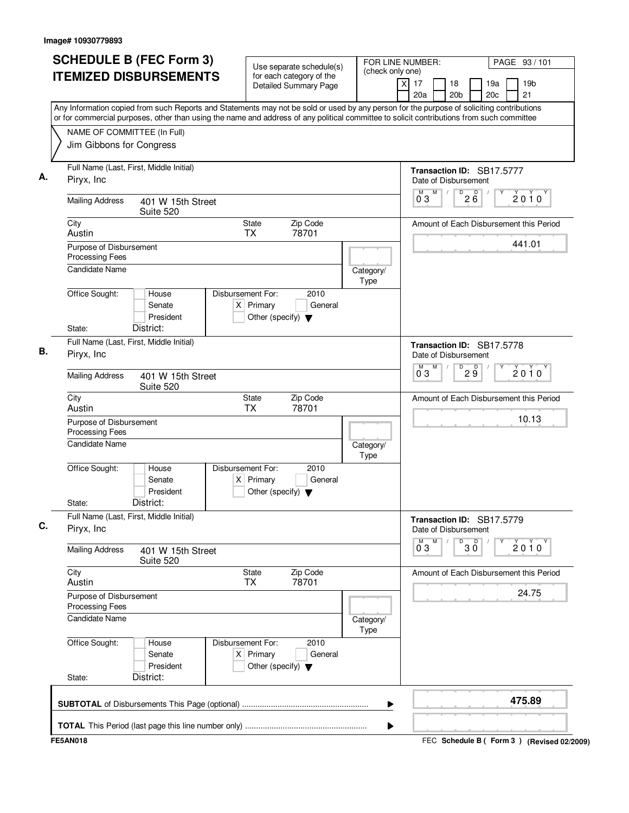| <b>SCHEDULE B (FEC Form 3)</b>                                                                                                                                                                                                                                                         | Use separate schedule(s)                                                                    | FOR LINE NUMBER:         |                          | PAGE 93 / 101                                                |
|----------------------------------------------------------------------------------------------------------------------------------------------------------------------------------------------------------------------------------------------------------------------------------------|---------------------------------------------------------------------------------------------|--------------------------|--------------------------|--------------------------------------------------------------|
| <b>ITEMIZED DISBURSEMENTS</b>                                                                                                                                                                                                                                                          | for each category of the<br><b>Detailed Summary Page</b>                                    | (check only one)         | x<br>17<br>20a           | 18<br>19a<br>19 <sub>b</sub><br>20 <sub>b</sub><br>20c<br>21 |
| Any Information copied from such Reports and Statements may not be sold or used by any person for the purpose of soliciting contributions<br>or for commercial purposes, other than using the name and address of any political committee to solicit contributions from such committee |                                                                                             |                          |                          |                                                              |
| NAME OF COMMITTEE (In Full)                                                                                                                                                                                                                                                            |                                                                                             |                          |                          |                                                              |
| Jim Gibbons for Congress                                                                                                                                                                                                                                                               |                                                                                             |                          |                          |                                                              |
| Full Name (Last, First, Middle Initial)<br>Piryx, Inc.                                                                                                                                                                                                                                 |                                                                                             |                          |                          | Transaction ID: SB17.5777<br>Date of Disbursement            |
| <b>Mailing Address</b><br>401 W 15th Street<br>Suite 520                                                                                                                                                                                                                               |                                                                                             |                          | M<br>M<br>03             | $\overline{D}$<br>$\overline{D}$<br>$2010^y$<br>26           |
| City<br>Austin                                                                                                                                                                                                                                                                         | Zip Code<br>State<br><b>TX</b><br>78701                                                     |                          |                          | Amount of Each Disbursement this Period                      |
| Purpose of Disbursement<br><b>Processing Fees</b>                                                                                                                                                                                                                                      |                                                                                             |                          |                          | 441.01                                                       |
| <b>Candidate Name</b>                                                                                                                                                                                                                                                                  |                                                                                             | Category/<br>Type        |                          |                                                              |
| Office Sought:<br>House<br>Senate<br>President<br>District:<br>State:                                                                                                                                                                                                                  | Disbursement For:<br>2010<br>$X$ Primary<br>General<br>Other (specify) $\blacktriangledown$ |                          |                          |                                                              |
| Full Name (Last, First, Middle Initial)<br>Piryx, Inc                                                                                                                                                                                                                                  |                                                                                             |                          |                          | Transaction ID: SB17.5778<br>Date of Disbursement            |
| <b>Mailing Address</b><br>401 W 15th Street<br>Suite 520                                                                                                                                                                                                                               |                                                                                             |                          | M<br>$0^{\degree}3$      | D<br>29<br>$2010^y$                                          |
| City<br>Austin                                                                                                                                                                                                                                                                         | Zip Code<br>State<br><b>TX</b><br>78701                                                     |                          |                          | Amount of Each Disbursement this Period                      |
| Purpose of Disbursement<br>Processing Fees                                                                                                                                                                                                                                             |                                                                                             |                          |                          | 10.13                                                        |
| <b>Candidate Name</b>                                                                                                                                                                                                                                                                  |                                                                                             | Category/<br>Type        |                          |                                                              |
| Office Sought:<br>House<br>Senate<br>President<br>District:<br>State:                                                                                                                                                                                                                  | Disbursement For:<br>2010<br>General<br>$X$ Primary<br>Other (specify) $\blacktriangledown$ |                          |                          |                                                              |
| Full Name (Last, First, Middle Initial)<br>Piryx, Inc                                                                                                                                                                                                                                  |                                                                                             |                          |                          | Transaction ID: SB17.5779<br>Date of Disbursement            |
| <b>Mailing Address</b><br>401 W 15th Street<br>Suite 520                                                                                                                                                                                                                               |                                                                                             |                          | м<br>Μ<br>$0^{\degree}3$ | $30^{\circ}$<br>D<br>2010                                    |
| City<br>Austin                                                                                                                                                                                                                                                                         | Zip Code<br><b>State</b><br>78701<br>TX                                                     |                          |                          | Amount of Each Disbursement this Period                      |
| Purpose of Disbursement<br>Processing Fees                                                                                                                                                                                                                                             |                                                                                             |                          |                          | 24.75                                                        |
| Candidate Name                                                                                                                                                                                                                                                                         |                                                                                             | Category/<br><b>Type</b> |                          |                                                              |
| Office Sought:<br>House<br>Senate<br>President<br>District:<br>State:                                                                                                                                                                                                                  | Disbursement For:<br>2010<br>$X$ Primary<br>General<br>Other (specify) $\blacktriangledown$ |                          |                          |                                                              |
|                                                                                                                                                                                                                                                                                        |                                                                                             | ▶                        |                          | 475.89                                                       |
|                                                                                                                                                                                                                                                                                        |                                                                                             | ▶                        |                          |                                                              |
| <b>FE5AN018</b>                                                                                                                                                                                                                                                                        |                                                                                             |                          |                          | FEC Schedule B ( Form 3 ) (Revised 02/2009)                  |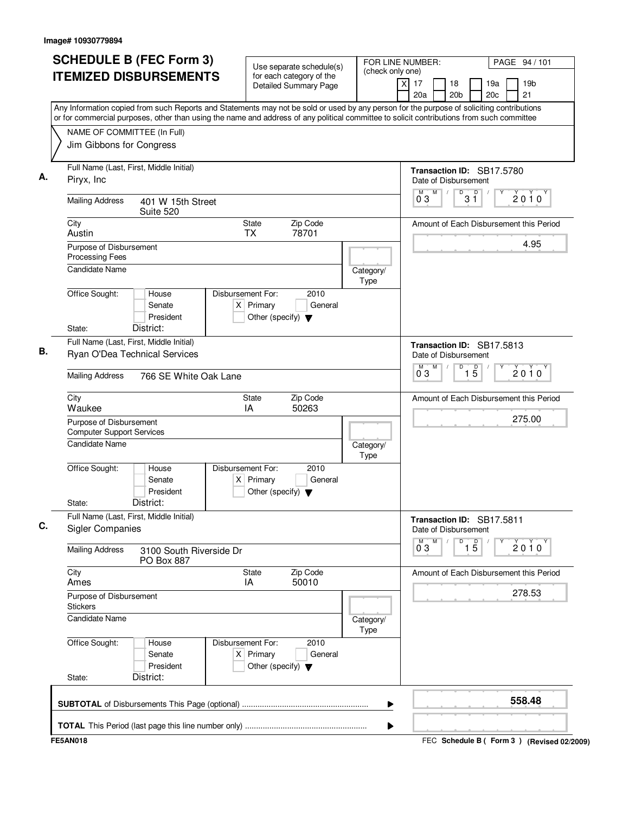| <b>SCHEDULE B (FEC Form 3)</b><br><b>ITEMIZED DISBURSEMENTS</b>                                                                                                                                                                                                                        | Use separate schedule(s)<br>for each category of the<br><b>Detailed Summary Page</b>        | FOR LINE NUMBER:<br>(check only one)<br>$\times$ | PAGE 94 / 101<br>17<br>18<br>19a<br>19 <sub>b</sub><br>21<br>20a<br>20 <sub>b</sub><br>20c |
|----------------------------------------------------------------------------------------------------------------------------------------------------------------------------------------------------------------------------------------------------------------------------------------|---------------------------------------------------------------------------------------------|--------------------------------------------------|--------------------------------------------------------------------------------------------|
| Any Information copied from such Reports and Statements may not be sold or used by any person for the purpose of soliciting contributions<br>or for commercial purposes, other than using the name and address of any political committee to solicit contributions from such committee |                                                                                             |                                                  |                                                                                            |
| NAME OF COMMITTEE (In Full)<br>Jim Gibbons for Congress                                                                                                                                                                                                                                |                                                                                             |                                                  |                                                                                            |
| Full Name (Last, First, Middle Initial)<br>Piryx, Inc.                                                                                                                                                                                                                                 |                                                                                             |                                                  | Transaction ID: SB17.5780<br>Date of Disbursement                                          |
| <b>Mailing Address</b><br>401 W 15th Street<br>Suite 520                                                                                                                                                                                                                               |                                                                                             |                                                  | M<br>D<br>$\overline{\mathsf{D}}$<br>M<br>$\sqrt{2}$<br>2010<br>3 Ĭ<br>03                  |
| City<br>Austin                                                                                                                                                                                                                                                                         | Zip Code<br>State<br><b>TX</b><br>78701                                                     |                                                  | Amount of Each Disbursement this Period                                                    |
| Purpose of Disbursement<br>Processing Fees                                                                                                                                                                                                                                             |                                                                                             |                                                  | 4.95                                                                                       |
| <b>Candidate Name</b><br>Office Sought:<br>House                                                                                                                                                                                                                                       | Disbursement For:<br>2010                                                                   | Category/<br>Type                                |                                                                                            |
| Senate<br>President<br>District:<br>State:                                                                                                                                                                                                                                             | $X$ Primary<br>General<br>Other (specify) $\blacktriangledown$                              |                                                  |                                                                                            |
| Full Name (Last, First, Middle Initial)<br>Ryan O'Dea Technical Services                                                                                                                                                                                                               |                                                                                             |                                                  | Transaction ID: SB17.5813<br>Date of Disbursement                                          |
| <b>Mailing Address</b><br>766 SE White Oak Lane                                                                                                                                                                                                                                        |                                                                                             |                                                  | M<br>D<br>$\overline{1\,5}$<br>M<br>$2010^y$<br>03                                         |
| City<br>Waukee                                                                                                                                                                                                                                                                         | Zip Code<br>State<br>IA<br>50263                                                            |                                                  | Amount of Each Disbursement this Period                                                    |
| Purpose of Disbursement<br><b>Computer Support Services</b>                                                                                                                                                                                                                            |                                                                                             |                                                  | 275.00                                                                                     |
| <b>Candidate Name</b>                                                                                                                                                                                                                                                                  |                                                                                             | Category/<br>Type                                |                                                                                            |
| Office Sought:<br>House<br>Senate<br>President<br>District:<br>State:                                                                                                                                                                                                                  | Disbursement For:<br>2010<br>$X$ Primary<br>General<br>Other (specify) $\blacktriangledown$ |                                                  |                                                                                            |
| Full Name (Last, First, Middle Initial)<br><b>Sigler Companies</b>                                                                                                                                                                                                                     |                                                                                             |                                                  | Transaction ID: SB17.5811<br>Date of Disbursement                                          |
| <b>Mailing Address</b><br>3100 South Riverside Dr<br><b>PO Box 887</b>                                                                                                                                                                                                                 |                                                                                             |                                                  | $\overline{1\,5}$<br>М<br>D<br>$0^{\circ}3$<br>$2010^y$                                    |
| City<br>Ames                                                                                                                                                                                                                                                                           | Zip Code<br><b>State</b><br>IA<br>50010                                                     |                                                  | Amount of Each Disbursement this Period                                                    |
| Purpose of Disbursement<br><b>Stickers</b>                                                                                                                                                                                                                                             |                                                                                             |                                                  | 278.53                                                                                     |
| <b>Candidate Name</b>                                                                                                                                                                                                                                                                  |                                                                                             | Category/<br><b>Type</b>                         |                                                                                            |
| Office Sought:<br>House<br>Senate<br>President<br>District:<br>State:                                                                                                                                                                                                                  | Disbursement For:<br>2010<br>$X$ Primary<br>General<br>Other (specify) $\blacktriangledown$ |                                                  |                                                                                            |
|                                                                                                                                                                                                                                                                                        |                                                                                             |                                                  |                                                                                            |
|                                                                                                                                                                                                                                                                                        |                                                                                             | ▶                                                | 558.48                                                                                     |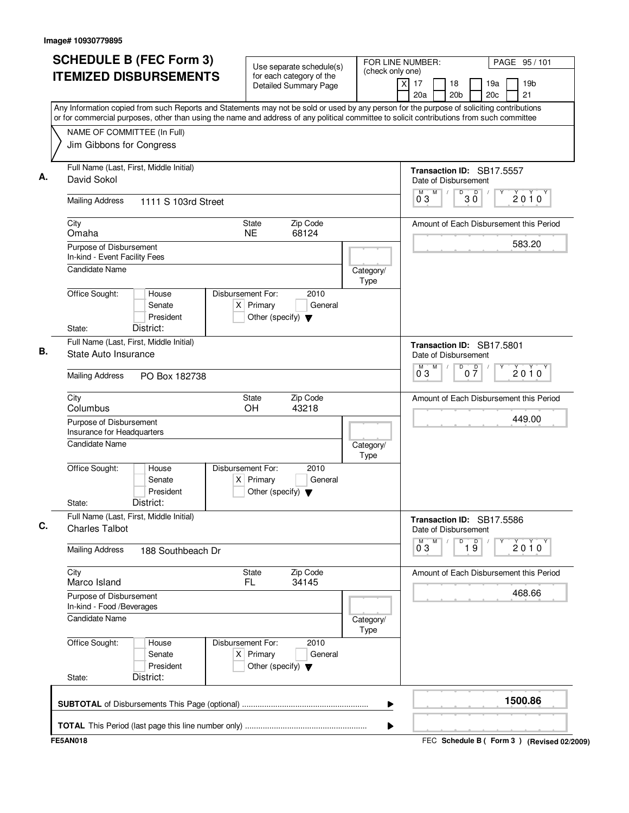|                                                                  | <b>SCHEDULE B (FEC Form 3)</b>                                                                                                            |                                                                          | Use separate schedule(s)                                 |                          | FOR LINE NUMBER:                                  | PAGE 95/101                             |
|------------------------------------------------------------------|-------------------------------------------------------------------------------------------------------------------------------------------|--------------------------------------------------------------------------|----------------------------------------------------------|--------------------------|---------------------------------------------------|-----------------------------------------|
| <b>ITEMIZED DISBURSEMENTS</b>                                    |                                                                                                                                           |                                                                          | for each category of the<br><b>Detailed Summary Page</b> | (check only one)         | $\times$<br>17<br>18<br>20a<br>20 <sub>b</sub>    | 19a<br>19 <sub>b</sub><br>20c<br>21     |
|                                                                  | Any Information copied from such Reports and Statements may not be sold or used by any person for the purpose of soliciting contributions |                                                                          |                                                          |                          |                                                   |                                         |
|                                                                  | or for commercial purposes, other than using the name and address of any political committee to solicit contributions from such committee |                                                                          |                                                          |                          |                                                   |                                         |
| NAME OF COMMITTEE (In Full)<br>Jim Gibbons for Congress          |                                                                                                                                           |                                                                          |                                                          |                          |                                                   |                                         |
|                                                                  |                                                                                                                                           |                                                                          |                                                          |                          |                                                   |                                         |
| Full Name (Last, First, Middle Initial)                          |                                                                                                                                           |                                                                          |                                                          |                          | Transaction ID: SB17.5557                         |                                         |
| David Sokol                                                      |                                                                                                                                           |                                                                          |                                                          |                          | Date of Disbursement                              |                                         |
| <b>Mailing Address</b>                                           | 1111 S 103rd Street                                                                                                                       |                                                                          |                                                          |                          | M<br>D<br>$30^{\circ}$<br>M<br>03                 | 2010                                    |
| City<br>Omaha                                                    |                                                                                                                                           | <b>State</b><br><b>NE</b>                                                | Zip Code<br>68124                                        |                          |                                                   | Amount of Each Disbursement this Period |
| Purpose of Disbursement                                          |                                                                                                                                           |                                                                          |                                                          |                          |                                                   | 583.20                                  |
| In-kind - Event Facility Fees                                    |                                                                                                                                           |                                                                          |                                                          |                          |                                                   |                                         |
| Candidate Name                                                   |                                                                                                                                           |                                                                          |                                                          | Category/                |                                                   |                                         |
| Office Sought:                                                   | House                                                                                                                                     | Disbursement For:                                                        | 2010                                                     | <b>Type</b>              |                                                   |                                         |
|                                                                  | Senate                                                                                                                                    | $X$ Primary                                                              | General                                                  |                          |                                                   |                                         |
|                                                                  | President                                                                                                                                 | Other (specify) $\blacktriangledown$                                     |                                                          |                          |                                                   |                                         |
| State:                                                           | District:                                                                                                                                 |                                                                          |                                                          |                          |                                                   |                                         |
| Full Name (Last, First, Middle Initial)                          |                                                                                                                                           |                                                                          |                                                          |                          | Transaction ID: SB17.5801                         |                                         |
| State Auto Insurance                                             |                                                                                                                                           |                                                                          |                                                          |                          | Date of Disbursement                              |                                         |
| <b>Mailing Address</b>                                           | PO Box 182738                                                                                                                             |                                                                          |                                                          |                          | $\overline{D}$<br>M<br>M<br>$0\frac{D}{7}$<br>03  | $2010^y$                                |
| City<br>Columbus                                                 |                                                                                                                                           | State<br><b>OH</b>                                                       | Zip Code<br>43218                                        |                          |                                                   | Amount of Each Disbursement this Period |
| Purpose of Disbursement<br>Insurance for Headquarters            |                                                                                                                                           |                                                                          |                                                          |                          |                                                   | 449.00                                  |
| <b>Candidate Name</b>                                            |                                                                                                                                           |                                                                          |                                                          | Category/<br><b>Type</b> |                                                   |                                         |
| Office Sought:                                                   | House<br>Senate<br>President                                                                                                              | Disbursement For:<br>$X$ Primary<br>Other (specify) $\blacktriangledown$ | 2010<br>General                                          |                          |                                                   |                                         |
| State:                                                           | District:                                                                                                                                 |                                                                          |                                                          |                          |                                                   |                                         |
| Full Name (Last, First, Middle Initial)<br><b>Charles Talbot</b> |                                                                                                                                           |                                                                          |                                                          |                          | Transaction ID: SB17.5586<br>Date of Disbursement |                                         |
| <b>Mailing Address</b>                                           | 188 Southbeach Dr                                                                                                                         |                                                                          |                                                          |                          | M<br>D<br>$\overline{19}$<br>$\overline{0}^M$ 3   | 2010                                    |
| City<br>Marco Island                                             |                                                                                                                                           | State<br>FL.                                                             | Zip Code<br>34145                                        |                          |                                                   | Amount of Each Disbursement this Period |
| Purpose of Disbursement<br>In-kind - Food /Beverages             |                                                                                                                                           |                                                                          |                                                          |                          |                                                   | 468.66                                  |
| <b>Candidate Name</b>                                            |                                                                                                                                           |                                                                          |                                                          | Category/<br>Type        |                                                   |                                         |
| Office Sought:<br>State:                                         | House<br>Senate<br>President<br>District:                                                                                                 | Disbursement For:<br>$X$ Primary<br>Other (specify) $\blacktriangledown$ | 2010<br>General                                          |                          |                                                   |                                         |
|                                                                  |                                                                                                                                           |                                                                          |                                                          |                          |                                                   |                                         |
|                                                                  |                                                                                                                                           |                                                                          |                                                          |                          |                                                   | 1500.86                                 |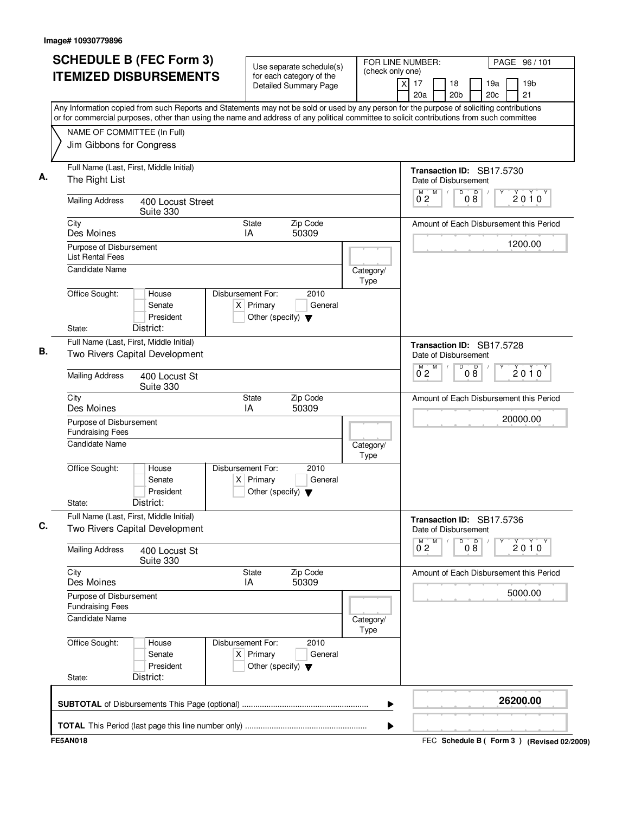| <b>SCHEDULE B (FEC Form 3)</b><br><b>ITEMIZED DISBURSEMENTS</b>                                                                                                                                                                                                                        | Use separate schedule(s)<br>for each category of the<br><b>Detailed Summary Page</b>        | FOR LINE NUMBER:<br>(check only one) | PAGE 96 / 101<br>$\times$<br>17<br>18<br>19a<br>19 <sub>b</sub><br>21<br>20a<br>20 <sub>b</sub><br>20c |
|----------------------------------------------------------------------------------------------------------------------------------------------------------------------------------------------------------------------------------------------------------------------------------------|---------------------------------------------------------------------------------------------|--------------------------------------|--------------------------------------------------------------------------------------------------------|
| Any Information copied from such Reports and Statements may not be sold or used by any person for the purpose of soliciting contributions<br>or for commercial purposes, other than using the name and address of any political committee to solicit contributions from such committee |                                                                                             |                                      |                                                                                                        |
| NAME OF COMMITTEE (In Full)<br>Jim Gibbons for Congress                                                                                                                                                                                                                                |                                                                                             |                                      |                                                                                                        |
| Full Name (Last, First, Middle Initial)<br>The Right List                                                                                                                                                                                                                              |                                                                                             |                                      | Transaction ID: SB17.5730<br>Date of Disbursement                                                      |
| <b>Mailing Address</b><br>400 Locust Street<br>Suite 330                                                                                                                                                                                                                               |                                                                                             |                                      | M<br>D<br>$\overline{D}$<br>M<br>$\sqrt{2}$<br>2010<br>0 <sub>2</sub><br>08                            |
| City<br>Des Moines                                                                                                                                                                                                                                                                     | Zip Code<br>State<br>50309<br>IA                                                            |                                      | Amount of Each Disbursement this Period                                                                |
| Purpose of Disbursement<br><b>List Rental Fees</b>                                                                                                                                                                                                                                     |                                                                                             |                                      | 1200.00                                                                                                |
| Candidate Name                                                                                                                                                                                                                                                                         |                                                                                             | Category/<br>Type                    |                                                                                                        |
| Office Sought:<br>House<br>Senate<br>President<br>District:                                                                                                                                                                                                                            | Disbursement For:<br>2010<br>$X$ Primary<br>General<br>Other (specify) $\blacktriangledown$ |                                      |                                                                                                        |
| State:<br>Full Name (Last, First, Middle Initial)<br>Two Rivers Capital Development                                                                                                                                                                                                    |                                                                                             |                                      | Transaction ID: SB17.5728<br>Date of Disbursement                                                      |
| <b>Mailing Address</b><br>400 Locust St<br>Suite 330                                                                                                                                                                                                                                   |                                                                                             |                                      | M<br>D<br>08<br>M<br>$2010^y$<br>0 <sub>2</sub>                                                        |
| City<br>Des Moines                                                                                                                                                                                                                                                                     | Zip Code<br>State<br>IA<br>50309                                                            |                                      | Amount of Each Disbursement this Period                                                                |
| Purpose of Disbursement<br><b>Fundraising Fees</b>                                                                                                                                                                                                                                     |                                                                                             |                                      | 20000.00                                                                                               |
| Candidate Name                                                                                                                                                                                                                                                                         |                                                                                             | Category/<br>Type                    |                                                                                                        |
| Office Sought:<br>House<br>Senate<br>President<br>District:<br>State:                                                                                                                                                                                                                  | Disbursement For:<br>2010<br>$X$ Primary<br>General<br>Other (specify) $\blacktriangledown$ |                                      |                                                                                                        |
| Full Name (Last, First, Middle Initial)<br>Two Rivers Capital Development                                                                                                                                                                                                              |                                                                                             |                                      | Transaction ID: SB17.5736<br>Date of Disbursement                                                      |
| <b>Mailing Address</b><br>400 Locust St<br>Suite 330                                                                                                                                                                                                                                   |                                                                                             |                                      | D<br>08<br>M<br>$0^{M}$ <sub>2</sub><br>$2010^y$                                                       |
| City<br>Des Moines                                                                                                                                                                                                                                                                     | State<br>Zip Code<br>50309<br>IA                                                            |                                      | Amount of Each Disbursement this Period                                                                |
| Purpose of Disbursement<br><b>Fundraising Fees</b>                                                                                                                                                                                                                                     |                                                                                             |                                      | 5000.00                                                                                                |
| <b>Candidate Name</b>                                                                                                                                                                                                                                                                  |                                                                                             | Category/<br><b>Type</b>             |                                                                                                        |
| Office Sought:<br>House<br>Senate<br>President                                                                                                                                                                                                                                         | Disbursement For:<br>2010<br>$X$ Primary<br>General<br>Other (specify) $\blacktriangledown$ |                                      |                                                                                                        |
| District:<br>State:                                                                                                                                                                                                                                                                    |                                                                                             |                                      |                                                                                                        |
|                                                                                                                                                                                                                                                                                        |                                                                                             | ▶                                    | 26200.00                                                                                               |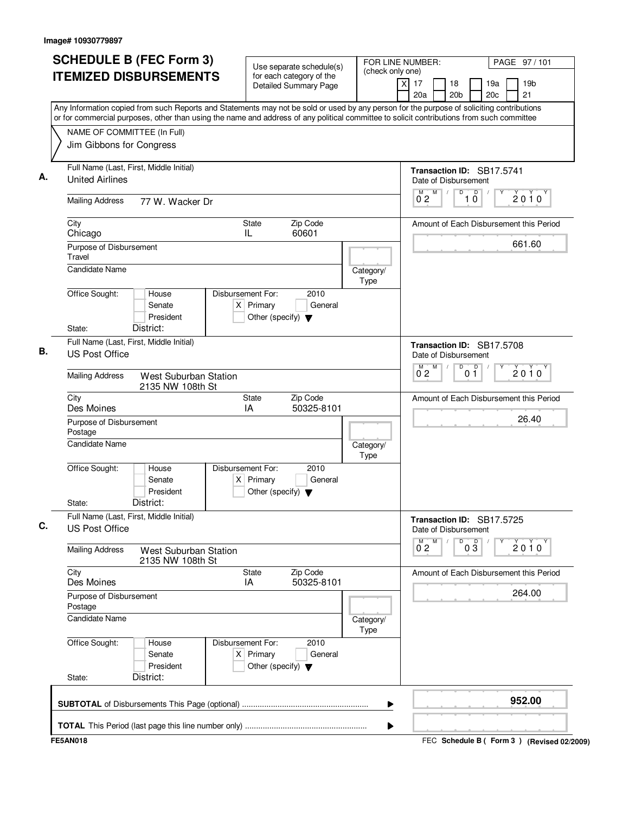|                                    | <b>SCHEDULE B (FEC Form 3)</b>                                                                                                                                                                                                                                                         |                                                                          | Use separate schedule(s)                                 |                   | FOR LINE NUMBER:                         | PAGE 97/101                             |
|------------------------------------|----------------------------------------------------------------------------------------------------------------------------------------------------------------------------------------------------------------------------------------------------------------------------------------|--------------------------------------------------------------------------|----------------------------------------------------------|-------------------|------------------------------------------|-----------------------------------------|
|                                    | <b>ITEMIZED DISBURSEMENTS</b>                                                                                                                                                                                                                                                          |                                                                          | for each category of the<br><b>Detailed Summary Page</b> | (check only one)  | X.<br>17<br>18<br>20a<br>20 <sub>b</sub> | 19a<br>19 <sub>b</sub><br>20c<br>21     |
|                                    | Any Information copied from such Reports and Statements may not be sold or used by any person for the purpose of soliciting contributions<br>or for commercial purposes, other than using the name and address of any political committee to solicit contributions from such committee |                                                                          |                                                          |                   |                                          |                                         |
|                                    |                                                                                                                                                                                                                                                                                        |                                                                          |                                                          |                   |                                          |                                         |
|                                    | NAME OF COMMITTEE (In Full)<br>Jim Gibbons for Congress                                                                                                                                                                                                                                |                                                                          |                                                          |                   |                                          |                                         |
|                                    |                                                                                                                                                                                                                                                                                        |                                                                          |                                                          |                   |                                          |                                         |
|                                    | Full Name (Last, First, Middle Initial)                                                                                                                                                                                                                                                |                                                                          |                                                          |                   |                                          | Transaction ID: SB17.5741               |
| <b>United Airlines</b>             |                                                                                                                                                                                                                                                                                        |                                                                          |                                                          |                   | Date of Disbursement                     |                                         |
| <b>Mailing Address</b>             | 77 W. Wacker Dr                                                                                                                                                                                                                                                                        |                                                                          |                                                          |                   | M<br>D<br>M,<br>0 <sub>2</sub>           | D<br>$2010^y$<br>$1\overline{0}$        |
| City<br>Chicago                    |                                                                                                                                                                                                                                                                                        | <b>State</b><br>IL                                                       | Zip Code<br>60601                                        |                   |                                          | Amount of Each Disbursement this Period |
| Purpose of Disbursement<br>Travel  |                                                                                                                                                                                                                                                                                        |                                                                          |                                                          |                   |                                          | 661.60                                  |
| <b>Candidate Name</b>              |                                                                                                                                                                                                                                                                                        |                                                                          |                                                          | Category/<br>Type |                                          |                                         |
| Office Sought:                     | House<br>Senate<br>President                                                                                                                                                                                                                                                           | Disbursement For:<br>$X$ Primary<br>Other (specify) $\blacktriangledown$ | 2010<br>General                                          |                   |                                          |                                         |
| State:                             | District:                                                                                                                                                                                                                                                                              |                                                                          |                                                          |                   |                                          |                                         |
| <b>US Post Office</b>              | Full Name (Last, First, Middle Initial)                                                                                                                                                                                                                                                |                                                                          |                                                          |                   | Date of Disbursement                     | Transaction ID: SB17.5708               |
| <b>Mailing Address</b>             | <b>West Suburban Station</b><br>2135 NW 108th St                                                                                                                                                                                                                                       |                                                                          |                                                          |                   | M<br>D<br>0 <sub>2</sub>                 | D<br>$2010^y$<br>$0\bar{1}$             |
| City<br>Des Moines                 |                                                                                                                                                                                                                                                                                        | State<br>IA                                                              | Zip Code<br>50325-8101                                   |                   |                                          | Amount of Each Disbursement this Period |
| Purpose of Disbursement<br>Postage |                                                                                                                                                                                                                                                                                        |                                                                          |                                                          |                   |                                          | 26.40                                   |
| Candidate Name                     |                                                                                                                                                                                                                                                                                        |                                                                          |                                                          | Category/<br>Type |                                          |                                         |
| Office Sought:                     | House<br>Senate<br>President                                                                                                                                                                                                                                                           | Disbursement For:<br>$X$ Primary<br>Other (specify) $\blacktriangledown$ | 2010<br>General                                          |                   |                                          |                                         |
| State:                             | District:                                                                                                                                                                                                                                                                              |                                                                          |                                                          |                   |                                          |                                         |
| <b>US Post Office</b>              | Full Name (Last, First, Middle Initial)                                                                                                                                                                                                                                                |                                                                          |                                                          |                   | Date of Disbursement                     | Transaction ID: SB17.5725               |
| <b>Mailing Address</b>             | <b>West Suburban Station</b><br>2135 NW 108th St                                                                                                                                                                                                                                       |                                                                          |                                                          |                   | $0^M$ 2<br>M<br>D                        | $0\frac{D}{3}$<br>Υ<br>$2010^y$         |
| City<br>Des Moines                 |                                                                                                                                                                                                                                                                                        | State<br>IA                                                              | Zip Code<br>50325-8101                                   |                   |                                          | Amount of Each Disbursement this Period |
| Purpose of Disbursement<br>Postage |                                                                                                                                                                                                                                                                                        |                                                                          |                                                          |                   |                                          | 264.00                                  |
| Candidate Name                     |                                                                                                                                                                                                                                                                                        |                                                                          |                                                          | Category/<br>Type |                                          |                                         |
| Office Sought:                     | House<br>Senate<br>President                                                                                                                                                                                                                                                           | Disbursement For:<br>$X$ Primary<br>Other (specify) $\blacktriangledown$ | 2010<br>General                                          |                   |                                          |                                         |
| State:                             | District:                                                                                                                                                                                                                                                                              |                                                                          |                                                          |                   |                                          |                                         |
|                                    |                                                                                                                                                                                                                                                                                        |                                                                          |                                                          | ▶                 |                                          | 952.00                                  |
|                                    |                                                                                                                                                                                                                                                                                        |                                                                          |                                                          |                   |                                          |                                         |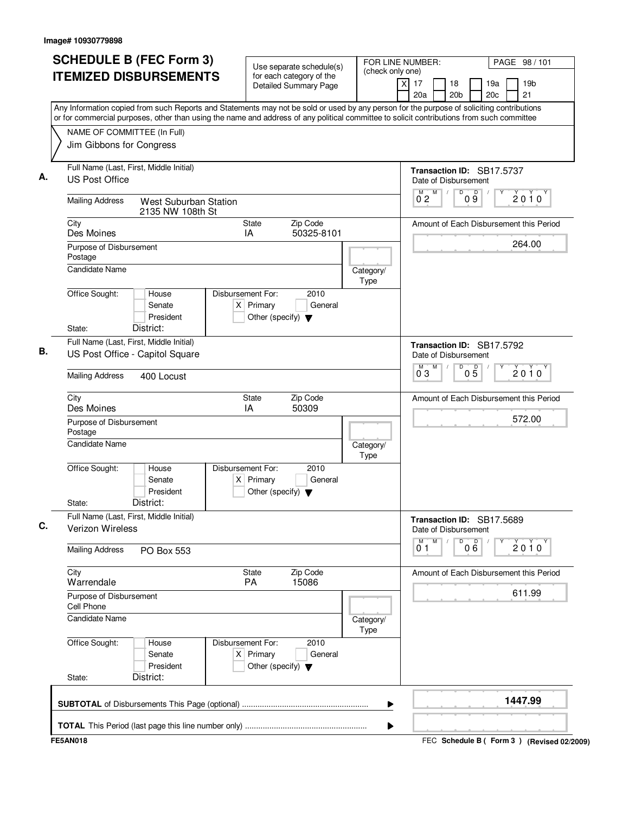| Any Information copied from such Reports and Statements may not be sold or used by any person for the purpose of soliciting contributions<br>or for commercial purposes, other than using the name and address of any political committee to solicit contributions from such committee<br>NAME OF COMMITTEE (In Full)<br>Jim Gibbons for Congress<br>Full Name (Last, First, Middle Initial)<br><b>US Post Office</b><br><b>Mailing Address</b><br>West Suburban Station<br>2135 NW 108th St<br>City<br><b>State</b><br>Des Moines<br>IA<br>Purpose of Disbursement<br>Postage<br><b>Candidate Name</b><br>Office Sought:<br>Disbursement For:<br>House<br>$X$ Primary<br>Senate<br>President<br>Other (specify) $\blacktriangledown$<br>District:<br>State:<br>Full Name (Last, First, Middle Initial)<br>US Post Office - Capitol Square<br><b>Mailing Address</b><br>400 Locust | Zip Code<br>50325-8101<br>2010<br>General | Category/<br>Type        | Transaction ID: SB17.5737<br>Date of Disbursement<br>M<br>$\overline{D}$<br>$\Box$<br>$\sqrt{2}$<br>$2010^y$<br>$0\overline{9}$<br>0 <sub>2</sub><br>Amount of Each Disbursement this Period<br>264.00 |
|------------------------------------------------------------------------------------------------------------------------------------------------------------------------------------------------------------------------------------------------------------------------------------------------------------------------------------------------------------------------------------------------------------------------------------------------------------------------------------------------------------------------------------------------------------------------------------------------------------------------------------------------------------------------------------------------------------------------------------------------------------------------------------------------------------------------------------------------------------------------------------|-------------------------------------------|--------------------------|--------------------------------------------------------------------------------------------------------------------------------------------------------------------------------------------------------|
|                                                                                                                                                                                                                                                                                                                                                                                                                                                                                                                                                                                                                                                                                                                                                                                                                                                                                    |                                           |                          |                                                                                                                                                                                                        |
|                                                                                                                                                                                                                                                                                                                                                                                                                                                                                                                                                                                                                                                                                                                                                                                                                                                                                    |                                           |                          |                                                                                                                                                                                                        |
|                                                                                                                                                                                                                                                                                                                                                                                                                                                                                                                                                                                                                                                                                                                                                                                                                                                                                    |                                           |                          |                                                                                                                                                                                                        |
|                                                                                                                                                                                                                                                                                                                                                                                                                                                                                                                                                                                                                                                                                                                                                                                                                                                                                    |                                           |                          |                                                                                                                                                                                                        |
|                                                                                                                                                                                                                                                                                                                                                                                                                                                                                                                                                                                                                                                                                                                                                                                                                                                                                    |                                           |                          |                                                                                                                                                                                                        |
|                                                                                                                                                                                                                                                                                                                                                                                                                                                                                                                                                                                                                                                                                                                                                                                                                                                                                    |                                           |                          |                                                                                                                                                                                                        |
|                                                                                                                                                                                                                                                                                                                                                                                                                                                                                                                                                                                                                                                                                                                                                                                                                                                                                    |                                           |                          |                                                                                                                                                                                                        |
|                                                                                                                                                                                                                                                                                                                                                                                                                                                                                                                                                                                                                                                                                                                                                                                                                                                                                    |                                           |                          |                                                                                                                                                                                                        |
|                                                                                                                                                                                                                                                                                                                                                                                                                                                                                                                                                                                                                                                                                                                                                                                                                                                                                    |                                           |                          | Transaction ID: SB17.5792                                                                                                                                                                              |
|                                                                                                                                                                                                                                                                                                                                                                                                                                                                                                                                                                                                                                                                                                                                                                                                                                                                                    |                                           |                          | Date of Disbursement                                                                                                                                                                                   |
|                                                                                                                                                                                                                                                                                                                                                                                                                                                                                                                                                                                                                                                                                                                                                                                                                                                                                    |                                           |                          | M<br>D<br>05<br>$\overline{0}^M$ 3<br>$2010^y$                                                                                                                                                         |
| City<br>State<br>Des Moines<br>IA                                                                                                                                                                                                                                                                                                                                                                                                                                                                                                                                                                                                                                                                                                                                                                                                                                                  | Zip Code<br>50309                         |                          | Amount of Each Disbursement this Period                                                                                                                                                                |
| Purpose of Disbursement<br>Postage                                                                                                                                                                                                                                                                                                                                                                                                                                                                                                                                                                                                                                                                                                                                                                                                                                                 |                                           |                          | 572.00                                                                                                                                                                                                 |
| <b>Candidate Name</b>                                                                                                                                                                                                                                                                                                                                                                                                                                                                                                                                                                                                                                                                                                                                                                                                                                                              |                                           | Category/<br>Type        |                                                                                                                                                                                                        |
| Office Sought:<br>Disbursement For:<br>House<br>Senate<br>$X$ Primary<br>President<br>Other (specify) $\blacktriangledown$<br>District:<br>State:                                                                                                                                                                                                                                                                                                                                                                                                                                                                                                                                                                                                                                                                                                                                  | 2010<br>General                           |                          |                                                                                                                                                                                                        |
| Full Name (Last, First, Middle Initial)<br>Verizon Wireless                                                                                                                                                                                                                                                                                                                                                                                                                                                                                                                                                                                                                                                                                                                                                                                                                        |                                           |                          | Transaction ID: SB17.5689<br>Date of Disbursement                                                                                                                                                      |
| <b>Mailing Address</b><br>PO Box 553                                                                                                                                                                                                                                                                                                                                                                                                                                                                                                                                                                                                                                                                                                                                                                                                                                               |                                           |                          | ${\sf M}$<br>D<br>000<br>M<br>$2010^y$<br>01                                                                                                                                                           |
| City<br>State<br>Warrendale<br><b>PA</b>                                                                                                                                                                                                                                                                                                                                                                                                                                                                                                                                                                                                                                                                                                                                                                                                                                           | Zip Code<br>15086                         |                          | Amount of Each Disbursement this Period                                                                                                                                                                |
| Purpose of Disbursement<br>Cell Phone                                                                                                                                                                                                                                                                                                                                                                                                                                                                                                                                                                                                                                                                                                                                                                                                                                              |                                           |                          | 611.99                                                                                                                                                                                                 |
| Candidate Name                                                                                                                                                                                                                                                                                                                                                                                                                                                                                                                                                                                                                                                                                                                                                                                                                                                                     |                                           | Category/<br><b>Type</b> |                                                                                                                                                                                                        |
| Office Sought:<br>Disbursement For:<br>House<br>$X$ Primary<br>Senate<br>President<br>Other (specify) $\blacktriangledown$<br>District:<br>State:                                                                                                                                                                                                                                                                                                                                                                                                                                                                                                                                                                                                                                                                                                                                  | 2010<br>General                           |                          |                                                                                                                                                                                                        |
|                                                                                                                                                                                                                                                                                                                                                                                                                                                                                                                                                                                                                                                                                                                                                                                                                                                                                    |                                           |                          |                                                                                                                                                                                                        |
|                                                                                                                                                                                                                                                                                                                                                                                                                                                                                                                                                                                                                                                                                                                                                                                                                                                                                    |                                           | ▶                        | 1447.99                                                                                                                                                                                                |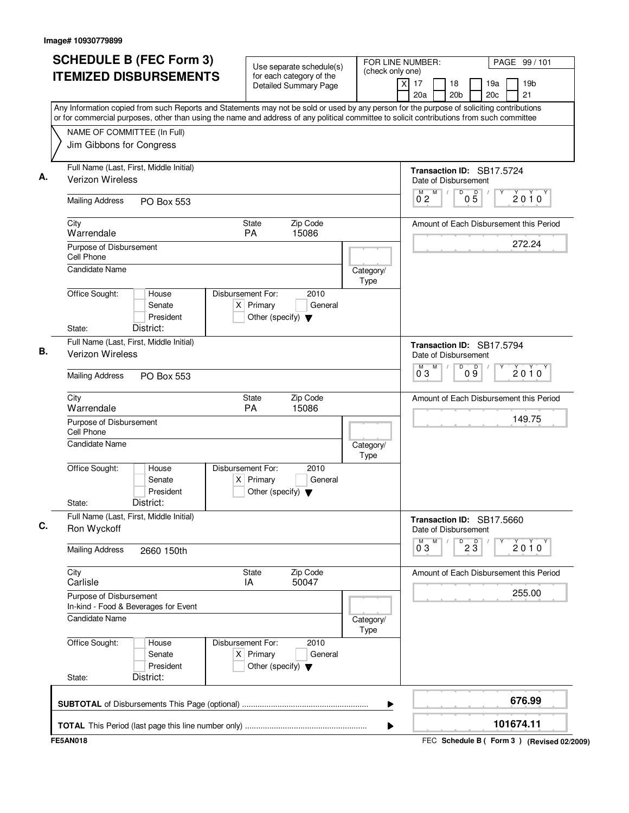| <b>SCHEDULE B (FEC Form 3)</b><br><b>ITEMIZED DISBURSEMENTS</b>                                                                                                                                                                                                                        | Use separate schedule(s)<br>for each category of the<br><b>Detailed Summary Page</b>        | FOR LINE NUMBER:<br>(check only one) | PAGE 99 / 101<br>$\times$<br>17<br>18<br>19a<br>19 <sub>b</sub><br>21<br>20a<br>20 <sub>b</sub><br>20c |
|----------------------------------------------------------------------------------------------------------------------------------------------------------------------------------------------------------------------------------------------------------------------------------------|---------------------------------------------------------------------------------------------|--------------------------------------|--------------------------------------------------------------------------------------------------------|
| Any Information copied from such Reports and Statements may not be sold or used by any person for the purpose of soliciting contributions<br>or for commercial purposes, other than using the name and address of any political committee to solicit contributions from such committee |                                                                                             |                                      |                                                                                                        |
| NAME OF COMMITTEE (In Full)<br>Jim Gibbons for Congress                                                                                                                                                                                                                                |                                                                                             |                                      |                                                                                                        |
| Full Name (Last, First, Middle Initial)<br>Verizon Wireless                                                                                                                                                                                                                            |                                                                                             |                                      | Transaction ID: SB17.5724<br>Date of Disbursement                                                      |
| <b>Mailing Address</b><br>PO Box 553                                                                                                                                                                                                                                                   |                                                                                             |                                      | M<br>D<br>$\mathsf D$<br>M<br>$\sqrt{2}$<br>2010<br>0 <sub>2</sub><br>0 <sub>5</sub>                   |
| City<br>Warrendale                                                                                                                                                                                                                                                                     | Zip Code<br>State<br>PA<br>15086                                                            |                                      | Amount of Each Disbursement this Period                                                                |
| Purpose of Disbursement<br>Cell Phone                                                                                                                                                                                                                                                  |                                                                                             |                                      | 272.24                                                                                                 |
| Candidate Name                                                                                                                                                                                                                                                                         |                                                                                             | Category/<br>Type                    |                                                                                                        |
| Office Sought:<br>House<br>Senate<br>President<br>District:<br>State:                                                                                                                                                                                                                  | Disbursement For:<br>2010<br>$X$ Primary<br>General<br>Other (specify) $\blacktriangledown$ |                                      |                                                                                                        |
| Full Name (Last, First, Middle Initial)<br>Verizon Wireless                                                                                                                                                                                                                            |                                                                                             |                                      | Transaction ID: SB17.5794<br>Date of Disbursement                                                      |
| <b>Mailing Address</b><br>PO Box 553                                                                                                                                                                                                                                                   |                                                                                             |                                      | M<br>D<br>09<br>M<br>$2010^y$<br>$0^{\degree}3$                                                        |
| City<br>Warrendale                                                                                                                                                                                                                                                                     | State<br>Zip Code<br><b>PA</b><br>15086                                                     |                                      | Amount of Each Disbursement this Period                                                                |
| Purpose of Disbursement<br>Cell Phone                                                                                                                                                                                                                                                  |                                                                                             |                                      | 149.75                                                                                                 |
| Candidate Name                                                                                                                                                                                                                                                                         |                                                                                             | Category/<br>Type                    |                                                                                                        |
| Office Sought:<br>House<br>Senate<br>President<br>District:<br>State:                                                                                                                                                                                                                  | Disbursement For:<br>2010<br>$X$ Primary<br>General<br>Other (specify) $\blacktriangledown$ |                                      |                                                                                                        |
| Full Name (Last, First, Middle Initial)<br>Ron Wyckoff                                                                                                                                                                                                                                 |                                                                                             |                                      | Transaction ID: SB17.5660<br>Date of Disbursement                                                      |
| <b>Mailing Address</b><br>2660 150th                                                                                                                                                                                                                                                   |                                                                                             |                                      | M<br>$D^D$ 2 $\overline{3}$<br>$0^{\circ}3$<br>$2010^y$                                                |
| City<br>Carlisle                                                                                                                                                                                                                                                                       | State<br>Zip Code<br>IA<br>50047                                                            |                                      | Amount of Each Disbursement this Period                                                                |
| Purpose of Disbursement<br>In-kind - Food & Beverages for Event                                                                                                                                                                                                                        |                                                                                             |                                      | 255.00                                                                                                 |
| Candidate Name                                                                                                                                                                                                                                                                         |                                                                                             | Category/<br><b>Type</b>             |                                                                                                        |
| Office Sought:<br>House<br>Senate<br>President                                                                                                                                                                                                                                         | Disbursement For:<br>2010<br>$X$ Primary<br>General<br>Other (specify) $\blacktriangledown$ |                                      |                                                                                                        |
| District:<br>State:                                                                                                                                                                                                                                                                    |                                                                                             |                                      |                                                                                                        |
|                                                                                                                                                                                                                                                                                        |                                                                                             | ▶                                    | 676.99                                                                                                 |
|                                                                                                                                                                                                                                                                                        |                                                                                             |                                      | 101674.11                                                                                              |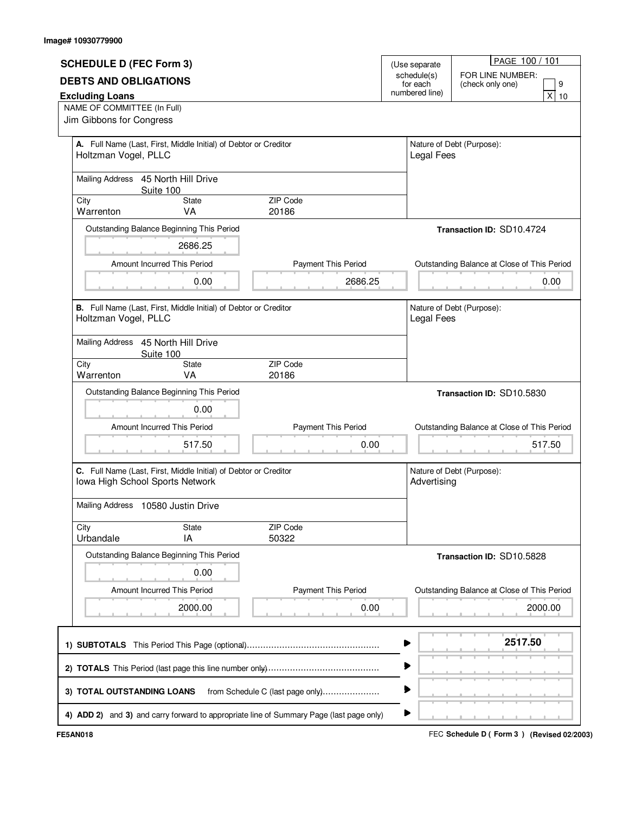|                                                                                         |                                  |                                           | PAGE 100 / 101                              |  |  |
|-----------------------------------------------------------------------------------------|----------------------------------|-------------------------------------------|---------------------------------------------|--|--|
| <b>SCHEDULE D (FEC Form 3)</b>                                                          | (Use separate                    |                                           |                                             |  |  |
| <b>DEBTS AND OBLIGATIONS</b>                                                            | schedule(s)<br>for each          | FOR LINE NUMBER:<br>9<br>(check only one) |                                             |  |  |
| numbered line)<br><b>Excluding Loans</b>                                                |                                  |                                           | x <sub>1</sub><br>10                        |  |  |
| NAME OF COMMITTEE (In Full)                                                             |                                  |                                           |                                             |  |  |
| Jim Gibbons for Congress                                                                |                                  |                                           |                                             |  |  |
|                                                                                         |                                  |                                           |                                             |  |  |
| A. Full Name (Last, First, Middle Initial) of Debtor or Creditor                        |                                  |                                           | Nature of Debt (Purpose):                   |  |  |
| Holtzman Vogel, PLLC                                                                    |                                  | <b>Legal Fees</b>                         |                                             |  |  |
| Mailing Address 45 North Hill Drive                                                     |                                  |                                           |                                             |  |  |
| Suite 100                                                                               |                                  |                                           |                                             |  |  |
| City<br><b>State</b>                                                                    | ZIP Code                         |                                           |                                             |  |  |
| Warrenton<br>VA                                                                         | 20186                            |                                           |                                             |  |  |
| Outstanding Balance Beginning This Period                                               |                                  |                                           | Transaction ID: SD10.4724                   |  |  |
| 2686.25                                                                                 |                                  |                                           |                                             |  |  |
| Amount Incurred This Period                                                             | Payment This Period              |                                           | Outstanding Balance at Close of This Period |  |  |
|                                                                                         |                                  |                                           |                                             |  |  |
| 0.00                                                                                    | 2686.25                          |                                           | 0.00                                        |  |  |
| B. Full Name (Last, First, Middle Initial) of Debtor or Creditor                        |                                  |                                           | Nature of Debt (Purpose):                   |  |  |
| Holtzman Vogel, PLLC                                                                    |                                  |                                           | Legal Fees                                  |  |  |
|                                                                                         |                                  |                                           |                                             |  |  |
| Mailing Address 45 North Hill Drive<br>Suite 100                                        |                                  |                                           |                                             |  |  |
| City<br>State                                                                           | ZIP Code                         |                                           |                                             |  |  |
| Warrenton<br>VA                                                                         | 20186                            |                                           |                                             |  |  |
| Outstanding Balance Beginning This Period                                               |                                  |                                           | Transaction ID: SD10.5830                   |  |  |
| 0.00                                                                                    |                                  |                                           |                                             |  |  |
| Amount Incurred This Period                                                             | Payment This Period              |                                           | Outstanding Balance at Close of This Period |  |  |
| 517.50                                                                                  | 0.00                             |                                           | 517.50                                      |  |  |
|                                                                                         |                                  |                                           |                                             |  |  |
| C. Full Name (Last, First, Middle Initial) of Debtor or Creditor                        |                                  |                                           | Nature of Debt (Purpose):                   |  |  |
| Iowa High School Sports Network                                                         |                                  |                                           | Advertising                                 |  |  |
|                                                                                         |                                  |                                           |                                             |  |  |
| Mailing Address 10580 Justin Drive                                                      |                                  |                                           |                                             |  |  |
| City<br><b>State</b>                                                                    | ZIP Code                         |                                           |                                             |  |  |
| Urbandale<br>IA                                                                         | 50322                            |                                           |                                             |  |  |
| Outstanding Balance Beginning This Period                                               |                                  |                                           | Transaction ID: SD10.5828                   |  |  |
|                                                                                         |                                  |                                           |                                             |  |  |
| 0.00                                                                                    |                                  |                                           |                                             |  |  |
| Amount Incurred This Period                                                             | <b>Payment This Period</b>       |                                           | Outstanding Balance at Close of This Period |  |  |
| 2000.00                                                                                 | 0.00                             |                                           | 2000.00                                     |  |  |
|                                                                                         |                                  |                                           |                                             |  |  |
|                                                                                         |                                  |                                           | 2517.50                                     |  |  |
|                                                                                         |                                  |                                           |                                             |  |  |
|                                                                                         |                                  |                                           |                                             |  |  |
|                                                                                         |                                  |                                           |                                             |  |  |
| 3) TOTAL OUTSTANDING LOANS                                                              | from Schedule C (last page only) |                                           |                                             |  |  |
| 4) ADD 2) and 3) and carry forward to appropriate line of Summary Page (last page only) |                                  | ▶                                         |                                             |  |  |

FEC **Schedule D ( ) FE5AN018 Form 3 (Revised 02/2003)**